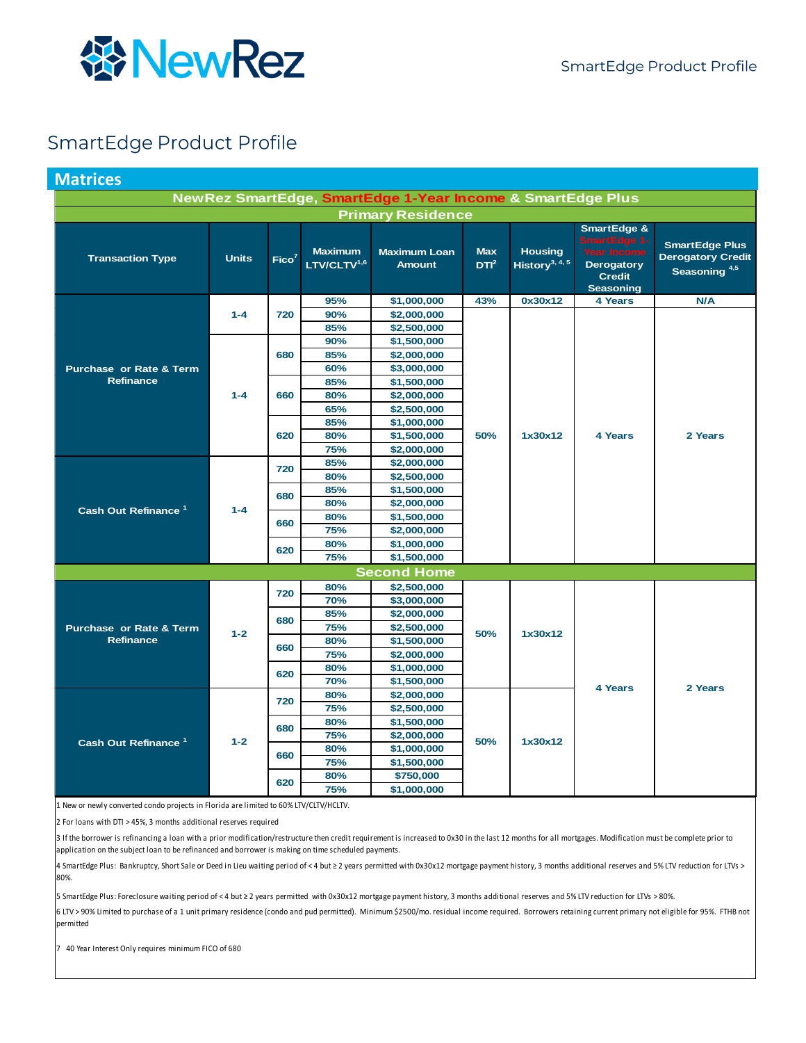

#### SmartEdge Product Profile

<span id="page-0-0"></span>

| <b>Matrices</b>                    |              |                   |                                    |                                                            |                                |                                              |                                                                                                                 |                                                                               |
|------------------------------------|--------------|-------------------|------------------------------------|------------------------------------------------------------|--------------------------------|----------------------------------------------|-----------------------------------------------------------------------------------------------------------------|-------------------------------------------------------------------------------|
|                                    |              |                   |                                    | NewRez SmartEdge, SmartEdge 1-Year Income & SmartEdge Plus |                                |                                              |                                                                                                                 |                                                                               |
|                                    |              |                   |                                    | <b>Primary Residence</b>                                   |                                |                                              |                                                                                                                 |                                                                               |
| <b>Transaction Type</b>            | <b>Units</b> | Fico <sup>7</sup> | <b>Maximum</b><br>$LTV/CLTV^{1,6}$ | <b>Maximum Loan</b><br><b>Amount</b>                       | <b>Max</b><br>DTI <sup>2</sup> | <b>Housing</b><br>History <sup>3, 4, 5</sup> | <b>SmartEdge &amp;</b><br>SmartEdge 1-<br><b>Year Income</b><br>Derogatory<br><b>Credit</b><br><b>Seasoning</b> | <b>SmartEdge Plus</b><br><b>Derogatory Credit</b><br>Seasoning <sup>4,5</sup> |
|                                    |              |                   | 95%                                | \$1,000,000                                                | 43%                            | 0x30x12                                      | <b>4 Years</b>                                                                                                  | N/A                                                                           |
|                                    | $1 - 4$      | 720               | 90%                                | \$2,000,000                                                |                                |                                              |                                                                                                                 |                                                                               |
|                                    |              |                   | 85%                                | \$2,500,000                                                |                                |                                              |                                                                                                                 |                                                                               |
|                                    |              |                   | 90%                                | \$1,500,000                                                |                                |                                              |                                                                                                                 |                                                                               |
|                                    |              | 680               | 85%                                | \$2,000,000                                                |                                |                                              |                                                                                                                 |                                                                               |
| <b>Purchase or Rate &amp; Term</b> |              |                   | 60%                                | \$3,000,000                                                |                                |                                              |                                                                                                                 |                                                                               |
| <b>Refinance</b>                   |              |                   | 85%                                | \$1,500,000                                                |                                |                                              |                                                                                                                 |                                                                               |
|                                    | $1 - 4$      | 660               | 80%                                | \$2,000,000                                                |                                |                                              |                                                                                                                 |                                                                               |
|                                    |              |                   | 65%                                | \$2,500,000                                                |                                |                                              |                                                                                                                 |                                                                               |
|                                    |              |                   | 85%                                | \$1,000,000                                                |                                | 1x30x12                                      |                                                                                                                 |                                                                               |
|                                    |              | 620               | 80%                                | \$1,500,000                                                | 50%                            |                                              | 4 Years                                                                                                         | 2 Years                                                                       |
|                                    |              |                   | 75%                                | \$2,000,000                                                |                                |                                              |                                                                                                                 |                                                                               |
|                                    |              | 720               | 85%                                | \$2,000,000                                                |                                |                                              |                                                                                                                 |                                                                               |
|                                    |              |                   | 80%                                | \$2,500,000                                                |                                |                                              |                                                                                                                 |                                                                               |
|                                    |              | 680               | 85%                                | \$1,500,000                                                |                                |                                              |                                                                                                                 |                                                                               |
|                                    |              |                   | 80%                                | \$2,000,000                                                |                                |                                              |                                                                                                                 |                                                                               |
| Cash Out Refinance <sup>1</sup>    | $1 - 4$      |                   | 80%                                | \$1,500,000                                                |                                |                                              |                                                                                                                 |                                                                               |
|                                    |              | 660               | 75%                                | \$2,000,000                                                |                                |                                              |                                                                                                                 |                                                                               |
|                                    |              |                   | 80%                                | \$1,000,000                                                |                                |                                              |                                                                                                                 |                                                                               |
|                                    |              | 620               | 75%                                | \$1,500,000                                                |                                |                                              |                                                                                                                 |                                                                               |
|                                    |              |                   |                                    | <b>Second Home</b>                                         |                                |                                              |                                                                                                                 |                                                                               |
|                                    |              |                   | 80%                                | \$2,500,000                                                |                                |                                              |                                                                                                                 |                                                                               |
|                                    |              | 720               | 70%                                | \$3,000,000                                                | 50%                            | 1x30x12                                      |                                                                                                                 |                                                                               |
|                                    |              | 680               | 85%                                | \$2,000,000                                                |                                |                                              |                                                                                                                 |                                                                               |
| Purchase or Rate & Term            | $1 - 2$      |                   | 75%                                | \$2,500,000                                                |                                |                                              |                                                                                                                 |                                                                               |
| <b>Refinance</b>                   |              |                   | 80%                                | \$1,500,000                                                |                                |                                              |                                                                                                                 |                                                                               |
|                                    |              | 660               | 75%                                | \$2,000,000                                                |                                |                                              |                                                                                                                 |                                                                               |
|                                    |              | 620               | 80%                                | \$1,000,000                                                |                                |                                              |                                                                                                                 |                                                                               |
|                                    |              |                   | 70%                                | \$1,500,000                                                |                                |                                              |                                                                                                                 |                                                                               |
|                                    |              | 720               | 80%                                | \$2,000,000                                                |                                |                                              | <b>4 Years</b>                                                                                                  | 2 Years                                                                       |
|                                    |              |                   | 75%                                | \$2,500,000                                                |                                |                                              |                                                                                                                 |                                                                               |
|                                    |              | 680               | 80%                                | \$1,500,000                                                |                                |                                              |                                                                                                                 |                                                                               |
|                                    |              |                   | 75%                                | \$2,000,000                                                |                                |                                              |                                                                                                                 |                                                                               |
| Cash Out Refinance <sup>1</sup>    | $1 - 2$      | 660               | 80%                                | \$1,000,000                                                | 50%                            | 1x30x12                                      |                                                                                                                 |                                                                               |
|                                    |              |                   | 75%                                | \$1,500,000                                                |                                |                                              |                                                                                                                 |                                                                               |
|                                    |              |                   | 80%                                | \$750,000                                                  |                                |                                              |                                                                                                                 |                                                                               |
|                                    |              | 620               | 75%                                | \$1,000,000                                                |                                |                                              |                                                                                                                 |                                                                               |

1 New or newly converted condo projects in Florida are limited to 60% LTV/CLTV/HCLTV.

2 For loans with DTI > 45%, 3 months additional reserves required

3 If the borrower is refinancing a loan with a prior modification/restructure then credit requirement is increased to 0x30 in the last 12 months for all mortgages. Modification must be complete prior to application on the subject loan to be refinanced and borrower is making on time scheduled payments.

4 SmartEdge Plus: Bankruptcy, Short Sale or Deed in Lieu waiting period of < 4 but ≥ 2 years permitted with 0x30x12 mortgage payment history, 3 months additional reserves and 5% LTV reduction for LTVs > 80%.

5 SmartEdge Plus: Foreclosure waiting period of < 4 but ≥ 2 years permitted with 0x30x12 mortgage payment history, 3 months additional reserves and 5% LTV reduction for LTVs > 80%.

6 LTV > 90% Limited to purchase of a 1 unit primary residence (condo and pud permitted). Minimum \$2500/mo. residual income required. Borrowers retaining current primary not eligible for 95%. FTHB not permitted

7 40 Year Interest Only requires minimum FICO of 680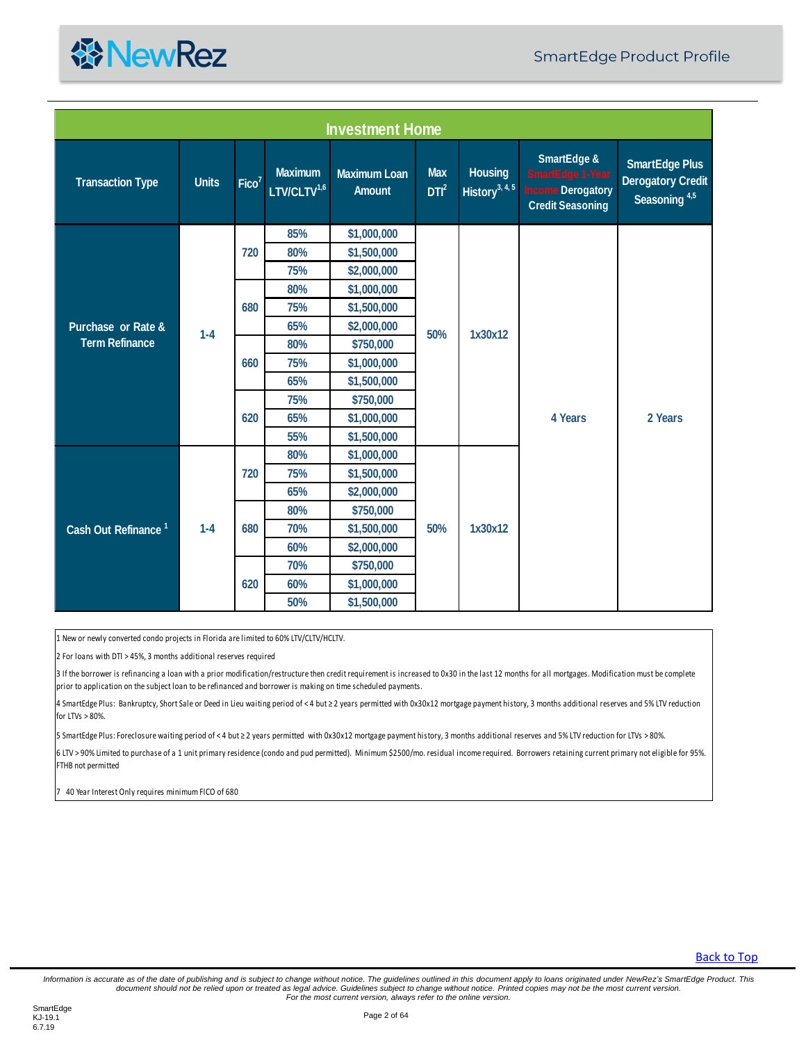

| SmartEdge &<br><b>Max</b><br><b>Maximum</b><br><b>Housing</b><br><b>Maximum Loan</b><br><b>SmartEdge 1-Year</b><br><b>Transaction Type</b><br><b>Units</b><br>Fico <sup>7</sup><br>LTV/CLTV <sup>1,6</sup><br>History <sup>3, 4, 5</sup><br>DTI <sup>2</sup><br>ncome Derogatory<br><b>Amount</b><br>Seasoning <sup>4,5</sup><br><b>Credit Seasoning</b><br>85%<br>\$1,000,000<br>80%<br>720<br>\$1,500,000<br>75%<br>\$2,000,000<br>80%<br>\$1,000,000<br>680<br>75%<br>\$1,500,000<br>65%<br>\$2,000,000<br>Purchase or Rate &<br>50%<br>$1 - 4$<br>1x30x12<br><b>Term Refinance</b><br>80%<br>\$750,000<br>660<br>75%<br>\$1,000,000<br>65%<br>\$1,500,000<br>75%<br>\$750,000<br>620<br>65%<br>4 Years<br>2 Years<br>\$1,000,000<br>55%<br>\$1,500,000<br>80%<br>\$1,000,000<br>75%<br>720<br>\$1,500,000<br>65%<br>\$2,000,000<br>80%<br>\$750,000<br>50%<br>680<br>70%<br>1x30x12<br>Cash Out Refinance <sup>1</sup><br>$1 - 4$<br>\$1,500,000<br>60%<br>\$2,000,000<br>70%<br>\$750,000<br>620<br>60%<br>\$1,000,000<br>50%<br>\$1,500,000<br>1 New or newly converted condo projects in Florida are limited to 60% LTV/CLTV/HCLTV.<br>2 For loans with DTI > 45%, 3 months additional reserves required<br>3 If the borrower is refinancing a loan with a prior modification/restructure then credit requirement is increased to 0x30 in the last 12 months for all mortgages. Modification must be complete<br>prior to application on the subject loan to be refinanced and borrower is making on time scheduled payments.<br>4 SmartEdge Plus: Bankruptcy, Short Sale or Deed in Lieu waiting period of < 4 but ≥ 2 years permitted with 0x30x12 mortgage payment history, 3 months additional reserves and 5% LTV reduction<br>for LTVs > 80%.<br>5 SmartEdge Plus: Foreclosure waiting period of < 4 but ≥ 2 years permitted with 0x30x12 mortgage payment history, 3 months additional reserves and 5% LTV reduction for LTVs > 80%.<br>6 LTV > 90% Limited to purchase of a 1 unit primary residence (condo and pud permitted). Minimum \$2500/mo. residual income required. Borrowers retaining current primary not eligible for 95%. |  |  | <b>Investment Home</b> |  |  |                                                   |  |
|-------------------------------------------------------------------------------------------------------------------------------------------------------------------------------------------------------------------------------------------------------------------------------------------------------------------------------------------------------------------------------------------------------------------------------------------------------------------------------------------------------------------------------------------------------------------------------------------------------------------------------------------------------------------------------------------------------------------------------------------------------------------------------------------------------------------------------------------------------------------------------------------------------------------------------------------------------------------------------------------------------------------------------------------------------------------------------------------------------------------------------------------------------------------------------------------------------------------------------------------------------------------------------------------------------------------------------------------------------------------------------------------------------------------------------------------------------------------------------------------------------------------------------------------------------------------------------------------------------------------------------------------------------------------------------------------------------------------------------------------------------------------------------------------------------------------------------------------------------------------------------------------------------------------------------------------------------------------------------------------------------------------------------------------------------------------------------------------------------------------------------------------------------|--|--|------------------------|--|--|---------------------------------------------------|--|
|                                                                                                                                                                                                                                                                                                                                                                                                                                                                                                                                                                                                                                                                                                                                                                                                                                                                                                                                                                                                                                                                                                                                                                                                                                                                                                                                                                                                                                                                                                                                                                                                                                                                                                                                                                                                                                                                                                                                                                                                                                                                                                                                                       |  |  |                        |  |  | <b>SmartEdge Plus</b><br><b>Derogatory Credit</b> |  |
|                                                                                                                                                                                                                                                                                                                                                                                                                                                                                                                                                                                                                                                                                                                                                                                                                                                                                                                                                                                                                                                                                                                                                                                                                                                                                                                                                                                                                                                                                                                                                                                                                                                                                                                                                                                                                                                                                                                                                                                                                                                                                                                                                       |  |  |                        |  |  |                                                   |  |
|                                                                                                                                                                                                                                                                                                                                                                                                                                                                                                                                                                                                                                                                                                                                                                                                                                                                                                                                                                                                                                                                                                                                                                                                                                                                                                                                                                                                                                                                                                                                                                                                                                                                                                                                                                                                                                                                                                                                                                                                                                                                                                                                                       |  |  |                        |  |  |                                                   |  |
|                                                                                                                                                                                                                                                                                                                                                                                                                                                                                                                                                                                                                                                                                                                                                                                                                                                                                                                                                                                                                                                                                                                                                                                                                                                                                                                                                                                                                                                                                                                                                                                                                                                                                                                                                                                                                                                                                                                                                                                                                                                                                                                                                       |  |  |                        |  |  |                                                   |  |
|                                                                                                                                                                                                                                                                                                                                                                                                                                                                                                                                                                                                                                                                                                                                                                                                                                                                                                                                                                                                                                                                                                                                                                                                                                                                                                                                                                                                                                                                                                                                                                                                                                                                                                                                                                                                                                                                                                                                                                                                                                                                                                                                                       |  |  |                        |  |  |                                                   |  |
|                                                                                                                                                                                                                                                                                                                                                                                                                                                                                                                                                                                                                                                                                                                                                                                                                                                                                                                                                                                                                                                                                                                                                                                                                                                                                                                                                                                                                                                                                                                                                                                                                                                                                                                                                                                                                                                                                                                                                                                                                                                                                                                                                       |  |  |                        |  |  |                                                   |  |
|                                                                                                                                                                                                                                                                                                                                                                                                                                                                                                                                                                                                                                                                                                                                                                                                                                                                                                                                                                                                                                                                                                                                                                                                                                                                                                                                                                                                                                                                                                                                                                                                                                                                                                                                                                                                                                                                                                                                                                                                                                                                                                                                                       |  |  |                        |  |  |                                                   |  |
|                                                                                                                                                                                                                                                                                                                                                                                                                                                                                                                                                                                                                                                                                                                                                                                                                                                                                                                                                                                                                                                                                                                                                                                                                                                                                                                                                                                                                                                                                                                                                                                                                                                                                                                                                                                                                                                                                                                                                                                                                                                                                                                                                       |  |  |                        |  |  |                                                   |  |
|                                                                                                                                                                                                                                                                                                                                                                                                                                                                                                                                                                                                                                                                                                                                                                                                                                                                                                                                                                                                                                                                                                                                                                                                                                                                                                                                                                                                                                                                                                                                                                                                                                                                                                                                                                                                                                                                                                                                                                                                                                                                                                                                                       |  |  |                        |  |  |                                                   |  |
|                                                                                                                                                                                                                                                                                                                                                                                                                                                                                                                                                                                                                                                                                                                                                                                                                                                                                                                                                                                                                                                                                                                                                                                                                                                                                                                                                                                                                                                                                                                                                                                                                                                                                                                                                                                                                                                                                                                                                                                                                                                                                                                                                       |  |  |                        |  |  |                                                   |  |
|                                                                                                                                                                                                                                                                                                                                                                                                                                                                                                                                                                                                                                                                                                                                                                                                                                                                                                                                                                                                                                                                                                                                                                                                                                                                                                                                                                                                                                                                                                                                                                                                                                                                                                                                                                                                                                                                                                                                                                                                                                                                                                                                                       |  |  |                        |  |  |                                                   |  |
|                                                                                                                                                                                                                                                                                                                                                                                                                                                                                                                                                                                                                                                                                                                                                                                                                                                                                                                                                                                                                                                                                                                                                                                                                                                                                                                                                                                                                                                                                                                                                                                                                                                                                                                                                                                                                                                                                                                                                                                                                                                                                                                                                       |  |  |                        |  |  |                                                   |  |
|                                                                                                                                                                                                                                                                                                                                                                                                                                                                                                                                                                                                                                                                                                                                                                                                                                                                                                                                                                                                                                                                                                                                                                                                                                                                                                                                                                                                                                                                                                                                                                                                                                                                                                                                                                                                                                                                                                                                                                                                                                                                                                                                                       |  |  |                        |  |  |                                                   |  |
|                                                                                                                                                                                                                                                                                                                                                                                                                                                                                                                                                                                                                                                                                                                                                                                                                                                                                                                                                                                                                                                                                                                                                                                                                                                                                                                                                                                                                                                                                                                                                                                                                                                                                                                                                                                                                                                                                                                                                                                                                                                                                                                                                       |  |  |                        |  |  |                                                   |  |
|                                                                                                                                                                                                                                                                                                                                                                                                                                                                                                                                                                                                                                                                                                                                                                                                                                                                                                                                                                                                                                                                                                                                                                                                                                                                                                                                                                                                                                                                                                                                                                                                                                                                                                                                                                                                                                                                                                                                                                                                                                                                                                                                                       |  |  |                        |  |  |                                                   |  |
|                                                                                                                                                                                                                                                                                                                                                                                                                                                                                                                                                                                                                                                                                                                                                                                                                                                                                                                                                                                                                                                                                                                                                                                                                                                                                                                                                                                                                                                                                                                                                                                                                                                                                                                                                                                                                                                                                                                                                                                                                                                                                                                                                       |  |  |                        |  |  |                                                   |  |
|                                                                                                                                                                                                                                                                                                                                                                                                                                                                                                                                                                                                                                                                                                                                                                                                                                                                                                                                                                                                                                                                                                                                                                                                                                                                                                                                                                                                                                                                                                                                                                                                                                                                                                                                                                                                                                                                                                                                                                                                                                                                                                                                                       |  |  |                        |  |  |                                                   |  |
|                                                                                                                                                                                                                                                                                                                                                                                                                                                                                                                                                                                                                                                                                                                                                                                                                                                                                                                                                                                                                                                                                                                                                                                                                                                                                                                                                                                                                                                                                                                                                                                                                                                                                                                                                                                                                                                                                                                                                                                                                                                                                                                                                       |  |  |                        |  |  |                                                   |  |
|                                                                                                                                                                                                                                                                                                                                                                                                                                                                                                                                                                                                                                                                                                                                                                                                                                                                                                                                                                                                                                                                                                                                                                                                                                                                                                                                                                                                                                                                                                                                                                                                                                                                                                                                                                                                                                                                                                                                                                                                                                                                                                                                                       |  |  |                        |  |  |                                                   |  |
|                                                                                                                                                                                                                                                                                                                                                                                                                                                                                                                                                                                                                                                                                                                                                                                                                                                                                                                                                                                                                                                                                                                                                                                                                                                                                                                                                                                                                                                                                                                                                                                                                                                                                                                                                                                                                                                                                                                                                                                                                                                                                                                                                       |  |  |                        |  |  |                                                   |  |
|                                                                                                                                                                                                                                                                                                                                                                                                                                                                                                                                                                                                                                                                                                                                                                                                                                                                                                                                                                                                                                                                                                                                                                                                                                                                                                                                                                                                                                                                                                                                                                                                                                                                                                                                                                                                                                                                                                                                                                                                                                                                                                                                                       |  |  |                        |  |  |                                                   |  |
|                                                                                                                                                                                                                                                                                                                                                                                                                                                                                                                                                                                                                                                                                                                                                                                                                                                                                                                                                                                                                                                                                                                                                                                                                                                                                                                                                                                                                                                                                                                                                                                                                                                                                                                                                                                                                                                                                                                                                                                                                                                                                                                                                       |  |  |                        |  |  |                                                   |  |
|                                                                                                                                                                                                                                                                                                                                                                                                                                                                                                                                                                                                                                                                                                                                                                                                                                                                                                                                                                                                                                                                                                                                                                                                                                                                                                                                                                                                                                                                                                                                                                                                                                                                                                                                                                                                                                                                                                                                                                                                                                                                                                                                                       |  |  |                        |  |  |                                                   |  |
|                                                                                                                                                                                                                                                                                                                                                                                                                                                                                                                                                                                                                                                                                                                                                                                                                                                                                                                                                                                                                                                                                                                                                                                                                                                                                                                                                                                                                                                                                                                                                                                                                                                                                                                                                                                                                                                                                                                                                                                                                                                                                                                                                       |  |  |                        |  |  |                                                   |  |
| FTHB not permitted                                                                                                                                                                                                                                                                                                                                                                                                                                                                                                                                                                                                                                                                                                                                                                                                                                                                                                                                                                                                                                                                                                                                                                                                                                                                                                                                                                                                                                                                                                                                                                                                                                                                                                                                                                                                                                                                                                                                                                                                                                                                                                                                    |  |  |                        |  |  |                                                   |  |
| 7 40 Year Interest Only requires minimum FICO of 680                                                                                                                                                                                                                                                                                                                                                                                                                                                                                                                                                                                                                                                                                                                                                                                                                                                                                                                                                                                                                                                                                                                                                                                                                                                                                                                                                                                                                                                                                                                                                                                                                                                                                                                                                                                                                                                                                                                                                                                                                                                                                                  |  |  |                        |  |  |                                                   |  |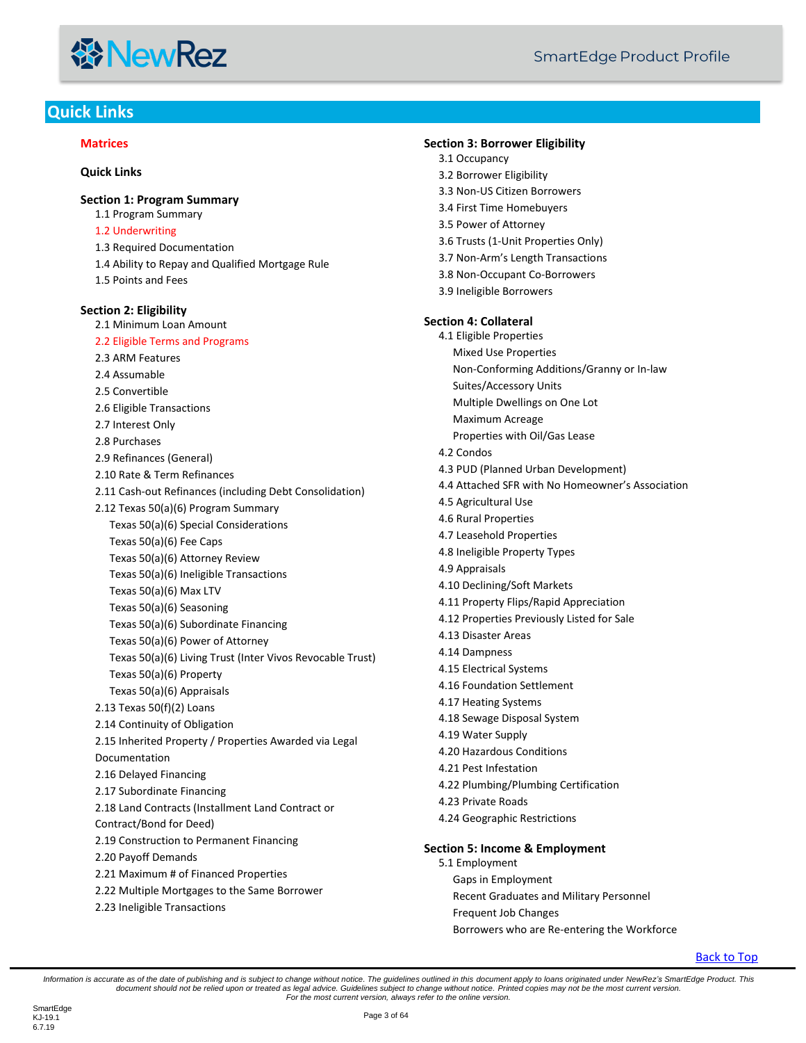#### **线NewRez**

#### <span id="page-2-0"></span>**Quick Links**

#### **[Matrices](#page-0-0)**

**[Quick Links](#page-2-0) [Section 1: Program Summary](#page-5-0)** [1.1 Program Summary](#page-5-1) [1.2 Underwriting](#page-5-2) [1.3 Required Documentation](#page-5-3) [1.4 Ability to Repay and Qualified Mortgage Rule](#page-5-4) [1.5 Points and Fees](#page-5-5) **[Section 2: Eligibility](#page-5-6)** [2.1 Minimum Loan Amount](#page-5-7) [2.2 Eligible Terms and Programs](#page-6-0) [2.3 ARM Features](#page-6-1) [2.4 Assumable](#page-7-0) [2.5 Convertible](#page-7-1) [2.6 Eligible Transactions](#page-7-2) [2.7 Interest Only](#page-7-3) [2.8 Purchases](#page-7-4) [2.9 Refinances \(General\)](#page-7-5) [2.10 Rate & Term Refinances](#page-7-6) [2.11 Cash-out Refinances \(including Debt Consolidation\)](#page-8-0) [2.12 Texas 50\(a\)\(6\) Program Summary](#page-8-1) [Texas 50\(a\)\(6\) Special Considerations](#page-8-2) [Texas 50\(a\)\(6\) Fee Caps](#page-9-0) [Texas 50\(a\)\(6\) Attorney Review](#page-9-1) [Texas 50\(a\)\(6\) Ineligible Transactions](#page-9-2) [Texas 50\(a\)\(6\) Max LTV](#page-9-3) [Texas 50\(a\)\(6\) Seasoning](#page-9-4) [Texas 50\(a\)\(6\) Subordinate Financing](#page-9-5) [Texas 50\(a\)\(6\) Power of Attorney](#page-9-6) [Texas 50\(a\)\(6\) Living Trust \(Inter Vivos Revocable Trust\)](#page-10-0) [Texas 50\(a\)\(6\) Property](#page-10-1) [Texas 50\(a\)\(6\) Appraisals](#page-10-2) [2.13 Texas 50\(f\)\(2\) Loans](#page-10-3) [2.14 Continuity of Obligation](#page-11-0) [2.15 Inherited Property / Properties Awarded via Legal](#page-11-1)  [Documentation](#page-11-1) [2.16 Delayed Financing](#page-11-2) [2.17 Subordinate Financing](#page-12-0) [2.18 Land Contracts \(Installment Land Contract or](#page-12-1)  [Contract/Bond for Deed\)](#page-12-1) [2.19 Construction to Permanent Financing](#page-13-0) [2.20 Payoff Demands](#page-13-1) [2.21 Maximum # of Financed Properties](#page-13-2) [2.22 Multiple Mortgages to the Same Borrower](#page-14-0) [2.23 Ineligible Transactions](#page-14-1)

**[Section 3: Borrower Eligibility](#page-14-2)** [3.1 Occupancy](#page-15-0) [3.2 Borrower Eligibility](#page-15-1) [3.3 Non-US Citizen Borrowers](#page-15-2) [3.4 First Time Homebuyers](#page-16-0) [3.5 Power of Attorney](#page-16-1) [3.6 Trusts \(1-Unit Properties Only\)](#page-17-0) 3.7 Non-[Arm's Length Transactions](#page-18-0) [3.8 Non-Occupant Co-Borrowers](#page-18-1) [3.9 Ineligible Borrowers](#page-18-2) **[Section 4: Collateral](#page-19-0)** [4.1 Eligible Properties](#page-19-1) [Mixed Use Properties](#page-19-2) [Non-Conforming Additions/Granny or In-law](#page-19-3)  [Suites/Accessory Units](#page-19-3) [Multiple Dwellings on One Lot](#page-19-4) [Maximum Acreage](#page-20-0) [Properties with Oil/Gas Lease](#page-20-1) [4.2 Condos](#page-20-2) [4.3 PUD \(Planned Urban Development\)](#page-21-0) [4.4 Attached SFR with No Homeowner's Association](#page-21-1) [4.5 Agricultural Use](#page-21-2) [4.6 Rural Properties](#page-21-3) [4.7 Leasehold Properties](#page-21-4) [4.8 Ineligible Property Types](#page-22-0) [4.9 Appraisals](#page-22-1) [4.10 Declining/Soft Markets](#page-23-0) [4.11 Property Flips/Rapid Appreciation](#page-23-1) [4.12 Properties Previously Listed for Sale](#page-24-0) [4.13 Disaster Areas](#page-24-1) [4.14 Dampness](#page-24-2) [4.15 Electrical Systems](#page-24-3) [4.16 Foundation Settlement](#page-24-4) [4.17 Heating Systems](#page-25-0) [4.18 Sewage Disposal System](#page-25-1) [4.19 Water Supply](#page-25-2) [4.20 Hazardous Conditions](#page-25-3) [4.21 Pest Infestation](#page-25-4) [4.22 Plumbing/Plumbing Certification](#page-25-5) [4.23 Private Roads](#page-26-0) [4.24 Geographic Restrictions](#page-26-1) **[Section 5: Income & Employment](#page-26-2)** [5.1 Employment](#page-26-3)

[Gaps in Employment](#page-26-4)

[Recent Graduates and Military Personnel](#page-26-5)

[Frequent Job Changes](#page-26-6)

[Borrowers who are Re-entering the Workforce](#page-26-7)

[Back to Top](#page-2-0)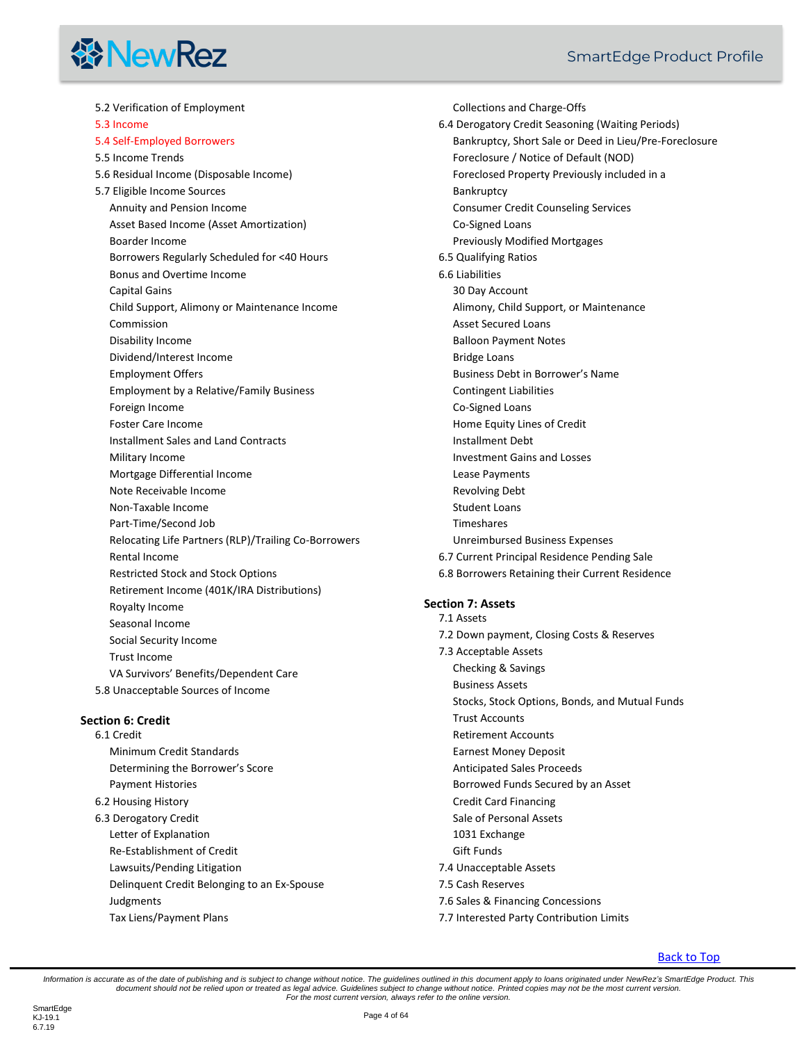# **线 NewRez**

[5.2 Verification of Employment](#page-26-8) [5.3 Income](#page-27-0) [5.4 Self-Employed Borrowers](#page-29-0) [5.5 Income Trends](#page-30-0) [5.6 Residual Income \(Disposable Income\)](#page-30-1) [5.7 Eligible Income Sources](#page-30-2) [Annuity and Pension Income](#page-30-3) [Asset Based Income \(Asset Amortization\)](#page-30-4) [Boarder Income](#page-31-0) [Borrowers Regularly Scheduled for <40 Hours](#page-31-1) [Bonus and Overtime Income](#page-31-2) [Capital Gains](#page-32-0) [Child Support, Alimony or Maintenance Income](#page-32-1) [Commission](#page-32-2) [Disability Income](#page-32-3) [Dividend/Interest Income](#page-33-0) [Employment Offers](#page-33-1) [Employment by a Relative/Family Business](#page-33-2) [Foreign Income](#page-34-0) [Foster Care Income](#page-34-1) [Installment Sales and Land Contracts](#page-34-2) [Military Income](#page-34-3) [Mortgage Differential Income](#page-34-4) [Note Receivable Income](#page-34-5) [Non-Taxable Income](#page-34-6) [Part-Time/Second Job](#page-35-0) [Relocating Life Partners \(RLP\)/Trailing Co-Borrowers](#page-35-1) [Rental Income](#page-35-2)  Restricted Stock and Stock Options [Retirement Income \(401K/IRA Distributions\)](#page-36-0) [Royalty Income](#page-37-0) [Seasonal Income](#page-37-1) [Social Security Income](#page-37-2) [Trust Income](#page-37-3) [VA Survivors' Benefits/Dependent Car](#page-37-4)e [5.8 Unacceptable Sources of Income](#page-37-5)

#### **[Section 6: Credit](#page-38-0)**

[6.1 Credit](#page-38-1) [Minimum Credit Standards](#page-38-2) [Determining the Borrower's Score](#page-39-0) [Payment Histories](#page-39-1) [6.2 Housing History](#page-39-2) [6.3 Derogatory Credit](#page-39-3) [Letter of Explanation](#page-40-0) [Re-Establishment of Credit](#page-40-1) [Lawsuits/Pending Litigation](#page-40-2) [Delinquent Credit Belonging to an Ex-Spouse](#page-41-0) [Judgments](#page-41-1) [Tax Liens/Payment Plans](#page-41-2)

[Collections and Charge-Offs](#page-41-3) [6.4 Derogatory Credit Seasoning \(Waiting Periods\)](#page-41-4) [Bankruptcy, Short Sale or Deed in Lieu/Pre-Foreclosure](#page-41-5) [Foreclosure / Notice of Default \(NOD\)](#page-41-6) [Foreclosed Property Previously included in a](#page-42-0)  **[Bankruptcy](#page-42-0)** [Consumer Credit Counseling Services](#page-42-1) [Co-Signed Loans](#page-42-2) [Previously Modified Mortgages](#page-42-3) [6.5 Qualifying Ratios](#page-42-4) [6.6 Liabilities](#page-43-0) [30 Day Account](#page-43-1) [Alimony, Child Support, or Maintenance](#page-43-2) [Asset Secured Loans](#page-44-0) [Balloon Payment Notes](#page-44-1) [Bridge Loans](#page-44-2) [Business Debt in Borrower's Name](#page-44-3) [Contingent Liabilities](#page-44-4) [Co-Signed Loans](#page-44-5) [Home Equity Lines of Credit](#page-45-0) [Installment Debt](#page-45-1) [Investment Gains and Losses](#page-45-2) [Lease Payments](#page-45-3) [Revolving Debt](#page-45-4) [Student Loans](#page-46-0) [Timeshares](#page-46-1) [Unreimbursed Business Expenses](#page-46-2) [6.7 Current Principal Residence Pending Sale](#page-46-3) [6.8 Borrowers Retaining their Current Residence](#page-46-4) [7.1 Assets](#page-47-1) [7.2 Down payment, Closing Costs & Reserves](#page-47-2) [7.3 Acceptable Assets](#page-48-0) [Checking & Savings](#page-48-1) [Business Assets](#page-48-2) [Stocks, Stock Options, Bonds, and Mutual Funds](#page-48-3) [Trust Accounts](#page-49-0)

#### **[Section 7: Assets](#page-47-0)**

- [Retirement Accounts](#page-49-1)
- [Earnest Money Deposit](#page-50-0)
- [Anticipated Sales Proceeds](#page-50-1)
- [Borrowed Funds Secured by an Asset](#page-50-2)
- [Credit Card Financing](#page-51-0)
- [Sale of Personal Assets](#page-51-1)
- [1031 Exchange](#page-51-2)
- [Gift Funds](#page-51-3)
- [7.4 Unacceptable Assets](#page-53-0)
- [7.5 Cash Reserves](#page-53-1)
- [7.6 Sales & Financing Concessions](#page-54-0)
- [7.7 Interested Party Contribution Limits](#page-55-0)

#### [Back to Top](#page-2-0)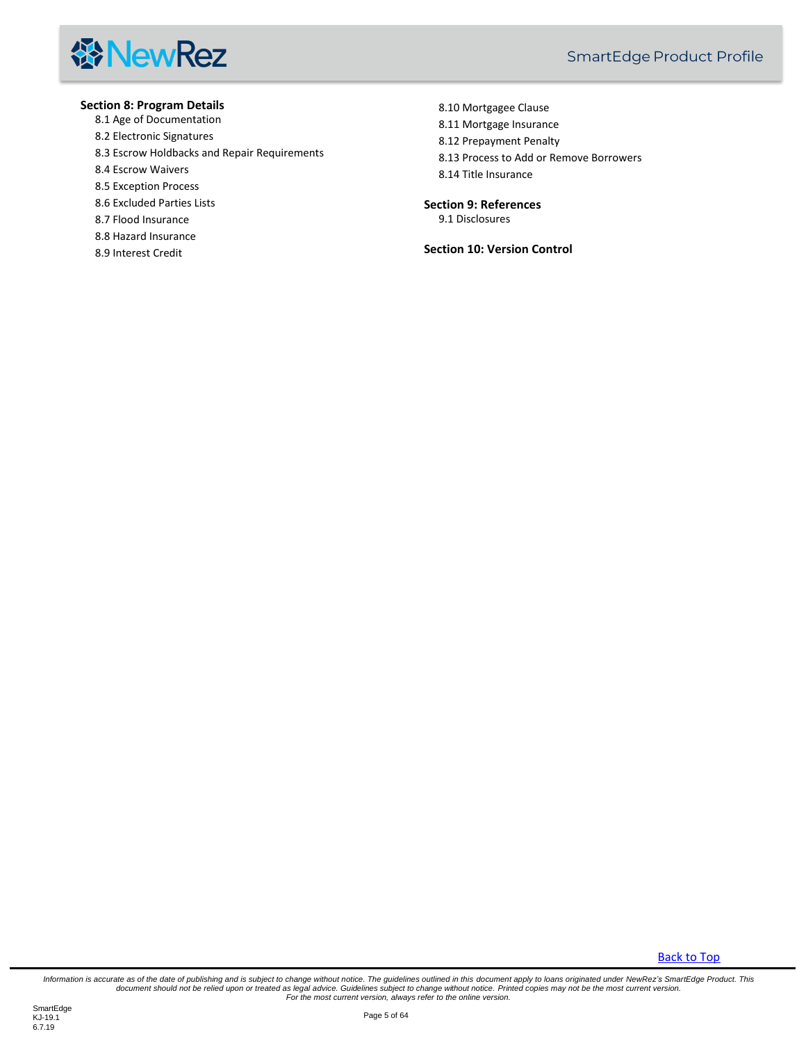

#### **[Section 8: Program Details](#page-55-1)**

- [8.1 Age of Documentation](#page-55-2)
- [8.2 Electronic Signatures](#page-55-3)
- [8.3 Escrow Holdbacks and Repair Requirements](#page-55-4)
- [8.4 Escrow Waivers](#page-56-0)
- [8.5 Exception Process](#page-56-1)
- [8.6 Excluded Parties Lists](#page-56-2)
- [8.7 Flood Insurance](#page-56-3)
- [8.8 Hazard Insurance](#page-57-0)
- [8.9 Interest Credit](#page-59-0)

[8.10 Mortgagee Clause](#page-59-1) [8.11 Mortgage Insurance](#page-59-2) [8.12 Prepayment Penalty](#page-59-3) [8.13 Process to Add or Remove Borrowers](#page-59-4) [8.14 Title Insurance](#page-60-0)

#### **[Section 9: References](#page-61-0)**

[9.1 Disclosures](#page-61-1)

**[Section 10: Version Control](#page-62-0)**

[Back to Top](#page-2-0)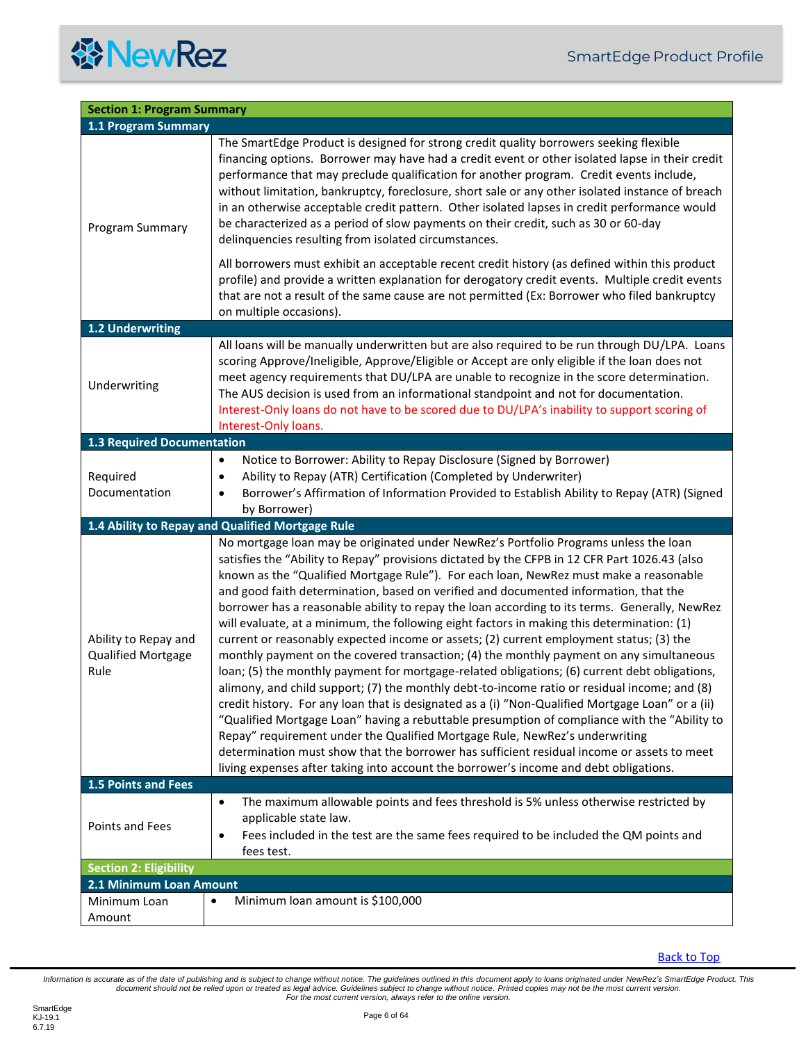<span id="page-5-7"></span><span id="page-5-6"></span><span id="page-5-5"></span><span id="page-5-4"></span><span id="page-5-3"></span><span id="page-5-2"></span><span id="page-5-1"></span><span id="page-5-0"></span>

| <b>Section 1: Program Summary</b>                         |                                                                                                                                                                                                                                                                                                                                                                                                                                                                                                                                                                                                                                                                                                                                                                                                                                                                                                                                                                                                                                                                                                                                                                                                                                                                                                                                                                                                                                        |
|-----------------------------------------------------------|----------------------------------------------------------------------------------------------------------------------------------------------------------------------------------------------------------------------------------------------------------------------------------------------------------------------------------------------------------------------------------------------------------------------------------------------------------------------------------------------------------------------------------------------------------------------------------------------------------------------------------------------------------------------------------------------------------------------------------------------------------------------------------------------------------------------------------------------------------------------------------------------------------------------------------------------------------------------------------------------------------------------------------------------------------------------------------------------------------------------------------------------------------------------------------------------------------------------------------------------------------------------------------------------------------------------------------------------------------------------------------------------------------------------------------------|
| 1.1 Program Summary                                       |                                                                                                                                                                                                                                                                                                                                                                                                                                                                                                                                                                                                                                                                                                                                                                                                                                                                                                                                                                                                                                                                                                                                                                                                                                                                                                                                                                                                                                        |
| Program Summary                                           | The SmartEdge Product is designed for strong credit quality borrowers seeking flexible<br>financing options. Borrower may have had a credit event or other isolated lapse in their credit<br>performance that may preclude qualification for another program. Credit events include,<br>without limitation, bankruptcy, foreclosure, short sale or any other isolated instance of breach<br>in an otherwise acceptable credit pattern. Other isolated lapses in credit performance would<br>be characterized as a period of slow payments on their credit, such as 30 or 60-day<br>delinquencies resulting from isolated circumstances.                                                                                                                                                                                                                                                                                                                                                                                                                                                                                                                                                                                                                                                                                                                                                                                                |
|                                                           | All borrowers must exhibit an acceptable recent credit history (as defined within this product<br>profile) and provide a written explanation for derogatory credit events. Multiple credit events<br>that are not a result of the same cause are not permitted (Ex: Borrower who filed bankruptcy<br>on multiple occasions).                                                                                                                                                                                                                                                                                                                                                                                                                                                                                                                                                                                                                                                                                                                                                                                                                                                                                                                                                                                                                                                                                                           |
| 1.2 Underwriting                                          |                                                                                                                                                                                                                                                                                                                                                                                                                                                                                                                                                                                                                                                                                                                                                                                                                                                                                                                                                                                                                                                                                                                                                                                                                                                                                                                                                                                                                                        |
| Underwriting                                              | All loans will be manually underwritten but are also required to be run through DU/LPA. Loans<br>scoring Approve/Ineligible, Approve/Eligible or Accept are only eligible if the loan does not<br>meet agency requirements that DU/LPA are unable to recognize in the score determination.<br>The AUS decision is used from an informational standpoint and not for documentation.<br>Interest-Only loans do not have to be scored due to DU/LPA's inability to support scoring of<br>Interest-Only loans.                                                                                                                                                                                                                                                                                                                                                                                                                                                                                                                                                                                                                                                                                                                                                                                                                                                                                                                             |
| <b>1.3 Required Documentation</b>                         |                                                                                                                                                                                                                                                                                                                                                                                                                                                                                                                                                                                                                                                                                                                                                                                                                                                                                                                                                                                                                                                                                                                                                                                                                                                                                                                                                                                                                                        |
| Required<br>Documentation                                 | Notice to Borrower: Ability to Repay Disclosure (Signed by Borrower)<br>$\bullet$<br>Ability to Repay (ATR) Certification (Completed by Underwriter)<br>٠<br>Borrower's Affirmation of Information Provided to Establish Ability to Repay (ATR) (Signed<br>٠<br>by Borrower)                                                                                                                                                                                                                                                                                                                                                                                                                                                                                                                                                                                                                                                                                                                                                                                                                                                                                                                                                                                                                                                                                                                                                           |
|                                                           | 1.4 Ability to Repay and Qualified Mortgage Rule                                                                                                                                                                                                                                                                                                                                                                                                                                                                                                                                                                                                                                                                                                                                                                                                                                                                                                                                                                                                                                                                                                                                                                                                                                                                                                                                                                                       |
| Ability to Repay and<br><b>Qualified Mortgage</b><br>Rule | No mortgage loan may be originated under NewRez's Portfolio Programs unless the loan<br>satisfies the "Ability to Repay" provisions dictated by the CFPB in 12 CFR Part 1026.43 (also<br>known as the "Qualified Mortgage Rule"). For each loan, NewRez must make a reasonable<br>and good faith determination, based on verified and documented information, that the<br>borrower has a reasonable ability to repay the loan according to its terms. Generally, NewRez<br>will evaluate, at a minimum, the following eight factors in making this determination: (1)<br>current or reasonably expected income or assets; (2) current employment status; (3) the<br>monthly payment on the covered transaction; (4) the monthly payment on any simultaneous<br>loan; (5) the monthly payment for mortgage-related obligations; (6) current debt obligations,<br>alimony, and child support; (7) the monthly debt-to-income ratio or residual income; and (8)<br>credit history. For any loan that is designated as a (i) "Non-Qualified Mortgage Loan" or a (ii)<br>"Qualified Mortgage Loan" having a rebuttable presumption of compliance with the "Ability to<br>Repay" requirement under the Qualified Mortgage Rule, NewRez's underwriting<br>determination must show that the borrower has sufficient residual income or assets to meet<br>living expenses after taking into account the borrower's income and debt obligations. |
| <b>1.5 Points and Fees</b>                                |                                                                                                                                                                                                                                                                                                                                                                                                                                                                                                                                                                                                                                                                                                                                                                                                                                                                                                                                                                                                                                                                                                                                                                                                                                                                                                                                                                                                                                        |
| Points and Fees                                           | The maximum allowable points and fees threshold is 5% unless otherwise restricted by<br>$\bullet$<br>applicable state law.<br>Fees included in the test are the same fees required to be included the QM points and<br>$\bullet$<br>fees test.                                                                                                                                                                                                                                                                                                                                                                                                                                                                                                                                                                                                                                                                                                                                                                                                                                                                                                                                                                                                                                                                                                                                                                                         |
| <b>Section 2: Eligibility</b>                             |                                                                                                                                                                                                                                                                                                                                                                                                                                                                                                                                                                                                                                                                                                                                                                                                                                                                                                                                                                                                                                                                                                                                                                                                                                                                                                                                                                                                                                        |
| 2.1 Minimum Loan Amount                                   |                                                                                                                                                                                                                                                                                                                                                                                                                                                                                                                                                                                                                                                                                                                                                                                                                                                                                                                                                                                                                                                                                                                                                                                                                                                                                                                                                                                                                                        |
| Minimum Loan<br>Amount                                    | Minimum loan amount is \$100,000<br>$\bullet$                                                                                                                                                                                                                                                                                                                                                                                                                                                                                                                                                                                                                                                                                                                                                                                                                                                                                                                                                                                                                                                                                                                                                                                                                                                                                                                                                                                          |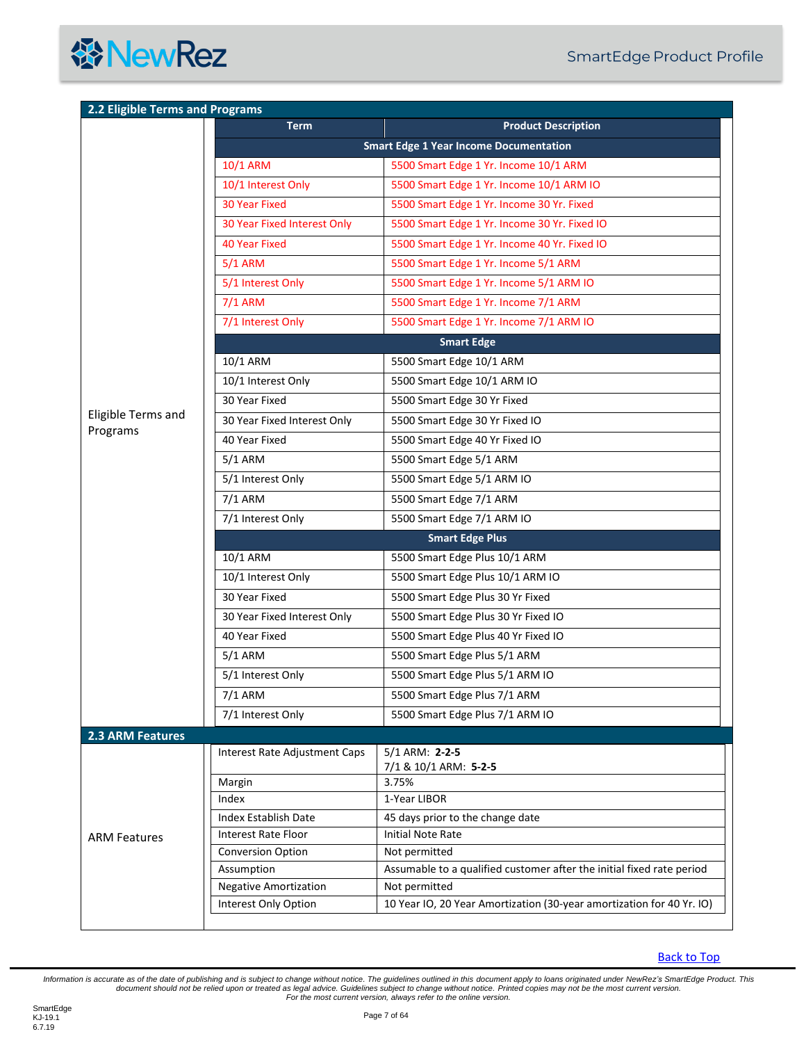

<span id="page-6-1"></span><span id="page-6-0"></span>

| <b>Term</b>                   | <b>Product Description</b>                                                                                                                                                                                                                                                                                             |
|-------------------------------|------------------------------------------------------------------------------------------------------------------------------------------------------------------------------------------------------------------------------------------------------------------------------------------------------------------------|
|                               | <b>Smart Edge 1 Year Income Documentation</b>                                                                                                                                                                                                                                                                          |
| 10/1 ARM                      | 5500 Smart Edge 1 Yr. Income 10/1 ARM                                                                                                                                                                                                                                                                                  |
| 10/1 Interest Only            | 5500 Smart Edge 1 Yr. Income 10/1 ARM IO                                                                                                                                                                                                                                                                               |
| <b>30 Year Fixed</b>          | 5500 Smart Edge 1 Yr. Income 30 Yr. Fixed                                                                                                                                                                                                                                                                              |
| 30 Year Fixed Interest Only   | 5500 Smart Edge 1 Yr. Income 30 Yr. Fixed IO                                                                                                                                                                                                                                                                           |
| <b>40 Year Fixed</b>          | 5500 Smart Edge 1 Yr. Income 40 Yr. Fixed IO                                                                                                                                                                                                                                                                           |
| $5/1$ ARM                     | 5500 Smart Edge 1 Yr. Income 5/1 ARM                                                                                                                                                                                                                                                                                   |
| 5/1 Interest Only             | 5500 Smart Edge 1 Yr. Income 5/1 ARM IO                                                                                                                                                                                                                                                                                |
|                               | 5500 Smart Edge 1 Yr. Income 7/1 ARM                                                                                                                                                                                                                                                                                   |
|                               | 5500 Smart Edge 1 Yr. Income 7/1 ARM IO                                                                                                                                                                                                                                                                                |
|                               | <b>Smart Edge</b>                                                                                                                                                                                                                                                                                                      |
|                               | 5500 Smart Edge 10/1 ARM                                                                                                                                                                                                                                                                                               |
|                               | 5500 Smart Edge 10/1 ARM IO                                                                                                                                                                                                                                                                                            |
|                               | 5500 Smart Edge 30 Yr Fixed                                                                                                                                                                                                                                                                                            |
|                               | 5500 Smart Edge 30 Yr Fixed IO                                                                                                                                                                                                                                                                                         |
|                               |                                                                                                                                                                                                                                                                                                                        |
|                               | 5500 Smart Edge 40 Yr Fixed IO                                                                                                                                                                                                                                                                                         |
|                               | 5500 Smart Edge 5/1 ARM                                                                                                                                                                                                                                                                                                |
|                               | 5500 Smart Edge 5/1 ARM IO                                                                                                                                                                                                                                                                                             |
|                               | 5500 Smart Edge 7/1 ARM                                                                                                                                                                                                                                                                                                |
|                               | 5500 Smart Edge 7/1 ARM IO                                                                                                                                                                                                                                                                                             |
|                               | <b>Smart Edge Plus</b>                                                                                                                                                                                                                                                                                                 |
| 10/1 ARM                      | 5500 Smart Edge Plus 10/1 ARM                                                                                                                                                                                                                                                                                          |
| 10/1 Interest Only            | 5500 Smart Edge Plus 10/1 ARM IO                                                                                                                                                                                                                                                                                       |
| 30 Year Fixed                 | 5500 Smart Edge Plus 30 Yr Fixed                                                                                                                                                                                                                                                                                       |
| 30 Year Fixed Interest Only   | 5500 Smart Edge Plus 30 Yr Fixed IO                                                                                                                                                                                                                                                                                    |
| 40 Year Fixed                 | 5500 Smart Edge Plus 40 Yr Fixed IO                                                                                                                                                                                                                                                                                    |
| $5/1$ ARM                     | 5500 Smart Edge Plus 5/1 ARM                                                                                                                                                                                                                                                                                           |
| 5/1 Interest Only             | 5500 Smart Edge Plus 5/1 ARM IO                                                                                                                                                                                                                                                                                        |
| 7/1 ARM                       | 5500 Smart Edge Plus 7/1 ARM                                                                                                                                                                                                                                                                                           |
| 7/1 Interest Only             | 5500 Smart Edge Plus 7/1 ARM IO                                                                                                                                                                                                                                                                                        |
|                               |                                                                                                                                                                                                                                                                                                                        |
| Interest Rate Adjustment Caps | $5/1$ ARM: 2-2-5                                                                                                                                                                                                                                                                                                       |
|                               | 7/1 & 10/1 ARM: 5-2-5                                                                                                                                                                                                                                                                                                  |
|                               | 3.75%                                                                                                                                                                                                                                                                                                                  |
|                               | 1-Year LIBOR                                                                                                                                                                                                                                                                                                           |
|                               | 45 days prior to the change date                                                                                                                                                                                                                                                                                       |
|                               | Initial Note Rate<br>Not permitted                                                                                                                                                                                                                                                                                     |
|                               | Assumable to a qualified customer after the initial fixed rate period                                                                                                                                                                                                                                                  |
|                               |                                                                                                                                                                                                                                                                                                                        |
| <b>Negative Amortization</b>  | Not permitted                                                                                                                                                                                                                                                                                                          |
|                               | $7/1$ ARM<br>7/1 Interest Only<br>10/1 ARM<br>10/1 Interest Only<br>30 Year Fixed<br>30 Year Fixed Interest Only<br>40 Year Fixed<br>$5/1$ ARM<br>5/1 Interest Only<br>7/1 ARM<br>7/1 Interest Only<br>Margin<br>Index<br><b>Index Establish Date</b><br>Interest Rate Floor<br><b>Conversion Option</b><br>Assumption |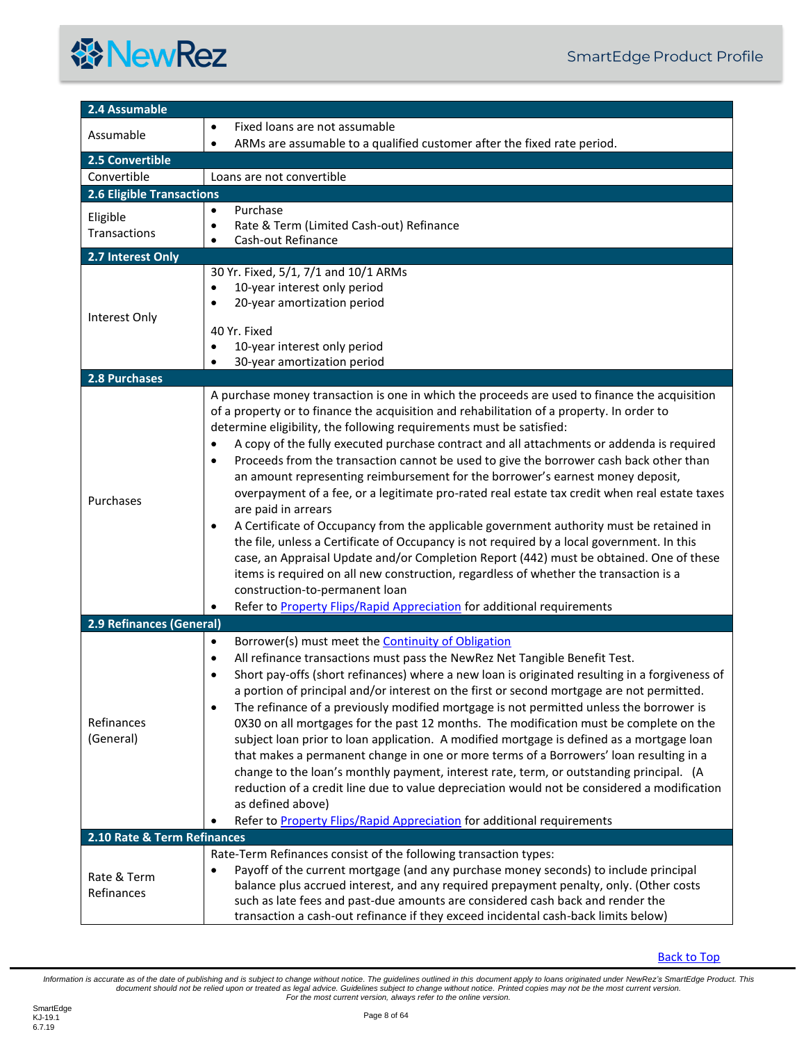<span id="page-7-5"></span><span id="page-7-4"></span><span id="page-7-3"></span><span id="page-7-2"></span><span id="page-7-1"></span><span id="page-7-0"></span>

| 2.4 Assumable                    |                                                                                                        |
|----------------------------------|--------------------------------------------------------------------------------------------------------|
| Assumable                        | Fixed loans are not assumable                                                                          |
|                                  | ARMs are assumable to a qualified customer after the fixed rate period.<br>$\bullet$                   |
| 2.5 Convertible                  |                                                                                                        |
| Convertible                      | Loans are not convertible                                                                              |
| <b>2.6 Eligible Transactions</b> |                                                                                                        |
| Eligible                         | Purchase<br>$\bullet$                                                                                  |
| Transactions                     | Rate & Term (Limited Cash-out) Refinance<br>۰                                                          |
|                                  | Cash-out Refinance<br>$\bullet$                                                                        |
| 2.7 Interest Only                |                                                                                                        |
|                                  | 30 Yr. Fixed, 5/1, 7/1 and 10/1 ARMs                                                                   |
|                                  | 10-year interest only period<br>20-year amortization period<br>$\bullet$                               |
| Interest Only                    |                                                                                                        |
|                                  | 40 Yr. Fixed                                                                                           |
|                                  | 10-year interest only period<br>$\bullet$                                                              |
|                                  | 30-year amortization period                                                                            |
| <b>2.8 Purchases</b>             |                                                                                                        |
|                                  | A purchase money transaction is one in which the proceeds are used to finance the acquisition          |
|                                  | of a property or to finance the acquisition and rehabilitation of a property. In order to              |
|                                  | determine eligibility, the following requirements must be satisfied:                                   |
|                                  | A copy of the fully executed purchase contract and all attachments or addenda is required<br>$\bullet$ |
|                                  | Proceeds from the transaction cannot be used to give the borrower cash back other than<br>$\bullet$    |
|                                  | an amount representing reimbursement for the borrower's earnest money deposit,                         |
| Purchases                        | overpayment of a fee, or a legitimate pro-rated real estate tax credit when real estate taxes          |
|                                  | are paid in arrears                                                                                    |
|                                  | A Certificate of Occupancy from the applicable government authority must be retained in<br>٠           |
|                                  | the file, unless a Certificate of Occupancy is not required by a local government. In this             |
|                                  | case, an Appraisal Update and/or Completion Report (442) must be obtained. One of these                |
|                                  | items is required on all new construction, regardless of whether the transaction is a                  |
|                                  | construction-to-permanent loan                                                                         |
|                                  | Refer to <b>Property Flips/Rapid Appreciation</b> for additional requirements                          |
| <b>2.9 Refinances (General)</b>  |                                                                                                        |
|                                  | Borrower(s) must meet the <b>Continuity of Obligation</b><br>$\bullet$                                 |
|                                  | All refinance transactions must pass the NewRez Net Tangible Benefit Test.<br>$\bullet$                |
|                                  | Short pay-offs (short refinances) where a new loan is originated resulting in a forgiveness of         |
|                                  | a portion of principal and/or interest on the first or second mortgage are not permitted.              |
|                                  | The refinance of a previously modified mortgage is not permitted unless the borrower is<br>٠           |
| Refinances                       | 0X30 on all mortgages for the past 12 months. The modification must be complete on the                 |
| (General)                        | subject loan prior to loan application. A modified mortgage is defined as a mortgage loan              |
|                                  | that makes a permanent change in one or more terms of a Borrowers' loan resulting in a                 |
|                                  | change to the loan's monthly payment, interest rate, term, or outstanding principal. (A                |
|                                  | reduction of a credit line due to value depreciation would not be considered a modification            |
|                                  | as defined above)                                                                                      |
|                                  | Refer to Property Flips/Rapid Appreciation for additional requirements                                 |
| 2.10 Rate & Term Refinances      |                                                                                                        |
|                                  | Rate-Term Refinances consist of the following transaction types:                                       |
| Rate & Term                      | Payoff of the current mortgage (and any purchase money seconds) to include principal<br>٠              |
| Refinances                       | balance plus accrued interest, and any required prepayment penalty, only. (Other costs                 |
|                                  | such as late fees and past-due amounts are considered cash back and render the                         |
|                                  | transaction a cash-out refinance if they exceed incidental cash-back limits below)                     |

<span id="page-7-6"></span>**[Back to Top](#page-2-0)**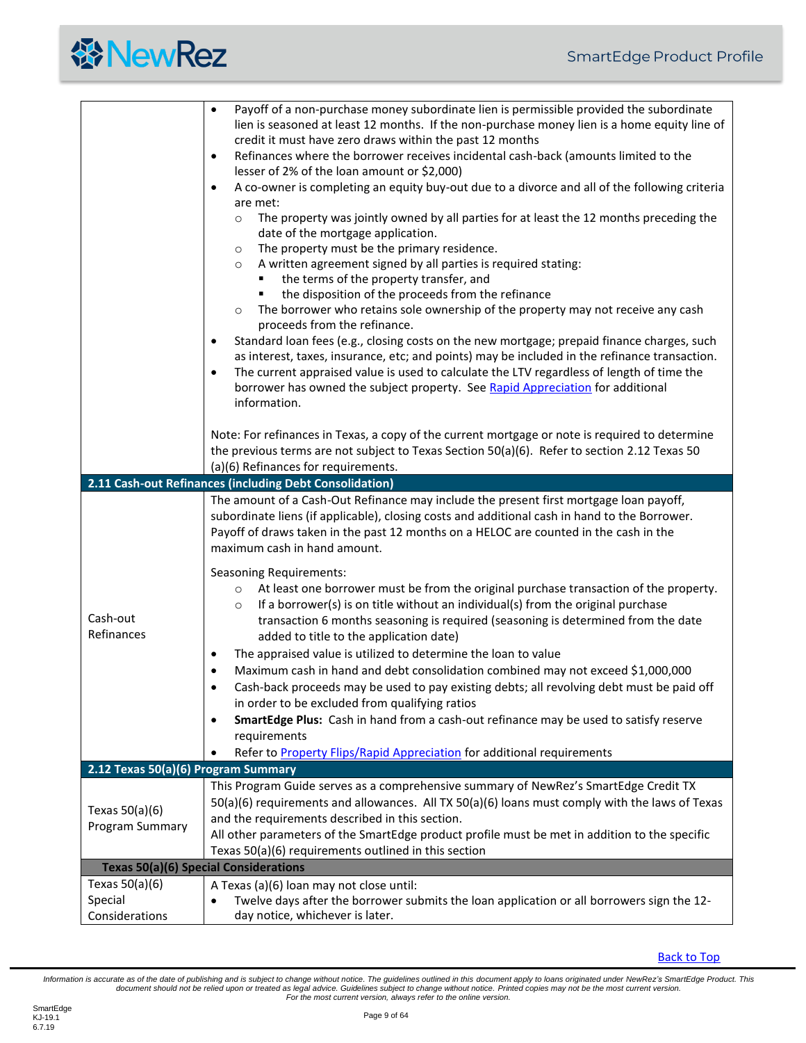<span id="page-8-2"></span><span id="page-8-1"></span><span id="page-8-0"></span>

|                                               | Payoff of a non-purchase money subordinate lien is permissible provided the subordinate<br>$\bullet$<br>lien is seasoned at least 12 months. If the non-purchase money lien is a home equity line of<br>credit it must have zero draws within the past 12 months                                                                                                                                                                                                                                                                                                                                                                                                                                                                                                                                                                                                                                                                          |
|-----------------------------------------------|-------------------------------------------------------------------------------------------------------------------------------------------------------------------------------------------------------------------------------------------------------------------------------------------------------------------------------------------------------------------------------------------------------------------------------------------------------------------------------------------------------------------------------------------------------------------------------------------------------------------------------------------------------------------------------------------------------------------------------------------------------------------------------------------------------------------------------------------------------------------------------------------------------------------------------------------|
|                                               | Refinances where the borrower receives incidental cash-back (amounts limited to the<br>$\bullet$<br>lesser of 2% of the loan amount or \$2,000)                                                                                                                                                                                                                                                                                                                                                                                                                                                                                                                                                                                                                                                                                                                                                                                           |
|                                               | A co-owner is completing an equity buy-out due to a divorce and all of the following criteria<br>$\bullet$                                                                                                                                                                                                                                                                                                                                                                                                                                                                                                                                                                                                                                                                                                                                                                                                                                |
|                                               | are met:<br>The property was jointly owned by all parties for at least the 12 months preceding the<br>$\circ$<br>date of the mortgage application.<br>The property must be the primary residence.<br>$\circ$<br>A written agreement signed by all parties is required stating:<br>$\circ$<br>the terms of the property transfer, and<br>the disposition of the proceeds from the refinance<br>The borrower who retains sole ownership of the property may not receive any cash<br>$\circ$<br>proceeds from the refinance.<br>Standard loan fees (e.g., closing costs on the new mortgage; prepaid finance charges, such<br>$\bullet$<br>as interest, taxes, insurance, etc; and points) may be included in the refinance transaction.<br>The current appraised value is used to calculate the LTV regardless of length of time the<br>٠<br>borrower has owned the subject property. See Rapid Appreciation for additional<br>information. |
|                                               | Note: For refinances in Texas, a copy of the current mortgage or note is required to determine<br>the previous terms are not subject to Texas Section 50(a)(6). Refer to section 2.12 Texas 50<br>(a)(6) Refinances for requirements.                                                                                                                                                                                                                                                                                                                                                                                                                                                                                                                                                                                                                                                                                                     |
|                                               | 2.11 Cash-out Refinances (including Debt Consolidation)                                                                                                                                                                                                                                                                                                                                                                                                                                                                                                                                                                                                                                                                                                                                                                                                                                                                                   |
|                                               | The amount of a Cash-Out Refinance may include the present first mortgage loan payoff,<br>subordinate liens (if applicable), closing costs and additional cash in hand to the Borrower.<br>Payoff of draws taken in the past 12 months on a HELOC are counted in the cash in the<br>maximum cash in hand amount.                                                                                                                                                                                                                                                                                                                                                                                                                                                                                                                                                                                                                          |
| Cash-out<br>Refinances                        | <b>Seasoning Requirements:</b><br>At least one borrower must be from the original purchase transaction of the property.<br>$\circ$<br>If a borrower(s) is on title without an individual(s) from the original purchase<br>$\circ$<br>transaction 6 months seasoning is required (seasoning is determined from the date<br>added to title to the application date)<br>The appraised value is utilized to determine the loan to value<br>$\bullet$<br>Maximum cash in hand and debt consolidation combined may not exceed \$1,000,000<br>$\bullet$<br>Cash-back proceeds may be used to pay existing debts; all revolving debt must be paid off<br>in order to be excluded from qualifying ratios<br>SmartEdge Plus: Cash in hand from a cash-out refinance may be used to satisfy reserve<br>٠<br>requirements                                                                                                                             |
|                                               | Refer to Property Flips/Rapid Appreciation for additional requirements                                                                                                                                                                                                                                                                                                                                                                                                                                                                                                                                                                                                                                                                                                                                                                                                                                                                    |
| 2.12 Texas 50(a)(6) Program Summary           |                                                                                                                                                                                                                                                                                                                                                                                                                                                                                                                                                                                                                                                                                                                                                                                                                                                                                                                                           |
| Texas $50(a)(6)$<br>Program Summary           | This Program Guide serves as a comprehensive summary of NewRez's SmartEdge Credit TX<br>50(a)(6) requirements and allowances. All TX 50(a)(6) loans must comply with the laws of Texas<br>and the requirements described in this section.<br>All other parameters of the SmartEdge product profile must be met in addition to the specific<br>Texas 50(a)(6) requirements outlined in this section                                                                                                                                                                                                                                                                                                                                                                                                                                                                                                                                        |
|                                               | <b>Texas 50(a)(6) Special Considerations</b>                                                                                                                                                                                                                                                                                                                                                                                                                                                                                                                                                                                                                                                                                                                                                                                                                                                                                              |
| Texas $50(a)(6)$<br>Special<br>Considerations | A Texas (a)(6) loan may not close until:<br>Twelve days after the borrower submits the loan application or all borrowers sign the 12-<br>day notice, whichever is later.                                                                                                                                                                                                                                                                                                                                                                                                                                                                                                                                                                                                                                                                                                                                                                  |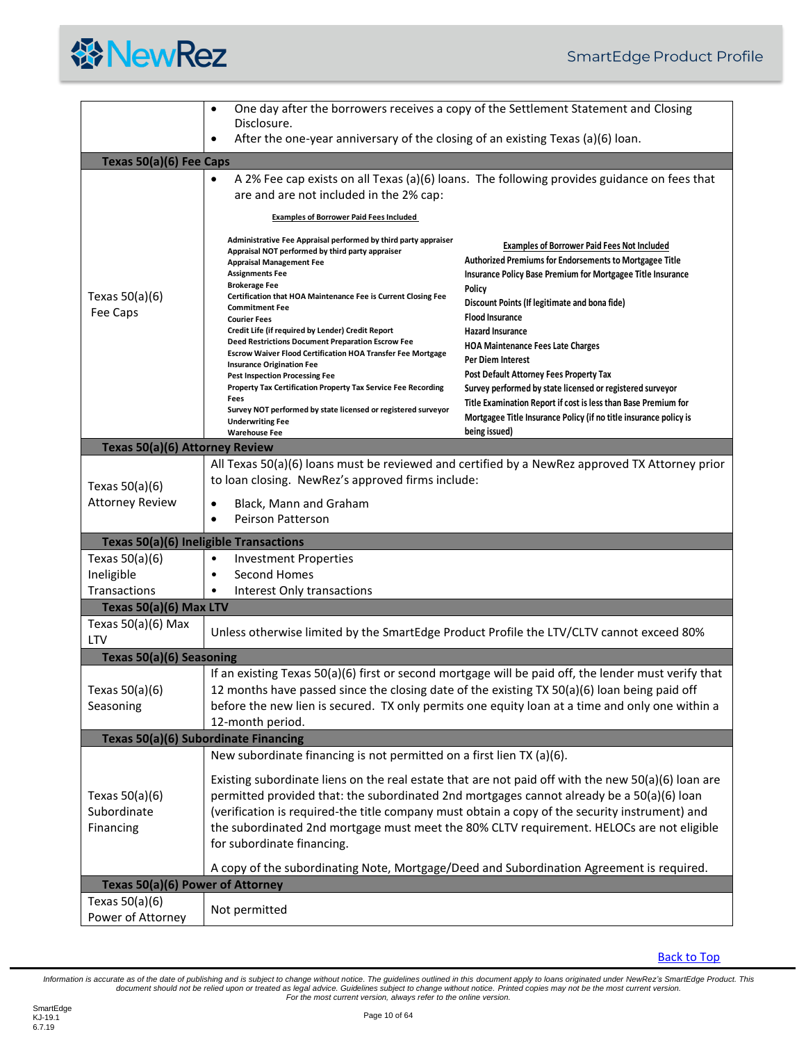|  | <b>谷NewRez</b> |
|--|----------------|
|--|----------------|

<span id="page-9-6"></span><span id="page-9-5"></span><span id="page-9-4"></span><span id="page-9-3"></span><span id="page-9-2"></span><span id="page-9-1"></span><span id="page-9-0"></span>

|                                                                          | ٠<br>Disclosure.                                                                                                                                                                                                                                                                                                                                                                                                                                                                                                                                                                                                                                                                                                                                                                                                                                                                              | One day after the borrowers receives a copy of the Settlement Statement and Closing                                                                                                                                                                                                                                                                                                                                                                                                                                                                                                                                                                                                                                                 |
|--------------------------------------------------------------------------|-----------------------------------------------------------------------------------------------------------------------------------------------------------------------------------------------------------------------------------------------------------------------------------------------------------------------------------------------------------------------------------------------------------------------------------------------------------------------------------------------------------------------------------------------------------------------------------------------------------------------------------------------------------------------------------------------------------------------------------------------------------------------------------------------------------------------------------------------------------------------------------------------|-------------------------------------------------------------------------------------------------------------------------------------------------------------------------------------------------------------------------------------------------------------------------------------------------------------------------------------------------------------------------------------------------------------------------------------------------------------------------------------------------------------------------------------------------------------------------------------------------------------------------------------------------------------------------------------------------------------------------------------|
|                                                                          | After the one-year anniversary of the closing of an existing Texas (a)(6) loan.<br>٠                                                                                                                                                                                                                                                                                                                                                                                                                                                                                                                                                                                                                                                                                                                                                                                                          |                                                                                                                                                                                                                                                                                                                                                                                                                                                                                                                                                                                                                                                                                                                                     |
| Texas 50(a)(6) Fee Caps                                                  |                                                                                                                                                                                                                                                                                                                                                                                                                                                                                                                                                                                                                                                                                                                                                                                                                                                                                               |                                                                                                                                                                                                                                                                                                                                                                                                                                                                                                                                                                                                                                                                                                                                     |
| Texas $50(a)(6)$<br>Fee Caps                                             | $\bullet$<br>are and are not included in the 2% cap:<br><b>Examples of Borrower Paid Fees Included</b><br>Administrative Fee Appraisal performed by third party appraiser<br>Appraisal NOT performed by third party appraiser<br><b>Appraisal Management Fee</b><br><b>Assignments Fee</b><br><b>Brokerage Fee</b><br>Certification that HOA Maintenance Fee is Current Closing Fee<br><b>Commitment Fee</b><br><b>Courier Fees</b><br>Credit Life (if required by Lender) Credit Report<br>Deed Restrictions Document Preparation Escrow Fee<br><b>Escrow Waiver Flood Certification HOA Transfer Fee Mortgage</b><br><b>Insurance Origination Fee</b><br><b>Pest Inspection Processing Fee</b><br>Property Tax Certification Property Tax Service Fee Recording<br>Fees<br>Survey NOT performed by state licensed or registered surveyor<br><b>Underwriting Fee</b><br><b>Warehouse Fee</b> | A 2% Fee cap exists on all Texas (a)(6) loans. The following provides guidance on fees that<br><b>Examples of Borrower Paid Fees Not Included</b><br><b>Authorized Premiums for Endorsements to Mortgagee Title</b><br>Insurance Policy Base Premium for Mortgagee Title Insurance<br>Policy<br>Discount Points (If legitimate and bona fide)<br><b>Flood Insurance</b><br><b>Hazard Insurance</b><br><b>HOA Maintenance Fees Late Charges</b><br>Per Diem Interest<br>Post Default Attorney Fees Property Tax<br>Survey performed by state licensed or registered surveyor<br>Title Examination Report if cost is less than Base Premium for<br>Mortgagee Title Insurance Policy (if no title insurance policy is<br>being issued) |
| Texas 50(a)(6) Attorney Review                                           |                                                                                                                                                                                                                                                                                                                                                                                                                                                                                                                                                                                                                                                                                                                                                                                                                                                                                               |                                                                                                                                                                                                                                                                                                                                                                                                                                                                                                                                                                                                                                                                                                                                     |
| Texas $50(a)(6)$<br><b>Attorney Review</b>                               | to loan closing. NewRez's approved firms include:<br>Black, Mann and Graham<br><b>Peirson Patterson</b><br>$\bullet$                                                                                                                                                                                                                                                                                                                                                                                                                                                                                                                                                                                                                                                                                                                                                                          | All Texas 50(a)(6) loans must be reviewed and certified by a NewRez approved TX Attorney prior                                                                                                                                                                                                                                                                                                                                                                                                                                                                                                                                                                                                                                      |
|                                                                          | <b>Texas 50(a)(6) Ineligible Transactions</b>                                                                                                                                                                                                                                                                                                                                                                                                                                                                                                                                                                                                                                                                                                                                                                                                                                                 |                                                                                                                                                                                                                                                                                                                                                                                                                                                                                                                                                                                                                                                                                                                                     |
| Texas $50(a)(6)$<br>Ineligible<br>Transactions<br>Texas 50(a)(6) Max LTV | <b>Investment Properties</b><br>$\bullet$<br>Second Homes<br>$\bullet$<br>Interest Only transactions<br>$\bullet$                                                                                                                                                                                                                                                                                                                                                                                                                                                                                                                                                                                                                                                                                                                                                                             |                                                                                                                                                                                                                                                                                                                                                                                                                                                                                                                                                                                                                                                                                                                                     |
| Texas $50(a)(6)$ Max<br><b>LTV</b>                                       | Unless otherwise limited by the SmartEdge Product Profile the LTV/CLTV cannot exceed 80%                                                                                                                                                                                                                                                                                                                                                                                                                                                                                                                                                                                                                                                                                                                                                                                                      |                                                                                                                                                                                                                                                                                                                                                                                                                                                                                                                                                                                                                                                                                                                                     |
| Texas 50(a)(6) Seasoning                                                 |                                                                                                                                                                                                                                                                                                                                                                                                                                                                                                                                                                                                                                                                                                                                                                                                                                                                                               |                                                                                                                                                                                                                                                                                                                                                                                                                                                                                                                                                                                                                                                                                                                                     |
| Texas 50(a)(6)<br>Seasoning                                              | 12 months have passed since the closing date of the existing TX 50(a)(6) loan being paid off<br>12-month period.                                                                                                                                                                                                                                                                                                                                                                                                                                                                                                                                                                                                                                                                                                                                                                              | If an existing Texas 50(a)(6) first or second mortgage will be paid off, the lender must verify that<br>before the new lien is secured. TX only permits one equity loan at a time and only one within a                                                                                                                                                                                                                                                                                                                                                                                                                                                                                                                             |
|                                                                          | Texas 50(a)(6) Subordinate Financing                                                                                                                                                                                                                                                                                                                                                                                                                                                                                                                                                                                                                                                                                                                                                                                                                                                          |                                                                                                                                                                                                                                                                                                                                                                                                                                                                                                                                                                                                                                                                                                                                     |
|                                                                          | New subordinate financing is not permitted on a first lien TX (a)(6).                                                                                                                                                                                                                                                                                                                                                                                                                                                                                                                                                                                                                                                                                                                                                                                                                         |                                                                                                                                                                                                                                                                                                                                                                                                                                                                                                                                                                                                                                                                                                                                     |
| Texas $50(a)(6)$<br>Subordinate<br>Financing                             | permitted provided that: the subordinated 2nd mortgages cannot already be a 50(a)(6) loan<br>(verification is required-the title company must obtain a copy of the security instrument) and<br>for subordinate financing.                                                                                                                                                                                                                                                                                                                                                                                                                                                                                                                                                                                                                                                                     | Existing subordinate liens on the real estate that are not paid off with the new $50(a)(6)$ loan are<br>the subordinated 2nd mortgage must meet the 80% CLTV requirement. HELOCs are not eligible                                                                                                                                                                                                                                                                                                                                                                                                                                                                                                                                   |
|                                                                          | A copy of the subordinating Note, Mortgage/Deed and Subordination Agreement is required.                                                                                                                                                                                                                                                                                                                                                                                                                                                                                                                                                                                                                                                                                                                                                                                                      |                                                                                                                                                                                                                                                                                                                                                                                                                                                                                                                                                                                                                                                                                                                                     |
| Texas 50(a)(6) Power of Attorney                                         |                                                                                                                                                                                                                                                                                                                                                                                                                                                                                                                                                                                                                                                                                                                                                                                                                                                                                               |                                                                                                                                                                                                                                                                                                                                                                                                                                                                                                                                                                                                                                                                                                                                     |
| Texas $50(a)(6)$<br>Power of Attorney                                    | Not permitted                                                                                                                                                                                                                                                                                                                                                                                                                                                                                                                                                                                                                                                                                                                                                                                                                                                                                 |                                                                                                                                                                                                                                                                                                                                                                                                                                                                                                                                                                                                                                                                                                                                     |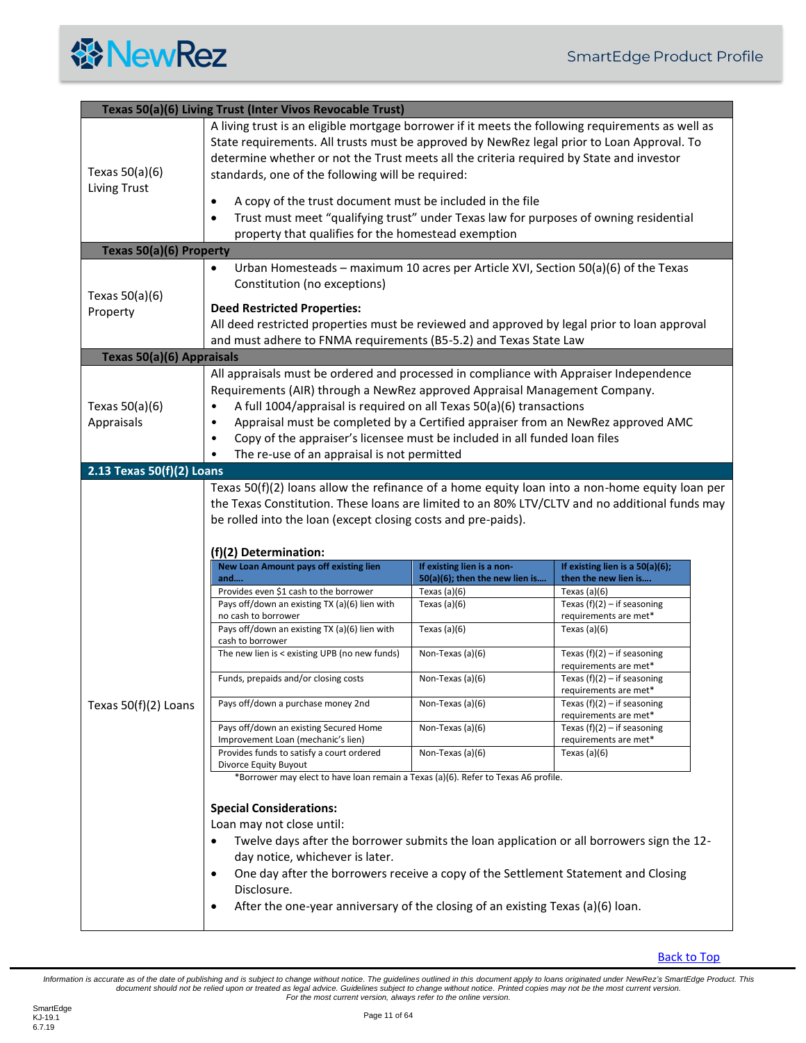

<span id="page-10-3"></span><span id="page-10-2"></span><span id="page-10-1"></span><span id="page-10-0"></span>

|                                | Texas 50(a)(6) Living Trust (Inter Vivos Revocable Trust)                                                                                                                                                                                                                                                                                                                                                                                             |                                                              |                                                         |
|--------------------------------|-------------------------------------------------------------------------------------------------------------------------------------------------------------------------------------------------------------------------------------------------------------------------------------------------------------------------------------------------------------------------------------------------------------------------------------------------------|--------------------------------------------------------------|---------------------------------------------------------|
| Texas 50(a)(6)                 | A living trust is an eligible mortgage borrower if it meets the following requirements as well as<br>State requirements. All trusts must be approved by NewRez legal prior to Loan Approval. To<br>determine whether or not the Trust meets all the criteria required by State and investor<br>standards, one of the following will be required:                                                                                                      |                                                              |                                                         |
| Living Trust                   | A copy of the trust document must be included in the file<br>$\bullet$<br>Trust must meet "qualifying trust" under Texas law for purposes of owning residential<br>$\bullet$                                                                                                                                                                                                                                                                          |                                                              |                                                         |
|                                | property that qualifies for the homestead exemption                                                                                                                                                                                                                                                                                                                                                                                                   |                                                              |                                                         |
| Texas 50(a)(6) Property        |                                                                                                                                                                                                                                                                                                                                                                                                                                                       |                                                              |                                                         |
| Texas $50(a)(6)$               | Urban Homesteads - maximum 10 acres per Article XVI, Section 50(a)(6) of the Texas<br>$\bullet$<br>Constitution (no exceptions)                                                                                                                                                                                                                                                                                                                       |                                                              |                                                         |
| Property                       | <b>Deed Restricted Properties:</b>                                                                                                                                                                                                                                                                                                                                                                                                                    |                                                              |                                                         |
|                                | All deed restricted properties must be reviewed and approved by legal prior to loan approval                                                                                                                                                                                                                                                                                                                                                          |                                                              |                                                         |
|                                | and must adhere to FNMA requirements (B5-5.2) and Texas State Law                                                                                                                                                                                                                                                                                                                                                                                     |                                                              |                                                         |
| Texas 50(a)(6) Appraisals      |                                                                                                                                                                                                                                                                                                                                                                                                                                                       |                                                              |                                                         |
| Texas $50(a)(6)$<br>Appraisals | All appraisals must be ordered and processed in compliance with Appraiser Independence<br>Requirements (AIR) through a NewRez approved Appraisal Management Company.<br>A full 1004/appraisal is required on all Texas 50(a)(6) transactions<br>$\bullet$<br>Appraisal must be completed by a Certified appraiser from an NewRez approved AMC<br>$\bullet$<br>Copy of the appraiser's licensee must be included in all funded loan files<br>$\bullet$ |                                                              |                                                         |
| 2.13 Texas 50(f)(2) Loans      | The re-use of an appraisal is not permitted                                                                                                                                                                                                                                                                                                                                                                                                           |                                                              |                                                         |
|                                | $(f)(2)$ Determination:                                                                                                                                                                                                                                                                                                                                                                                                                               |                                                              |                                                         |
|                                | New Loan Amount pays off existing lien<br>and                                                                                                                                                                                                                                                                                                                                                                                                         | If existing lien is a non-<br>50(a)(6); then the new lien is | If existing lien is a 50(a)(6);<br>then the new lien is |
|                                | Provides even \$1 cash to the borrower                                                                                                                                                                                                                                                                                                                                                                                                                | Texas $(a)(6)$                                               | Texas $(a)(6)$                                          |
|                                | Pays off/down an existing TX (a)(6) lien with<br>no cash to borrower                                                                                                                                                                                                                                                                                                                                                                                  | Texas $(a)(6)$                                               | Texas $(f)(2) - if$ seasoning<br>requirements are met*  |
|                                | Pays off/down an existing TX (a)(6) lien with<br>cash to borrower                                                                                                                                                                                                                                                                                                                                                                                     | Texas $(a)(6)$                                               | Texas $(a)(6)$                                          |
|                                | The new lien is < existing UPB (no new funds)                                                                                                                                                                                                                                                                                                                                                                                                         | Non-Texas (a)(6)                                             | Texas $(f)(2) - if$ seasoning<br>requirements are met*  |
|                                | Funds, prepaids and/or closing costs                                                                                                                                                                                                                                                                                                                                                                                                                  | Non-Texas (a)(6)                                             | Texas $(f)(2) - if$ seasoning<br>requirements are met*  |
| Texas 50(f)(2) Loans           |                                                                                                                                                                                                                                                                                                                                                                                                                                                       | Non-Texas (a)(6)                                             | Texas $(f)(2) - if$ seasoning                           |
|                                | Pays off/down a purchase money 2nd                                                                                                                                                                                                                                                                                                                                                                                                                    |                                                              | requirements are met*                                   |
|                                | Pays off/down an existing Secured Home                                                                                                                                                                                                                                                                                                                                                                                                                | Non-Texas (a)(6)                                             | Texas $(f)(2) - if$ seasoning                           |
|                                | Improvement Loan (mechanic's lien)<br>Provides funds to satisfy a court ordered                                                                                                                                                                                                                                                                                                                                                                       | Non-Texas (a)(6)                                             | requirements are met*<br>Texas $(a)(6)$                 |
|                                | Divorce Equity Buyout<br>*Borrower may elect to have loan remain a Texas (a)(6). Refer to Texas A6 profile.                                                                                                                                                                                                                                                                                                                                           |                                                              |                                                         |
|                                |                                                                                                                                                                                                                                                                                                                                                                                                                                                       |                                                              |                                                         |
|                                | <b>Special Considerations:</b>                                                                                                                                                                                                                                                                                                                                                                                                                        |                                                              |                                                         |
|                                | Loan may not close until:                                                                                                                                                                                                                                                                                                                                                                                                                             |                                                              |                                                         |
|                                | Twelve days after the borrower submits the loan application or all borrowers sign the 12-<br>$\bullet$                                                                                                                                                                                                                                                                                                                                                |                                                              |                                                         |
|                                | day notice, whichever is later.                                                                                                                                                                                                                                                                                                                                                                                                                       |                                                              |                                                         |
|                                | One day after the borrowers receive a copy of the Settlement Statement and Closing<br>$\bullet$<br>Disclosure.<br>After the one-year anniversary of the closing of an existing Texas (a)(6) loan.                                                                                                                                                                                                                                                     |                                                              |                                                         |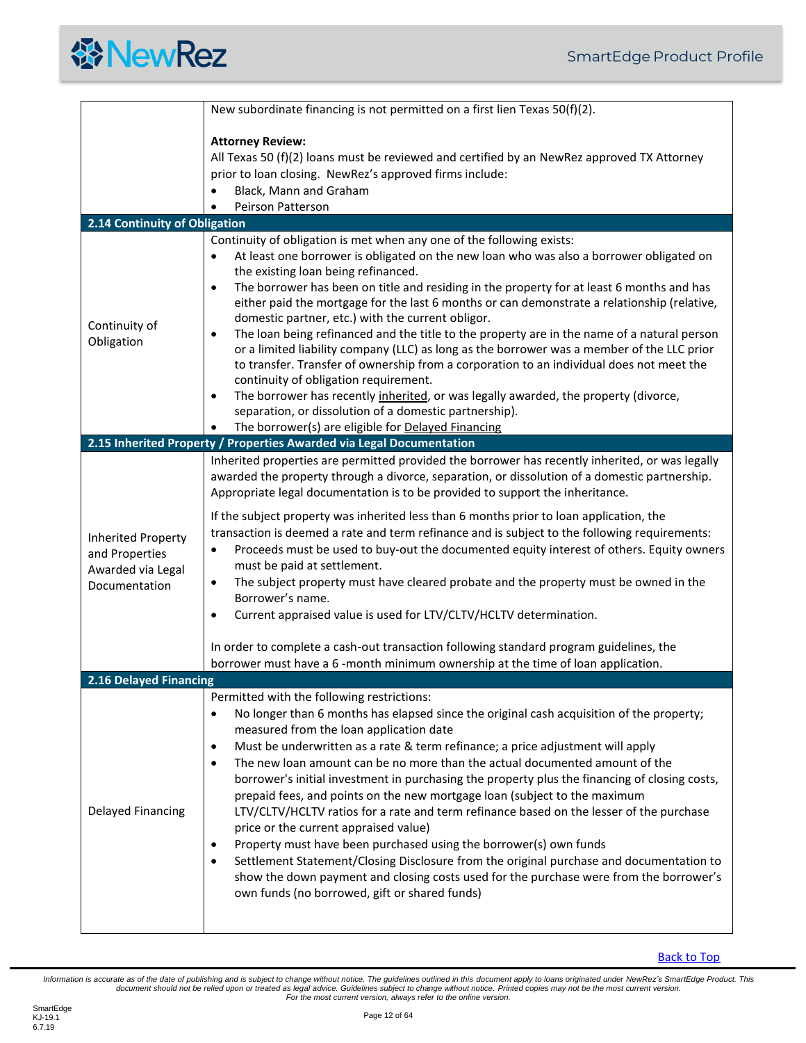<span id="page-11-2"></span><span id="page-11-1"></span><span id="page-11-0"></span>

|                                                                            | New subordinate financing is not permitted on a first lien Texas 50(f)(2).                                                                                                                                                                                                                                                                                                                                                                                                                                                                                                                                                                                                                                                                                                                                                                                                                                                                                                                                                                                         |
|----------------------------------------------------------------------------|--------------------------------------------------------------------------------------------------------------------------------------------------------------------------------------------------------------------------------------------------------------------------------------------------------------------------------------------------------------------------------------------------------------------------------------------------------------------------------------------------------------------------------------------------------------------------------------------------------------------------------------------------------------------------------------------------------------------------------------------------------------------------------------------------------------------------------------------------------------------------------------------------------------------------------------------------------------------------------------------------------------------------------------------------------------------|
|                                                                            | <b>Attorney Review:</b><br>All Texas 50 (f)(2) loans must be reviewed and certified by an NewRez approved TX Attorney<br>prior to loan closing. NewRez's approved firms include:<br>Black, Mann and Graham<br>$\bullet$<br>Peirson Patterson<br>$\bullet$                                                                                                                                                                                                                                                                                                                                                                                                                                                                                                                                                                                                                                                                                                                                                                                                          |
| 2.14 Continuity of Obligation                                              |                                                                                                                                                                                                                                                                                                                                                                                                                                                                                                                                                                                                                                                                                                                                                                                                                                                                                                                                                                                                                                                                    |
| Continuity of<br>Obligation                                                | Continuity of obligation is met when any one of the following exists:<br>At least one borrower is obligated on the new loan who was also a borrower obligated on<br>$\bullet$<br>the existing loan being refinanced.<br>The borrower has been on title and residing in the property for at least 6 months and has<br>$\bullet$<br>either paid the mortgage for the last 6 months or can demonstrate a relationship (relative,<br>domestic partner, etc.) with the current obligor.<br>The loan being refinanced and the title to the property are in the name of a natural person<br>$\bullet$<br>or a limited liability company (LLC) as long as the borrower was a member of the LLC prior<br>to transfer. Transfer of ownership from a corporation to an individual does not meet the<br>continuity of obligation requirement.<br>The borrower has recently inherited, or was legally awarded, the property (divorce,<br>$\bullet$<br>separation, or dissolution of a domestic partnership).<br>The borrower(s) are eligible for Delayed Financing<br>$\bullet$ |
|                                                                            | 2.15 Inherited Property / Properties Awarded via Legal Documentation                                                                                                                                                                                                                                                                                                                                                                                                                                                                                                                                                                                                                                                                                                                                                                                                                                                                                                                                                                                               |
| Inherited Property<br>and Properties<br>Awarded via Legal<br>Documentation | Inherited properties are permitted provided the borrower has recently inherited, or was legally<br>awarded the property through a divorce, separation, or dissolution of a domestic partnership.<br>Appropriate legal documentation is to be provided to support the inheritance.<br>If the subject property was inherited less than 6 months prior to loan application, the<br>transaction is deemed a rate and term refinance and is subject to the following requirements:<br>Proceeds must be used to buy-out the documented equity interest of others. Equity owners<br>$\bullet$<br>must be paid at settlement.<br>The subject property must have cleared probate and the property must be owned in the<br>$\bullet$<br>Borrower's name.<br>Current appraised value is used for LTV/CLTV/HCLTV determination.<br>$\bullet$<br>In order to complete a cash-out transaction following standard program guidelines, the<br>borrower must have a 6 -month minimum ownership at the time of loan application.                                                     |
| 2.16 Delayed Financing                                                     |                                                                                                                                                                                                                                                                                                                                                                                                                                                                                                                                                                                                                                                                                                                                                                                                                                                                                                                                                                                                                                                                    |
| <b>Delayed Financing</b>                                                   | Permitted with the following restrictions:<br>No longer than 6 months has elapsed since the original cash acquisition of the property;<br>$\bullet$<br>measured from the loan application date<br>Must be underwritten as a rate & term refinance; a price adjustment will apply<br>$\bullet$<br>The new loan amount can be no more than the actual documented amount of the<br>$\bullet$<br>borrower's initial investment in purchasing the property plus the financing of closing costs,<br>prepaid fees, and points on the new mortgage loan (subject to the maximum<br>LTV/CLTV/HCLTV ratios for a rate and term refinance based on the lesser of the purchase<br>price or the current appraised value)<br>Property must have been purchased using the borrower(s) own funds<br>$\bullet$<br>Settlement Statement/Closing Disclosure from the original purchase and documentation to<br>٠<br>show the down payment and closing costs used for the purchase were from the borrower's<br>own funds (no borrowed, gift or shared funds)                           |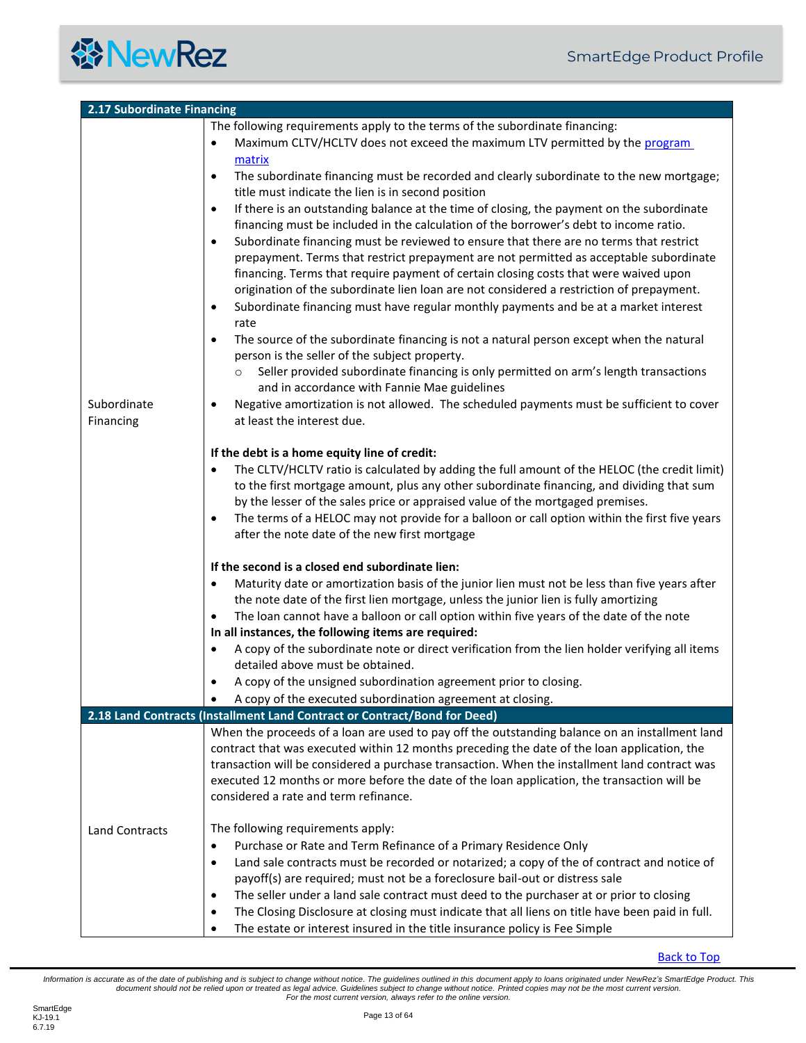<span id="page-12-1"></span><span id="page-12-0"></span>

| 2.17 Subordinate Financing |                                                                                                                                                                                                                                                                                                                                                                                                                                                                                                |
|----------------------------|------------------------------------------------------------------------------------------------------------------------------------------------------------------------------------------------------------------------------------------------------------------------------------------------------------------------------------------------------------------------------------------------------------------------------------------------------------------------------------------------|
|                            | The following requirements apply to the terms of the subordinate financing:                                                                                                                                                                                                                                                                                                                                                                                                                    |
|                            | Maximum CLTV/HCLTV does not exceed the maximum LTV permitted by the program<br>$\bullet$<br>matrix                                                                                                                                                                                                                                                                                                                                                                                             |
|                            | The subordinate financing must be recorded and clearly subordinate to the new mortgage;<br>$\bullet$<br>title must indicate the lien is in second position                                                                                                                                                                                                                                                                                                                                     |
|                            | If there is an outstanding balance at the time of closing, the payment on the subordinate<br>$\bullet$<br>financing must be included in the calculation of the borrower's debt to income ratio.                                                                                                                                                                                                                                                                                                |
|                            | Subordinate financing must be reviewed to ensure that there are no terms that restrict<br>$\bullet$<br>prepayment. Terms that restrict prepayment are not permitted as acceptable subordinate<br>financing. Terms that require payment of certain closing costs that were waived upon<br>origination of the subordinate lien loan are not considered a restriction of prepayment.<br>Subordinate financing must have regular monthly payments and be at a market interest<br>$\bullet$<br>rate |
|                            | The source of the subordinate financing is not a natural person except when the natural<br>$\bullet$<br>person is the seller of the subject property.                                                                                                                                                                                                                                                                                                                                          |
|                            | Seller provided subordinate financing is only permitted on arm's length transactions<br>$\circ$<br>and in accordance with Fannie Mae guidelines                                                                                                                                                                                                                                                                                                                                                |
| Subordinate<br>Financing   | Negative amortization is not allowed. The scheduled payments must be sufficient to cover<br>$\bullet$<br>at least the interest due.                                                                                                                                                                                                                                                                                                                                                            |
|                            | If the debt is a home equity line of credit:                                                                                                                                                                                                                                                                                                                                                                                                                                                   |
|                            | The CLTV/HCLTV ratio is calculated by adding the full amount of the HELOC (the credit limit)<br>to the first mortgage amount, plus any other subordinate financing, and dividing that sum<br>by the lesser of the sales price or appraised value of the mortgaged premises.                                                                                                                                                                                                                    |
|                            | The terms of a HELOC may not provide for a balloon or call option within the first five years<br>$\bullet$<br>after the note date of the new first mortgage                                                                                                                                                                                                                                                                                                                                    |
|                            | If the second is a closed end subordinate lien:                                                                                                                                                                                                                                                                                                                                                                                                                                                |
|                            | Maturity date or amortization basis of the junior lien must not be less than five years after<br>$\bullet$                                                                                                                                                                                                                                                                                                                                                                                     |
|                            | the note date of the first lien mortgage, unless the junior lien is fully amortizing                                                                                                                                                                                                                                                                                                                                                                                                           |
|                            | The loan cannot have a balloon or call option within five years of the date of the note<br>$\bullet$                                                                                                                                                                                                                                                                                                                                                                                           |
|                            | In all instances, the following items are required:                                                                                                                                                                                                                                                                                                                                                                                                                                            |
|                            | A copy of the subordinate note or direct verification from the lien holder verifying all items<br>$\bullet$                                                                                                                                                                                                                                                                                                                                                                                    |
|                            | detailed above must be obtained.                                                                                                                                                                                                                                                                                                                                                                                                                                                               |
|                            | A copy of the unsigned subordination agreement prior to closing.<br>٠<br>A copy of the executed subordination agreement at closing.                                                                                                                                                                                                                                                                                                                                                            |
|                            | 2.18 Land Contracts (Installment Land Contract or Contract/Bond for Deed)                                                                                                                                                                                                                                                                                                                                                                                                                      |
|                            | When the proceeds of a loan are used to pay off the outstanding balance on an installment land<br>contract that was executed within 12 months preceding the date of the loan application, the<br>transaction will be considered a purchase transaction. When the installment land contract was<br>executed 12 months or more before the date of the loan application, the transaction will be<br>considered a rate and term refinance.                                                         |
| <b>Land Contracts</b>      | The following requirements apply:<br>Purchase or Rate and Term Refinance of a Primary Residence Only<br>$\bullet$<br>Land sale contracts must be recorded or notarized; a copy of the of contract and notice of<br>$\bullet$<br>payoff(s) are required; must not be a foreclosure bail-out or distress sale                                                                                                                                                                                    |
|                            | The seller under a land sale contract must deed to the purchaser at or prior to closing<br>$\bullet$<br>The Closing Disclosure at closing must indicate that all liens on title have been paid in full.<br>٠<br>The estate or interest insured in the title insurance policy is Fee Simple<br>$\bullet$                                                                                                                                                                                        |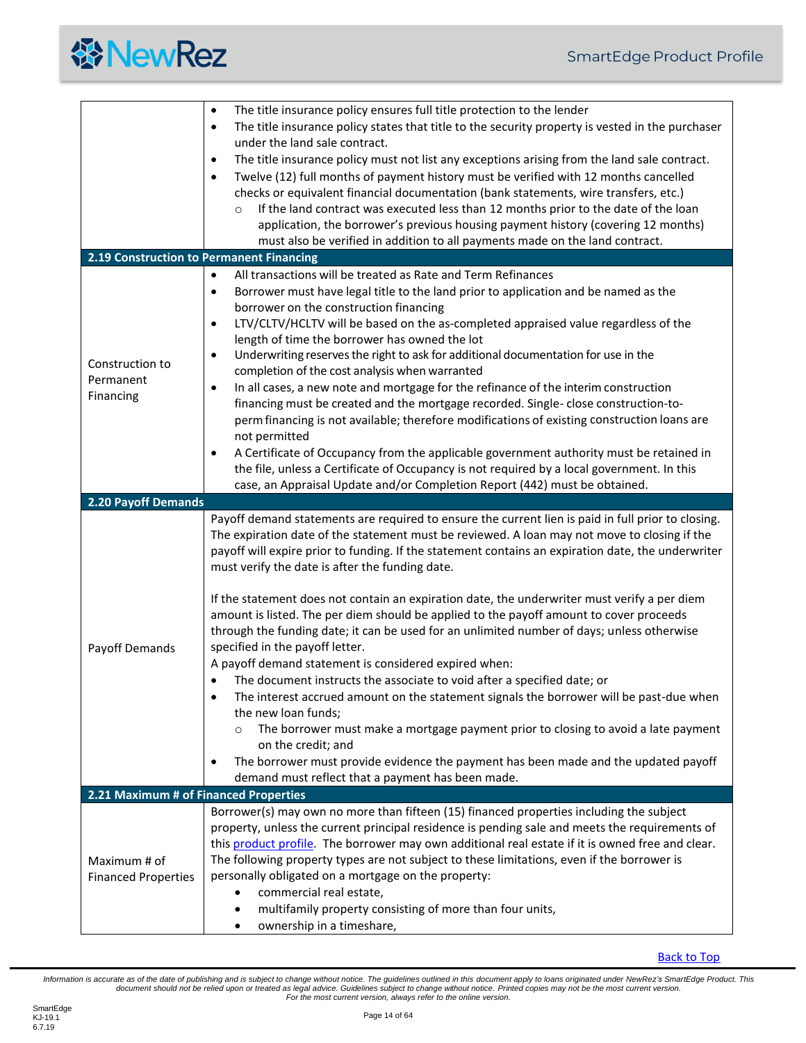

<span id="page-13-2"></span><span id="page-13-1"></span><span id="page-13-0"></span>

| The title insurance policy states that title to the security property is vested in the purchaser<br>$\bullet$<br>under the land sale contract.<br>The title insurance policy must not list any exceptions arising from the land sale contract.<br>$\bullet$<br>Twelve (12) full months of payment history must be verified with 12 months cancelled<br>$\bullet$<br>checks or equivalent financial documentation (bank statements, wire transfers, etc.)<br>If the land contract was executed less than 12 months prior to the date of the loan<br>$\circ$<br>application, the borrower's previous housing payment history (covering 12 months)<br>must also be verified in addition to all payments made on the land contract.<br>2.19 Construction to Permanent Financing<br>All transactions will be treated as Rate and Term Refinances<br>$\bullet$<br>Borrower must have legal title to the land prior to application and be named as the<br>$\bullet$<br>borrower on the construction financing<br>LTV/CLTV/HCLTV will be based on the as-completed appraised value regardless of the<br>$\bullet$<br>length of time the borrower has owned the lot |
|------------------------------------------------------------------------------------------------------------------------------------------------------------------------------------------------------------------------------------------------------------------------------------------------------------------------------------------------------------------------------------------------------------------------------------------------------------------------------------------------------------------------------------------------------------------------------------------------------------------------------------------------------------------------------------------------------------------------------------------------------------------------------------------------------------------------------------------------------------------------------------------------------------------------------------------------------------------------------------------------------------------------------------------------------------------------------------------------------------------------------------------------------------|
|                                                                                                                                                                                                                                                                                                                                                                                                                                                                                                                                                                                                                                                                                                                                                                                                                                                                                                                                                                                                                                                                                                                                                            |
|                                                                                                                                                                                                                                                                                                                                                                                                                                                                                                                                                                                                                                                                                                                                                                                                                                                                                                                                                                                                                                                                                                                                                            |
|                                                                                                                                                                                                                                                                                                                                                                                                                                                                                                                                                                                                                                                                                                                                                                                                                                                                                                                                                                                                                                                                                                                                                            |
|                                                                                                                                                                                                                                                                                                                                                                                                                                                                                                                                                                                                                                                                                                                                                                                                                                                                                                                                                                                                                                                                                                                                                            |
|                                                                                                                                                                                                                                                                                                                                                                                                                                                                                                                                                                                                                                                                                                                                                                                                                                                                                                                                                                                                                                                                                                                                                            |
|                                                                                                                                                                                                                                                                                                                                                                                                                                                                                                                                                                                                                                                                                                                                                                                                                                                                                                                                                                                                                                                                                                                                                            |
|                                                                                                                                                                                                                                                                                                                                                                                                                                                                                                                                                                                                                                                                                                                                                                                                                                                                                                                                                                                                                                                                                                                                                            |
|                                                                                                                                                                                                                                                                                                                                                                                                                                                                                                                                                                                                                                                                                                                                                                                                                                                                                                                                                                                                                                                                                                                                                            |
|                                                                                                                                                                                                                                                                                                                                                                                                                                                                                                                                                                                                                                                                                                                                                                                                                                                                                                                                                                                                                                                                                                                                                            |
|                                                                                                                                                                                                                                                                                                                                                                                                                                                                                                                                                                                                                                                                                                                                                                                                                                                                                                                                                                                                                                                                                                                                                            |
|                                                                                                                                                                                                                                                                                                                                                                                                                                                                                                                                                                                                                                                                                                                                                                                                                                                                                                                                                                                                                                                                                                                                                            |
|                                                                                                                                                                                                                                                                                                                                                                                                                                                                                                                                                                                                                                                                                                                                                                                                                                                                                                                                                                                                                                                                                                                                                            |
|                                                                                                                                                                                                                                                                                                                                                                                                                                                                                                                                                                                                                                                                                                                                                                                                                                                                                                                                                                                                                                                                                                                                                            |
|                                                                                                                                                                                                                                                                                                                                                                                                                                                                                                                                                                                                                                                                                                                                                                                                                                                                                                                                                                                                                                                                                                                                                            |
| Underwriting reserves the right to ask for additional documentation for use in the<br>$\bullet$<br>Construction to                                                                                                                                                                                                                                                                                                                                                                                                                                                                                                                                                                                                                                                                                                                                                                                                                                                                                                                                                                                                                                         |
| completion of the cost analysis when warranted                                                                                                                                                                                                                                                                                                                                                                                                                                                                                                                                                                                                                                                                                                                                                                                                                                                                                                                                                                                                                                                                                                             |
| Permanent<br>In all cases, a new note and mortgage for the refinance of the interim construction<br>$\bullet$<br>Financing                                                                                                                                                                                                                                                                                                                                                                                                                                                                                                                                                                                                                                                                                                                                                                                                                                                                                                                                                                                                                                 |
| financing must be created and the mortgage recorded. Single-close construction-to-                                                                                                                                                                                                                                                                                                                                                                                                                                                                                                                                                                                                                                                                                                                                                                                                                                                                                                                                                                                                                                                                         |
| perm financing is not available; therefore modifications of existing construction loans are                                                                                                                                                                                                                                                                                                                                                                                                                                                                                                                                                                                                                                                                                                                                                                                                                                                                                                                                                                                                                                                                |
| not permitted                                                                                                                                                                                                                                                                                                                                                                                                                                                                                                                                                                                                                                                                                                                                                                                                                                                                                                                                                                                                                                                                                                                                              |
| A Certificate of Occupancy from the applicable government authority must be retained in<br>$\bullet$                                                                                                                                                                                                                                                                                                                                                                                                                                                                                                                                                                                                                                                                                                                                                                                                                                                                                                                                                                                                                                                       |
| the file, unless a Certificate of Occupancy is not required by a local government. In this                                                                                                                                                                                                                                                                                                                                                                                                                                                                                                                                                                                                                                                                                                                                                                                                                                                                                                                                                                                                                                                                 |
| case, an Appraisal Update and/or Completion Report (442) must be obtained.                                                                                                                                                                                                                                                                                                                                                                                                                                                                                                                                                                                                                                                                                                                                                                                                                                                                                                                                                                                                                                                                                 |
| 2.20 Payoff Demands                                                                                                                                                                                                                                                                                                                                                                                                                                                                                                                                                                                                                                                                                                                                                                                                                                                                                                                                                                                                                                                                                                                                        |
| Payoff demand statements are required to ensure the current lien is paid in full prior to closing.                                                                                                                                                                                                                                                                                                                                                                                                                                                                                                                                                                                                                                                                                                                                                                                                                                                                                                                                                                                                                                                         |
| The expiration date of the statement must be reviewed. A loan may not move to closing if the                                                                                                                                                                                                                                                                                                                                                                                                                                                                                                                                                                                                                                                                                                                                                                                                                                                                                                                                                                                                                                                               |
| payoff will expire prior to funding. If the statement contains an expiration date, the underwriter                                                                                                                                                                                                                                                                                                                                                                                                                                                                                                                                                                                                                                                                                                                                                                                                                                                                                                                                                                                                                                                         |
| must verify the date is after the funding date.                                                                                                                                                                                                                                                                                                                                                                                                                                                                                                                                                                                                                                                                                                                                                                                                                                                                                                                                                                                                                                                                                                            |
|                                                                                                                                                                                                                                                                                                                                                                                                                                                                                                                                                                                                                                                                                                                                                                                                                                                                                                                                                                                                                                                                                                                                                            |
| If the statement does not contain an expiration date, the underwriter must verify a per diem                                                                                                                                                                                                                                                                                                                                                                                                                                                                                                                                                                                                                                                                                                                                                                                                                                                                                                                                                                                                                                                               |
| amount is listed. The per diem should be applied to the payoff amount to cover proceeds                                                                                                                                                                                                                                                                                                                                                                                                                                                                                                                                                                                                                                                                                                                                                                                                                                                                                                                                                                                                                                                                    |
| through the funding date; it can be used for an unlimited number of days; unless otherwise                                                                                                                                                                                                                                                                                                                                                                                                                                                                                                                                                                                                                                                                                                                                                                                                                                                                                                                                                                                                                                                                 |
| specified in the payoff letter.<br>Payoff Demands                                                                                                                                                                                                                                                                                                                                                                                                                                                                                                                                                                                                                                                                                                                                                                                                                                                                                                                                                                                                                                                                                                          |
| A payoff demand statement is considered expired when:                                                                                                                                                                                                                                                                                                                                                                                                                                                                                                                                                                                                                                                                                                                                                                                                                                                                                                                                                                                                                                                                                                      |
| The document instructs the associate to void after a specified date; or                                                                                                                                                                                                                                                                                                                                                                                                                                                                                                                                                                                                                                                                                                                                                                                                                                                                                                                                                                                                                                                                                    |
| The interest accrued amount on the statement signals the borrower will be past-due when<br>$\bullet$                                                                                                                                                                                                                                                                                                                                                                                                                                                                                                                                                                                                                                                                                                                                                                                                                                                                                                                                                                                                                                                       |
| the new loan funds;                                                                                                                                                                                                                                                                                                                                                                                                                                                                                                                                                                                                                                                                                                                                                                                                                                                                                                                                                                                                                                                                                                                                        |
| The borrower must make a mortgage payment prior to closing to avoid a late payment<br>$\circ$                                                                                                                                                                                                                                                                                                                                                                                                                                                                                                                                                                                                                                                                                                                                                                                                                                                                                                                                                                                                                                                              |
| on the credit; and                                                                                                                                                                                                                                                                                                                                                                                                                                                                                                                                                                                                                                                                                                                                                                                                                                                                                                                                                                                                                                                                                                                                         |
| The borrower must provide evidence the payment has been made and the updated payoff<br>$\bullet$<br>demand must reflect that a payment has been made.                                                                                                                                                                                                                                                                                                                                                                                                                                                                                                                                                                                                                                                                                                                                                                                                                                                                                                                                                                                                      |
| 2.21 Maximum # of Financed Properties                                                                                                                                                                                                                                                                                                                                                                                                                                                                                                                                                                                                                                                                                                                                                                                                                                                                                                                                                                                                                                                                                                                      |
| Borrower(s) may own no more than fifteen (15) financed properties including the subject                                                                                                                                                                                                                                                                                                                                                                                                                                                                                                                                                                                                                                                                                                                                                                                                                                                                                                                                                                                                                                                                    |
| property, unless the current principal residence is pending sale and meets the requirements of                                                                                                                                                                                                                                                                                                                                                                                                                                                                                                                                                                                                                                                                                                                                                                                                                                                                                                                                                                                                                                                             |
| this product profile. The borrower may own additional real estate if it is owned free and clear.                                                                                                                                                                                                                                                                                                                                                                                                                                                                                                                                                                                                                                                                                                                                                                                                                                                                                                                                                                                                                                                           |
| The following property types are not subject to these limitations, even if the borrower is<br>Maximum # of                                                                                                                                                                                                                                                                                                                                                                                                                                                                                                                                                                                                                                                                                                                                                                                                                                                                                                                                                                                                                                                 |
| personally obligated on a mortgage on the property:<br><b>Financed Properties</b>                                                                                                                                                                                                                                                                                                                                                                                                                                                                                                                                                                                                                                                                                                                                                                                                                                                                                                                                                                                                                                                                          |
| commercial real estate,                                                                                                                                                                                                                                                                                                                                                                                                                                                                                                                                                                                                                                                                                                                                                                                                                                                                                                                                                                                                                                                                                                                                    |
| multifamily property consisting of more than four units,                                                                                                                                                                                                                                                                                                                                                                                                                                                                                                                                                                                                                                                                                                                                                                                                                                                                                                                                                                                                                                                                                                   |
| ownership in a timeshare,<br>$\bullet$                                                                                                                                                                                                                                                                                                                                                                                                                                                                                                                                                                                                                                                                                                                                                                                                                                                                                                                                                                                                                                                                                                                     |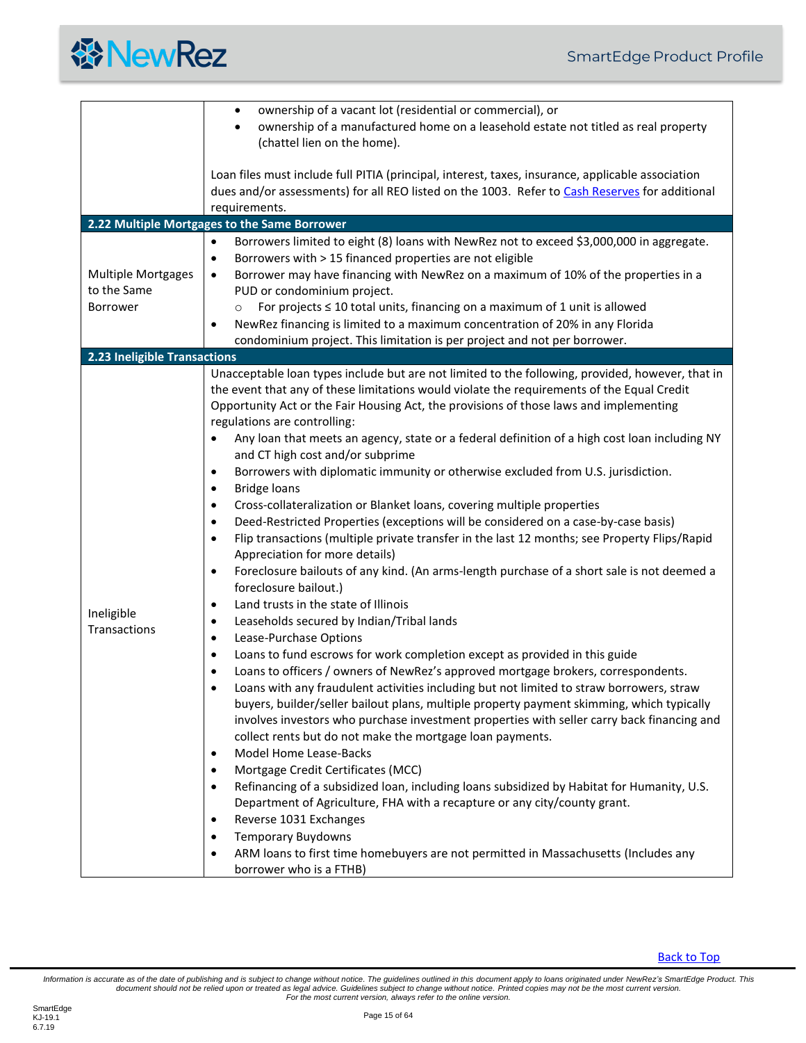

<span id="page-14-2"></span><span id="page-14-1"></span><span id="page-14-0"></span>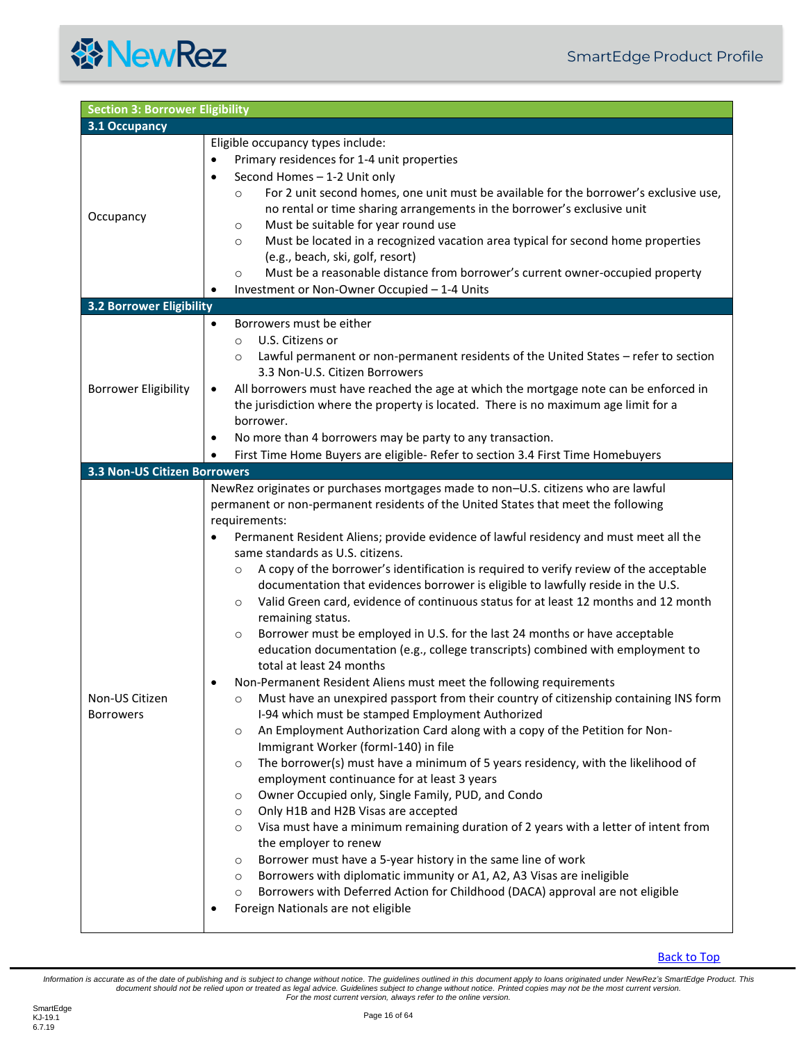<span id="page-15-2"></span><span id="page-15-1"></span><span id="page-15-0"></span>

| <b>Section 3: Borrower Eligibility</b> |                                                                                                                                                                                                                                                                                                                                                                                                                                                                                                                                                                                                                                                                                                                                                                                                                                                                                                                                                                                                                                                                                                                                                                                                                                                                                                                                                                                                                                                                                                                                                                                                                                                                                                                                                                                                                                                                                                                         |
|----------------------------------------|-------------------------------------------------------------------------------------------------------------------------------------------------------------------------------------------------------------------------------------------------------------------------------------------------------------------------------------------------------------------------------------------------------------------------------------------------------------------------------------------------------------------------------------------------------------------------------------------------------------------------------------------------------------------------------------------------------------------------------------------------------------------------------------------------------------------------------------------------------------------------------------------------------------------------------------------------------------------------------------------------------------------------------------------------------------------------------------------------------------------------------------------------------------------------------------------------------------------------------------------------------------------------------------------------------------------------------------------------------------------------------------------------------------------------------------------------------------------------------------------------------------------------------------------------------------------------------------------------------------------------------------------------------------------------------------------------------------------------------------------------------------------------------------------------------------------------------------------------------------------------------------------------------------------------|
| 3.1 Occupancy                          |                                                                                                                                                                                                                                                                                                                                                                                                                                                                                                                                                                                                                                                                                                                                                                                                                                                                                                                                                                                                                                                                                                                                                                                                                                                                                                                                                                                                                                                                                                                                                                                                                                                                                                                                                                                                                                                                                                                         |
| Occupancy                              | Eligible occupancy types include:<br>Primary residences for 1-4 unit properties<br>$\bullet$<br>Second Homes - 1-2 Unit only<br>$\bullet$<br>For 2 unit second homes, one unit must be available for the borrower's exclusive use,<br>$\circ$<br>no rental or time sharing arrangements in the borrower's exclusive unit<br>Must be suitable for year round use<br>$\circ$<br>Must be located in a recognized vacation area typical for second home properties<br>$\circ$<br>(e.g., beach, ski, golf, resort)<br>Must be a reasonable distance from borrower's current owner-occupied property<br>$\circ$<br>Investment or Non-Owner Occupied - 1-4 Units                                                                                                                                                                                                                                                                                                                                                                                                                                                                                                                                                                                                                                                                                                                                                                                                                                                                                                                                                                                                                                                                                                                                                                                                                                                               |
| <b>3.2 Borrower Eligibility</b>        |                                                                                                                                                                                                                                                                                                                                                                                                                                                                                                                                                                                                                                                                                                                                                                                                                                                                                                                                                                                                                                                                                                                                                                                                                                                                                                                                                                                                                                                                                                                                                                                                                                                                                                                                                                                                                                                                                                                         |
| <b>Borrower Eligibility</b>            | Borrowers must be either<br>$\bullet$<br>U.S. Citizens or<br>$\circ$<br>Lawful permanent or non-permanent residents of the United States - refer to section<br>$\circ$<br>3.3 Non-U.S. Citizen Borrowers<br>All borrowers must have reached the age at which the mortgage note can be enforced in<br>$\bullet$<br>the jurisdiction where the property is located. There is no maximum age limit for a<br>borrower.<br>No more than 4 borrowers may be party to any transaction.<br>$\bullet$<br>First Time Home Buyers are eligible- Refer to section 3.4 First Time Homebuyers                                                                                                                                                                                                                                                                                                                                                                                                                                                                                                                                                                                                                                                                                                                                                                                                                                                                                                                                                                                                                                                                                                                                                                                                                                                                                                                                         |
| <b>3.3 Non-US Citizen Borrowers</b>    |                                                                                                                                                                                                                                                                                                                                                                                                                                                                                                                                                                                                                                                                                                                                                                                                                                                                                                                                                                                                                                                                                                                                                                                                                                                                                                                                                                                                                                                                                                                                                                                                                                                                                                                                                                                                                                                                                                                         |
| Non-US Citizen<br><b>Borrowers</b>     | NewRez originates or purchases mortgages made to non-U.S. citizens who are lawful<br>permanent or non-permanent residents of the United States that meet the following<br>requirements:<br>Permanent Resident Aliens; provide evidence of lawful residency and must meet all the<br>same standards as U.S. citizens.<br>A copy of the borrower's identification is required to verify review of the acceptable<br>$\circ$<br>documentation that evidences borrower is eligible to lawfully reside in the U.S.<br>Valid Green card, evidence of continuous status for at least 12 months and 12 month<br>$\circ$<br>remaining status.<br>Borrower must be employed in U.S. for the last 24 months or have acceptable<br>$\circ$<br>education documentation (e.g., college transcripts) combined with employment to<br>total at least 24 months<br>Non-Permanent Resident Aliens must meet the following requirements<br>Must have an unexpired passport from their country of citizenship containing INS form<br>$\circ$<br>I-94 which must be stamped Employment Authorized<br>An Employment Authorization Card along with a copy of the Petition for Non-<br>$\circ$<br>Immigrant Worker (formI-140) in file<br>The borrower(s) must have a minimum of 5 years residency, with the likelihood of<br>$\circ$<br>employment continuance for at least 3 years<br>Owner Occupied only, Single Family, PUD, and Condo<br>$\circ$<br>Only H1B and H2B Visas are accepted<br>$\circ$<br>Visa must have a minimum remaining duration of 2 years with a letter of intent from<br>$\circ$<br>the employer to renew<br>Borrower must have a 5-year history in the same line of work<br>$\circ$<br>Borrowers with diplomatic immunity or A1, A2, A3 Visas are ineligible<br>$\circ$<br>Borrowers with Deferred Action for Childhood (DACA) approval are not eligible<br>$\circ$<br>Foreign Nationals are not eligible<br>$\bullet$ |

[Back to Top](#page-2-0)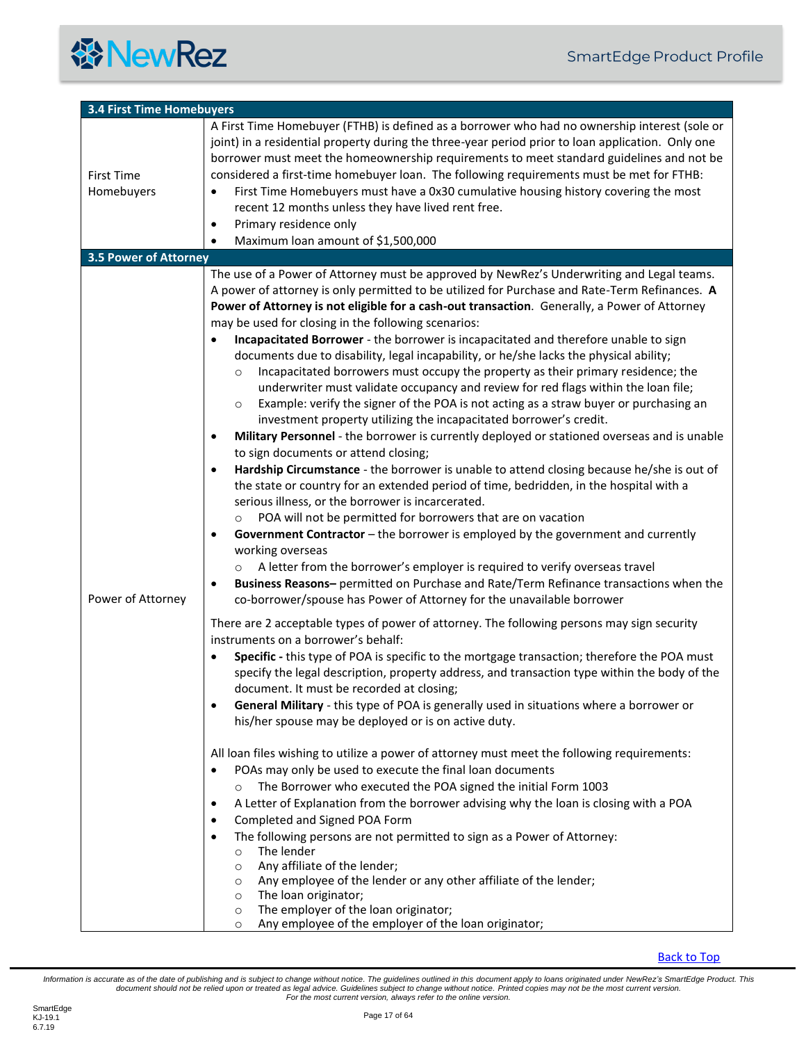<span id="page-16-1"></span><span id="page-16-0"></span>

| <b>3.4 First Time Homebuyers</b> |                                                                                                                                                                                                                                                                                                                                                                                                                                                                                                                                                                                                                                                                                                                                                                                                                                                                                                                                                                                                                                                                                                                                                                                                                                                                                                                                                                                                                                                                                                                                                                                                                                                                                                                                                                                                                                                                                                                                                                                                                                                                                                                                                                                                                                                                                                                                                                                                                                                                                                                                                                                                                                                                                                                                                                                                                                                                                                                                                                                                                                                                           |
|----------------------------------|---------------------------------------------------------------------------------------------------------------------------------------------------------------------------------------------------------------------------------------------------------------------------------------------------------------------------------------------------------------------------------------------------------------------------------------------------------------------------------------------------------------------------------------------------------------------------------------------------------------------------------------------------------------------------------------------------------------------------------------------------------------------------------------------------------------------------------------------------------------------------------------------------------------------------------------------------------------------------------------------------------------------------------------------------------------------------------------------------------------------------------------------------------------------------------------------------------------------------------------------------------------------------------------------------------------------------------------------------------------------------------------------------------------------------------------------------------------------------------------------------------------------------------------------------------------------------------------------------------------------------------------------------------------------------------------------------------------------------------------------------------------------------------------------------------------------------------------------------------------------------------------------------------------------------------------------------------------------------------------------------------------------------------------------------------------------------------------------------------------------------------------------------------------------------------------------------------------------------------------------------------------------------------------------------------------------------------------------------------------------------------------------------------------------------------------------------------------------------------------------------------------------------------------------------------------------------------------------------------------------------------------------------------------------------------------------------------------------------------------------------------------------------------------------------------------------------------------------------------------------------------------------------------------------------------------------------------------------------------------------------------------------------------------------------------------------------|
| <b>First Time</b><br>Homebuyers  | A First Time Homebuyer (FTHB) is defined as a borrower who had no ownership interest (sole or<br>joint) in a residential property during the three-year period prior to loan application. Only one<br>borrower must meet the homeownership requirements to meet standard guidelines and not be<br>considered a first-time homebuyer loan. The following requirements must be met for FTHB:<br>First Time Homebuyers must have a 0x30 cumulative housing history covering the most<br>$\bullet$<br>recent 12 months unless they have lived rent free.<br>Primary residence only<br>$\bullet$<br>Maximum loan amount of \$1,500,000                                                                                                                                                                                                                                                                                                                                                                                                                                                                                                                                                                                                                                                                                                                                                                                                                                                                                                                                                                                                                                                                                                                                                                                                                                                                                                                                                                                                                                                                                                                                                                                                                                                                                                                                                                                                                                                                                                                                                                                                                                                                                                                                                                                                                                                                                                                                                                                                                                         |
| <b>3.5 Power of Attorney</b>     |                                                                                                                                                                                                                                                                                                                                                                                                                                                                                                                                                                                                                                                                                                                                                                                                                                                                                                                                                                                                                                                                                                                                                                                                                                                                                                                                                                                                                                                                                                                                                                                                                                                                                                                                                                                                                                                                                                                                                                                                                                                                                                                                                                                                                                                                                                                                                                                                                                                                                                                                                                                                                                                                                                                                                                                                                                                                                                                                                                                                                                                                           |
| Power of Attorney                | The use of a Power of Attorney must be approved by NewRez's Underwriting and Legal teams.<br>A power of attorney is only permitted to be utilized for Purchase and Rate-Term Refinances. A<br>Power of Attorney is not eligible for a cash-out transaction. Generally, a Power of Attorney<br>may be used for closing in the following scenarios:<br>Incapacitated Borrower - the borrower is incapacitated and therefore unable to sign<br>$\bullet$<br>documents due to disability, legal incapability, or he/she lacks the physical ability;<br>Incapacitated borrowers must occupy the property as their primary residence; the<br>$\circ$<br>underwriter must validate occupancy and review for red flags within the loan file;<br>Example: verify the signer of the POA is not acting as a straw buyer or purchasing an<br>$\circ$<br>investment property utilizing the incapacitated borrower's credit.<br>Military Personnel - the borrower is currently deployed or stationed overseas and is unable<br>to sign documents or attend closing;<br>Hardship Circumstance - the borrower is unable to attend closing because he/she is out of<br>٠<br>the state or country for an extended period of time, bedridden, in the hospital with a<br>serious illness, or the borrower is incarcerated.<br>POA will not be permitted for borrowers that are on vacation<br>Government Contractor - the borrower is employed by the government and currently<br>$\bullet$<br>working overseas<br>A letter from the borrower's employer is required to verify overseas travel<br>Business Reasons- permitted on Purchase and Rate/Term Refinance transactions when the<br>$\bullet$<br>co-borrower/spouse has Power of Attorney for the unavailable borrower<br>There are 2 acceptable types of power of attorney. The following persons may sign security<br>instruments on a borrower's behalf:<br>Specific - this type of POA is specific to the mortgage transaction; therefore the POA must<br>specify the legal description, property address, and transaction type within the body of the<br>document. It must be recorded at closing;<br>General Military - this type of POA is generally used in situations where a borrower or<br>his/her spouse may be deployed or is on active duty.<br>All loan files wishing to utilize a power of attorney must meet the following requirements:<br>POAs may only be used to execute the final loan documents<br>The Borrower who executed the POA signed the initial Form 1003<br>$\circ$<br>A Letter of Explanation from the borrower advising why the loan is closing with a POA<br>٠<br>Completed and Signed POA Form<br>The following persons are not permitted to sign as a Power of Attorney:<br>$\bullet$<br>The lender<br>$\circ$<br>Any affiliate of the lender;<br>$\circ$<br>Any employee of the lender or any other affiliate of the lender;<br>$\circ$<br>The loan originator;<br>$\circ$<br>The employer of the loan originator;<br>$\circ$<br>Any employee of the employer of the loan originator;<br>$\circ$ |

#### [Back to Top](#page-2-0)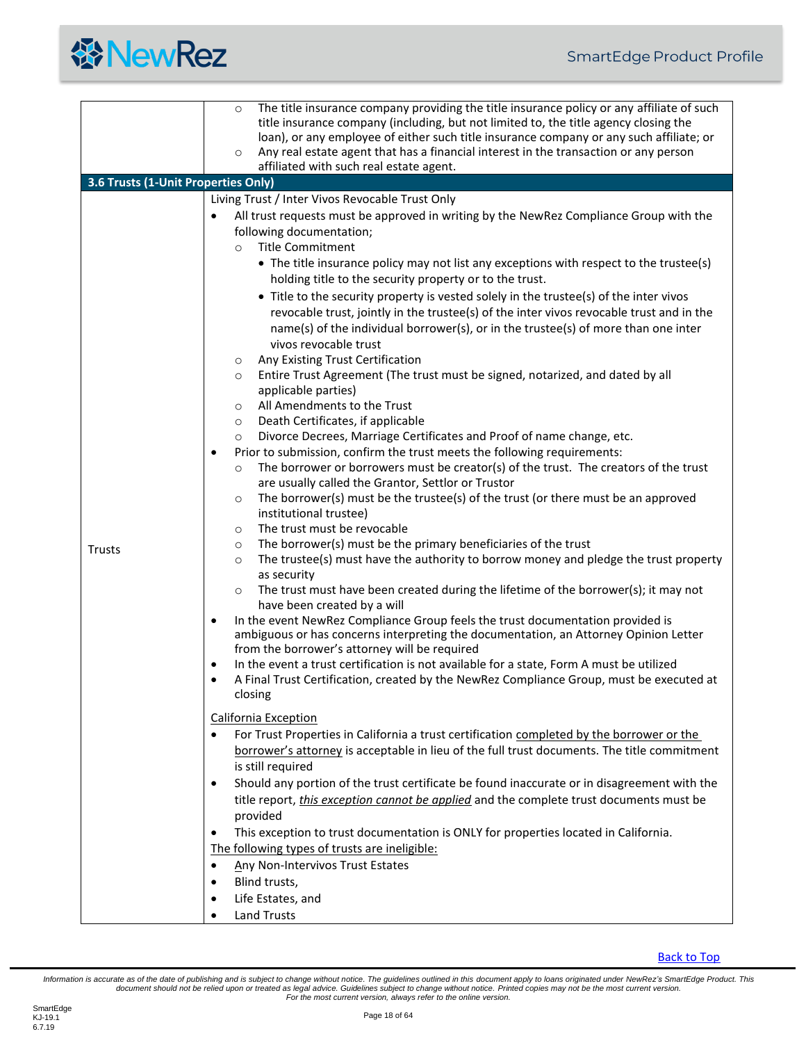<span id="page-17-0"></span>

|                                     | The title insurance company providing the title insurance policy or any affiliate of such<br>$\circ$<br>title insurance company (including, but not limited to, the title agency closing the<br>loan), or any employee of either such title insurance company or any such affiliate; or                                                                                                                                                                                                                                                                                                                                                                                                                                                                                                                                                                                                                                                                                                                                                                                                                                                                                                                                                                                                                                                                                                                                                                                                                                                                                                                                                                                                                                                                                                                                                                                                                                                                                                                                                                                                                                                                                                                                                                                                                                                                                                                                                                                                                                                                                                                                                                                                                                                                                                                                                                                                                              |  |  |
|-------------------------------------|----------------------------------------------------------------------------------------------------------------------------------------------------------------------------------------------------------------------------------------------------------------------------------------------------------------------------------------------------------------------------------------------------------------------------------------------------------------------------------------------------------------------------------------------------------------------------------------------------------------------------------------------------------------------------------------------------------------------------------------------------------------------------------------------------------------------------------------------------------------------------------------------------------------------------------------------------------------------------------------------------------------------------------------------------------------------------------------------------------------------------------------------------------------------------------------------------------------------------------------------------------------------------------------------------------------------------------------------------------------------------------------------------------------------------------------------------------------------------------------------------------------------------------------------------------------------------------------------------------------------------------------------------------------------------------------------------------------------------------------------------------------------------------------------------------------------------------------------------------------------------------------------------------------------------------------------------------------------------------------------------------------------------------------------------------------------------------------------------------------------------------------------------------------------------------------------------------------------------------------------------------------------------------------------------------------------------------------------------------------------------------------------------------------------------------------------------------------------------------------------------------------------------------------------------------------------------------------------------------------------------------------------------------------------------------------------------------------------------------------------------------------------------------------------------------------------------------------------------------------------------------------------------------------------|--|--|
|                                     | Any real estate agent that has a financial interest in the transaction or any person<br>$\circ$<br>affiliated with such real estate agent.                                                                                                                                                                                                                                                                                                                                                                                                                                                                                                                                                                                                                                                                                                                                                                                                                                                                                                                                                                                                                                                                                                                                                                                                                                                                                                                                                                                                                                                                                                                                                                                                                                                                                                                                                                                                                                                                                                                                                                                                                                                                                                                                                                                                                                                                                                                                                                                                                                                                                                                                                                                                                                                                                                                                                                           |  |  |
| 3.6 Trusts (1-Unit Properties Only) |                                                                                                                                                                                                                                                                                                                                                                                                                                                                                                                                                                                                                                                                                                                                                                                                                                                                                                                                                                                                                                                                                                                                                                                                                                                                                                                                                                                                                                                                                                                                                                                                                                                                                                                                                                                                                                                                                                                                                                                                                                                                                                                                                                                                                                                                                                                                                                                                                                                                                                                                                                                                                                                                                                                                                                                                                                                                                                                      |  |  |
| Trusts                              | Living Trust / Inter Vivos Revocable Trust Only<br>All trust requests must be approved in writing by the NewRez Compliance Group with the<br>following documentation;<br><b>Title Commitment</b><br>$\circ$<br>• The title insurance policy may not list any exceptions with respect to the trustee(s)<br>holding title to the security property or to the trust.<br>• Title to the security property is vested solely in the trustee(s) of the inter vivos<br>revocable trust, jointly in the trustee(s) of the inter vivos revocable trust and in the<br>name(s) of the individual borrower(s), or in the trustee(s) of more than one inter<br>vivos revocable trust<br>Any Existing Trust Certification<br>$\circ$<br>Entire Trust Agreement (The trust must be signed, notarized, and dated by all<br>$\circ$<br>applicable parties)<br>All Amendments to the Trust<br>$\circ$<br>Death Certificates, if applicable<br>$\circ$<br>Divorce Decrees, Marriage Certificates and Proof of name change, etc.<br>$\circ$<br>Prior to submission, confirm the trust meets the following requirements:<br>$\bullet$<br>The borrower or borrowers must be creator(s) of the trust. The creators of the trust<br>$\circ$<br>are usually called the Grantor, Settlor or Trustor<br>The borrower(s) must be the trustee(s) of the trust (or there must be an approved<br>$\circ$<br>institutional trustee)<br>The trust must be revocable<br>$\circ$<br>The borrower(s) must be the primary beneficiaries of the trust<br>$\circ$<br>The trustee(s) must have the authority to borrow money and pledge the trust property<br>$\circ$<br>as security<br>The trust must have been created during the lifetime of the borrower(s); it may not<br>$\circ$<br>have been created by a will<br>In the event NewRez Compliance Group feels the trust documentation provided is<br>$\bullet$<br>ambiguous or has concerns interpreting the documentation, an Attorney Opinion Letter<br>from the borrower's attorney will be required<br>In the event a trust certification is not available for a state, Form A must be utilized<br>$\bullet$<br>A Final Trust Certification, created by the NewRez Compliance Group, must be executed at<br>closing<br><b>California Exception</b><br>For Trust Properties in California a trust certification completed by the borrower or the<br>borrower's attorney is acceptable in lieu of the full trust documents. The title commitment<br>is still required<br>Should any portion of the trust certificate be found inaccurate or in disagreement with the<br>$\bullet$<br>title report, <i>this exception cannot be applied</i> and the complete trust documents must be<br>provided<br>This exception to trust documentation is ONLY for properties located in California.<br>$\bullet$<br>The following types of trusts are ineligible:<br>Any Non-Intervivos Trust Estates<br>$\bullet$ |  |  |
|                                     | Blind trusts,<br>$\bullet$                                                                                                                                                                                                                                                                                                                                                                                                                                                                                                                                                                                                                                                                                                                                                                                                                                                                                                                                                                                                                                                                                                                                                                                                                                                                                                                                                                                                                                                                                                                                                                                                                                                                                                                                                                                                                                                                                                                                                                                                                                                                                                                                                                                                                                                                                                                                                                                                                                                                                                                                                                                                                                                                                                                                                                                                                                                                                           |  |  |
|                                     | Life Estates, and<br>$\bullet$                                                                                                                                                                                                                                                                                                                                                                                                                                                                                                                                                                                                                                                                                                                                                                                                                                                                                                                                                                                                                                                                                                                                                                                                                                                                                                                                                                                                                                                                                                                                                                                                                                                                                                                                                                                                                                                                                                                                                                                                                                                                                                                                                                                                                                                                                                                                                                                                                                                                                                                                                                                                                                                                                                                                                                                                                                                                                       |  |  |
|                                     | <b>Land Trusts</b>                                                                                                                                                                                                                                                                                                                                                                                                                                                                                                                                                                                                                                                                                                                                                                                                                                                                                                                                                                                                                                                                                                                                                                                                                                                                                                                                                                                                                                                                                                                                                                                                                                                                                                                                                                                                                                                                                                                                                                                                                                                                                                                                                                                                                                                                                                                                                                                                                                                                                                                                                                                                                                                                                                                                                                                                                                                                                                   |  |  |

**[Back to Top](#page-2-0)**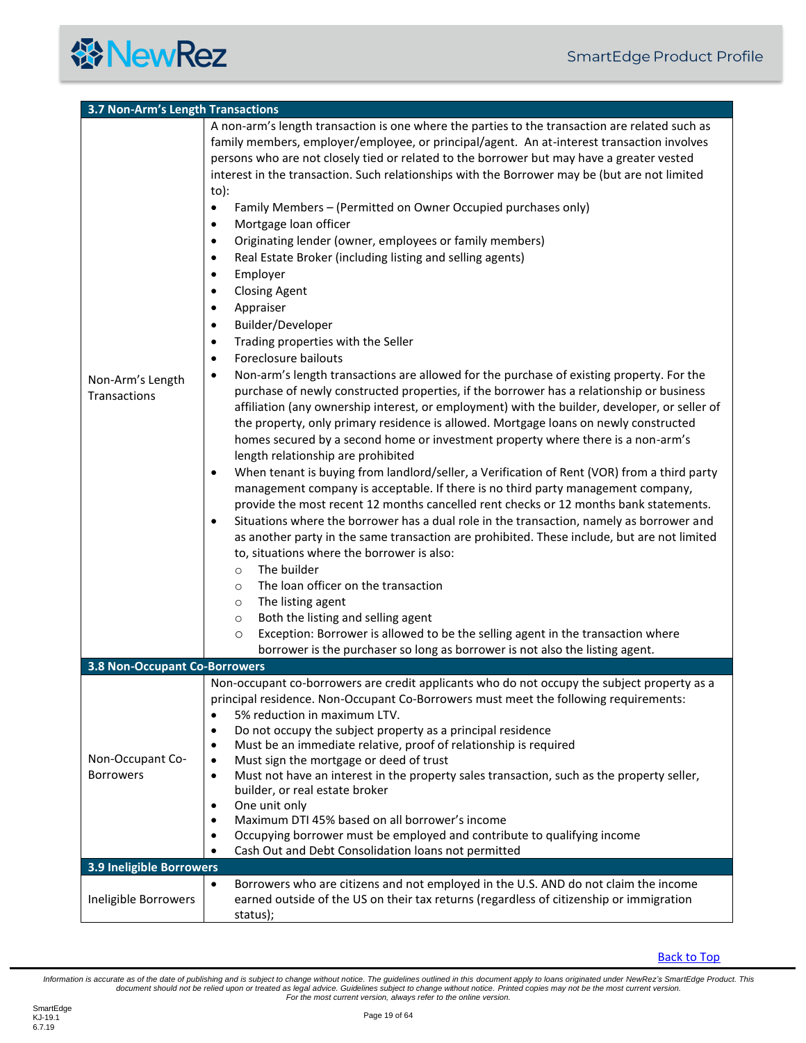<span id="page-18-0"></span>

| 3.7 Non-Arm's Length Transactions       |                                                                                                                                                                                                                                                                                                                                                                                                                                                                                                                                                                                                                                                                                                                                                                                                                                                                                                                                                                                                                                                                                                                                                                                                                                                                                                                                                                                                                                                                                                                                                                                                                                                                                                                                                                                                                                                                                                                                                                                                                                                                                                                                                                                                                                                                                              |
|-----------------------------------------|----------------------------------------------------------------------------------------------------------------------------------------------------------------------------------------------------------------------------------------------------------------------------------------------------------------------------------------------------------------------------------------------------------------------------------------------------------------------------------------------------------------------------------------------------------------------------------------------------------------------------------------------------------------------------------------------------------------------------------------------------------------------------------------------------------------------------------------------------------------------------------------------------------------------------------------------------------------------------------------------------------------------------------------------------------------------------------------------------------------------------------------------------------------------------------------------------------------------------------------------------------------------------------------------------------------------------------------------------------------------------------------------------------------------------------------------------------------------------------------------------------------------------------------------------------------------------------------------------------------------------------------------------------------------------------------------------------------------------------------------------------------------------------------------------------------------------------------------------------------------------------------------------------------------------------------------------------------------------------------------------------------------------------------------------------------------------------------------------------------------------------------------------------------------------------------------------------------------------------------------------------------------------------------------|
| Non-Arm's Length<br><b>Transactions</b> | A non-arm's length transaction is one where the parties to the transaction are related such as<br>family members, employer/employee, or principal/agent. An at-interest transaction involves<br>persons who are not closely tied or related to the borrower but may have a greater vested<br>interest in the transaction. Such relationships with the Borrower may be (but are not limited<br>to):<br>Family Members - (Permitted on Owner Occupied purchases only)<br>$\bullet$<br>Mortgage loan officer<br>$\bullet$<br>Originating lender (owner, employees or family members)<br>٠<br>Real Estate Broker (including listing and selling agents)<br>٠<br>Employer<br>$\bullet$<br><b>Closing Agent</b><br>$\bullet$<br>Appraiser<br>$\bullet$<br>Builder/Developer<br>$\bullet$<br>Trading properties with the Seller<br>$\bullet$<br>Foreclosure bailouts<br>$\bullet$<br>Non-arm's length transactions are allowed for the purchase of existing property. For the<br>$\bullet$<br>purchase of newly constructed properties, if the borrower has a relationship or business<br>affiliation (any ownership interest, or employment) with the builder, developer, or seller of<br>the property, only primary residence is allowed. Mortgage loans on newly constructed<br>homes secured by a second home or investment property where there is a non-arm's<br>length relationship are prohibited<br>When tenant is buying from landlord/seller, a Verification of Rent (VOR) from a third party<br>$\bullet$<br>management company is acceptable. If there is no third party management company,<br>provide the most recent 12 months cancelled rent checks or 12 months bank statements.<br>Situations where the borrower has a dual role in the transaction, namely as borrower and<br>$\bullet$<br>as another party in the same transaction are prohibited. These include, but are not limited<br>to, situations where the borrower is also:<br>The builder<br>$\circ$<br>The loan officer on the transaction<br>$\circ$<br>The listing agent<br>$\circ$<br>Both the listing and selling agent<br>$\circ$<br>Exception: Borrower is allowed to be the selling agent in the transaction where<br>$\circ$<br>borrower is the purchaser so long as borrower is not also the listing agent. |
| <b>3.8 Non-Occupant Co-Borrowers</b>    |                                                                                                                                                                                                                                                                                                                                                                                                                                                                                                                                                                                                                                                                                                                                                                                                                                                                                                                                                                                                                                                                                                                                                                                                                                                                                                                                                                                                                                                                                                                                                                                                                                                                                                                                                                                                                                                                                                                                                                                                                                                                                                                                                                                                                                                                                              |
| Non-Occupant Co-<br><b>Borrowers</b>    | Non-occupant co-borrowers are credit applicants who do not occupy the subject property as a<br>principal residence. Non-Occupant Co-Borrowers must meet the following requirements:<br>5% reduction in maximum LTV.<br>Do not occupy the subject property as a principal residence<br>٠<br>Must be an immediate relative, proof of relationship is required<br>٠<br>Must sign the mortgage or deed of trust<br>$\bullet$<br>Must not have an interest in the property sales transaction, such as the property seller,<br>$\bullet$<br>builder, or real estate broker<br>One unit only<br>٠<br>Maximum DTI 45% based on all borrower's income<br>$\bullet$<br>Occupying borrower must be employed and contribute to qualifying income<br>$\bullet$<br>Cash Out and Debt Consolidation loans not permitted<br>$\bullet$                                                                                                                                                                                                                                                                                                                                                                                                                                                                                                                                                                                                                                                                                                                                                                                                                                                                                                                                                                                                                                                                                                                                                                                                                                                                                                                                                                                                                                                                        |
| 3.9 Ineligible Borrowers                |                                                                                                                                                                                                                                                                                                                                                                                                                                                                                                                                                                                                                                                                                                                                                                                                                                                                                                                                                                                                                                                                                                                                                                                                                                                                                                                                                                                                                                                                                                                                                                                                                                                                                                                                                                                                                                                                                                                                                                                                                                                                                                                                                                                                                                                                                              |
| Ineligible Borrowers                    | Borrowers who are citizens and not employed in the U.S. AND do not claim the income<br>$\bullet$<br>earned outside of the US on their tax returns (regardless of citizenship or immigration<br>status);                                                                                                                                                                                                                                                                                                                                                                                                                                                                                                                                                                                                                                                                                                                                                                                                                                                                                                                                                                                                                                                                                                                                                                                                                                                                                                                                                                                                                                                                                                                                                                                                                                                                                                                                                                                                                                                                                                                                                                                                                                                                                      |

<span id="page-18-2"></span><span id="page-18-1"></span>Information is accurate as of the date of publishing and is subject to change without notice. The guidelines outlined in this document apply to loans originated under NewRez's SmartEdge Product. This<br>document should not be *For the most current version, always refer to the online version.*

**餐NewRez**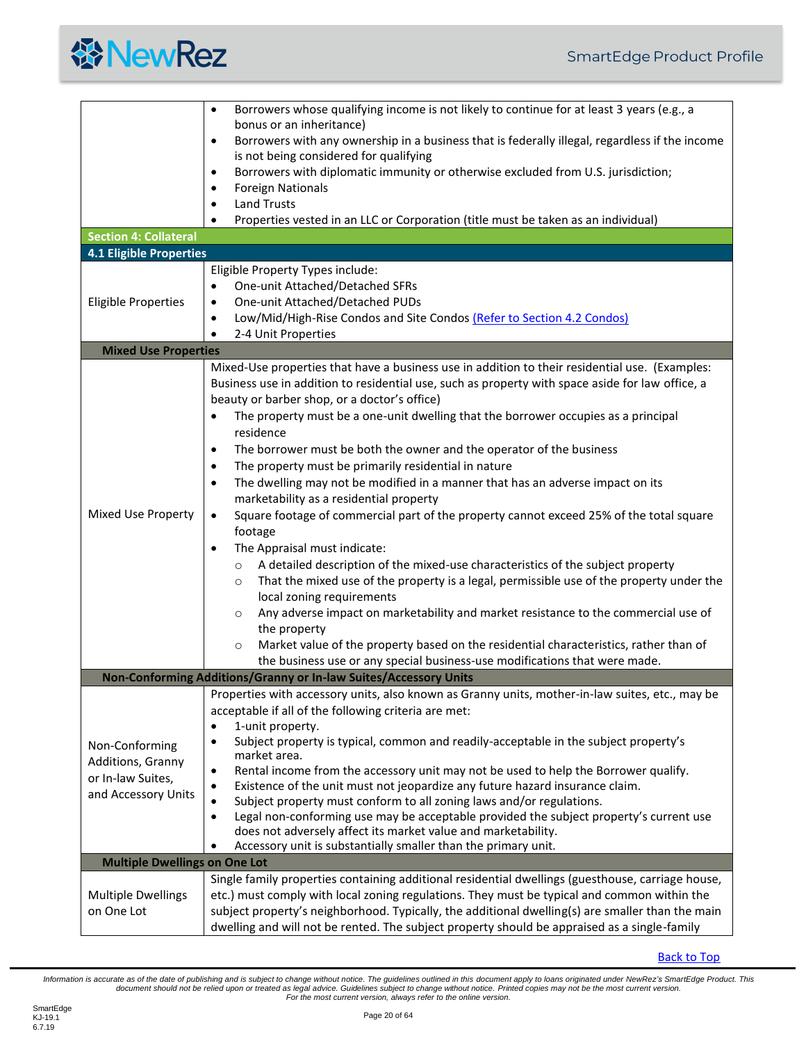

<span id="page-19-4"></span><span id="page-19-3"></span><span id="page-19-2"></span><span id="page-19-1"></span><span id="page-19-0"></span>

|                                      | Borrowers whose qualifying income is not likely to continue for at least 3 years (e.g., a<br>$\bullet$      |
|--------------------------------------|-------------------------------------------------------------------------------------------------------------|
|                                      | bonus or an inheritance)                                                                                    |
|                                      | Borrowers with any ownership in a business that is federally illegal, regardless if the income<br>$\bullet$ |
|                                      | is not being considered for qualifying                                                                      |
|                                      | Borrowers with diplomatic immunity or otherwise excluded from U.S. jurisdiction;<br>$\bullet$               |
|                                      | <b>Foreign Nationals</b><br>$\bullet$                                                                       |
|                                      | <b>Land Trusts</b><br>$\bullet$                                                                             |
|                                      | Properties vested in an LLC or Corporation (title must be taken as an individual)                           |
| <b>Section 4: Collateral</b>         |                                                                                                             |
| <b>4.1 Eligible Properties</b>       |                                                                                                             |
|                                      | Eligible Property Types include:                                                                            |
|                                      | One-unit Attached/Detached SFRs<br>$\bullet$                                                                |
| <b>Eligible Properties</b>           | One-unit Attached/Detached PUDs<br>$\bullet$                                                                |
|                                      | Low/Mid/High-Rise Condos and Site Condos (Refer to Section 4.2 Condos)<br>$\bullet$                         |
|                                      | 2-4 Unit Properties<br>$\bullet$                                                                            |
| <b>Mixed Use Properties</b>          |                                                                                                             |
|                                      | Mixed-Use properties that have a business use in addition to their residential use. (Examples:              |
|                                      | Business use in addition to residential use, such as property with space aside for law office, a            |
|                                      | beauty or barber shop, or a doctor's office)                                                                |
|                                      | The property must be a one-unit dwelling that the borrower occupies as a principal                          |
|                                      | residence                                                                                                   |
|                                      | The borrower must be both the owner and the operator of the business<br>$\bullet$                           |
|                                      | The property must be primarily residential in nature<br>$\bullet$                                           |
|                                      | The dwelling may not be modified in a manner that has an adverse impact on its<br>$\bullet$                 |
|                                      | marketability as a residential property                                                                     |
| Mixed Use Property                   | Square footage of commercial part of the property cannot exceed 25% of the total square<br>$\bullet$        |
|                                      | footage                                                                                                     |
|                                      | The Appraisal must indicate:<br>$\bullet$                                                                   |
|                                      | A detailed description of the mixed-use characteristics of the subject property<br>$\circ$                  |
|                                      | That the mixed use of the property is a legal, permissible use of the property under the<br>$\circ$         |
|                                      | local zoning requirements                                                                                   |
|                                      | Any adverse impact on marketability and market resistance to the commercial use of<br>$\circ$               |
|                                      | the property                                                                                                |
|                                      | Market value of the property based on the residential characteristics, rather than of<br>$\circ$            |
|                                      | the business use or any special business-use modifications that were made.                                  |
|                                      | Non-Conforming Additions/Granny or In-law Suites/Accessory Units                                            |
|                                      | Properties with accessory units, also known as Granny units, mother-in-law suites, etc., may be             |
|                                      | acceptable if all of the following criteria are met:                                                        |
|                                      | 1-unit property.<br>$\bullet$                                                                               |
| Non-Conforming                       | Subject property is typical, common and readily-acceptable in the subject property's<br>$\bullet$           |
| Additions, Granny                    | market area.                                                                                                |
| or In-law Suites,                    | Rental income from the accessory unit may not be used to help the Borrower qualify.<br>$\bullet$            |
| and Accessory Units                  | Existence of the unit must not jeopardize any future hazard insurance claim.<br>$\bullet$                   |
|                                      | Subject property must conform to all zoning laws and/or regulations.<br>$\bullet$                           |
|                                      | Legal non-conforming use may be acceptable provided the subject property's current use<br>$\bullet$         |
|                                      | does not adversely affect its market value and marketability.                                               |
|                                      | Accessory unit is substantially smaller than the primary unit.<br>$\bullet$                                 |
| <b>Multiple Dwellings on One Lot</b> |                                                                                                             |
|                                      | Single family properties containing additional residential dwellings (guesthouse, carriage house,           |
| <b>Multiple Dwellings</b>            | etc.) must comply with local zoning regulations. They must be typical and common within the                 |
| on One Lot                           | subject property's neighborhood. Typically, the additional dwelling(s) are smaller than the main            |
|                                      | dwelling and will not be rented. The subject property should be appraised as a single-family                |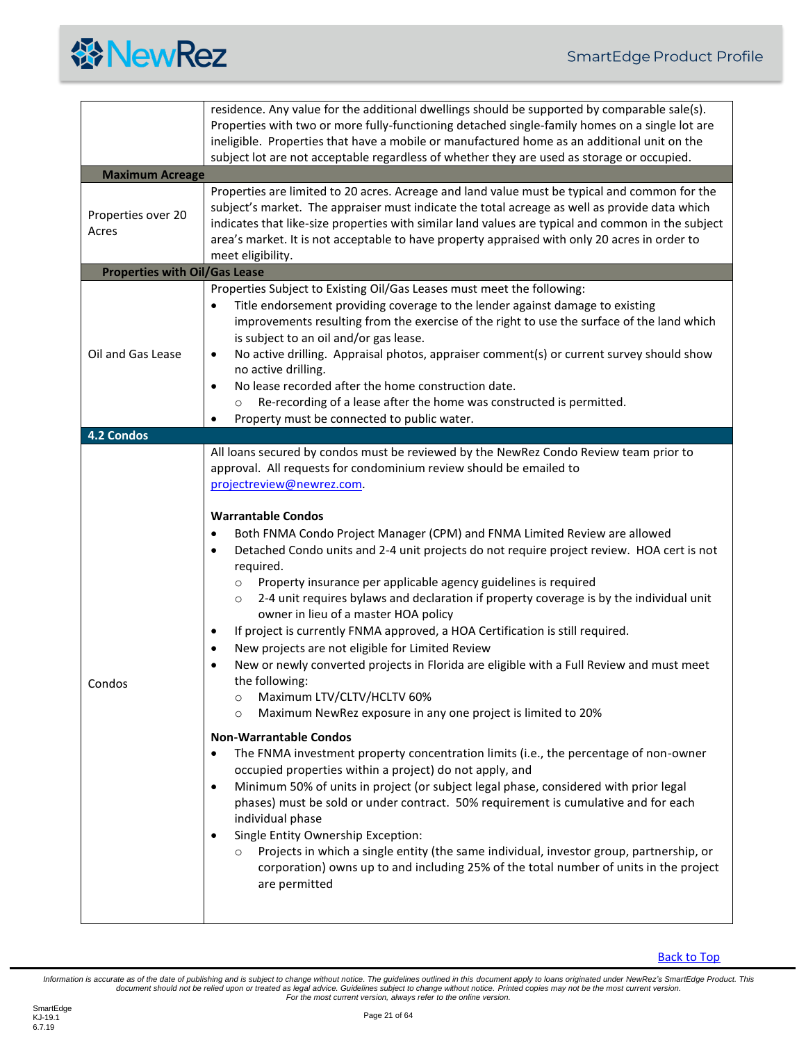

<span id="page-20-2"></span><span id="page-20-1"></span><span id="page-20-0"></span>

|                                      | residence. Any value for the additional dwellings should be supported by comparable sale(s).<br>Properties with two or more fully-functioning detached single-family homes on a single lot are<br>ineligible. Properties that have a mobile or manufactured home as an additional unit on the<br>subject lot are not acceptable regardless of whether they are used as storage or occupied.                                                                                                                                                                                                                                                                                                                                                                                                                                                                                                                                                                                                                                                                                                                                                                                                                                                                                                                                                                                                                                                                                                                                                                                                                                                                                                                                                                         |  |
|--------------------------------------|---------------------------------------------------------------------------------------------------------------------------------------------------------------------------------------------------------------------------------------------------------------------------------------------------------------------------------------------------------------------------------------------------------------------------------------------------------------------------------------------------------------------------------------------------------------------------------------------------------------------------------------------------------------------------------------------------------------------------------------------------------------------------------------------------------------------------------------------------------------------------------------------------------------------------------------------------------------------------------------------------------------------------------------------------------------------------------------------------------------------------------------------------------------------------------------------------------------------------------------------------------------------------------------------------------------------------------------------------------------------------------------------------------------------------------------------------------------------------------------------------------------------------------------------------------------------------------------------------------------------------------------------------------------------------------------------------------------------------------------------------------------------|--|
| <b>Maximum Acreage</b>               |                                                                                                                                                                                                                                                                                                                                                                                                                                                                                                                                                                                                                                                                                                                                                                                                                                                                                                                                                                                                                                                                                                                                                                                                                                                                                                                                                                                                                                                                                                                                                                                                                                                                                                                                                                     |  |
| Properties over 20<br>Acres          | Properties are limited to 20 acres. Acreage and land value must be typical and common for the<br>subject's market. The appraiser must indicate the total acreage as well as provide data which<br>indicates that like-size properties with similar land values are typical and common in the subject<br>area's market. It is not acceptable to have property appraised with only 20 acres in order to<br>meet eligibility.                                                                                                                                                                                                                                                                                                                                                                                                                                                                                                                                                                                                                                                                                                                                                                                                                                                                                                                                                                                                                                                                                                                                                                                                                                                                                                                                          |  |
| <b>Properties with Oil/Gas Lease</b> |                                                                                                                                                                                                                                                                                                                                                                                                                                                                                                                                                                                                                                                                                                                                                                                                                                                                                                                                                                                                                                                                                                                                                                                                                                                                                                                                                                                                                                                                                                                                                                                                                                                                                                                                                                     |  |
| Oil and Gas Lease                    | Properties Subject to Existing Oil/Gas Leases must meet the following:<br>Title endorsement providing coverage to the lender against damage to existing<br>$\bullet$<br>improvements resulting from the exercise of the right to use the surface of the land which<br>is subject to an oil and/or gas lease.<br>No active drilling. Appraisal photos, appraiser comment(s) or current survey should show<br>$\bullet$<br>no active drilling.<br>No lease recorded after the home construction date.<br>$\bullet$<br>Re-recording of a lease after the home was constructed is permitted.<br>$\circ$<br>Property must be connected to public water.                                                                                                                                                                                                                                                                                                                                                                                                                                                                                                                                                                                                                                                                                                                                                                                                                                                                                                                                                                                                                                                                                                                  |  |
| <b>4.2 Condos</b>                    |                                                                                                                                                                                                                                                                                                                                                                                                                                                                                                                                                                                                                                                                                                                                                                                                                                                                                                                                                                                                                                                                                                                                                                                                                                                                                                                                                                                                                                                                                                                                                                                                                                                                                                                                                                     |  |
| Condos                               | All loans secured by condos must be reviewed by the NewRez Condo Review team prior to<br>approval. All requests for condominium review should be emailed to<br>projectreview@newrez.com.<br><b>Warrantable Condos</b><br>Both FNMA Condo Project Manager (CPM) and FNMA Limited Review are allowed<br>$\bullet$<br>Detached Condo units and 2-4 unit projects do not require project review. HOA cert is not<br>$\bullet$<br>required.<br>Property insurance per applicable agency guidelines is required<br>$\circ$<br>2-4 unit requires bylaws and declaration if property coverage is by the individual unit<br>$\circ$<br>owner in lieu of a master HOA policy<br>If project is currently FNMA approved, a HOA Certification is still required.<br>$\bullet$<br>New projects are not eligible for Limited Review<br>$\bullet$<br>New or newly converted projects in Florida are eligible with a Full Review and must meet<br>$\bullet$<br>the following:<br>Maximum LTV/CLTV/HCLTV 60%<br>$\circ$<br>Maximum NewRez exposure in any one project is limited to 20%<br>$\circ$<br><b>Non-Warrantable Condos</b><br>The FNMA investment property concentration limits (i.e., the percentage of non-owner<br>$\bullet$<br>occupied properties within a project) do not apply, and<br>Minimum 50% of units in project (or subject legal phase, considered with prior legal<br>$\bullet$<br>phases) must be sold or under contract. 50% requirement is cumulative and for each<br>individual phase<br>Single Entity Ownership Exception:<br>$\bullet$<br>Projects in which a single entity (the same individual, investor group, partnership, or<br>$\circ$<br>corporation) owns up to and including 25% of the total number of units in the project<br>are permitted |  |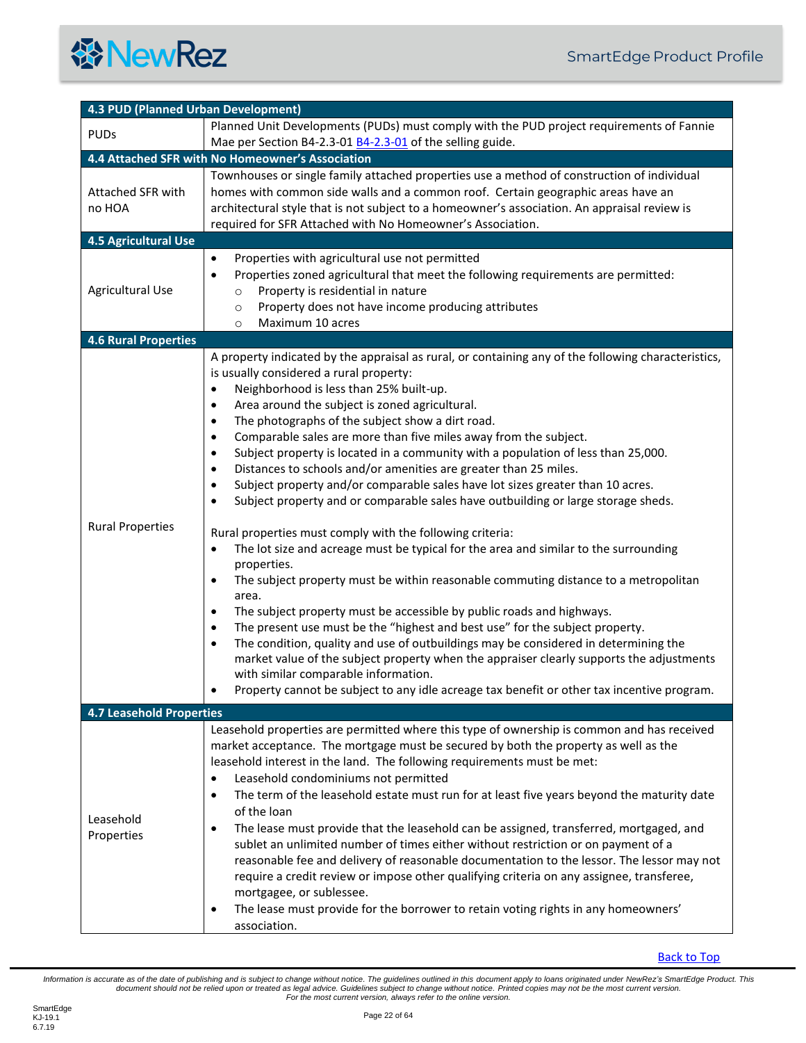<span id="page-21-4"></span><span id="page-21-3"></span><span id="page-21-2"></span><span id="page-21-1"></span><span id="page-21-0"></span>

| 4.3 PUD (Planned Urban Development) |                                                                                                                                                                                                                                                                                                                                                                                                                                                                                                                                                                                                                                                                                                                                                                                                                                                                                                                                                                                                                                                                                                                                                                                                                                                                                                                                                                                                                                                                                                                                                                                          |  |
|-------------------------------------|------------------------------------------------------------------------------------------------------------------------------------------------------------------------------------------------------------------------------------------------------------------------------------------------------------------------------------------------------------------------------------------------------------------------------------------------------------------------------------------------------------------------------------------------------------------------------------------------------------------------------------------------------------------------------------------------------------------------------------------------------------------------------------------------------------------------------------------------------------------------------------------------------------------------------------------------------------------------------------------------------------------------------------------------------------------------------------------------------------------------------------------------------------------------------------------------------------------------------------------------------------------------------------------------------------------------------------------------------------------------------------------------------------------------------------------------------------------------------------------------------------------------------------------------------------------------------------------|--|
| <b>PUDs</b>                         | Planned Unit Developments (PUDs) must comply with the PUD project requirements of Fannie<br>Mae per Section B4-2.3-01 B4-2.3-01 of the selling guide.                                                                                                                                                                                                                                                                                                                                                                                                                                                                                                                                                                                                                                                                                                                                                                                                                                                                                                                                                                                                                                                                                                                                                                                                                                                                                                                                                                                                                                    |  |
|                                     | 4.4 Attached SFR with No Homeowner's Association                                                                                                                                                                                                                                                                                                                                                                                                                                                                                                                                                                                                                                                                                                                                                                                                                                                                                                                                                                                                                                                                                                                                                                                                                                                                                                                                                                                                                                                                                                                                         |  |
| Attached SFR with<br>no HOA         | Townhouses or single family attached properties use a method of construction of individual<br>homes with common side walls and a common roof. Certain geographic areas have an<br>architectural style that is not subject to a homeowner's association. An appraisal review is<br>required for SFR Attached with No Homeowner's Association.                                                                                                                                                                                                                                                                                                                                                                                                                                                                                                                                                                                                                                                                                                                                                                                                                                                                                                                                                                                                                                                                                                                                                                                                                                             |  |
| <b>4.5 Agricultural Use</b>         |                                                                                                                                                                                                                                                                                                                                                                                                                                                                                                                                                                                                                                                                                                                                                                                                                                                                                                                                                                                                                                                                                                                                                                                                                                                                                                                                                                                                                                                                                                                                                                                          |  |
| Agricultural Use                    | Properties with agricultural use not permitted<br>$\bullet$<br>Properties zoned agricultural that meet the following requirements are permitted:<br>$\bullet$<br>Property is residential in nature<br>$\circ$<br>Property does not have income producing attributes<br>$\circ$<br>Maximum 10 acres<br>$\circ$                                                                                                                                                                                                                                                                                                                                                                                                                                                                                                                                                                                                                                                                                                                                                                                                                                                                                                                                                                                                                                                                                                                                                                                                                                                                            |  |
| <b>4.6 Rural Properties</b>         |                                                                                                                                                                                                                                                                                                                                                                                                                                                                                                                                                                                                                                                                                                                                                                                                                                                                                                                                                                                                                                                                                                                                                                                                                                                                                                                                                                                                                                                                                                                                                                                          |  |
| <b>Rural Properties</b>             | A property indicated by the appraisal as rural, or containing any of the following characteristics,<br>is usually considered a rural property:<br>Neighborhood is less than 25% built-up.<br>$\bullet$<br>Area around the subject is zoned agricultural.<br>$\bullet$<br>The photographs of the subject show a dirt road.<br>$\bullet$<br>Comparable sales are more than five miles away from the subject.<br>$\bullet$<br>Subject property is located in a community with a population of less than 25,000.<br>$\bullet$<br>Distances to schools and/or amenities are greater than 25 miles.<br>$\bullet$<br>Subject property and/or comparable sales have lot sizes greater than 10 acres.<br>Subject property and or comparable sales have outbuilding or large storage sheds.<br>Rural properties must comply with the following criteria:<br>The lot size and acreage must be typical for the area and similar to the surrounding<br>$\bullet$<br>properties.<br>The subject property must be within reasonable commuting distance to a metropolitan<br>$\bullet$<br>area.<br>The subject property must be accessible by public roads and highways.<br>٠<br>The present use must be the "highest and best use" for the subject property.<br>٠<br>The condition, quality and use of outbuildings may be considered in determining the<br>$\bullet$<br>market value of the subject property when the appraiser clearly supports the adjustments<br>with similar comparable information.<br>Property cannot be subject to any idle acreage tax benefit or other tax incentive program. |  |
| <b>4.7 Leasehold Properties</b>     |                                                                                                                                                                                                                                                                                                                                                                                                                                                                                                                                                                                                                                                                                                                                                                                                                                                                                                                                                                                                                                                                                                                                                                                                                                                                                                                                                                                                                                                                                                                                                                                          |  |
| Leasehold<br>Properties             | Leasehold properties are permitted where this type of ownership is common and has received<br>market acceptance. The mortgage must be secured by both the property as well as the<br>leasehold interest in the land. The following requirements must be met:<br>Leasehold condominiums not permitted<br>$\bullet$<br>The term of the leasehold estate must run for at least five years beyond the maturity date<br>$\bullet$<br>of the loan<br>The lease must provide that the leasehold can be assigned, transferred, mortgaged, and<br>$\bullet$<br>sublet an unlimited number of times either without restriction or on payment of a<br>reasonable fee and delivery of reasonable documentation to the lessor. The lessor may not<br>require a credit review or impose other qualifying criteria on any assignee, transferee,<br>mortgagee, or sublessee.<br>The lease must provide for the borrower to retain voting rights in any homeowners'<br>$\bullet$<br>association.                                                                                                                                                                                                                                                                                                                                                                                                                                                                                                                                                                                                          |  |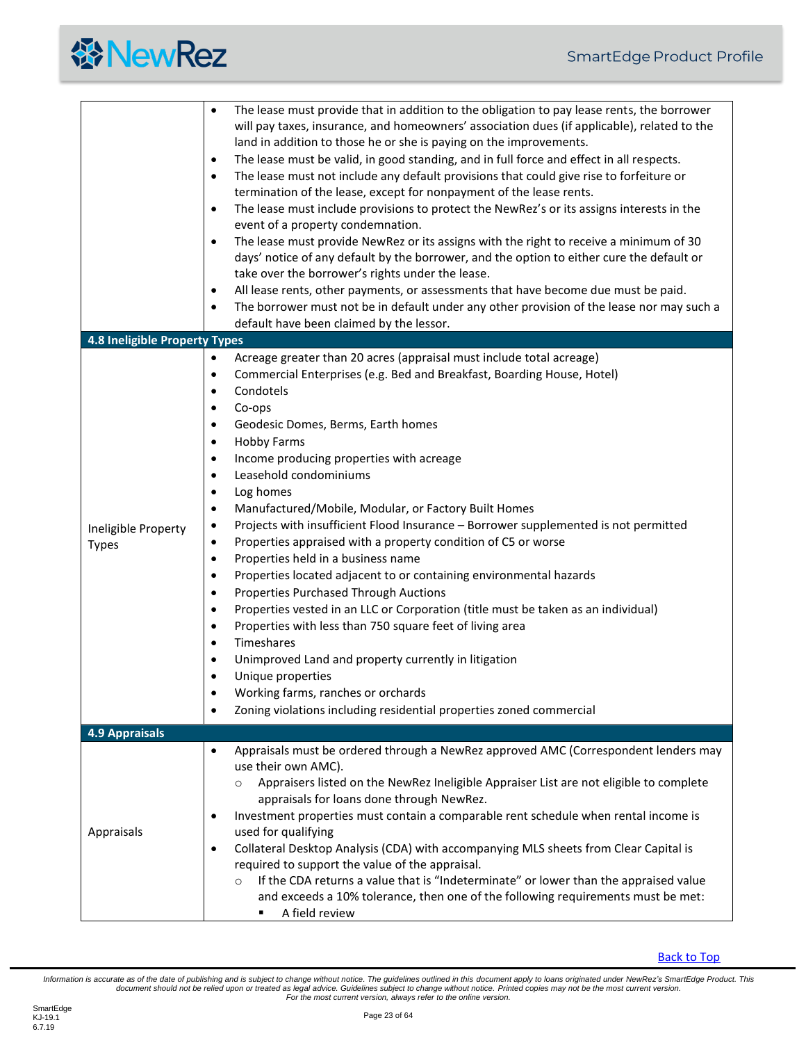<span id="page-22-0"></span>

|                                     | The lease must provide that in addition to the obligation to pay lease rents, the borrower<br>$\bullet$<br>will pay taxes, insurance, and homeowners' association dues (if applicable), related to the<br>land in addition to those he or she is paying on the improvements.<br>The lease must be valid, in good standing, and in full force and effect in all respects.<br>$\bullet$<br>The lease must not include any default provisions that could give rise to forfeiture or<br>$\bullet$<br>termination of the lease, except for nonpayment of the lease rents.<br>The lease must include provisions to protect the NewRez's or its assigns interests in the<br>$\bullet$<br>event of a property condemnation.<br>The lease must provide NewRez or its assigns with the right to receive a minimum of 30<br>$\bullet$<br>days' notice of any default by the borrower, and the option to either cure the default or<br>take over the borrower's rights under the lease.<br>All lease rents, other payments, or assessments that have become due must be paid.<br>$\bullet$<br>The borrower must not be in default under any other provision of the lease nor may such a<br>$\bullet$<br>default have been claimed by the lessor.                                                                                                            |
|-------------------------------------|-------------------------------------------------------------------------------------------------------------------------------------------------------------------------------------------------------------------------------------------------------------------------------------------------------------------------------------------------------------------------------------------------------------------------------------------------------------------------------------------------------------------------------------------------------------------------------------------------------------------------------------------------------------------------------------------------------------------------------------------------------------------------------------------------------------------------------------------------------------------------------------------------------------------------------------------------------------------------------------------------------------------------------------------------------------------------------------------------------------------------------------------------------------------------------------------------------------------------------------------------------------------------------------------------------------------------------------------------|
| 4.8 Ineligible Property Types       |                                                                                                                                                                                                                                                                                                                                                                                                                                                                                                                                                                                                                                                                                                                                                                                                                                                                                                                                                                                                                                                                                                                                                                                                                                                                                                                                                 |
| Ineligible Property<br><b>Types</b> | Acreage greater than 20 acres (appraisal must include total acreage)<br>$\bullet$<br>Commercial Enterprises (e.g. Bed and Breakfast, Boarding House, Hotel)<br>$\bullet$<br>Condotels<br>$\bullet$<br>Co-ops<br>$\bullet$<br>Geodesic Domes, Berms, Earth homes<br>$\bullet$<br><b>Hobby Farms</b><br>$\bullet$<br>Income producing properties with acreage<br>$\bullet$<br>Leasehold condominiums<br>$\bullet$<br>Log homes<br>$\bullet$<br>Manufactured/Mobile, Modular, or Factory Built Homes<br>$\bullet$<br>Projects with insufficient Flood Insurance - Borrower supplemented is not permitted<br>$\bullet$<br>Properties appraised with a property condition of C5 or worse<br>$\bullet$<br>Properties held in a business name<br>$\bullet$<br>Properties located adjacent to or containing environmental hazards<br>$\bullet$<br><b>Properties Purchased Through Auctions</b><br>$\bullet$<br>Properties vested in an LLC or Corporation (title must be taken as an individual)<br>$\bullet$<br>Properties with less than 750 square feet of living area<br>$\bullet$<br>Timeshares<br>$\bullet$<br>Unimproved Land and property currently in litigation<br>$\bullet$<br>Unique properties<br>$\bullet$<br>Working farms, ranches or orchards<br>٠<br>Zoning violations including residential properties zoned commercial<br>$\bullet$ |
| <b>4.9 Appraisals</b>               |                                                                                                                                                                                                                                                                                                                                                                                                                                                                                                                                                                                                                                                                                                                                                                                                                                                                                                                                                                                                                                                                                                                                                                                                                                                                                                                                                 |
| Appraisals                          | Appraisals must be ordered through a NewRez approved AMC (Correspondent lenders may<br>$\bullet$<br>use their own AMC).<br>Appraisers listed on the NewRez Ineligible Appraiser List are not eligible to complete<br>$\circ$<br>appraisals for loans done through NewRez.<br>Investment properties must contain a comparable rent schedule when rental income is<br>$\bullet$<br>used for qualifying<br>Collateral Desktop Analysis (CDA) with accompanying MLS sheets from Clear Capital is<br>$\bullet$<br>required to support the value of the appraisal.<br>If the CDA returns a value that is "Indeterminate" or lower than the appraised value<br>$\circ$<br>and exceeds a 10% tolerance, then one of the following requirements must be met:<br>A field review                                                                                                                                                                                                                                                                                                                                                                                                                                                                                                                                                                           |

<span id="page-22-1"></span>**[Back to Top](#page-2-0)**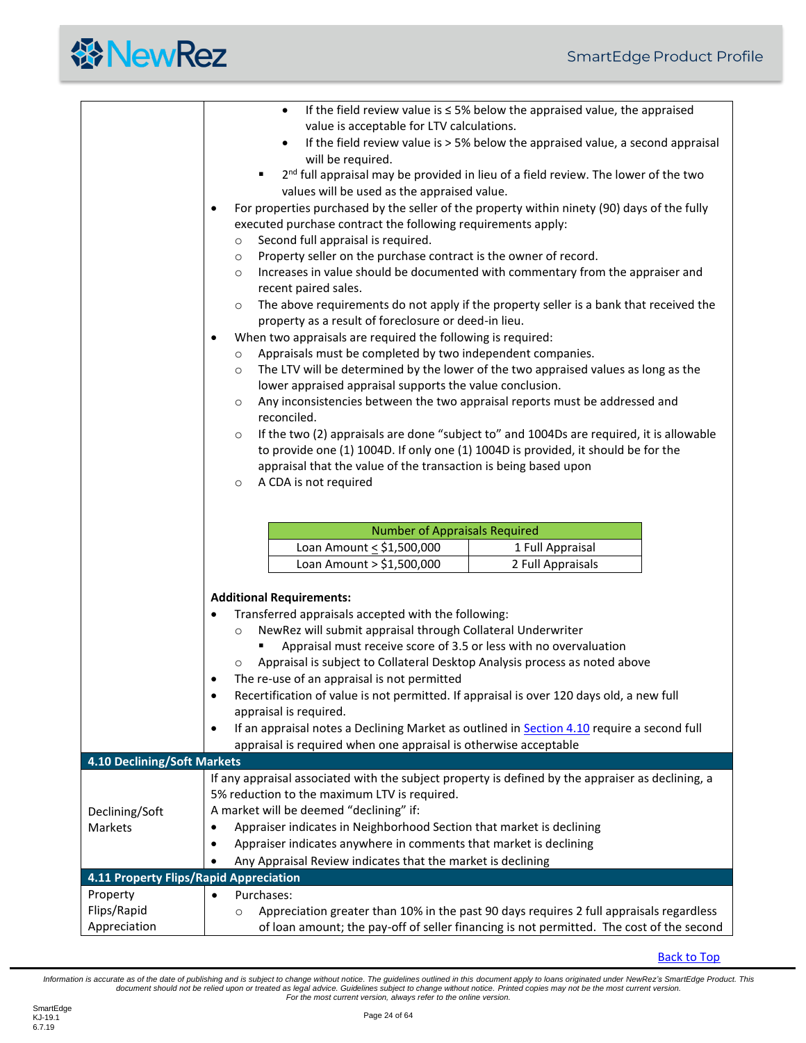|                                                                                                                                                                                                                                                                                                                                                                                                                                                                                                                                                                                                                                                                                                              | If the field review value is $\leq$ 5% below the appraised value, the appraised<br>$\bullet$<br>value is acceptable for LTV calculations.<br>If the field review value is > 5% below the appraised value, a second appraisal<br>$\bullet$<br>will be required.<br>2 <sup>nd</sup> full appraisal may be provided in lieu of a field review. The lower of the two<br>values will be used as the appraised value.<br>For properties purchased by the seller of the property within ninety (90) days of the fully<br>$\bullet$<br>executed purchase contract the following requirements apply:<br>Second full appraisal is required.<br>$\circ$<br>Property seller on the purchase contract is the owner of record.<br>$\circ$<br>Increases in value should be documented with commentary from the appraiser and<br>$\circ$<br>recent paired sales.<br>The above requirements do not apply if the property seller is a bank that received the<br>$\circ$<br>property as a result of foreclosure or deed-in lieu.<br>When two appraisals are required the following is required:<br>$\bullet$<br>Appraisals must be completed by two independent companies.<br>$\circ$<br>The LTV will be determined by the lower of the two appraised values as long as the<br>$\circ$<br>lower appraised appraisal supports the value conclusion.<br>Any inconsistencies between the two appraisal reports must be addressed and<br>$\circ$<br>reconciled.<br>If the two (2) appraisals are done "subject to" and 1004Ds are required, it is allowable<br>$\circ$<br>to provide one (1) 1004D. If only one (1) 1004D is provided, it should be for the<br>appraisal that the value of the transaction is being based upon<br>A CDA is not required<br>$\circ$ |  |
|--------------------------------------------------------------------------------------------------------------------------------------------------------------------------------------------------------------------------------------------------------------------------------------------------------------------------------------------------------------------------------------------------------------------------------------------------------------------------------------------------------------------------------------------------------------------------------------------------------------------------------------------------------------------------------------------------------------|---------------------------------------------------------------------------------------------------------------------------------------------------------------------------------------------------------------------------------------------------------------------------------------------------------------------------------------------------------------------------------------------------------------------------------------------------------------------------------------------------------------------------------------------------------------------------------------------------------------------------------------------------------------------------------------------------------------------------------------------------------------------------------------------------------------------------------------------------------------------------------------------------------------------------------------------------------------------------------------------------------------------------------------------------------------------------------------------------------------------------------------------------------------------------------------------------------------------------------------------------------------------------------------------------------------------------------------------------------------------------------------------------------------------------------------------------------------------------------------------------------------------------------------------------------------------------------------------------------------------------------------------------------------------------------------------------------------------------------------------|--|
|                                                                                                                                                                                                                                                                                                                                                                                                                                                                                                                                                                                                                                                                                                              | <b>Number of Appraisals Required</b><br>Loan Amount < \$1,500,000<br>1 Full Appraisal                                                                                                                                                                                                                                                                                                                                                                                                                                                                                                                                                                                                                                                                                                                                                                                                                                                                                                                                                                                                                                                                                                                                                                                                                                                                                                                                                                                                                                                                                                                                                                                                                                                       |  |
|                                                                                                                                                                                                                                                                                                                                                                                                                                                                                                                                                                                                                                                                                                              | Loan Amount > \$1,500,000<br>2 Full Appraisals                                                                                                                                                                                                                                                                                                                                                                                                                                                                                                                                                                                                                                                                                                                                                                                                                                                                                                                                                                                                                                                                                                                                                                                                                                                                                                                                                                                                                                                                                                                                                                                                                                                                                              |  |
| <b>Additional Requirements:</b><br>Transferred appraisals accepted with the following:<br>NewRez will submit appraisal through Collateral Underwriter<br>$\circ$<br>Appraisal must receive score of 3.5 or less with no overvaluation<br>Appraisal is subject to Collateral Desktop Analysis process as noted above<br>$\circ$<br>The re-use of an appraisal is not permitted<br>$\bullet$<br>Recertification of value is not permitted. If appraisal is over 120 days old, a new full<br>$\bullet$<br>appraisal is required.<br>If an appraisal notes a Declining Market as outlined in Section 4.10 require a second full<br>$\bullet$<br>appraisal is required when one appraisal is otherwise acceptable |                                                                                                                                                                                                                                                                                                                                                                                                                                                                                                                                                                                                                                                                                                                                                                                                                                                                                                                                                                                                                                                                                                                                                                                                                                                                                                                                                                                                                                                                                                                                                                                                                                                                                                                                             |  |
| 4.10 Declining/Soft Markets                                                                                                                                                                                                                                                                                                                                                                                                                                                                                                                                                                                                                                                                                  |                                                                                                                                                                                                                                                                                                                                                                                                                                                                                                                                                                                                                                                                                                                                                                                                                                                                                                                                                                                                                                                                                                                                                                                                                                                                                                                                                                                                                                                                                                                                                                                                                                                                                                                                             |  |
| Declining/Soft<br>Markets                                                                                                                                                                                                                                                                                                                                                                                                                                                                                                                                                                                                                                                                                    | If any appraisal associated with the subject property is defined by the appraiser as declining, a<br>5% reduction to the maximum LTV is required.<br>A market will be deemed "declining" if:<br>Appraiser indicates in Neighborhood Section that market is declining<br>Appraiser indicates anywhere in comments that market is declining<br>$\bullet$<br>Any Appraisal Review indicates that the market is declining<br>$\bullet$                                                                                                                                                                                                                                                                                                                                                                                                                                                                                                                                                                                                                                                                                                                                                                                                                                                                                                                                                                                                                                                                                                                                                                                                                                                                                                          |  |
| 4.11 Property Flips/Rapid Appreciation                                                                                                                                                                                                                                                                                                                                                                                                                                                                                                                                                                                                                                                                       |                                                                                                                                                                                                                                                                                                                                                                                                                                                                                                                                                                                                                                                                                                                                                                                                                                                                                                                                                                                                                                                                                                                                                                                                                                                                                                                                                                                                                                                                                                                                                                                                                                                                                                                                             |  |
| Property                                                                                                                                                                                                                                                                                                                                                                                                                                                                                                                                                                                                                                                                                                     | Purchases:<br>$\bullet$                                                                                                                                                                                                                                                                                                                                                                                                                                                                                                                                                                                                                                                                                                                                                                                                                                                                                                                                                                                                                                                                                                                                                                                                                                                                                                                                                                                                                                                                                                                                                                                                                                                                                                                     |  |
| Flips/Rapid<br>Appreciation                                                                                                                                                                                                                                                                                                                                                                                                                                                                                                                                                                                                                                                                                  | Appreciation greater than 10% in the past 90 days requires 2 full appraisals regardless<br>$\circ$<br>of loan amount; the pay-off of seller financing is not permitted. The cost of the second                                                                                                                                                                                                                                                                                                                                                                                                                                                                                                                                                                                                                                                                                                                                                                                                                                                                                                                                                                                                                                                                                                                                                                                                                                                                                                                                                                                                                                                                                                                                              |  |

<span id="page-23-1"></span><span id="page-23-0"></span>[Back to Top](#page-2-0)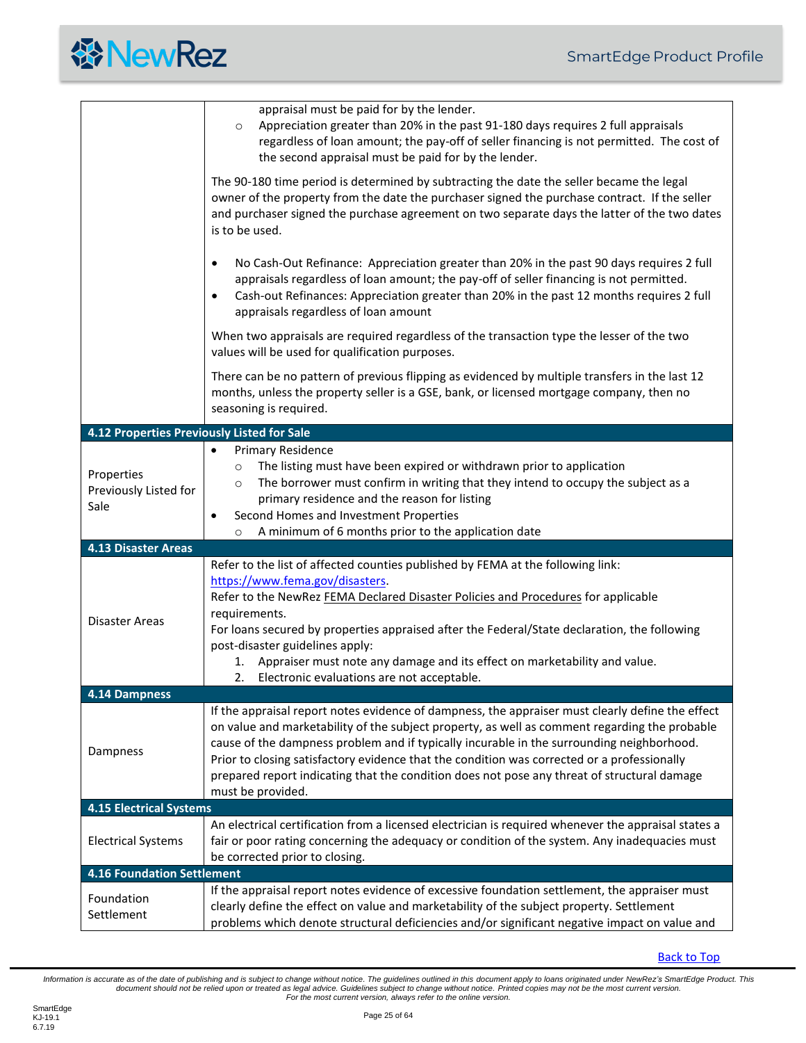|  | <b>餐NewRez</b> |
|--|----------------|
|--|----------------|

<span id="page-24-4"></span><span id="page-24-3"></span><span id="page-24-2"></span><span id="page-24-1"></span><span id="page-24-0"></span>

|                                             | appraisal must be paid for by the lender.<br>Appreciation greater than 20% in the past 91-180 days requires 2 full appraisals<br>$\circ$<br>regardless of loan amount; the pay-off of seller financing is not permitted. The cost of<br>the second appraisal must be paid for by the lender.                                                                                                                                                                                                                      |  |
|---------------------------------------------|-------------------------------------------------------------------------------------------------------------------------------------------------------------------------------------------------------------------------------------------------------------------------------------------------------------------------------------------------------------------------------------------------------------------------------------------------------------------------------------------------------------------|--|
|                                             | The 90-180 time period is determined by subtracting the date the seller became the legal<br>owner of the property from the date the purchaser signed the purchase contract. If the seller<br>and purchaser signed the purchase agreement on two separate days the latter of the two dates<br>is to be used.                                                                                                                                                                                                       |  |
|                                             | No Cash-Out Refinance: Appreciation greater than 20% in the past 90 days requires 2 full<br>$\bullet$<br>appraisals regardless of loan amount; the pay-off of seller financing is not permitted.<br>Cash-out Refinances: Appreciation greater than 20% in the past 12 months requires 2 full<br>$\bullet$<br>appraisals regardless of loan amount                                                                                                                                                                 |  |
|                                             | When two appraisals are required regardless of the transaction type the lesser of the two<br>values will be used for qualification purposes.                                                                                                                                                                                                                                                                                                                                                                      |  |
|                                             | There can be no pattern of previous flipping as evidenced by multiple transfers in the last 12<br>months, unless the property seller is a GSE, bank, or licensed mortgage company, then no<br>seasoning is required.                                                                                                                                                                                                                                                                                              |  |
| 4.12 Properties Previously Listed for Sale  |                                                                                                                                                                                                                                                                                                                                                                                                                                                                                                                   |  |
| Properties<br>Previously Listed for<br>Sale | <b>Primary Residence</b><br>$\bullet$<br>The listing must have been expired or withdrawn prior to application<br>$\circ$<br>The borrower must confirm in writing that they intend to occupy the subject as a<br>$\circ$<br>primary residence and the reason for listing<br>Second Homes and Investment Properties<br>$\bullet$<br>A minimum of 6 months prior to the application date<br>$\circ$                                                                                                                  |  |
| <b>4.13 Disaster Areas</b>                  |                                                                                                                                                                                                                                                                                                                                                                                                                                                                                                                   |  |
| Disaster Areas                              | Refer to the list of affected counties published by FEMA at the following link:<br>https://www.fema.gov/disasters.<br>Refer to the NewRez FEMA Declared Disaster Policies and Procedures for applicable<br>requirements.<br>For loans secured by properties appraised after the Federal/State declaration, the following<br>post-disaster guidelines apply:<br>Appraiser must note any damage and its effect on marketability and value.<br>1.<br>Electronic evaluations are not acceptable.<br>2.                |  |
| 4.14 Dampness                               |                                                                                                                                                                                                                                                                                                                                                                                                                                                                                                                   |  |
| Dampness                                    | If the appraisal report notes evidence of dampness, the appraiser must clearly define the effect<br>on value and marketability of the subject property, as well as comment regarding the probable<br>cause of the dampness problem and if typically incurable in the surrounding neighborhood.<br>Prior to closing satisfactory evidence that the condition was corrected or a professionally<br>prepared report indicating that the condition does not pose any threat of structural damage<br>must be provided. |  |
| <b>4.15 Electrical Systems</b>              |                                                                                                                                                                                                                                                                                                                                                                                                                                                                                                                   |  |
| <b>Electrical Systems</b>                   | An electrical certification from a licensed electrician is required whenever the appraisal states a<br>fair or poor rating concerning the adequacy or condition of the system. Any inadequacies must<br>be corrected prior to closing.                                                                                                                                                                                                                                                                            |  |
| <b>4.16 Foundation Settlement</b>           |                                                                                                                                                                                                                                                                                                                                                                                                                                                                                                                   |  |
| Foundation<br>Settlement                    | If the appraisal report notes evidence of excessive foundation settlement, the appraiser must<br>clearly define the effect on value and marketability of the subject property. Settlement<br>problems which denote structural deficiencies and/or significant negative impact on value and                                                                                                                                                                                                                        |  |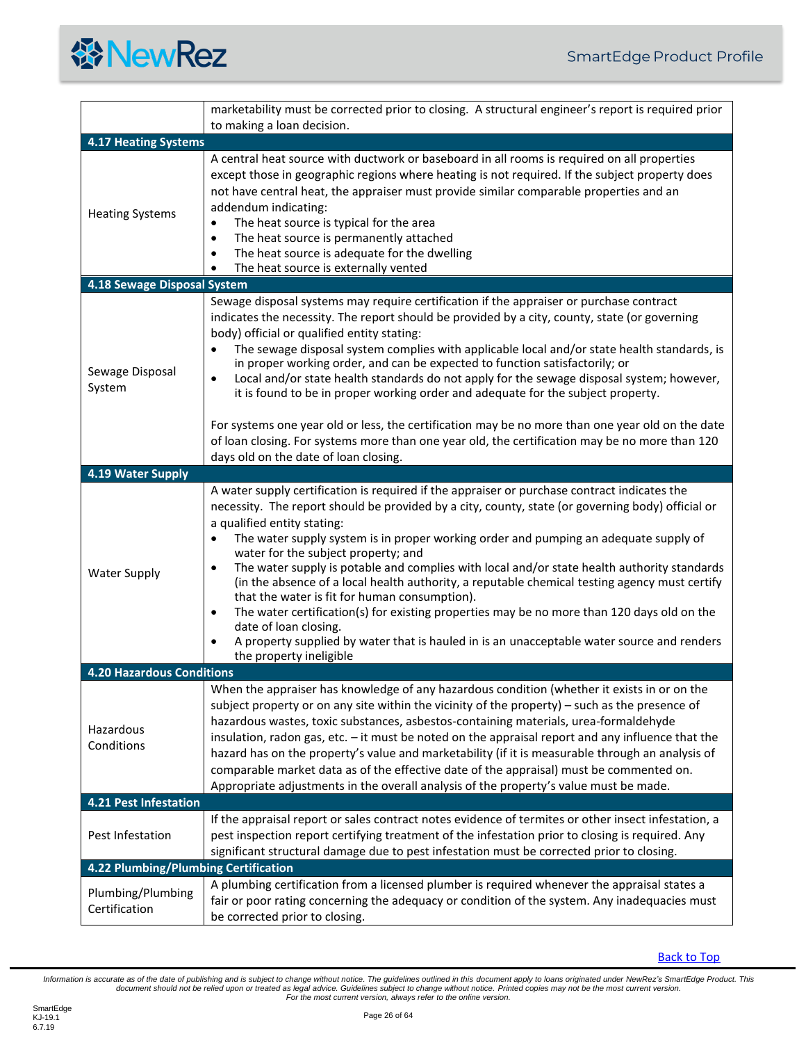<span id="page-25-3"></span><span id="page-25-2"></span><span id="page-25-1"></span><span id="page-25-0"></span>

|                                      | marketability must be corrected prior to closing. A structural engineer's report is required prior<br>to making a loan decision.                                                                                                                                                                                                                                                                                                                                                                                                                                                                                                                                                                                                                                                                                                                                                                     |
|--------------------------------------|------------------------------------------------------------------------------------------------------------------------------------------------------------------------------------------------------------------------------------------------------------------------------------------------------------------------------------------------------------------------------------------------------------------------------------------------------------------------------------------------------------------------------------------------------------------------------------------------------------------------------------------------------------------------------------------------------------------------------------------------------------------------------------------------------------------------------------------------------------------------------------------------------|
| <b>4.17 Heating Systems</b>          |                                                                                                                                                                                                                                                                                                                                                                                                                                                                                                                                                                                                                                                                                                                                                                                                                                                                                                      |
| <b>Heating Systems</b>               | A central heat source with ductwork or baseboard in all rooms is required on all properties<br>except those in geographic regions where heating is not required. If the subject property does<br>not have central heat, the appraiser must provide similar comparable properties and an<br>addendum indicating:<br>The heat source is typical for the area<br>$\bullet$<br>The heat source is permanently attached<br>$\bullet$<br>The heat source is adequate for the dwelling<br>$\bullet$<br>The heat source is externally vented<br>٠                                                                                                                                                                                                                                                                                                                                                            |
| 4.18 Sewage Disposal System          |                                                                                                                                                                                                                                                                                                                                                                                                                                                                                                                                                                                                                                                                                                                                                                                                                                                                                                      |
| Sewage Disposal<br>System            | Sewage disposal systems may require certification if the appraiser or purchase contract<br>indicates the necessity. The report should be provided by a city, county, state (or governing<br>body) official or qualified entity stating:<br>The sewage disposal system complies with applicable local and/or state health standards, is<br>$\bullet$<br>in proper working order, and can be expected to function satisfactorily; or<br>Local and/or state health standards do not apply for the sewage disposal system; however,<br>$\bullet$<br>it is found to be in proper working order and adequate for the subject property.<br>For systems one year old or less, the certification may be no more than one year old on the date                                                                                                                                                                 |
|                                      | of loan closing. For systems more than one year old, the certification may be no more than 120<br>days old on the date of loan closing.                                                                                                                                                                                                                                                                                                                                                                                                                                                                                                                                                                                                                                                                                                                                                              |
| 4.19 Water Supply                    |                                                                                                                                                                                                                                                                                                                                                                                                                                                                                                                                                                                                                                                                                                                                                                                                                                                                                                      |
| <b>Water Supply</b>                  | A water supply certification is required if the appraiser or purchase contract indicates the<br>necessity. The report should be provided by a city, county, state (or governing body) official or<br>a qualified entity stating:<br>The water supply system is in proper working order and pumping an adequate supply of<br>$\bullet$<br>water for the subject property; and<br>The water supply is potable and complies with local and/or state health authority standards<br>٠<br>(in the absence of a local health authority, a reputable chemical testing agency must certify<br>that the water is fit for human consumption).<br>The water certification(s) for existing properties may be no more than 120 days old on the<br>٠<br>date of loan closing.<br>A property supplied by water that is hauled in is an unacceptable water source and renders<br>$\bullet$<br>the property ineligible |
| <b>4.20 Hazardous Conditions</b>     |                                                                                                                                                                                                                                                                                                                                                                                                                                                                                                                                                                                                                                                                                                                                                                                                                                                                                                      |
| Hazardous<br>Conditions              | When the appraiser has knowledge of any hazardous condition (whether it exists in or on the<br>subject property or on any site within the vicinity of the property) - such as the presence of<br>hazardous wastes, toxic substances, asbestos-containing materials, urea-formaldehyde<br>insulation, radon gas, etc. $-$ it must be noted on the appraisal report and any influence that the<br>hazard has on the property's value and marketability (if it is measurable through an analysis of<br>comparable market data as of the effective date of the appraisal) must be commented on.<br>Appropriate adjustments in the overall analysis of the property's value must be made.                                                                                                                                                                                                                 |
| <b>4.21 Pest Infestation</b>         |                                                                                                                                                                                                                                                                                                                                                                                                                                                                                                                                                                                                                                                                                                                                                                                                                                                                                                      |
| Pest Infestation                     | If the appraisal report or sales contract notes evidence of termites or other insect infestation, a<br>pest inspection report certifying treatment of the infestation prior to closing is required. Any<br>significant structural damage due to pest infestation must be corrected prior to closing.                                                                                                                                                                                                                                                                                                                                                                                                                                                                                                                                                                                                 |
| 4.22 Plumbing/Plumbing Certification |                                                                                                                                                                                                                                                                                                                                                                                                                                                                                                                                                                                                                                                                                                                                                                                                                                                                                                      |
| Plumbing/Plumbing<br>Certification   | A plumbing certification from a licensed plumber is required whenever the appraisal states a<br>fair or poor rating concerning the adequacy or condition of the system. Any inadequacies must<br>be corrected prior to closing.                                                                                                                                                                                                                                                                                                                                                                                                                                                                                                                                                                                                                                                                      |

<span id="page-25-5"></span><span id="page-25-4"></span>**[Back to Top](#page-2-0)**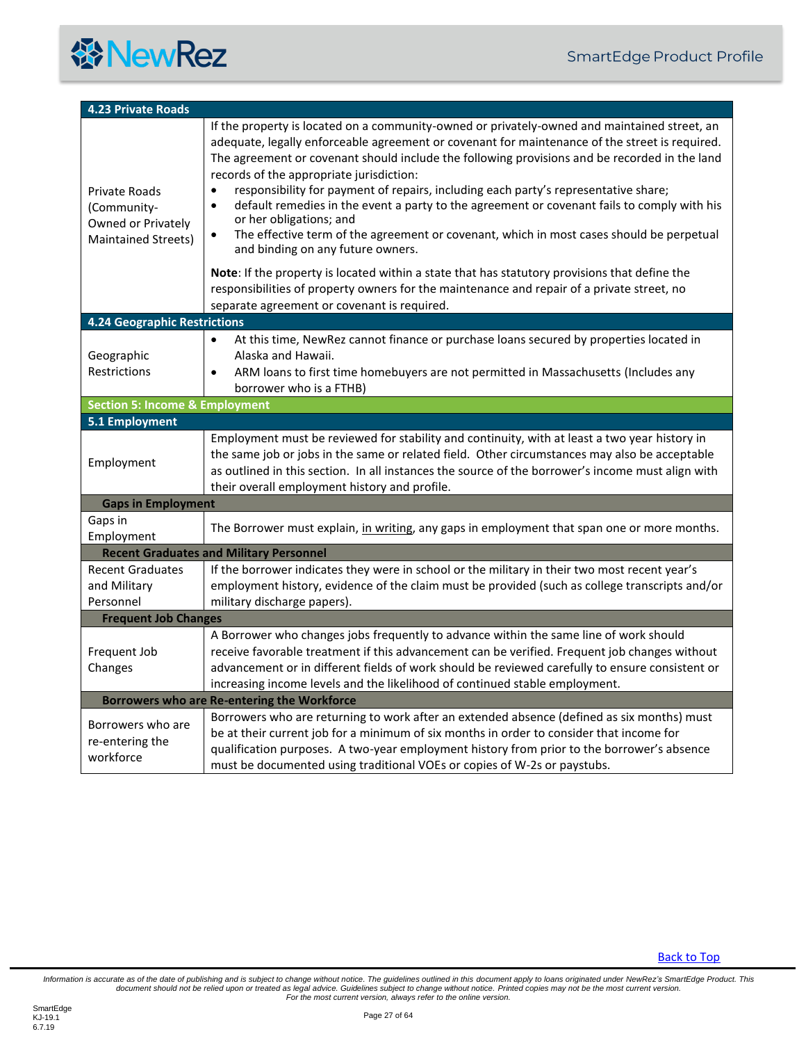<span id="page-26-7"></span><span id="page-26-6"></span><span id="page-26-5"></span><span id="page-26-4"></span><span id="page-26-3"></span><span id="page-26-2"></span><span id="page-26-1"></span><span id="page-26-0"></span>

| <b>4.23 Private Roads</b>                                                 |                                                                                                                                                                                                                                                                                                                                                                                                                                                                                                                                                                                                                                                                                                                                      |  |
|---------------------------------------------------------------------------|--------------------------------------------------------------------------------------------------------------------------------------------------------------------------------------------------------------------------------------------------------------------------------------------------------------------------------------------------------------------------------------------------------------------------------------------------------------------------------------------------------------------------------------------------------------------------------------------------------------------------------------------------------------------------------------------------------------------------------------|--|
| Private Roads<br>(Community-<br>Owned or Privately<br>Maintained Streets) | If the property is located on a community-owned or privately-owned and maintained street, an<br>adequate, legally enforceable agreement or covenant for maintenance of the street is required.<br>The agreement or covenant should include the following provisions and be recorded in the land<br>records of the appropriate jurisdiction:<br>responsibility for payment of repairs, including each party's representative share;<br>$\bullet$<br>default remedies in the event a party to the agreement or covenant fails to comply with his<br>$\bullet$<br>or her obligations; and<br>The effective term of the agreement or covenant, which in most cases should be perpetual<br>$\bullet$<br>and binding on any future owners. |  |
|                                                                           | Note: If the property is located within a state that has statutory provisions that define the<br>responsibilities of property owners for the maintenance and repair of a private street, no<br>separate agreement or covenant is required.                                                                                                                                                                                                                                                                                                                                                                                                                                                                                           |  |
| <b>4.24 Geographic Restrictions</b>                                       |                                                                                                                                                                                                                                                                                                                                                                                                                                                                                                                                                                                                                                                                                                                                      |  |
| Geographic<br>Restrictions                                                | At this time, NewRez cannot finance or purchase loans secured by properties located in<br>$\bullet$<br>Alaska and Hawaii.<br>ARM loans to first time homebuyers are not permitted in Massachusetts (Includes any<br>borrower who is a FTHB)                                                                                                                                                                                                                                                                                                                                                                                                                                                                                          |  |
| <b>Section 5: Income &amp; Employment</b>                                 |                                                                                                                                                                                                                                                                                                                                                                                                                                                                                                                                                                                                                                                                                                                                      |  |
| 5.1 Employment                                                            |                                                                                                                                                                                                                                                                                                                                                                                                                                                                                                                                                                                                                                                                                                                                      |  |
| Employment                                                                | Employment must be reviewed for stability and continuity, with at least a two year history in<br>the same job or jobs in the same or related field. Other circumstances may also be acceptable<br>as outlined in this section. In all instances the source of the borrower's income must align with<br>their overall employment history and profile.                                                                                                                                                                                                                                                                                                                                                                                 |  |
| <b>Gaps in Employment</b>                                                 |                                                                                                                                                                                                                                                                                                                                                                                                                                                                                                                                                                                                                                                                                                                                      |  |
| Gaps in<br>Employment                                                     | The Borrower must explain, in writing, any gaps in employment that span one or more months.                                                                                                                                                                                                                                                                                                                                                                                                                                                                                                                                                                                                                                          |  |
|                                                                           | <b>Recent Graduates and Military Personnel</b>                                                                                                                                                                                                                                                                                                                                                                                                                                                                                                                                                                                                                                                                                       |  |
| <b>Recent Graduates</b><br>and Military<br>Personnel                      | If the borrower indicates they were in school or the military in their two most recent year's<br>employment history, evidence of the claim must be provided (such as college transcripts and/or<br>military discharge papers).                                                                                                                                                                                                                                                                                                                                                                                                                                                                                                       |  |
| <b>Frequent Job Changes</b>                                               |                                                                                                                                                                                                                                                                                                                                                                                                                                                                                                                                                                                                                                                                                                                                      |  |
| Frequent Job<br>Changes                                                   | A Borrower who changes jobs frequently to advance within the same line of work should<br>receive favorable treatment if this advancement can be verified. Frequent job changes without<br>advancement or in different fields of work should be reviewed carefully to ensure consistent or<br>increasing income levels and the likelihood of continued stable employment.                                                                                                                                                                                                                                                                                                                                                             |  |
| Borrowers who are Re-entering the Workforce                               |                                                                                                                                                                                                                                                                                                                                                                                                                                                                                                                                                                                                                                                                                                                                      |  |
| Borrowers who are<br>re-entering the<br>workforce                         | Borrowers who are returning to work after an extended absence (defined as six months) must<br>be at their current job for a minimum of six months in order to consider that income for<br>qualification purposes. A two-year employment history from prior to the borrower's absence<br>must be documented using traditional VOEs or copies of W-2s or paystubs.                                                                                                                                                                                                                                                                                                                                                                     |  |

<span id="page-26-8"></span>**[Back to Top](#page-2-0)**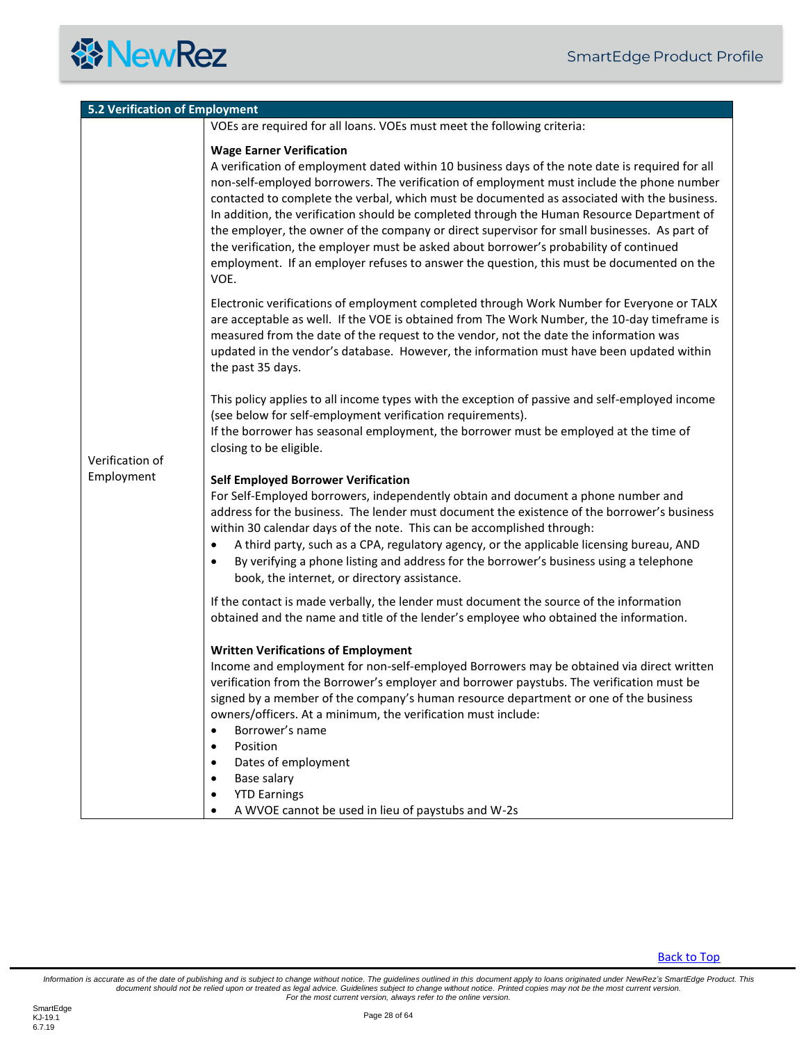| <b>5.2 Verification of Employment</b> |                                                                                                                                                                                                                                                                                                                                                                                                                                                                                                                                                                                                                                                                                                                             |  |
|---------------------------------------|-----------------------------------------------------------------------------------------------------------------------------------------------------------------------------------------------------------------------------------------------------------------------------------------------------------------------------------------------------------------------------------------------------------------------------------------------------------------------------------------------------------------------------------------------------------------------------------------------------------------------------------------------------------------------------------------------------------------------------|--|
|                                       | VOEs are required for all loans. VOEs must meet the following criteria:                                                                                                                                                                                                                                                                                                                                                                                                                                                                                                                                                                                                                                                     |  |
| Verification of<br>Employment         | <b>Wage Earner Verification</b><br>A verification of employment dated within 10 business days of the note date is required for all<br>non-self-employed borrowers. The verification of employment must include the phone number<br>contacted to complete the verbal, which must be documented as associated with the business.<br>In addition, the verification should be completed through the Human Resource Department of<br>the employer, the owner of the company or direct supervisor for small businesses. As part of<br>the verification, the employer must be asked about borrower's probability of continued<br>employment. If an employer refuses to answer the question, this must be documented on the<br>VOE. |  |
|                                       | Electronic verifications of employment completed through Work Number for Everyone or TALX<br>are acceptable as well. If the VOE is obtained from The Work Number, the 10-day timeframe is<br>measured from the date of the request to the vendor, not the date the information was<br>updated in the vendor's database. However, the information must have been updated within<br>the past 35 days.                                                                                                                                                                                                                                                                                                                         |  |
|                                       | This policy applies to all income types with the exception of passive and self-employed income<br>(see below for self-employment verification requirements).<br>If the borrower has seasonal employment, the borrower must be employed at the time of<br>closing to be eligible.                                                                                                                                                                                                                                                                                                                                                                                                                                            |  |
|                                       | <b>Self Employed Borrower Verification</b><br>For Self-Employed borrowers, independently obtain and document a phone number and<br>address for the business. The lender must document the existence of the borrower's business<br>within 30 calendar days of the note. This can be accomplished through:<br>A third party, such as a CPA, regulatory agency, or the applicable licensing bureau, AND<br>$\bullet$<br>By verifying a phone listing and address for the borrower's business using a telephone<br>$\bullet$<br>book, the internet, or directory assistance.                                                                                                                                                    |  |
|                                       | If the contact is made verbally, the lender must document the source of the information<br>obtained and the name and title of the lender's employee who obtained the information.                                                                                                                                                                                                                                                                                                                                                                                                                                                                                                                                           |  |
|                                       | <b>Written Verifications of Employment</b><br>Income and employment for non-self-employed Borrowers may be obtained via direct written<br>verification from the Borrower's employer and borrower paystubs. The verification must be<br>signed by a member of the company's human resource department or one of the business<br>owners/officers. At a minimum, the verification must include:<br>Borrower's name<br>$\bullet$<br>Position<br>$\bullet$<br>Dates of employment<br>٠<br>Base salary<br>$\bullet$<br><b>YTD Earnings</b><br>٠<br>A WVOE cannot be used in lieu of paystubs and W-2s<br>$\bullet$                                                                                                                |  |

<span id="page-27-0"></span>[Back to Top](#page-2-0)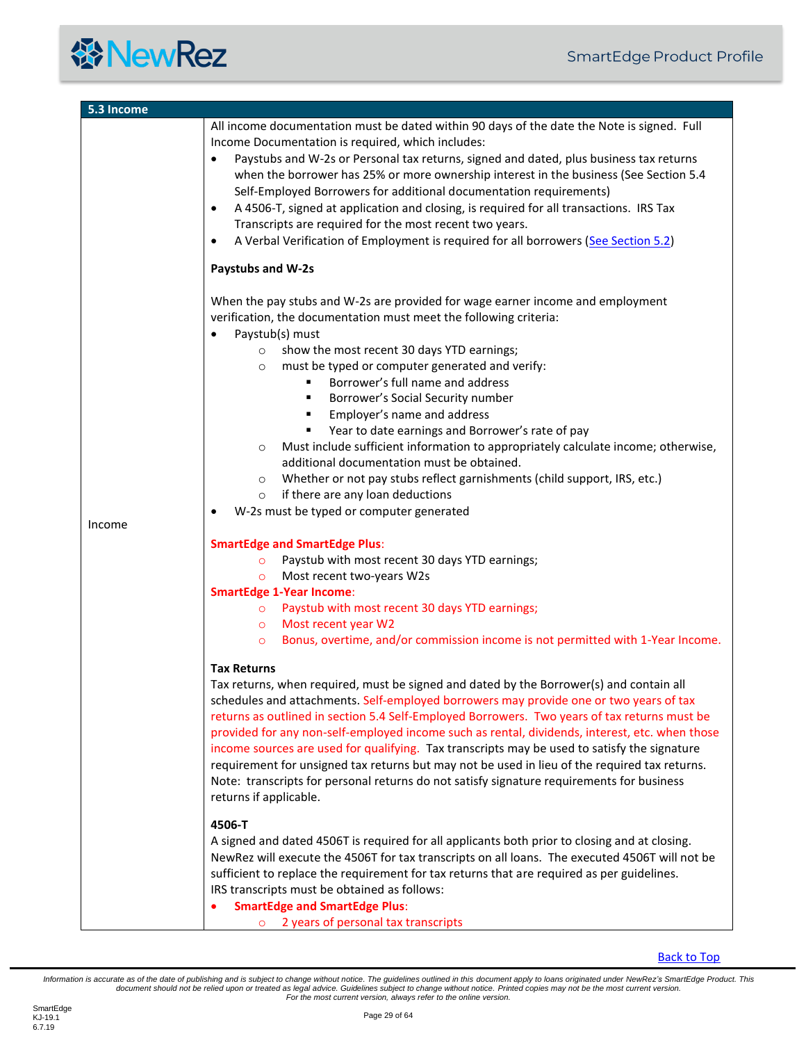#### **餐NewRez**

| 5.3 Income |                                                                                                                                                                                                                                                                                                                                                                                                                                                                                                                                                                                                                                                                                                                                   |
|------------|-----------------------------------------------------------------------------------------------------------------------------------------------------------------------------------------------------------------------------------------------------------------------------------------------------------------------------------------------------------------------------------------------------------------------------------------------------------------------------------------------------------------------------------------------------------------------------------------------------------------------------------------------------------------------------------------------------------------------------------|
|            | All income documentation must be dated within 90 days of the date the Note is signed. Full                                                                                                                                                                                                                                                                                                                                                                                                                                                                                                                                                                                                                                        |
|            | Income Documentation is required, which includes:                                                                                                                                                                                                                                                                                                                                                                                                                                                                                                                                                                                                                                                                                 |
|            | Paystubs and W-2s or Personal tax returns, signed and dated, plus business tax returns<br>$\bullet$<br>when the borrower has 25% or more ownership interest in the business (See Section 5.4<br>Self-Employed Borrowers for additional documentation requirements)<br>A 4506-T, signed at application and closing, is required for all transactions. IRS Tax<br>Transcripts are required for the most recent two years.<br>A Verbal Verification of Employment is required for all borrowers (See Section 5.2)<br>$\bullet$                                                                                                                                                                                                       |
|            | Paystubs and W-2s                                                                                                                                                                                                                                                                                                                                                                                                                                                                                                                                                                                                                                                                                                                 |
|            | When the pay stubs and W-2s are provided for wage earner income and employment<br>verification, the documentation must meet the following criteria:<br>Paystub(s) must<br>show the most recent 30 days YTD earnings;<br>$\circ$<br>must be typed or computer generated and verify:<br>$\circ$<br>Borrower's full name and address<br>Borrower's Social Security number<br>Employer's name and address<br>٠<br>Year to date earnings and Borrower's rate of pay<br>٠<br>Must include sufficient information to appropriately calculate income; otherwise,<br>$\circ$<br>additional documentation must be obtained.                                                                                                                 |
|            | Whether or not pay stubs reflect garnishments (child support, IRS, etc.)<br>$\circ$                                                                                                                                                                                                                                                                                                                                                                                                                                                                                                                                                                                                                                               |
|            | if there are any loan deductions<br>$\circ$                                                                                                                                                                                                                                                                                                                                                                                                                                                                                                                                                                                                                                                                                       |
| Income     | W-2s must be typed or computer generated                                                                                                                                                                                                                                                                                                                                                                                                                                                                                                                                                                                                                                                                                          |
|            | <b>SmartEdge and SmartEdge Plus:</b><br>Paystub with most recent 30 days YTD earnings;<br>$\circ$<br>Most recent two-years W2s<br>$\circ$                                                                                                                                                                                                                                                                                                                                                                                                                                                                                                                                                                                         |
|            | <b>SmartEdge 1-Year Income:</b>                                                                                                                                                                                                                                                                                                                                                                                                                                                                                                                                                                                                                                                                                                   |
|            | o Paystub with most recent 30 days YTD earnings;                                                                                                                                                                                                                                                                                                                                                                                                                                                                                                                                                                                                                                                                                  |
|            | o Most recent year W2                                                                                                                                                                                                                                                                                                                                                                                                                                                                                                                                                                                                                                                                                                             |
|            | Bonus, overtime, and/or commission income is not permitted with 1-Year Income.<br>$\circ$                                                                                                                                                                                                                                                                                                                                                                                                                                                                                                                                                                                                                                         |
|            | <b>Tax Returns</b><br>Tax returns, when required, must be signed and dated by the Borrower(s) and contain all<br>schedules and attachments. Self-employed borrowers may provide one or two years of tax<br>returns as outlined in section 5.4 Self-Employed Borrowers. Two years of tax returns must be<br>provided for any non-self-employed income such as rental, dividends, interest, etc. when those<br>income sources are used for qualifying. Tax transcripts may be used to satisfy the signature<br>requirement for unsigned tax returns but may not be used in lieu of the required tax returns.<br>Note: transcripts for personal returns do not satisfy signature requirements for business<br>returns if applicable. |
|            | 4506-T<br>A signed and dated 4506T is required for all applicants both prior to closing and at closing.<br>NewRez will execute the 4506T for tax transcripts on all loans. The executed 4506T will not be<br>sufficient to replace the requirement for tax returns that are required as per guidelines.<br>IRS transcripts must be obtained as follows:<br><b>SmartEdge and SmartEdge Plus:</b><br>2 years of personal tax transcripts<br>$\circ$                                                                                                                                                                                                                                                                                 |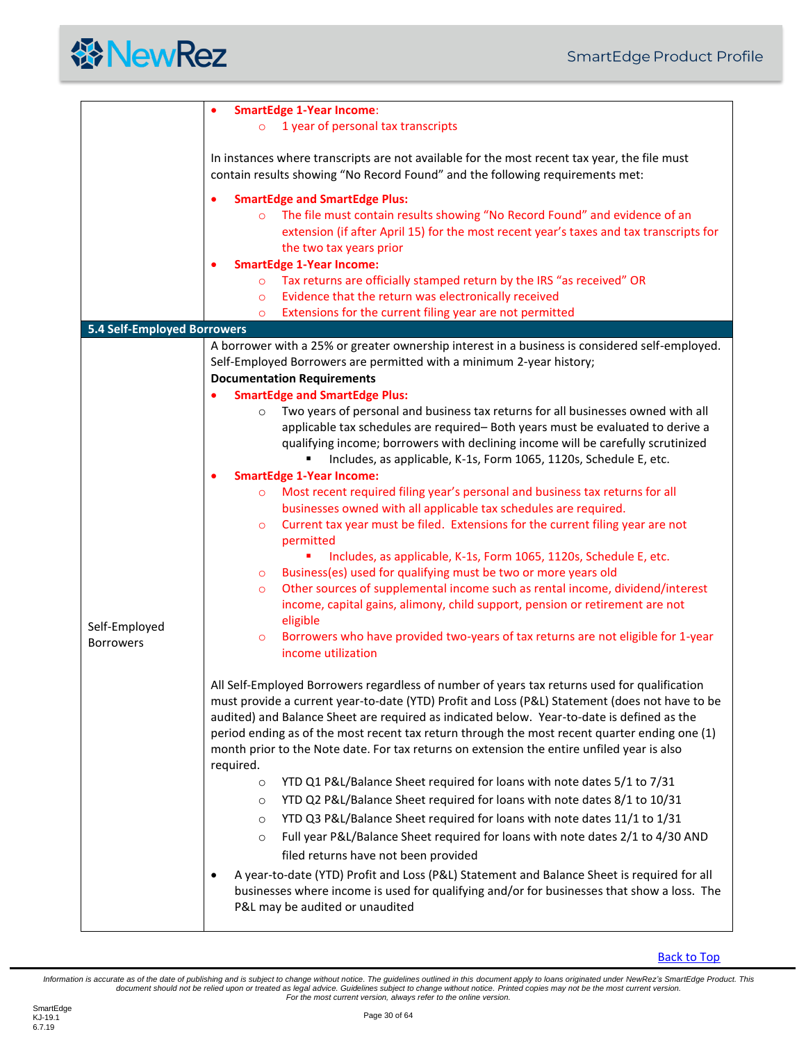<span id="page-29-0"></span>

|                             | <b>SmartEdge 1-Year Income:</b>                                                                                                                                                                            |
|-----------------------------|------------------------------------------------------------------------------------------------------------------------------------------------------------------------------------------------------------|
|                             | 1 year of personal tax transcripts                                                                                                                                                                         |
|                             | In instances where transcripts are not available for the most recent tax year, the file must                                                                                                               |
|                             | contain results showing "No Record Found" and the following requirements met:                                                                                                                              |
|                             |                                                                                                                                                                                                            |
|                             | <b>SmartEdge and SmartEdge Plus:</b>                                                                                                                                                                       |
|                             | The file must contain results showing "No Record Found" and evidence of an<br>$\circ$<br>extension (if after April 15) for the most recent year's taxes and tax transcripts for<br>the two tax years prior |
|                             | <b>SmartEdge 1-Year Income:</b>                                                                                                                                                                            |
|                             |                                                                                                                                                                                                            |
|                             | Tax returns are officially stamped return by the IRS "as received" OR<br>$\circ$                                                                                                                           |
|                             | Evidence that the return was electronically received<br>$\circ$                                                                                                                                            |
|                             | Extensions for the current filing year are not permitted<br>$\circ$                                                                                                                                        |
| 5.4 Self-Employed Borrowers |                                                                                                                                                                                                            |
|                             | A borrower with a 25% or greater ownership interest in a business is considered self-employed.                                                                                                             |
|                             | Self-Employed Borrowers are permitted with a minimum 2-year history;                                                                                                                                       |
|                             | <b>Documentation Requirements</b>                                                                                                                                                                          |
|                             | <b>SmartEdge and SmartEdge Plus:</b>                                                                                                                                                                       |
|                             | Two years of personal and business tax returns for all businesses owned with all<br>$\circ$                                                                                                                |
|                             | applicable tax schedules are required- Both years must be evaluated to derive a                                                                                                                            |
|                             | qualifying income; borrowers with declining income will be carefully scrutinized                                                                                                                           |
|                             | Includes, as applicable, K-1s, Form 1065, 1120s, Schedule E, etc.                                                                                                                                          |
|                             | <b>SmartEdge 1-Year Income:</b><br>٠<br>Most recent required filing year's personal and business tax returns for all                                                                                       |
|                             | $\circ$<br>businesses owned with all applicable tax schedules are required.                                                                                                                                |
|                             | Current tax year must be filed. Extensions for the current filing year are not<br>$\circ$                                                                                                                  |
|                             | permitted                                                                                                                                                                                                  |
|                             | Includes, as applicable, K-1s, Form 1065, 1120s, Schedule E, etc.<br>٠                                                                                                                                     |
|                             | Business(es) used for qualifying must be two or more years old<br>$\circ$                                                                                                                                  |
|                             | Other sources of supplemental income such as rental income, dividend/interest<br>$\circ$                                                                                                                   |
|                             | income, capital gains, alimony, child support, pension or retirement are not                                                                                                                               |
| Self-Employed               | eligible                                                                                                                                                                                                   |
| <b>Borrowers</b>            | Borrowers who have provided two-years of tax returns are not eligible for 1-year<br>$\circ$                                                                                                                |
|                             | income utilization                                                                                                                                                                                         |
|                             |                                                                                                                                                                                                            |
|                             | All Self-Employed Borrowers regardless of number of years tax returns used for qualification                                                                                                               |
|                             | must provide a current year-to-date (YTD) Profit and Loss (P&L) Statement (does not have to be                                                                                                             |
|                             | audited) and Balance Sheet are required as indicated below. Year-to-date is defined as the                                                                                                                 |
|                             | period ending as of the most recent tax return through the most recent quarter ending one (1)                                                                                                              |
|                             | month prior to the Note date. For tax returns on extension the entire unfiled year is also                                                                                                                 |
|                             | required.                                                                                                                                                                                                  |
|                             | YTD Q1 P&L/Balance Sheet required for loans with note dates 5/1 to 7/31<br>$\circ$                                                                                                                         |
|                             | YTD Q2 P&L/Balance Sheet required for loans with note dates 8/1 to 10/31<br>$\circ$                                                                                                                        |
|                             | YTD Q3 P&L/Balance Sheet required for loans with note dates 11/1 to 1/31<br>$\circ$                                                                                                                        |
|                             | Full year P&L/Balance Sheet required for loans with note dates 2/1 to 4/30 AND<br>$\circ$                                                                                                                  |
|                             | filed returns have not been provided                                                                                                                                                                       |
|                             | A year-to-date (YTD) Profit and Loss (P&L) Statement and Balance Sheet is required for all                                                                                                                 |
|                             | businesses where income is used for qualifying and/or for businesses that show a loss. The                                                                                                                 |
|                             | P&L may be audited or unaudited                                                                                                                                                                            |
|                             |                                                                                                                                                                                                            |

[Back to Top](#page-2-0)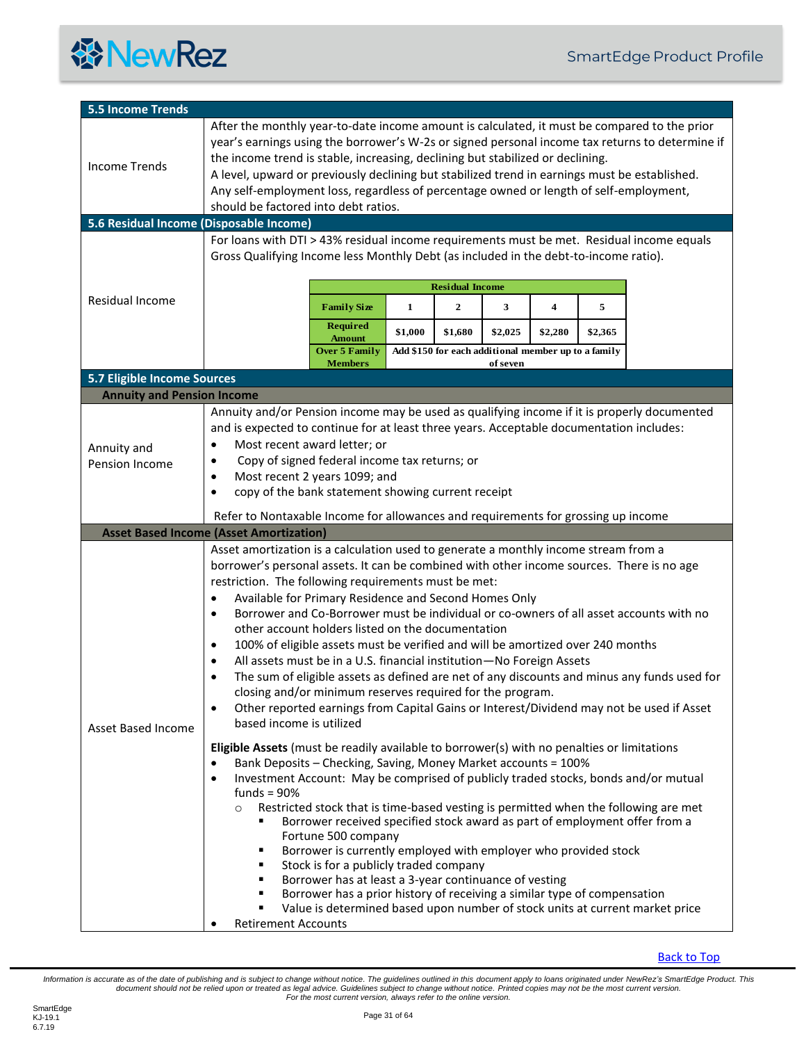

<span id="page-30-4"></span><span id="page-30-3"></span><span id="page-30-2"></span><span id="page-30-1"></span><span id="page-30-0"></span>

| <b>5.5 Income Trends</b>                                         |                                                                                                                                                                                                                                                                                                                                                                                                                                                                                                                                                                                                                                                                                                                                                                                                                                                                                                                                                                                                                                                                                                                 |  |
|------------------------------------------------------------------|-----------------------------------------------------------------------------------------------------------------------------------------------------------------------------------------------------------------------------------------------------------------------------------------------------------------------------------------------------------------------------------------------------------------------------------------------------------------------------------------------------------------------------------------------------------------------------------------------------------------------------------------------------------------------------------------------------------------------------------------------------------------------------------------------------------------------------------------------------------------------------------------------------------------------------------------------------------------------------------------------------------------------------------------------------------------------------------------------------------------|--|
| <b>Income Trends</b>                                             | After the monthly year-to-date income amount is calculated, it must be compared to the prior<br>year's earnings using the borrower's W-2s or signed personal income tax returns to determine if<br>the income trend is stable, increasing, declining but stabilized or declining.<br>A level, upward or previously declining but stabilized trend in earnings must be established.<br>Any self-employment loss, regardless of percentage owned or length of self-employment,<br>should be factored into debt ratios.                                                                                                                                                                                                                                                                                                                                                                                                                                                                                                                                                                                            |  |
| 5.6 Residual Income (Disposable Income)                          |                                                                                                                                                                                                                                                                                                                                                                                                                                                                                                                                                                                                                                                                                                                                                                                                                                                                                                                                                                                                                                                                                                                 |  |
| <b>Residual Income</b>                                           | For loans with DTI > 43% residual income requirements must be met. Residual income equals<br>Gross Qualifying Income less Monthly Debt (as included in the debt-to-income ratio).<br><b>Residual Income</b><br>5<br><b>Family Size</b><br>1<br>$\mathbf{2}$<br>3<br>4<br><b>Required</b><br>\$1,000<br>\$1,680<br>\$2,025<br>\$2,280<br>\$2,365<br><b>Amount</b><br>Add \$150 for each additional member up to a family<br><b>Over 5 Family</b>                                                                                                                                                                                                                                                                                                                                                                                                                                                                                                                                                                                                                                                                 |  |
|                                                                  | <b>Members</b><br>of seven                                                                                                                                                                                                                                                                                                                                                                                                                                                                                                                                                                                                                                                                                                                                                                                                                                                                                                                                                                                                                                                                                      |  |
| 5.7 Eligible Income Sources<br><b>Annuity and Pension Income</b> |                                                                                                                                                                                                                                                                                                                                                                                                                                                                                                                                                                                                                                                                                                                                                                                                                                                                                                                                                                                                                                                                                                                 |  |
| Annuity and<br>Pension Income                                    | Annuity and/or Pension income may be used as qualifying income if it is properly documented<br>and is expected to continue for at least three years. Acceptable documentation includes:<br>Most recent award letter; or<br>$\bullet$<br>Copy of signed federal income tax returns; or<br>$\bullet$<br>Most recent 2 years 1099; and<br>$\bullet$<br>copy of the bank statement showing current receipt<br>$\bullet$                                                                                                                                                                                                                                                                                                                                                                                                                                                                                                                                                                                                                                                                                             |  |
|                                                                  | Refer to Nontaxable Income for allowances and requirements for grossing up income<br><b>Asset Based Income (Asset Amortization)</b>                                                                                                                                                                                                                                                                                                                                                                                                                                                                                                                                                                                                                                                                                                                                                                                                                                                                                                                                                                             |  |
| <b>Asset Based Income</b>                                        | Asset amortization is a calculation used to generate a monthly income stream from a<br>borrower's personal assets. It can be combined with other income sources. There is no age<br>restriction. The following requirements must be met:<br>Available for Primary Residence and Second Homes Only<br>٠<br>Borrower and Co-Borrower must be individual or co-owners of all asset accounts with no<br>$\bullet$<br>other account holders listed on the documentation<br>100% of eligible assets must be verified and will be amortized over 240 months<br>٠<br>All assets must be in a U.S. financial institution-No Foreign Assets<br>The sum of eligible assets as defined are net of any discounts and minus any funds used for<br>closing and/or minimum reserves required for the program.<br>Other reported earnings from Capital Gains or Interest/Dividend may not be used if Asset<br>$\bullet$<br>based income is utilized<br>Eligible Assets (must be readily available to borrower(s) with no penalties or limitations<br>Bank Deposits - Checking, Saving, Money Market accounts = 100%<br>$\bullet$ |  |
|                                                                  | Investment Account: May be comprised of publicly traded stocks, bonds and/or mutual<br>$\bullet$<br>funds = $90%$<br>Restricted stock that is time-based vesting is permitted when the following are met<br>$\circ$<br>Borrower received specified stock award as part of employment offer from a<br>٠<br>Fortune 500 company<br>Borrower is currently employed with employer who provided stock<br>٠<br>Stock is for a publicly traded company<br>٠<br>Borrower has at least a 3-year continuance of vesting<br>٠<br>Borrower has a prior history of receiving a similar type of compensation<br>Value is determined based upon number of stock units at current market price<br><b>Retirement Accounts</b>                                                                                                                                                                                                                                                                                                                                                                                                    |  |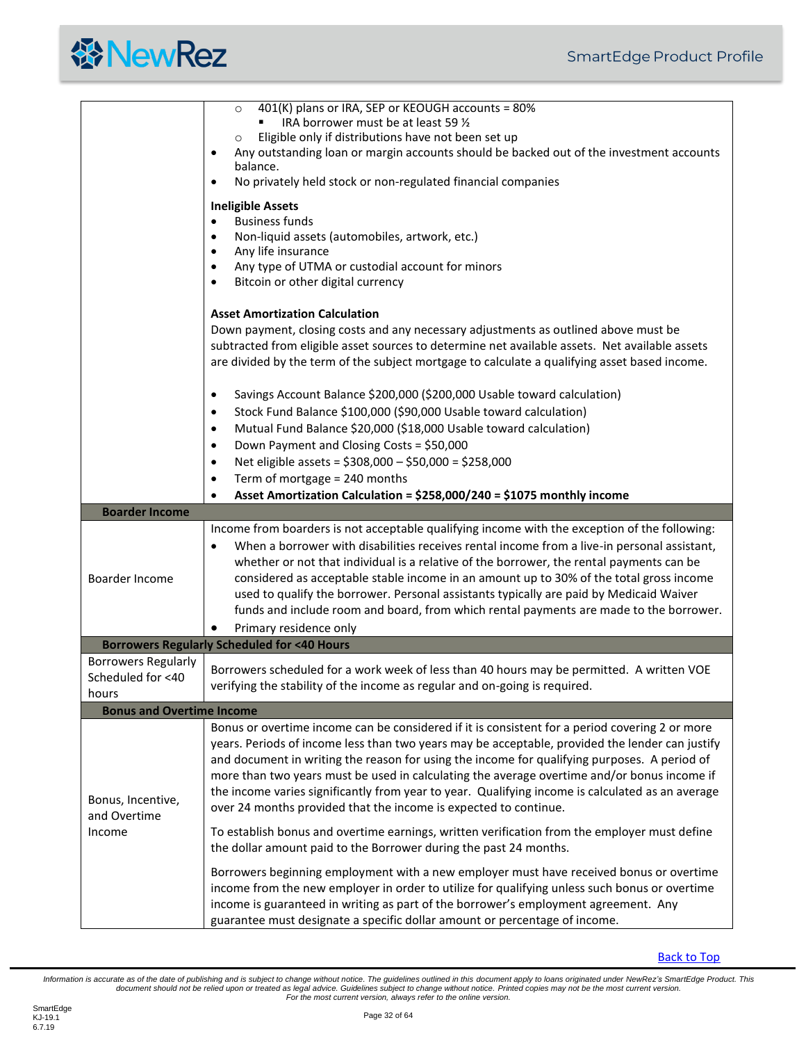<span id="page-31-2"></span><span id="page-31-1"></span><span id="page-31-0"></span>

|                                                          | 401(K) plans or IRA, SEP or KEOUGH accounts = 80%<br>$\circ$<br>IRA borrower must be at least 59 1/2<br>Eligible only if distributions have not been set up<br>$\circ$<br>Any outstanding loan or margin accounts should be backed out of the investment accounts<br>$\bullet$<br>balance.                                                                                                                                                                                                                                                                                                                      |  |
|----------------------------------------------------------|-----------------------------------------------------------------------------------------------------------------------------------------------------------------------------------------------------------------------------------------------------------------------------------------------------------------------------------------------------------------------------------------------------------------------------------------------------------------------------------------------------------------------------------------------------------------------------------------------------------------|--|
|                                                          | No privately held stock or non-regulated financial companies<br>$\bullet$<br><b>Ineligible Assets</b>                                                                                                                                                                                                                                                                                                                                                                                                                                                                                                           |  |
|                                                          | <b>Business funds</b><br>$\bullet$<br>Non-liquid assets (automobiles, artwork, etc.)<br>$\bullet$<br>Any life insurance<br>$\bullet$<br>Any type of UTMA or custodial account for minors<br>$\bullet$<br>Bitcoin or other digital currency                                                                                                                                                                                                                                                                                                                                                                      |  |
|                                                          | <b>Asset Amortization Calculation</b><br>Down payment, closing costs and any necessary adjustments as outlined above must be<br>subtracted from eligible asset sources to determine net available assets. Net available assets<br>are divided by the term of the subject mortgage to calculate a qualifying asset based income.                                                                                                                                                                                                                                                                                 |  |
|                                                          | Savings Account Balance \$200,000 (\$200,000 Usable toward calculation)<br>$\bullet$<br>Stock Fund Balance \$100,000 (\$90,000 Usable toward calculation)<br>$\bullet$<br>Mutual Fund Balance \$20,000 (\$18,000 Usable toward calculation)<br>$\bullet$<br>Down Payment and Closing Costs = \$50,000<br>$\bullet$<br>Net eligible assets = \$308,000 - \$50,000 = \$258,000<br>$\bullet$                                                                                                                                                                                                                       |  |
|                                                          | Term of mortgage = 240 months<br>٠<br>Asset Amortization Calculation = \$258,000/240 = \$1075 monthly income                                                                                                                                                                                                                                                                                                                                                                                                                                                                                                    |  |
| <b>Boarder Income</b>                                    |                                                                                                                                                                                                                                                                                                                                                                                                                                                                                                                                                                                                                 |  |
| Boarder Income                                           | Income from boarders is not acceptable qualifying income with the exception of the following:<br>When a borrower with disabilities receives rental income from a live-in personal assistant,<br>$\bullet$<br>whether or not that individual is a relative of the borrower, the rental payments can be<br>considered as acceptable stable income in an amount up to 30% of the total gross income<br>used to qualify the borrower. Personal assistants typically are paid by Medicaid Waiver<br>funds and include room and board, from which rental payments are made to the borrower.<br>Primary residence only |  |
|                                                          | <b>Borrowers Regularly Scheduled for &lt;40 Hours</b>                                                                                                                                                                                                                                                                                                                                                                                                                                                                                                                                                           |  |
| <b>Borrowers Regularly</b><br>Scheduled for <40<br>hours | Borrowers scheduled for a work week of less than 40 hours may be permitted. A written VOE<br>verifying the stability of the income as regular and on-going is required.                                                                                                                                                                                                                                                                                                                                                                                                                                         |  |
| <b>Bonus and Overtime Income</b>                         |                                                                                                                                                                                                                                                                                                                                                                                                                                                                                                                                                                                                                 |  |
| Bonus, Incentive,<br>and Overtime                        | Bonus or overtime income can be considered if it is consistent for a period covering 2 or more<br>years. Periods of income less than two years may be acceptable, provided the lender can justify<br>and document in writing the reason for using the income for qualifying purposes. A period of<br>more than two years must be used in calculating the average overtime and/or bonus income if<br>the income varies significantly from year to year. Qualifying income is calculated as an average<br>over 24 months provided that the income is expected to continue.                                        |  |
| Income                                                   | To establish bonus and overtime earnings, written verification from the employer must define<br>the dollar amount paid to the Borrower during the past 24 months.                                                                                                                                                                                                                                                                                                                                                                                                                                               |  |
|                                                          | Borrowers beginning employment with a new employer must have received bonus or overtime<br>income from the new employer in order to utilize for qualifying unless such bonus or overtime<br>income is guaranteed in writing as part of the borrower's employment agreement. Any<br>guarantee must designate a specific dollar amount or percentage of income.                                                                                                                                                                                                                                                   |  |

**[Back to Top](#page-2-0)**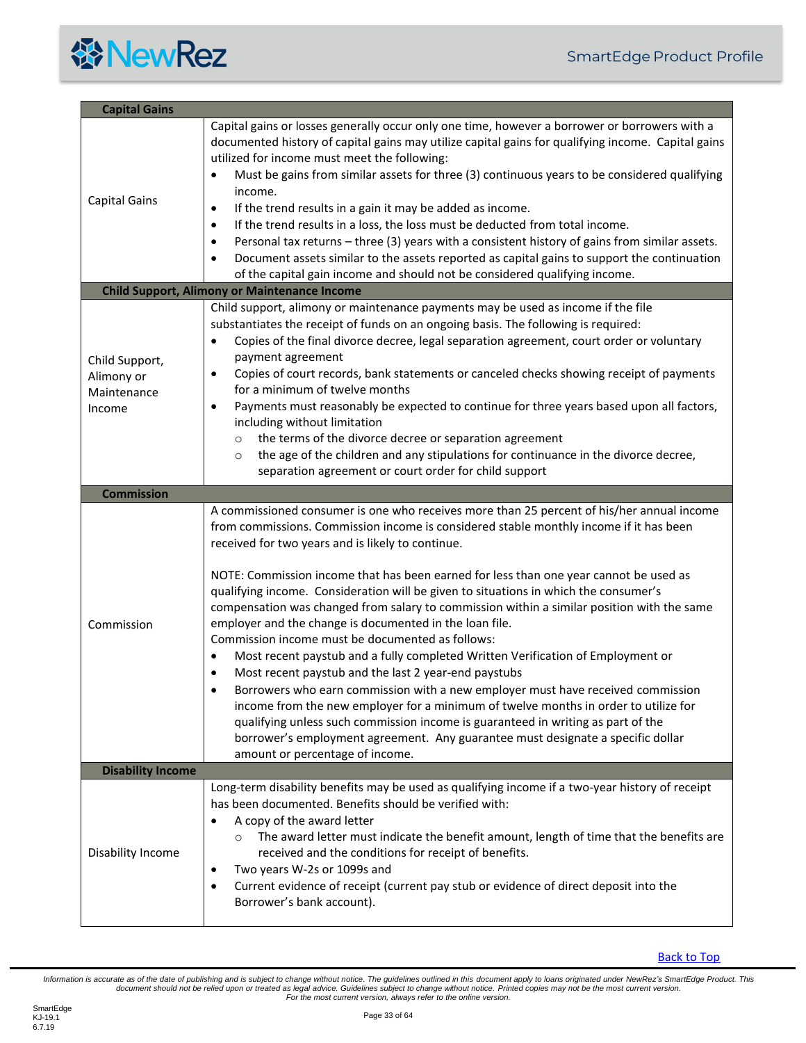<span id="page-32-3"></span><span id="page-32-2"></span><span id="page-32-1"></span><span id="page-32-0"></span>

| <b>Capital Gains</b>                                  |                                                                                                                                                                                                                                                                                                                                                                                                                                                                                                                                                                                                                                                                                                                                                                                                                                                                                                                                                                                                                                                                                                                                                                       |
|-------------------------------------------------------|-----------------------------------------------------------------------------------------------------------------------------------------------------------------------------------------------------------------------------------------------------------------------------------------------------------------------------------------------------------------------------------------------------------------------------------------------------------------------------------------------------------------------------------------------------------------------------------------------------------------------------------------------------------------------------------------------------------------------------------------------------------------------------------------------------------------------------------------------------------------------------------------------------------------------------------------------------------------------------------------------------------------------------------------------------------------------------------------------------------------------------------------------------------------------|
| <b>Capital Gains</b>                                  | Capital gains or losses generally occur only one time, however a borrower or borrowers with a<br>documented history of capital gains may utilize capital gains for qualifying income. Capital gains<br>utilized for income must meet the following:<br>Must be gains from similar assets for three (3) continuous years to be considered qualifying<br>income.<br>If the trend results in a gain it may be added as income.<br>$\bullet$<br>If the trend results in a loss, the loss must be deducted from total income.<br>$\bullet$<br>Personal tax returns - three (3) years with a consistent history of gains from similar assets.<br>$\bullet$<br>Document assets similar to the assets reported as capital gains to support the continuation<br>$\bullet$<br>of the capital gain income and should not be considered qualifying income.                                                                                                                                                                                                                                                                                                                        |
|                                                       | <b>Child Support, Alimony or Maintenance Income</b>                                                                                                                                                                                                                                                                                                                                                                                                                                                                                                                                                                                                                                                                                                                                                                                                                                                                                                                                                                                                                                                                                                                   |
| Child Support,<br>Alimony or<br>Maintenance<br>Income | Child support, alimony or maintenance payments may be used as income if the file<br>substantiates the receipt of funds on an ongoing basis. The following is required:<br>Copies of the final divorce decree, legal separation agreement, court order or voluntary<br>payment agreement<br>Copies of court records, bank statements or canceled checks showing receipt of payments<br>٠<br>for a minimum of twelve months<br>Payments must reasonably be expected to continue for three years based upon all factors,<br>$\bullet$<br>including without limitation<br>the terms of the divorce decree or separation agreement<br>$\circ$<br>the age of the children and any stipulations for continuance in the divorce decree,<br>$\circ$<br>separation agreement or court order for child support                                                                                                                                                                                                                                                                                                                                                                   |
| <b>Commission</b>                                     |                                                                                                                                                                                                                                                                                                                                                                                                                                                                                                                                                                                                                                                                                                                                                                                                                                                                                                                                                                                                                                                                                                                                                                       |
| Commission                                            | A commissioned consumer is one who receives more than 25 percent of his/her annual income<br>from commissions. Commission income is considered stable monthly income if it has been<br>received for two years and is likely to continue.<br>NOTE: Commission income that has been earned for less than one year cannot be used as<br>qualifying income. Consideration will be given to situations in which the consumer's<br>compensation was changed from salary to commission within a similar position with the same<br>employer and the change is documented in the loan file.<br>Commission income must be documented as follows:<br>Most recent paystub and a fully completed Written Verification of Employment or<br>Most recent paystub and the last 2 year-end paystubs<br>Borrowers who earn commission with a new employer must have received commission<br>income from the new employer for a minimum of twelve months in order to utilize for<br>qualifying unless such commission income is guaranteed in writing as part of the<br>borrower's employment agreement. Any guarantee must designate a specific dollar<br>amount or percentage of income. |
| <b>Disability Income</b>                              |                                                                                                                                                                                                                                                                                                                                                                                                                                                                                                                                                                                                                                                                                                                                                                                                                                                                                                                                                                                                                                                                                                                                                                       |
| Disability Income                                     | Long-term disability benefits may be used as qualifying income if a two-year history of receipt<br>has been documented. Benefits should be verified with:<br>A copy of the award letter<br>٠<br>The award letter must indicate the benefit amount, length of time that the benefits are<br>received and the conditions for receipt of benefits.<br>Two years W-2s or 1099s and<br>٠<br>Current evidence of receipt (current pay stub or evidence of direct deposit into the<br>٠<br>Borrower's bank account).                                                                                                                                                                                                                                                                                                                                                                                                                                                                                                                                                                                                                                                         |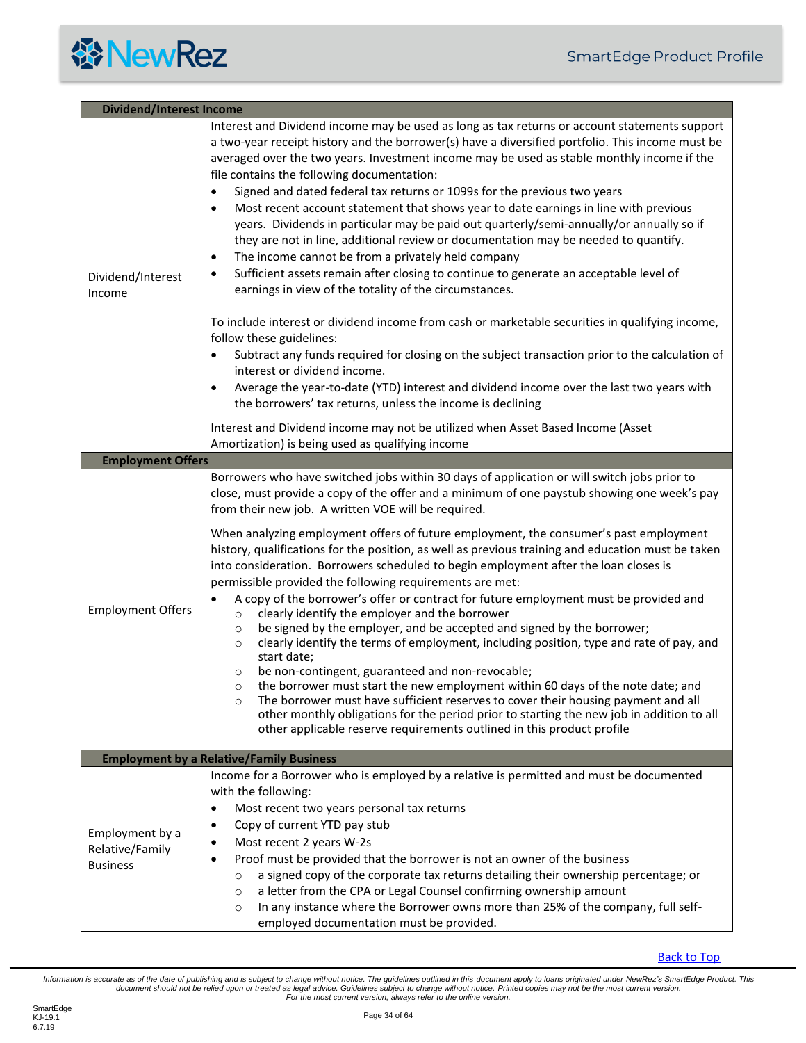<span id="page-33-1"></span><span id="page-33-0"></span>

| <b>Dividend/Interest Income</b>                       |                                                                                                                                                                                                                                                                                                                                                                                                                                                                                                                                                                                                                                                                                                                                                                                                                                                                                                                                                                                                                                                                                                                                                                                                                                                                                                                                                                                                                                                                                                                                               |  |
|-------------------------------------------------------|-----------------------------------------------------------------------------------------------------------------------------------------------------------------------------------------------------------------------------------------------------------------------------------------------------------------------------------------------------------------------------------------------------------------------------------------------------------------------------------------------------------------------------------------------------------------------------------------------------------------------------------------------------------------------------------------------------------------------------------------------------------------------------------------------------------------------------------------------------------------------------------------------------------------------------------------------------------------------------------------------------------------------------------------------------------------------------------------------------------------------------------------------------------------------------------------------------------------------------------------------------------------------------------------------------------------------------------------------------------------------------------------------------------------------------------------------------------------------------------------------------------------------------------------------|--|
| Dividend/Interest<br>Income                           | Interest and Dividend income may be used as long as tax returns or account statements support<br>a two-year receipt history and the borrower(s) have a diversified portfolio. This income must be<br>averaged over the two years. Investment income may be used as stable monthly income if the<br>file contains the following documentation:<br>Signed and dated federal tax returns or 1099s for the previous two years<br>$\bullet$<br>Most recent account statement that shows year to date earnings in line with previous<br>$\bullet$<br>years. Dividends in particular may be paid out quarterly/semi-annually/or annually so if<br>they are not in line, additional review or documentation may be needed to quantify.<br>The income cannot be from a privately held company<br>٠<br>Sufficient assets remain after closing to continue to generate an acceptable level of<br>$\bullet$<br>earnings in view of the totality of the circumstances.<br>To include interest or dividend income from cash or marketable securities in qualifying income,<br>follow these guidelines:<br>Subtract any funds required for closing on the subject transaction prior to the calculation of<br>٠<br>interest or dividend income.<br>Average the year-to-date (YTD) interest and dividend income over the last two years with<br>$\bullet$<br>the borrowers' tax returns, unless the income is declining<br>Interest and Dividend income may not be utilized when Asset Based Income (Asset<br>Amortization) is being used as qualifying income |  |
| <b>Employment Offers</b>                              |                                                                                                                                                                                                                                                                                                                                                                                                                                                                                                                                                                                                                                                                                                                                                                                                                                                                                                                                                                                                                                                                                                                                                                                                                                                                                                                                                                                                                                                                                                                                               |  |
| <b>Employment Offers</b>                              | Borrowers who have switched jobs within 30 days of application or will switch jobs prior to<br>close, must provide a copy of the offer and a minimum of one paystub showing one week's pay<br>from their new job. A written VOE will be required.<br>When analyzing employment offers of future employment, the consumer's past employment<br>history, qualifications for the position, as well as previous training and education must be taken<br>into consideration. Borrowers scheduled to begin employment after the loan closes is<br>permissible provided the following requirements are met:<br>A copy of the borrower's offer or contract for future employment must be provided and<br>clearly identify the employer and the borrower<br>$\circ$<br>be signed by the employer, and be accepted and signed by the borrower;<br>$\circ$<br>clearly identify the terms of employment, including position, type and rate of pay, and<br>$\circ$<br>start date;<br>be non-contingent, guaranteed and non-revocable;<br>$\circ$<br>the borrower must start the new employment within 60 days of the note date; and<br>$\circ$<br>The borrower must have sufficient reserves to cover their housing payment and all<br>$\circ$<br>other monthly obligations for the period prior to starting the new job in addition to all<br>other applicable reserve requirements outlined in this product profile                                                                                                                                      |  |
|                                                       | <b>Employment by a Relative/Family Business</b>                                                                                                                                                                                                                                                                                                                                                                                                                                                                                                                                                                                                                                                                                                                                                                                                                                                                                                                                                                                                                                                                                                                                                                                                                                                                                                                                                                                                                                                                                               |  |
| Employment by a<br>Relative/Family<br><b>Business</b> | Income for a Borrower who is employed by a relative is permitted and must be documented<br>with the following:<br>Most recent two years personal tax returns<br>$\bullet$<br>Copy of current YTD pay stub<br>٠<br>Most recent 2 years W-2s<br>$\bullet$<br>Proof must be provided that the borrower is not an owner of the business<br>a signed copy of the corporate tax returns detailing their ownership percentage; or<br>$\circ$<br>a letter from the CPA or Legal Counsel confirming ownership amount<br>$\circ$<br>In any instance where the Borrower owns more than 25% of the company, full self-<br>$\circ$<br>employed documentation must be provided.                                                                                                                                                                                                                                                                                                                                                                                                                                                                                                                                                                                                                                                                                                                                                                                                                                                                             |  |

<span id="page-33-2"></span>[Back to Top](#page-2-0)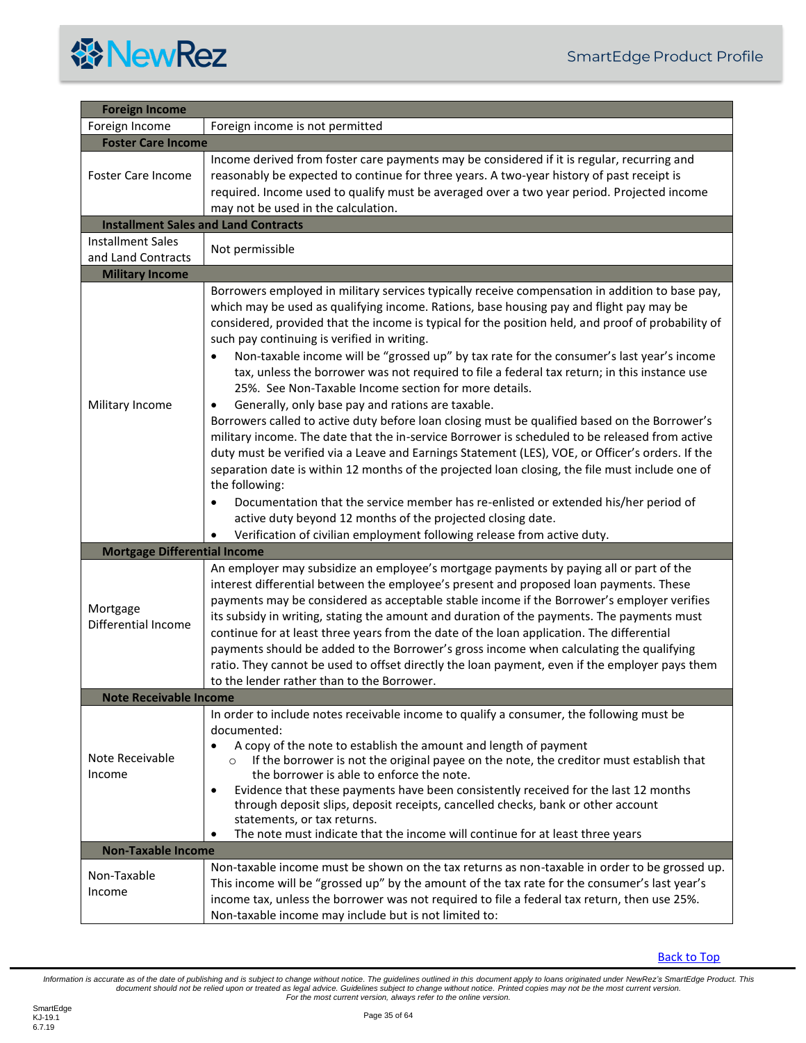<span id="page-34-5"></span><span id="page-34-4"></span><span id="page-34-3"></span><span id="page-34-2"></span><span id="page-34-1"></span><span id="page-34-0"></span>

| <b>Foreign Income</b>                       |                                                                                                                                                                                                                                                                                                                                                                                                                                                                                                                                                                                                                                                                                                                                                                                                                                                                                                                                                                                                                                                                                                                                                                                                                                                                             |
|---------------------------------------------|-----------------------------------------------------------------------------------------------------------------------------------------------------------------------------------------------------------------------------------------------------------------------------------------------------------------------------------------------------------------------------------------------------------------------------------------------------------------------------------------------------------------------------------------------------------------------------------------------------------------------------------------------------------------------------------------------------------------------------------------------------------------------------------------------------------------------------------------------------------------------------------------------------------------------------------------------------------------------------------------------------------------------------------------------------------------------------------------------------------------------------------------------------------------------------------------------------------------------------------------------------------------------------|
| Foreign Income                              | Foreign income is not permitted                                                                                                                                                                                                                                                                                                                                                                                                                                                                                                                                                                                                                                                                                                                                                                                                                                                                                                                                                                                                                                                                                                                                                                                                                                             |
| <b>Foster Care Income</b>                   |                                                                                                                                                                                                                                                                                                                                                                                                                                                                                                                                                                                                                                                                                                                                                                                                                                                                                                                                                                                                                                                                                                                                                                                                                                                                             |
| <b>Foster Care Income</b>                   | Income derived from foster care payments may be considered if it is regular, recurring and<br>reasonably be expected to continue for three years. A two-year history of past receipt is<br>required. Income used to qualify must be averaged over a two year period. Projected income<br>may not be used in the calculation.                                                                                                                                                                                                                                                                                                                                                                                                                                                                                                                                                                                                                                                                                                                                                                                                                                                                                                                                                |
| <b>Installment Sales and Land Contracts</b> |                                                                                                                                                                                                                                                                                                                                                                                                                                                                                                                                                                                                                                                                                                                                                                                                                                                                                                                                                                                                                                                                                                                                                                                                                                                                             |
| <b>Installment Sales</b>                    |                                                                                                                                                                                                                                                                                                                                                                                                                                                                                                                                                                                                                                                                                                                                                                                                                                                                                                                                                                                                                                                                                                                                                                                                                                                                             |
| and Land Contracts                          | Not permissible                                                                                                                                                                                                                                                                                                                                                                                                                                                                                                                                                                                                                                                                                                                                                                                                                                                                                                                                                                                                                                                                                                                                                                                                                                                             |
| <b>Military Income</b>                      |                                                                                                                                                                                                                                                                                                                                                                                                                                                                                                                                                                                                                                                                                                                                                                                                                                                                                                                                                                                                                                                                                                                                                                                                                                                                             |
| Military Income                             | Borrowers employed in military services typically receive compensation in addition to base pay,<br>which may be used as qualifying income. Rations, base housing pay and flight pay may be<br>considered, provided that the income is typical for the position held, and proof of probability of<br>such pay continuing is verified in writing.<br>Non-taxable income will be "grossed up" by tax rate for the consumer's last year's income<br>$\bullet$<br>tax, unless the borrower was not required to file a federal tax return; in this instance use<br>25%. See Non-Taxable Income section for more details.<br>Generally, only base pay and rations are taxable.<br>٠<br>Borrowers called to active duty before loan closing must be qualified based on the Borrower's<br>military income. The date that the in-service Borrower is scheduled to be released from active<br>duty must be verified via a Leave and Earnings Statement (LES), VOE, or Officer's orders. If the<br>separation date is within 12 months of the projected loan closing, the file must include one of<br>the following:<br>Documentation that the service member has re-enlisted or extended his/her period of<br>$\bullet$<br>active duty beyond 12 months of the projected closing date. |
|                                             | Verification of civilian employment following release from active duty.                                                                                                                                                                                                                                                                                                                                                                                                                                                                                                                                                                                                                                                                                                                                                                                                                                                                                                                                                                                                                                                                                                                                                                                                     |
| <b>Mortgage Differential Income</b>         |                                                                                                                                                                                                                                                                                                                                                                                                                                                                                                                                                                                                                                                                                                                                                                                                                                                                                                                                                                                                                                                                                                                                                                                                                                                                             |
| Mortgage<br>Differential Income             | An employer may subsidize an employee's mortgage payments by paying all or part of the<br>interest differential between the employee's present and proposed loan payments. These<br>payments may be considered as acceptable stable income if the Borrower's employer verifies<br>its subsidy in writing, stating the amount and duration of the payments. The payments must<br>continue for at least three years from the date of the loan application. The differential<br>payments should be added to the Borrower's gross income when calculating the qualifying<br>ratio. They cannot be used to offset directly the loan payment, even if the employer pays them<br>to the lender rather than to the Borrower.                                                                                                                                                                                                                                                                                                                                                                                                                                                                                                                                                        |
| <b>Note Receivable Income</b>               |                                                                                                                                                                                                                                                                                                                                                                                                                                                                                                                                                                                                                                                                                                                                                                                                                                                                                                                                                                                                                                                                                                                                                                                                                                                                             |
| Note Receivable<br>Income                   | In order to include notes receivable income to qualify a consumer, the following must be<br>documented:<br>A copy of the note to establish the amount and length of payment<br>If the borrower is not the original payee on the note, the creditor must establish that<br>$\circ$<br>the borrower is able to enforce the note.<br>Evidence that these payments have been consistently received for the last 12 months<br>$\bullet$<br>through deposit slips, deposit receipts, cancelled checks, bank or other account<br>statements, or tax returns.<br>The note must indicate that the income will continue for at least three years<br>$\bullet$                                                                                                                                                                                                                                                                                                                                                                                                                                                                                                                                                                                                                         |
| <b>Non-Taxable Income</b>                   |                                                                                                                                                                                                                                                                                                                                                                                                                                                                                                                                                                                                                                                                                                                                                                                                                                                                                                                                                                                                                                                                                                                                                                                                                                                                             |
| Non-Taxable<br>Income                       | Non-taxable income must be shown on the tax returns as non-taxable in order to be grossed up.<br>This income will be "grossed up" by the amount of the tax rate for the consumer's last year's<br>income tax, unless the borrower was not required to file a federal tax return, then use 25%.<br>Non-taxable income may include but is not limited to:                                                                                                                                                                                                                                                                                                                                                                                                                                                                                                                                                                                                                                                                                                                                                                                                                                                                                                                     |

<span id="page-34-6"></span>**[Back to Top](#page-2-0)**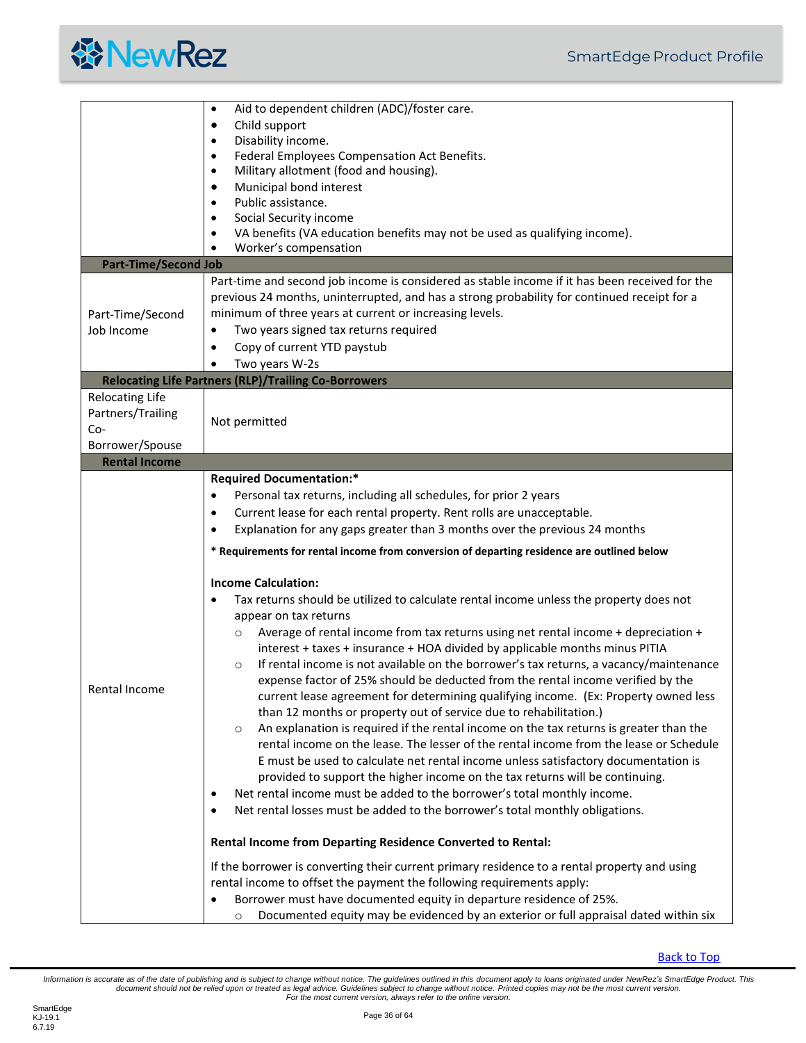

<span id="page-35-2"></span><span id="page-35-1"></span><span id="page-35-0"></span>

|                             | Aid to dependent children (ADC)/foster care.<br>$\bullet$                                                                                                                    |
|-----------------------------|------------------------------------------------------------------------------------------------------------------------------------------------------------------------------|
|                             | Child support<br>$\bullet$                                                                                                                                                   |
|                             | Disability income.<br>$\bullet$                                                                                                                                              |
|                             | Federal Employees Compensation Act Benefits.<br>٠                                                                                                                            |
|                             | Military allotment (food and housing).<br>٠                                                                                                                                  |
|                             | Municipal bond interest<br>$\bullet$                                                                                                                                         |
|                             | Public assistance.<br>$\bullet$                                                                                                                                              |
|                             | Social Security income<br>$\bullet$                                                                                                                                          |
|                             | VA benefits (VA education benefits may not be used as qualifying income).                                                                                                    |
|                             | Worker's compensation                                                                                                                                                        |
| <b>Part-Time/Second Job</b> |                                                                                                                                                                              |
|                             | Part-time and second job income is considered as stable income if it has been received for the                                                                               |
|                             | previous 24 months, uninterrupted, and has a strong probability for continued receipt for a                                                                                  |
| Part-Time/Second            | minimum of three years at current or increasing levels.                                                                                                                      |
| Job Income                  | Two years signed tax returns required                                                                                                                                        |
|                             | Copy of current YTD paystub                                                                                                                                                  |
|                             | Two years W-2s<br>$\bullet$                                                                                                                                                  |
|                             | <b>Relocating Life Partners (RLP)/Trailing Co-Borrowers</b>                                                                                                                  |
| <b>Relocating Life</b>      |                                                                                                                                                                              |
| Partners/Trailing           |                                                                                                                                                                              |
| $Co-$                       | Not permitted                                                                                                                                                                |
| Borrower/Spouse             |                                                                                                                                                                              |
| <b>Rental Income</b>        |                                                                                                                                                                              |
|                             | <b>Required Documentation:*</b>                                                                                                                                              |
|                             | Personal tax returns, including all schedules, for prior 2 years                                                                                                             |
|                             | Current lease for each rental property. Rent rolls are unacceptable.<br>٠                                                                                                    |
|                             | Explanation for any gaps greater than 3 months over the previous 24 months<br>$\bullet$                                                                                      |
|                             |                                                                                                                                                                              |
|                             | * Requirements for rental income from conversion of departing residence are outlined below                                                                                   |
|                             | <b>Income Calculation:</b>                                                                                                                                                   |
|                             | Tax returns should be utilized to calculate rental income unless the property does not                                                                                       |
|                             |                                                                                                                                                                              |
|                             | appear on tax returns                                                                                                                                                        |
|                             | Average of rental income from tax returns using net rental income + depreciation +<br>$\circ$<br>interest + taxes + insurance + HOA divided by applicable months minus PITIA |
|                             | If rental income is not available on the borrower's tax returns, a vacancy/maintenance<br>$\circ$                                                                            |
|                             | expense factor of 25% should be deducted from the rental income verified by the                                                                                              |
| Rental Income               | current lease agreement for determining qualifying income. (Ex: Property owned less                                                                                          |
|                             | than 12 months or property out of service due to rehabilitation.)                                                                                                            |
|                             | An explanation is required if the rental income on the tax returns is greater than the                                                                                       |
|                             | $\circ$<br>rental income on the lease. The lesser of the rental income from the lease or Schedule                                                                            |
|                             | E must be used to calculate net rental income unless satisfactory documentation is                                                                                           |
|                             | provided to support the higher income on the tax returns will be continuing.                                                                                                 |
|                             | Net rental income must be added to the borrower's total monthly income.                                                                                                      |
|                             |                                                                                                                                                                              |
|                             | Net rental losses must be added to the borrower's total monthly obligations.                                                                                                 |
|                             | Rental Income from Departing Residence Converted to Rental:                                                                                                                  |
|                             | If the borrower is converting their current primary residence to a rental property and using                                                                                 |
|                             | rental income to offset the payment the following requirements apply:                                                                                                        |
|                             | Borrower must have documented equity in departure residence of 25%.                                                                                                          |
|                             | Documented equity may be evidenced by an exterior or full appraisal dated within six                                                                                         |
|                             | $\circ$                                                                                                                                                                      |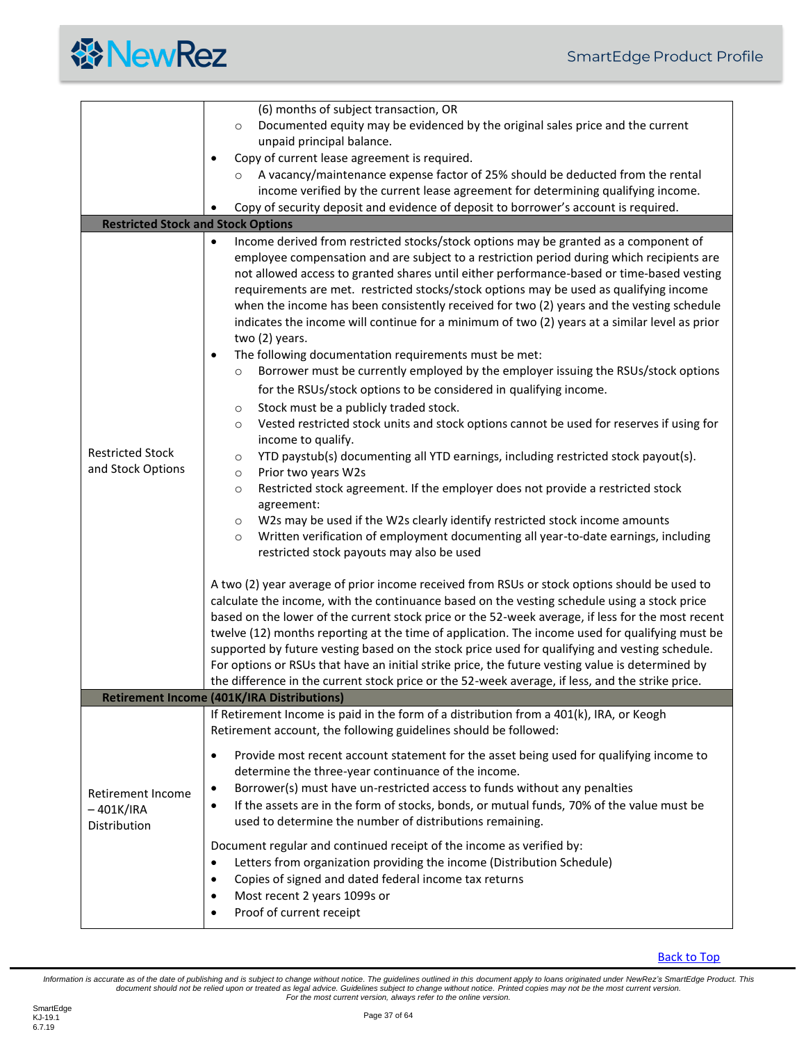

<span id="page-36-0"></span>

|                                                  | (6) months of subject transaction, OR                                                                                                                                                                                                                                                                                                                                                                                                                                                                                                                                                                                                                                                                                                                                                                                                                                                                                                                                                                                                                                                                                                                                                                                                                                                                                                                                                                                                                                                                                                                                                                                                                                                                                                                                                                                                                                                                                                                                                                                                                                                                                                     |
|--------------------------------------------------|-------------------------------------------------------------------------------------------------------------------------------------------------------------------------------------------------------------------------------------------------------------------------------------------------------------------------------------------------------------------------------------------------------------------------------------------------------------------------------------------------------------------------------------------------------------------------------------------------------------------------------------------------------------------------------------------------------------------------------------------------------------------------------------------------------------------------------------------------------------------------------------------------------------------------------------------------------------------------------------------------------------------------------------------------------------------------------------------------------------------------------------------------------------------------------------------------------------------------------------------------------------------------------------------------------------------------------------------------------------------------------------------------------------------------------------------------------------------------------------------------------------------------------------------------------------------------------------------------------------------------------------------------------------------------------------------------------------------------------------------------------------------------------------------------------------------------------------------------------------------------------------------------------------------------------------------------------------------------------------------------------------------------------------------------------------------------------------------------------------------------------------------|
|                                                  | Documented equity may be evidenced by the original sales price and the current<br>$\circ$                                                                                                                                                                                                                                                                                                                                                                                                                                                                                                                                                                                                                                                                                                                                                                                                                                                                                                                                                                                                                                                                                                                                                                                                                                                                                                                                                                                                                                                                                                                                                                                                                                                                                                                                                                                                                                                                                                                                                                                                                                                 |
|                                                  | unpaid principal balance.                                                                                                                                                                                                                                                                                                                                                                                                                                                                                                                                                                                                                                                                                                                                                                                                                                                                                                                                                                                                                                                                                                                                                                                                                                                                                                                                                                                                                                                                                                                                                                                                                                                                                                                                                                                                                                                                                                                                                                                                                                                                                                                 |
|                                                  | Copy of current lease agreement is required.<br>$\bullet$                                                                                                                                                                                                                                                                                                                                                                                                                                                                                                                                                                                                                                                                                                                                                                                                                                                                                                                                                                                                                                                                                                                                                                                                                                                                                                                                                                                                                                                                                                                                                                                                                                                                                                                                                                                                                                                                                                                                                                                                                                                                                 |
|                                                  | A vacancy/maintenance expense factor of 25% should be deducted from the rental<br>$\circ$                                                                                                                                                                                                                                                                                                                                                                                                                                                                                                                                                                                                                                                                                                                                                                                                                                                                                                                                                                                                                                                                                                                                                                                                                                                                                                                                                                                                                                                                                                                                                                                                                                                                                                                                                                                                                                                                                                                                                                                                                                                 |
|                                                  | income verified by the current lease agreement for determining qualifying income.                                                                                                                                                                                                                                                                                                                                                                                                                                                                                                                                                                                                                                                                                                                                                                                                                                                                                                                                                                                                                                                                                                                                                                                                                                                                                                                                                                                                                                                                                                                                                                                                                                                                                                                                                                                                                                                                                                                                                                                                                                                         |
|                                                  | Copy of security deposit and evidence of deposit to borrower's account is required.                                                                                                                                                                                                                                                                                                                                                                                                                                                                                                                                                                                                                                                                                                                                                                                                                                                                                                                                                                                                                                                                                                                                                                                                                                                                                                                                                                                                                                                                                                                                                                                                                                                                                                                                                                                                                                                                                                                                                                                                                                                       |
| <b>Restricted Stock and Stock Options</b>        |                                                                                                                                                                                                                                                                                                                                                                                                                                                                                                                                                                                                                                                                                                                                                                                                                                                                                                                                                                                                                                                                                                                                                                                                                                                                                                                                                                                                                                                                                                                                                                                                                                                                                                                                                                                                                                                                                                                                                                                                                                                                                                                                           |
| <b>Restricted Stock</b><br>and Stock Options     | Income derived from restricted stocks/stock options may be granted as a component of<br>$\bullet$<br>employee compensation and are subject to a restriction period during which recipients are<br>not allowed access to granted shares until either performance-based or time-based vesting<br>requirements are met. restricted stocks/stock options may be used as qualifying income<br>when the income has been consistently received for two (2) years and the vesting schedule<br>indicates the income will continue for a minimum of two (2) years at a similar level as prior<br>two (2) years.<br>The following documentation requirements must be met:<br>$\bullet$<br>Borrower must be currently employed by the employer issuing the RSUs/stock options<br>$\circ$<br>for the RSUs/stock options to be considered in qualifying income.<br>Stock must be a publicly traded stock.<br>$\circ$<br>Vested restricted stock units and stock options cannot be used for reserves if using for<br>$\circ$<br>income to qualify.<br>YTD paystub(s) documenting all YTD earnings, including restricted stock payout(s).<br>$\circ$<br>Prior two years W2s<br>$\circ$<br>Restricted stock agreement. If the employer does not provide a restricted stock<br>$\circ$<br>agreement:<br>W2s may be used if the W2s clearly identify restricted stock income amounts<br>$\circ$<br>Written verification of employment documenting all year-to-date earnings, including<br>$\circ$<br>restricted stock payouts may also be used<br>A two (2) year average of prior income received from RSUs or stock options should be used to<br>calculate the income, with the continuance based on the vesting schedule using a stock price<br>based on the lower of the current stock price or the 52-week average, if less for the most recent<br>twelve (12) months reporting at the time of application. The income used for qualifying must be<br>supported by future vesting based on the stock price used for qualifying and vesting schedule.<br>For options or RSUs that have an initial strike price, the future vesting value is determined by |
|                                                  | the difference in the current stock price or the 52-week average, if less, and the strike price.<br><b>Retirement Income (401K/IRA Distributions)</b>                                                                                                                                                                                                                                                                                                                                                                                                                                                                                                                                                                                                                                                                                                                                                                                                                                                                                                                                                                                                                                                                                                                                                                                                                                                                                                                                                                                                                                                                                                                                                                                                                                                                                                                                                                                                                                                                                                                                                                                     |
|                                                  | If Retirement Income is paid in the form of a distribution from a 401(k), IRA, or Keogh<br>Retirement account, the following guidelines should be followed:                                                                                                                                                                                                                                                                                                                                                                                                                                                                                                                                                                                                                                                                                                                                                                                                                                                                                                                                                                                                                                                                                                                                                                                                                                                                                                                                                                                                                                                                                                                                                                                                                                                                                                                                                                                                                                                                                                                                                                               |
| Retirement Income<br>$-401K/IRA$<br>Distribution | Provide most recent account statement for the asset being used for qualifying income to<br>٠<br>determine the three-year continuance of the income.<br>Borrower(s) must have un-restricted access to funds without any penalties<br>$\bullet$<br>If the assets are in the form of stocks, bonds, or mutual funds, 70% of the value must be<br>$\bullet$<br>used to determine the number of distributions remaining.<br>Document regular and continued receipt of the income as verified by:<br>Letters from organization providing the income (Distribution Schedule)<br>$\bullet$<br>Copies of signed and dated federal income tax returns<br>$\bullet$<br>Most recent 2 years 1099s or<br>٠<br>Proof of current receipt<br>$\bullet$                                                                                                                                                                                                                                                                                                                                                                                                                                                                                                                                                                                                                                                                                                                                                                                                                                                                                                                                                                                                                                                                                                                                                                                                                                                                                                                                                                                                    |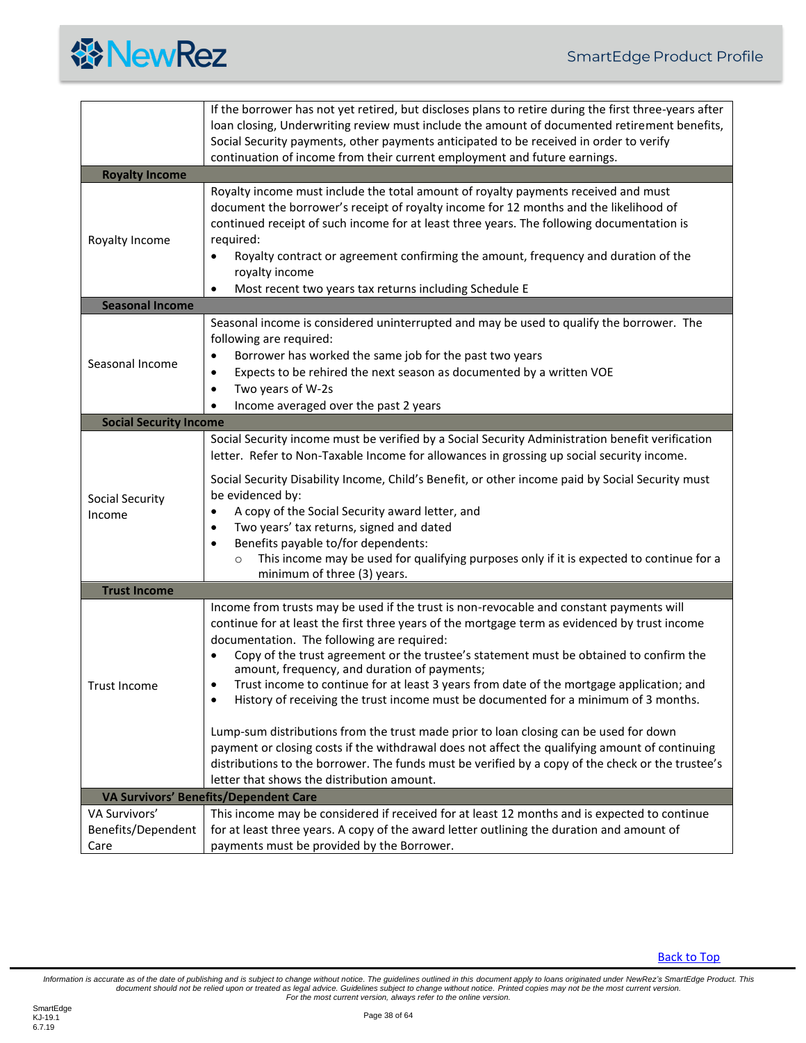

<span id="page-37-5"></span><span id="page-37-4"></span><span id="page-37-3"></span><span id="page-37-2"></span><span id="page-37-1"></span><span id="page-37-0"></span>

|                               | If the borrower has not yet retired, but discloses plans to retire during the first three-years after<br>loan closing, Underwriting review must include the amount of documented retirement benefits,<br>Social Security payments, other payments anticipated to be received in order to verify                                                                                                                                                                                                                                                                                                                                                                                                                                                                     |
|-------------------------------|---------------------------------------------------------------------------------------------------------------------------------------------------------------------------------------------------------------------------------------------------------------------------------------------------------------------------------------------------------------------------------------------------------------------------------------------------------------------------------------------------------------------------------------------------------------------------------------------------------------------------------------------------------------------------------------------------------------------------------------------------------------------|
|                               | continuation of income from their current employment and future earnings.                                                                                                                                                                                                                                                                                                                                                                                                                                                                                                                                                                                                                                                                                           |
| <b>Royalty Income</b>         |                                                                                                                                                                                                                                                                                                                                                                                                                                                                                                                                                                                                                                                                                                                                                                     |
| Royalty Income                | Royalty income must include the total amount of royalty payments received and must<br>document the borrower's receipt of royalty income for 12 months and the likelihood of<br>continued receipt of such income for at least three years. The following documentation is<br>required:<br>Royalty contract or agreement confirming the amount, frequency and duration of the<br>$\bullet$<br>royalty income<br>Most recent two years tax returns including Schedule E                                                                                                                                                                                                                                                                                                |
| <b>Seasonal Income</b>        |                                                                                                                                                                                                                                                                                                                                                                                                                                                                                                                                                                                                                                                                                                                                                                     |
| Seasonal Income               | Seasonal income is considered uninterrupted and may be used to qualify the borrower. The<br>following are required:<br>Borrower has worked the same job for the past two years<br>٠<br>Expects to be rehired the next season as documented by a written VOE<br>$\bullet$<br>Two years of W-2s<br>$\bullet$<br>Income averaged over the past 2 years                                                                                                                                                                                                                                                                                                                                                                                                                 |
| <b>Social Security Income</b> |                                                                                                                                                                                                                                                                                                                                                                                                                                                                                                                                                                                                                                                                                                                                                                     |
|                               | Social Security income must be verified by a Social Security Administration benefit verification<br>letter. Refer to Non-Taxable Income for allowances in grossing up social security income.                                                                                                                                                                                                                                                                                                                                                                                                                                                                                                                                                                       |
| Social Security<br>Income     | Social Security Disability Income, Child's Benefit, or other income paid by Social Security must<br>be evidenced by:<br>A copy of the Social Security award letter, and<br>Two years' tax returns, signed and dated<br>$\bullet$<br>Benefits payable to/for dependents:<br>This income may be used for qualifying purposes only if it is expected to continue for a<br>$\circ$<br>minimum of three (3) years.                                                                                                                                                                                                                                                                                                                                                       |
| <b>Trust Income</b>           |                                                                                                                                                                                                                                                                                                                                                                                                                                                                                                                                                                                                                                                                                                                                                                     |
| <b>Trust Income</b>           | Income from trusts may be used if the trust is non-revocable and constant payments will<br>continue for at least the first three years of the mortgage term as evidenced by trust income<br>documentation. The following are required:<br>Copy of the trust agreement or the trustee's statement must be obtained to confirm the<br>٠<br>amount, frequency, and duration of payments;<br>Trust income to continue for at least 3 years from date of the mortgage application; and<br>History of receiving the trust income must be documented for a minimum of 3 months.<br>Lump-sum distributions from the trust made prior to loan closing can be used for down<br>payment or closing costs if the withdrawal does not affect the qualifying amount of continuing |
|                               | distributions to the borrower. The funds must be verified by a copy of the check or the trustee's<br>letter that shows the distribution amount.                                                                                                                                                                                                                                                                                                                                                                                                                                                                                                                                                                                                                     |
|                               | <b>VA Survivors' Benefits/Dependent Care</b>                                                                                                                                                                                                                                                                                                                                                                                                                                                                                                                                                                                                                                                                                                                        |
| VA Survivors'                 | This income may be considered if received for at least 12 months and is expected to continue                                                                                                                                                                                                                                                                                                                                                                                                                                                                                                                                                                                                                                                                        |
| Benefits/Dependent            | for at least three years. A copy of the award letter outlining the duration and amount of                                                                                                                                                                                                                                                                                                                                                                                                                                                                                                                                                                                                                                                                           |
| Care                          | payments must be provided by the Borrower.                                                                                                                                                                                                                                                                                                                                                                                                                                                                                                                                                                                                                                                                                                                          |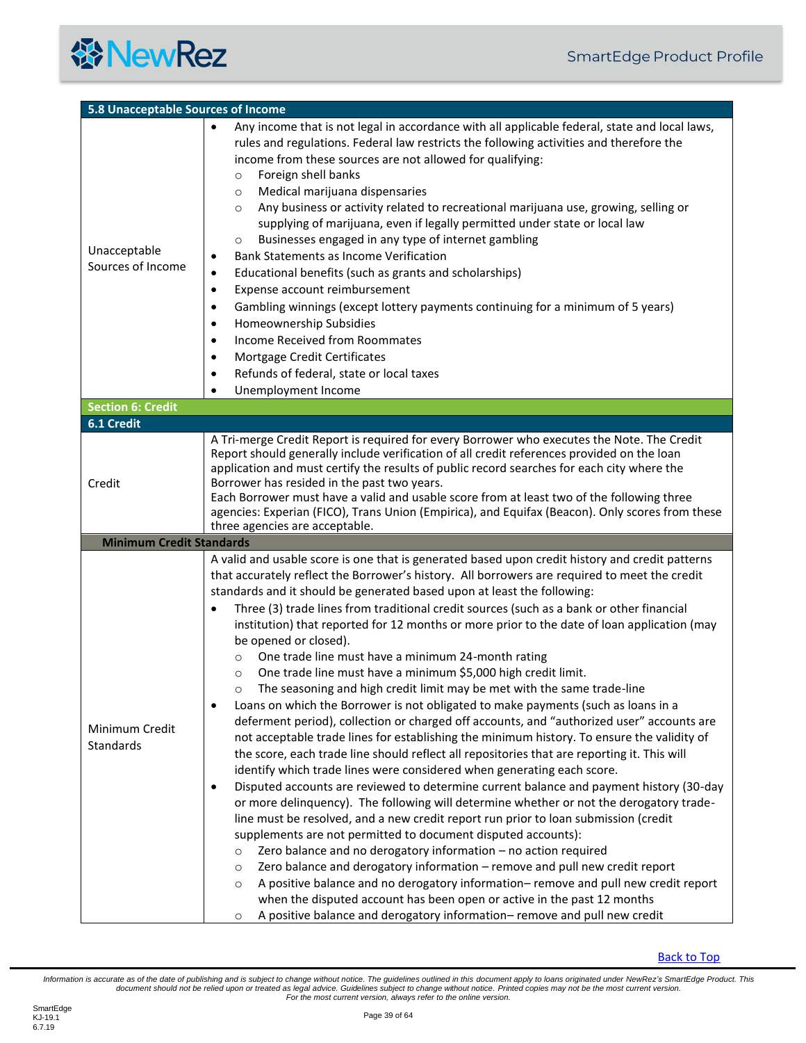<span id="page-38-2"></span><span id="page-38-1"></span><span id="page-38-0"></span>

| 5.8 Unacceptable Sources of Income |                                                                                                                                                                                                                                                                                                                                                                                                                                                                                                                                                                                                                                                                                                                                                                                                                                                                                                                                                                                                                                                                                                                                                                                                                                                                                                                                                                                                                                                                                                                                                                                                                                                                                                                                                                                                                                                                                                                                                                                                                  |
|------------------------------------|------------------------------------------------------------------------------------------------------------------------------------------------------------------------------------------------------------------------------------------------------------------------------------------------------------------------------------------------------------------------------------------------------------------------------------------------------------------------------------------------------------------------------------------------------------------------------------------------------------------------------------------------------------------------------------------------------------------------------------------------------------------------------------------------------------------------------------------------------------------------------------------------------------------------------------------------------------------------------------------------------------------------------------------------------------------------------------------------------------------------------------------------------------------------------------------------------------------------------------------------------------------------------------------------------------------------------------------------------------------------------------------------------------------------------------------------------------------------------------------------------------------------------------------------------------------------------------------------------------------------------------------------------------------------------------------------------------------------------------------------------------------------------------------------------------------------------------------------------------------------------------------------------------------------------------------------------------------------------------------------------------------|
| Unacceptable<br>Sources of Income  | Any income that is not legal in accordance with all applicable federal, state and local laws,<br>$\bullet$<br>rules and regulations. Federal law restricts the following activities and therefore the<br>income from these sources are not allowed for qualifying:<br>Foreign shell banks<br>$\circ$<br>Medical marijuana dispensaries<br>$\circ$<br>Any business or activity related to recreational marijuana use, growing, selling or<br>$\circ$<br>supplying of marijuana, even if legally permitted under state or local law<br>Businesses engaged in any type of internet gambling<br>$\circ$<br><b>Bank Statements as Income Verification</b><br>$\bullet$<br>Educational benefits (such as grants and scholarships)<br>$\bullet$<br>Expense account reimbursement<br>$\bullet$<br>Gambling winnings (except lottery payments continuing for a minimum of 5 years)<br>$\bullet$<br>Homeownership Subsidies<br>$\bullet$<br><b>Income Received from Roommates</b><br>$\bullet$<br>Mortgage Credit Certificates<br>$\bullet$<br>Refunds of federal, state or local taxes<br>$\bullet$<br>Unemployment Income<br>$\bullet$                                                                                                                                                                                                                                                                                                                                                                                                                                                                                                                                                                                                                                                                                                                                                                                                                                                                                   |
| <b>Section 6: Credit</b>           |                                                                                                                                                                                                                                                                                                                                                                                                                                                                                                                                                                                                                                                                                                                                                                                                                                                                                                                                                                                                                                                                                                                                                                                                                                                                                                                                                                                                                                                                                                                                                                                                                                                                                                                                                                                                                                                                                                                                                                                                                  |
| 6.1 Credit                         |                                                                                                                                                                                                                                                                                                                                                                                                                                                                                                                                                                                                                                                                                                                                                                                                                                                                                                                                                                                                                                                                                                                                                                                                                                                                                                                                                                                                                                                                                                                                                                                                                                                                                                                                                                                                                                                                                                                                                                                                                  |
| Credit                             | A Tri-merge Credit Report is required for every Borrower who executes the Note. The Credit<br>Report should generally include verification of all credit references provided on the loan<br>application and must certify the results of public record searches for each city where the<br>Borrower has resided in the past two years.<br>Each Borrower must have a valid and usable score from at least two of the following three<br>agencies: Experian (FICO), Trans Union (Empirica), and Equifax (Beacon). Only scores from these<br>three agencies are acceptable.                                                                                                                                                                                                                                                                                                                                                                                                                                                                                                                                                                                                                                                                                                                                                                                                                                                                                                                                                                                                                                                                                                                                                                                                                                                                                                                                                                                                                                          |
| <b>Minimum Credit Standards</b>    |                                                                                                                                                                                                                                                                                                                                                                                                                                                                                                                                                                                                                                                                                                                                                                                                                                                                                                                                                                                                                                                                                                                                                                                                                                                                                                                                                                                                                                                                                                                                                                                                                                                                                                                                                                                                                                                                                                                                                                                                                  |
| Minimum Credit<br>Standards        | A valid and usable score is one that is generated based upon credit history and credit patterns<br>that accurately reflect the Borrower's history. All borrowers are required to meet the credit<br>standards and it should be generated based upon at least the following:<br>Three (3) trade lines from traditional credit sources (such as a bank or other financial<br>$\bullet$<br>institution) that reported for 12 months or more prior to the date of loan application (may<br>be opened or closed).<br>One trade line must have a minimum 24-month rating<br>$\circ$<br>One trade line must have a minimum \$5,000 high credit limit.<br>$\circ$<br>The seasoning and high credit limit may be met with the same trade-line<br>Loans on which the Borrower is not obligated to make payments (such as loans in a<br>$\bullet$<br>deferment period), collection or charged off accounts, and "authorized user" accounts are<br>not acceptable trade lines for establishing the minimum history. To ensure the validity of<br>the score, each trade line should reflect all repositories that are reporting it. This will<br>identify which trade lines were considered when generating each score.<br>Disputed accounts are reviewed to determine current balance and payment history (30-day<br>$\bullet$<br>or more delinquency). The following will determine whether or not the derogatory trade-<br>line must be resolved, and a new credit report run prior to loan submission (credit<br>supplements are not permitted to document disputed accounts):<br>Zero balance and no derogatory information - no action required<br>$\circ$<br>Zero balance and derogatory information - remove and pull new credit report<br>$\circ$<br>A positive balance and no derogatory information-remove and pull new credit report<br>$\circ$<br>when the disputed account has been open or active in the past 12 months<br>A positive balance and derogatory information-remove and pull new credit<br>$\circ$ |

**[Back to Top](#page-2-0)**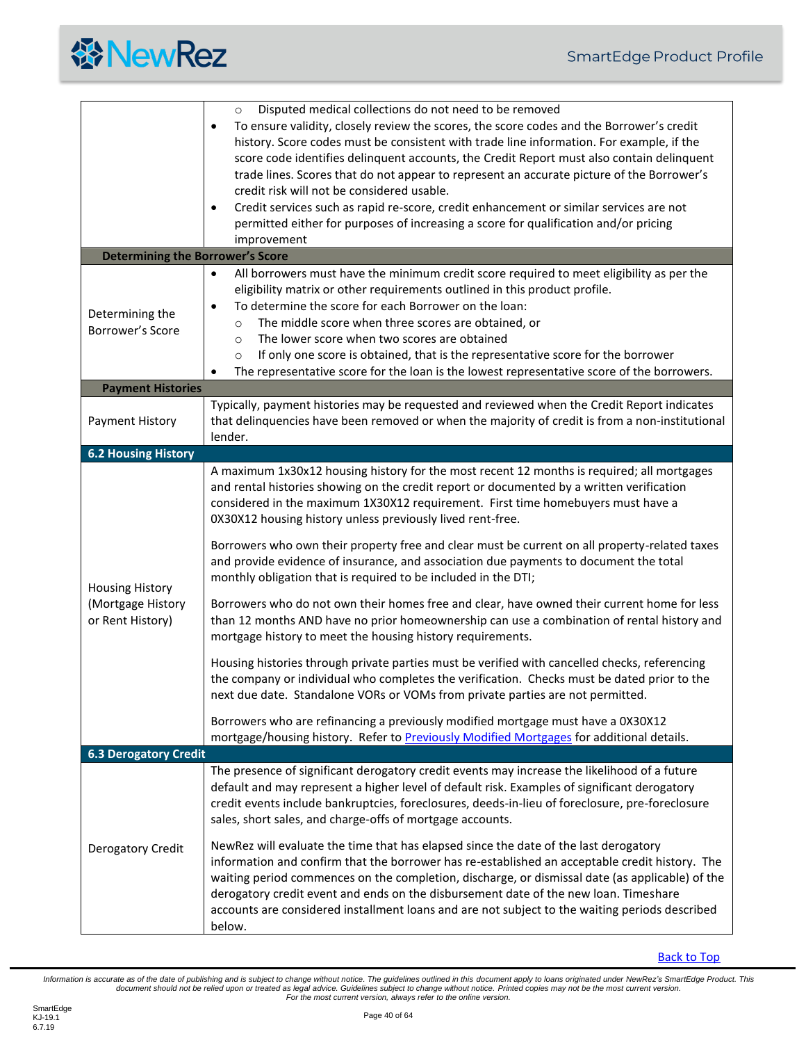

<span id="page-39-3"></span><span id="page-39-2"></span><span id="page-39-1"></span><span id="page-39-0"></span>

|                                                                 | Disputed medical collections do not need to be removed<br>$\circ$<br>To ensure validity, closely review the scores, the score codes and the Borrower's credit<br>٠<br>history. Score codes must be consistent with trade line information. For example, if the<br>score code identifies delinquent accounts, the Credit Report must also contain delinquent<br>trade lines. Scores that do not appear to represent an accurate picture of the Borrower's<br>credit risk will not be considered usable.<br>Credit services such as rapid re-score, credit enhancement or similar services are not<br>$\bullet$<br>permitted either for purposes of increasing a score for qualification and/or pricing<br>improvement                                                                                                                                                                                                                                                                                                                                                                                                                                                                                                                                                                                                               |
|-----------------------------------------------------------------|------------------------------------------------------------------------------------------------------------------------------------------------------------------------------------------------------------------------------------------------------------------------------------------------------------------------------------------------------------------------------------------------------------------------------------------------------------------------------------------------------------------------------------------------------------------------------------------------------------------------------------------------------------------------------------------------------------------------------------------------------------------------------------------------------------------------------------------------------------------------------------------------------------------------------------------------------------------------------------------------------------------------------------------------------------------------------------------------------------------------------------------------------------------------------------------------------------------------------------------------------------------------------------------------------------------------------------|
| <b>Determining the Borrower's Score</b>                         |                                                                                                                                                                                                                                                                                                                                                                                                                                                                                                                                                                                                                                                                                                                                                                                                                                                                                                                                                                                                                                                                                                                                                                                                                                                                                                                                    |
| Determining the<br>Borrower's Score                             | All borrowers must have the minimum credit score required to meet eligibility as per the<br>$\bullet$<br>eligibility matrix or other requirements outlined in this product profile.<br>To determine the score for each Borrower on the loan:<br>$\bullet$<br>The middle score when three scores are obtained, or<br>$\circ$<br>The lower score when two scores are obtained<br>$\circ$<br>If only one score is obtained, that is the representative score for the borrower<br>$\circ$<br>The representative score for the loan is the lowest representative score of the borrowers.                                                                                                                                                                                                                                                                                                                                                                                                                                                                                                                                                                                                                                                                                                                                                |
| <b>Payment Histories</b>                                        |                                                                                                                                                                                                                                                                                                                                                                                                                                                                                                                                                                                                                                                                                                                                                                                                                                                                                                                                                                                                                                                                                                                                                                                                                                                                                                                                    |
| Payment History                                                 | Typically, payment histories may be requested and reviewed when the Credit Report indicates<br>that delinquencies have been removed or when the majority of credit is from a non-institutional<br>lender.                                                                                                                                                                                                                                                                                                                                                                                                                                                                                                                                                                                                                                                                                                                                                                                                                                                                                                                                                                                                                                                                                                                          |
| <b>6.2 Housing History</b>                                      |                                                                                                                                                                                                                                                                                                                                                                                                                                                                                                                                                                                                                                                                                                                                                                                                                                                                                                                                                                                                                                                                                                                                                                                                                                                                                                                                    |
| <b>Housing History</b><br>(Mortgage History<br>or Rent History) | A maximum 1x30x12 housing history for the most recent 12 months is required; all mortgages<br>and rental histories showing on the credit report or documented by a written verification<br>considered in the maximum 1X30X12 requirement. First time homebuyers must have a<br>0X30X12 housing history unless previously lived rent-free.<br>Borrowers who own their property free and clear must be current on all property-related taxes<br>and provide evidence of insurance, and association due payments to document the total<br>monthly obligation that is required to be included in the DTI;<br>Borrowers who do not own their homes free and clear, have owned their current home for less<br>than 12 months AND have no prior homeownership can use a combination of rental history and<br>mortgage history to meet the housing history requirements.<br>Housing histories through private parties must be verified with cancelled checks, referencing<br>the company or individual who completes the verification. Checks must be dated prior to the<br>next due date. Standalone VORs or VOMs from private parties are not permitted.<br>Borrowers who are refinancing a previously modified mortgage must have a 0X30X12<br>mortgage/housing history. Refer to Previously Modified Mortgages for additional details. |
| <b>6.3 Derogatory Credit</b>                                    |                                                                                                                                                                                                                                                                                                                                                                                                                                                                                                                                                                                                                                                                                                                                                                                                                                                                                                                                                                                                                                                                                                                                                                                                                                                                                                                                    |
| Derogatory Credit                                               | The presence of significant derogatory credit events may increase the likelihood of a future<br>default and may represent a higher level of default risk. Examples of significant derogatory<br>credit events include bankruptcies, foreclosures, deeds-in-lieu of foreclosure, pre-foreclosure<br>sales, short sales, and charge-offs of mortgage accounts.<br>NewRez will evaluate the time that has elapsed since the date of the last derogatory<br>information and confirm that the borrower has re-established an acceptable credit history. The<br>waiting period commences on the completion, discharge, or dismissal date (as applicable) of the<br>derogatory credit event and ends on the disbursement date of the new loan. Timeshare<br>accounts are considered installment loans and are not subject to the waiting periods described<br>below.                                                                                                                                                                                                                                                                                                                                                                                                                                                                      |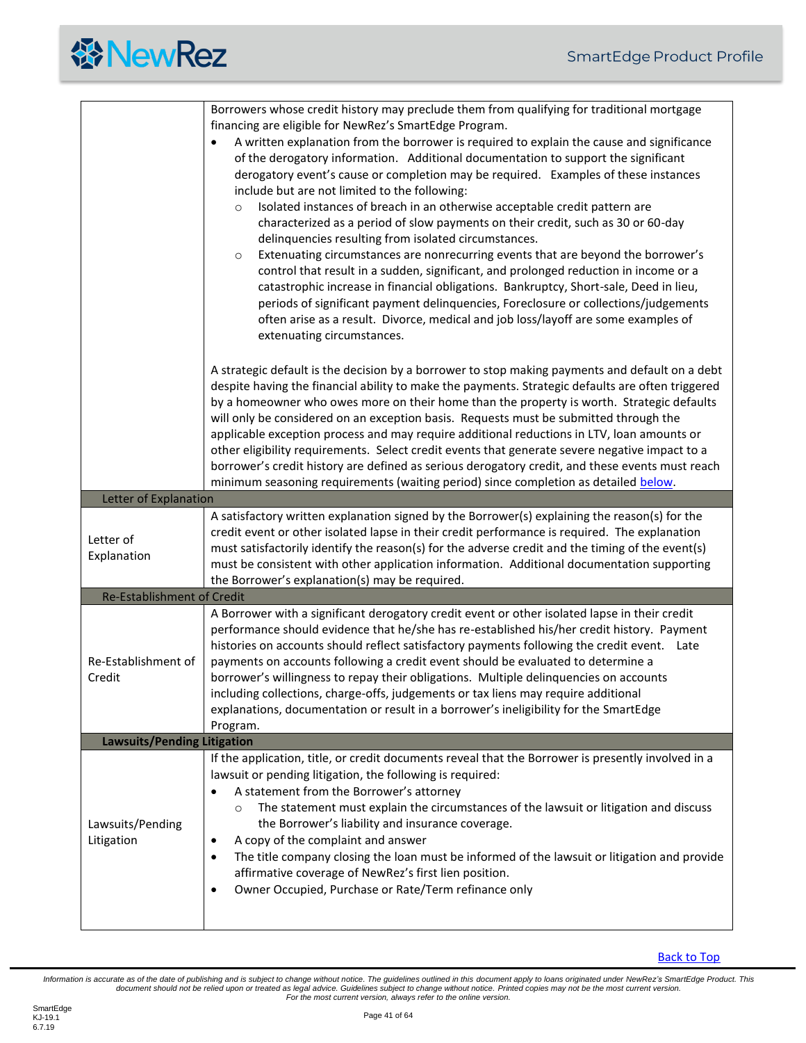<span id="page-40-2"></span><span id="page-40-1"></span><span id="page-40-0"></span>

|                                    | Borrowers whose credit history may preclude them from qualifying for traditional mortgage<br>financing are eligible for NewRez's SmartEdge Program.<br>A written explanation from the borrower is required to explain the cause and significance<br>of the derogatory information. Additional documentation to support the significant<br>derogatory event's cause or completion may be required. Examples of these instances<br>include but are not limited to the following:<br>Isolated instances of breach in an otherwise acceptable credit pattern are<br>$\circ$<br>characterized as a period of slow payments on their credit, such as 30 or 60-day<br>delinquencies resulting from isolated circumstances.<br>Extenuating circumstances are nonrecurring events that are beyond the borrower's<br>$\circ$<br>control that result in a sudden, significant, and prolonged reduction in income or a<br>catastrophic increase in financial obligations. Bankruptcy, Short-sale, Deed in lieu,<br>periods of significant payment delinquencies, Foreclosure or collections/judgements<br>often arise as a result. Divorce, medical and job loss/layoff are some examples of<br>extenuating circumstances. |
|------------------------------------|----------------------------------------------------------------------------------------------------------------------------------------------------------------------------------------------------------------------------------------------------------------------------------------------------------------------------------------------------------------------------------------------------------------------------------------------------------------------------------------------------------------------------------------------------------------------------------------------------------------------------------------------------------------------------------------------------------------------------------------------------------------------------------------------------------------------------------------------------------------------------------------------------------------------------------------------------------------------------------------------------------------------------------------------------------------------------------------------------------------------------------------------------------------------------------------------------------------|
|                                    | A strategic default is the decision by a borrower to stop making payments and default on a debt<br>despite having the financial ability to make the payments. Strategic defaults are often triggered<br>by a homeowner who owes more on their home than the property is worth. Strategic defaults<br>will only be considered on an exception basis. Requests must be submitted through the<br>applicable exception process and may require additional reductions in LTV, loan amounts or<br>other eligibility requirements. Select credit events that generate severe negative impact to a<br>borrower's credit history are defined as serious derogatory credit, and these events must reach<br>minimum seasoning requirements (waiting period) since completion as detailed below.                                                                                                                                                                                                                                                                                                                                                                                                                           |
| Letter of Explanation              |                                                                                                                                                                                                                                                                                                                                                                                                                                                                                                                                                                                                                                                                                                                                                                                                                                                                                                                                                                                                                                                                                                                                                                                                                |
| Letter of<br>Explanation           | A satisfactory written explanation signed by the Borrower(s) explaining the reason(s) for the<br>credit event or other isolated lapse in their credit performance is required. The explanation<br>must satisfactorily identify the reason(s) for the adverse credit and the timing of the event(s)<br>must be consistent with other application information. Additional documentation supporting<br>the Borrower's explanation(s) may be required.                                                                                                                                                                                                                                                                                                                                                                                                                                                                                                                                                                                                                                                                                                                                                             |
| <b>Re-Establishment of Credit</b>  |                                                                                                                                                                                                                                                                                                                                                                                                                                                                                                                                                                                                                                                                                                                                                                                                                                                                                                                                                                                                                                                                                                                                                                                                                |
| Re-Establishment of<br>Credit      | A Borrower with a significant derogatory credit event or other isolated lapse in their credit<br>performance should evidence that he/she has re-established his/her credit history. Payment<br>histories on accounts should reflect satisfactory payments following the credit event. Late<br>payments on accounts following a credit event should be evaluated to determine a<br>borrower's willingness to repay their obligations. Multiple delinquencies on accounts<br>including collections, charge-offs, judgements or tax liens may require additional<br>explanations, documentation or result in a borrower's ineligibility for the SmartEdge<br>Program.                                                                                                                                                                                                                                                                                                                                                                                                                                                                                                                                             |
| <b>Lawsuits/Pending Litigation</b> |                                                                                                                                                                                                                                                                                                                                                                                                                                                                                                                                                                                                                                                                                                                                                                                                                                                                                                                                                                                                                                                                                                                                                                                                                |
| Lawsuits/Pending<br>Litigation     | If the application, title, or credit documents reveal that the Borrower is presently involved in a<br>lawsuit or pending litigation, the following is required:<br>A statement from the Borrower's attorney<br>The statement must explain the circumstances of the lawsuit or litigation and discuss<br>$\circ$<br>the Borrower's liability and insurance coverage.<br>A copy of the complaint and answer<br>٠<br>The title company closing the loan must be informed of the lawsuit or litigation and provide<br>$\bullet$<br>affirmative coverage of NewRez's first lien position.<br>Owner Occupied, Purchase or Rate/Term refinance only<br>$\bullet$                                                                                                                                                                                                                                                                                                                                                                                                                                                                                                                                                      |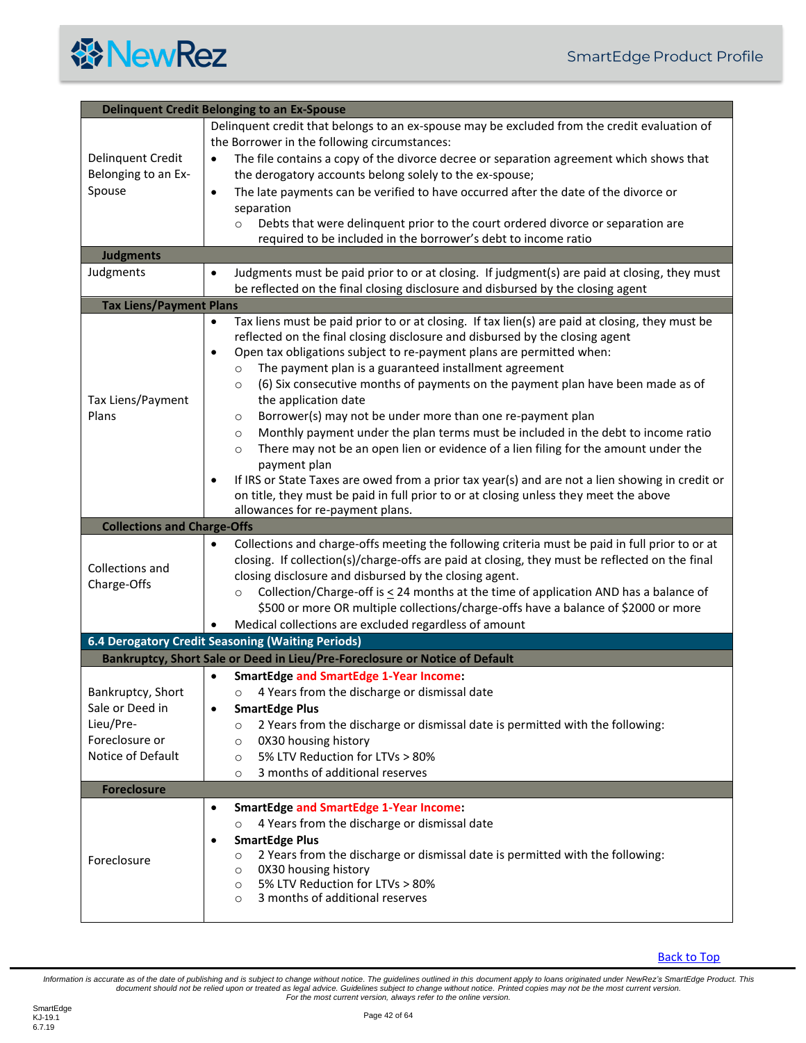<span id="page-41-5"></span><span id="page-41-4"></span><span id="page-41-3"></span><span id="page-41-2"></span><span id="page-41-1"></span><span id="page-41-0"></span>

| <b>Delinquent Credit Belonging to an Ex-Spouse</b> |                                                                                                                                                            |
|----------------------------------------------------|------------------------------------------------------------------------------------------------------------------------------------------------------------|
|                                                    | Delinquent credit that belongs to an ex-spouse may be excluded from the credit evaluation of                                                               |
|                                                    | the Borrower in the following circumstances:                                                                                                               |
| Delinquent Credit                                  | The file contains a copy of the divorce decree or separation agreement which shows that<br>$\bullet$                                                       |
| Belonging to an Ex-                                | the derogatory accounts belong solely to the ex-spouse;                                                                                                    |
| Spouse                                             | The late payments can be verified to have occurred after the date of the divorce or<br>$\bullet$                                                           |
|                                                    | separation                                                                                                                                                 |
|                                                    | Debts that were delinquent prior to the court ordered divorce or separation are<br>$\circ$                                                                 |
|                                                    | required to be included in the borrower's debt to income ratio                                                                                             |
| <b>Judgments</b>                                   |                                                                                                                                                            |
| Judgments                                          | Judgments must be paid prior to or at closing. If judgment(s) are paid at closing, they must                                                               |
|                                                    | be reflected on the final closing disclosure and disbursed by the closing agent                                                                            |
| <b>Tax Liens/Payment Plans</b>                     |                                                                                                                                                            |
|                                                    | Tax liens must be paid prior to or at closing. If tax lien(s) are paid at closing, they must be<br>٠                                                       |
|                                                    | reflected on the final closing disclosure and disbursed by the closing agent                                                                               |
|                                                    | Open tax obligations subject to re-payment plans are permitted when:<br>٠                                                                                  |
|                                                    | The payment plan is a guaranteed installment agreement<br>$\circ$                                                                                          |
|                                                    | (6) Six consecutive months of payments on the payment plan have been made as of<br>$\circ$                                                                 |
| Tax Liens/Payment                                  | the application date                                                                                                                                       |
| Plans                                              | Borrower(s) may not be under more than one re-payment plan<br>$\circ$<br>Monthly payment under the plan terms must be included in the debt to income ratio |
|                                                    | $\circ$<br>There may not be an open lien or evidence of a lien filing for the amount under the                                                             |
|                                                    | $\circ$<br>payment plan                                                                                                                                    |
|                                                    | If IRS or State Taxes are owed from a prior tax year(s) and are not a lien showing in credit or<br>٠                                                       |
|                                                    | on title, they must be paid in full prior to or at closing unless they meet the above                                                                      |
|                                                    | allowances for re-payment plans.                                                                                                                           |
| <b>Collections and Charge-Offs</b>                 |                                                                                                                                                            |
|                                                    | Collections and charge-offs meeting the following criteria must be paid in full prior to or at<br>$\bullet$                                                |
|                                                    | closing. If collection(s)/charge-offs are paid at closing, they must be reflected on the final                                                             |
| Collections and                                    | closing disclosure and disbursed by the closing agent.                                                                                                     |
| Charge-Offs                                        | Collection/Charge-off is $\leq$ 24 months at the time of application AND has a balance of<br>$\circ$                                                       |
|                                                    | \$500 or more OR multiple collections/charge-offs have a balance of \$2000 or more                                                                         |
|                                                    | Medical collections are excluded regardless of amount                                                                                                      |
|                                                    | 6.4 Derogatory Credit Seasoning (Waiting Periods)                                                                                                          |
|                                                    | Bankruptcy, Short Sale or Deed in Lieu/Pre-Foreclosure or Notice of Default                                                                                |
|                                                    | <b>SmartEdge and SmartEdge 1-Year Income:</b><br>$\bullet$                                                                                                 |
| Bankruptcy, Short                                  | 4 Years from the discharge or dismissal date<br>$\circ$                                                                                                    |
| Sale or Deed in                                    | <b>SmartEdge Plus</b><br>٠                                                                                                                                 |
| Lieu/Pre-                                          | 2 Years from the discharge or dismissal date is permitted with the following:<br>$\circ$                                                                   |
| Foreclosure or                                     | 0X30 housing history<br>$\circ$                                                                                                                            |
| Notice of Default                                  | 5% LTV Reduction for LTVs > 80%<br>$\circ$                                                                                                                 |
|                                                    | 3 months of additional reserves<br>$\circ$                                                                                                                 |
| <b>Foreclosure</b>                                 |                                                                                                                                                            |
|                                                    | <b>SmartEdge and SmartEdge 1-Year Income:</b><br>$\bullet$                                                                                                 |
|                                                    | 4 Years from the discharge or dismissal date<br>$\circ$                                                                                                    |
|                                                    | <b>SmartEdge Plus</b><br>٠                                                                                                                                 |
| Foreclosure                                        | 2 Years from the discharge or dismissal date is permitted with the following:<br>$\circ$                                                                   |
|                                                    | 0X30 housing history<br>$\circ$<br>5% LTV Reduction for LTVs > 80%                                                                                         |
|                                                    | $\circ$<br>3 months of additional reserves<br>$\circ$                                                                                                      |
|                                                    |                                                                                                                                                            |

<span id="page-41-6"></span>**[Back to Top](#page-2-0)**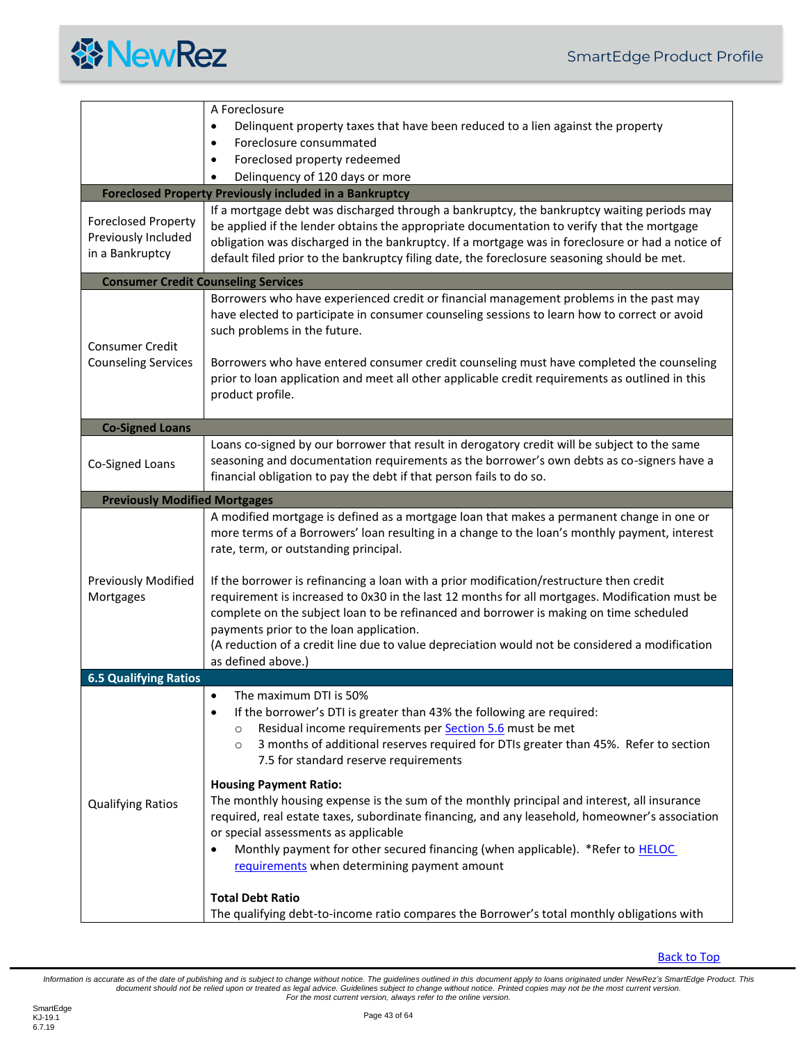

<span id="page-42-4"></span><span id="page-42-3"></span><span id="page-42-2"></span><span id="page-42-1"></span><span id="page-42-0"></span>

|                                                                      | A Foreclosure                                                                                                                                                                                                                                                                                                                                                                                                   |
|----------------------------------------------------------------------|-----------------------------------------------------------------------------------------------------------------------------------------------------------------------------------------------------------------------------------------------------------------------------------------------------------------------------------------------------------------------------------------------------------------|
|                                                                      | Delinquent property taxes that have been reduced to a lien against the property                                                                                                                                                                                                                                                                                                                                 |
|                                                                      | Foreclosure consummated<br>$\bullet$                                                                                                                                                                                                                                                                                                                                                                            |
|                                                                      | Foreclosed property redeemed<br>$\bullet$                                                                                                                                                                                                                                                                                                                                                                       |
|                                                                      | Delinquency of 120 days or more                                                                                                                                                                                                                                                                                                                                                                                 |
|                                                                      | <b>Foreclosed Property Previously included in a Bankruptcy</b>                                                                                                                                                                                                                                                                                                                                                  |
| <b>Foreclosed Property</b><br>Previously Included<br>in a Bankruptcy | If a mortgage debt was discharged through a bankruptcy, the bankruptcy waiting periods may<br>be applied if the lender obtains the appropriate documentation to verify that the mortgage<br>obligation was discharged in the bankruptcy. If a mortgage was in foreclosure or had a notice of<br>default filed prior to the bankruptcy filing date, the foreclosure seasoning should be met.                     |
|                                                                      | <b>Consumer Credit Counseling Services</b>                                                                                                                                                                                                                                                                                                                                                                      |
| <b>Consumer Credit</b><br><b>Counseling Services</b>                 | Borrowers who have experienced credit or financial management problems in the past may<br>have elected to participate in consumer counseling sessions to learn how to correct or avoid<br>such problems in the future.                                                                                                                                                                                          |
|                                                                      | Borrowers who have entered consumer credit counseling must have completed the counseling<br>prior to loan application and meet all other applicable credit requirements as outlined in this<br>product profile.                                                                                                                                                                                                 |
| <b>Co-Signed Loans</b>                                               |                                                                                                                                                                                                                                                                                                                                                                                                                 |
| Co-Signed Loans                                                      | Loans co-signed by our borrower that result in derogatory credit will be subject to the same<br>seasoning and documentation requirements as the borrower's own debts as co-signers have a<br>financial obligation to pay the debt if that person fails to do so.                                                                                                                                                |
| <b>Previously Modified Mortgages</b>                                 |                                                                                                                                                                                                                                                                                                                                                                                                                 |
| <b>Previously Modified</b>                                           | A modified mortgage is defined as a mortgage loan that makes a permanent change in one or<br>more terms of a Borrowers' loan resulting in a change to the loan's monthly payment, interest<br>rate, term, or outstanding principal.<br>If the borrower is refinancing a loan with a prior modification/restructure then credit                                                                                  |
| Mortgages                                                            | requirement is increased to 0x30 in the last 12 months for all mortgages. Modification must be<br>complete on the subject loan to be refinanced and borrower is making on time scheduled<br>payments prior to the loan application.<br>(A reduction of a credit line due to value depreciation would not be considered a modification<br>as defined above.)                                                     |
| <b>6.5 Qualifying Ratios</b>                                         |                                                                                                                                                                                                                                                                                                                                                                                                                 |
|                                                                      | The maximum DTI is 50%<br>$\bullet$<br>If the borrower's DTI is greater than 43% the following are required:<br>٠<br>Residual income requirements per Section 5.6 must be met<br>$\circ$<br>3 months of additional reserves required for DTIs greater than 45%. Refer to section<br>$\circ$<br>7.5 for standard reserve requirements                                                                            |
| <b>Qualifying Ratios</b>                                             | <b>Housing Payment Ratio:</b><br>The monthly housing expense is the sum of the monthly principal and interest, all insurance<br>required, real estate taxes, subordinate financing, and any leasehold, homeowner's association<br>or special assessments as applicable<br>Monthly payment for other secured financing (when applicable). *Refer to <b>HELOC</b><br>requirements when determining payment amount |
|                                                                      | <b>Total Debt Ratio</b><br>The qualifying debt-to-income ratio compares the Borrower's total monthly obligations with                                                                                                                                                                                                                                                                                           |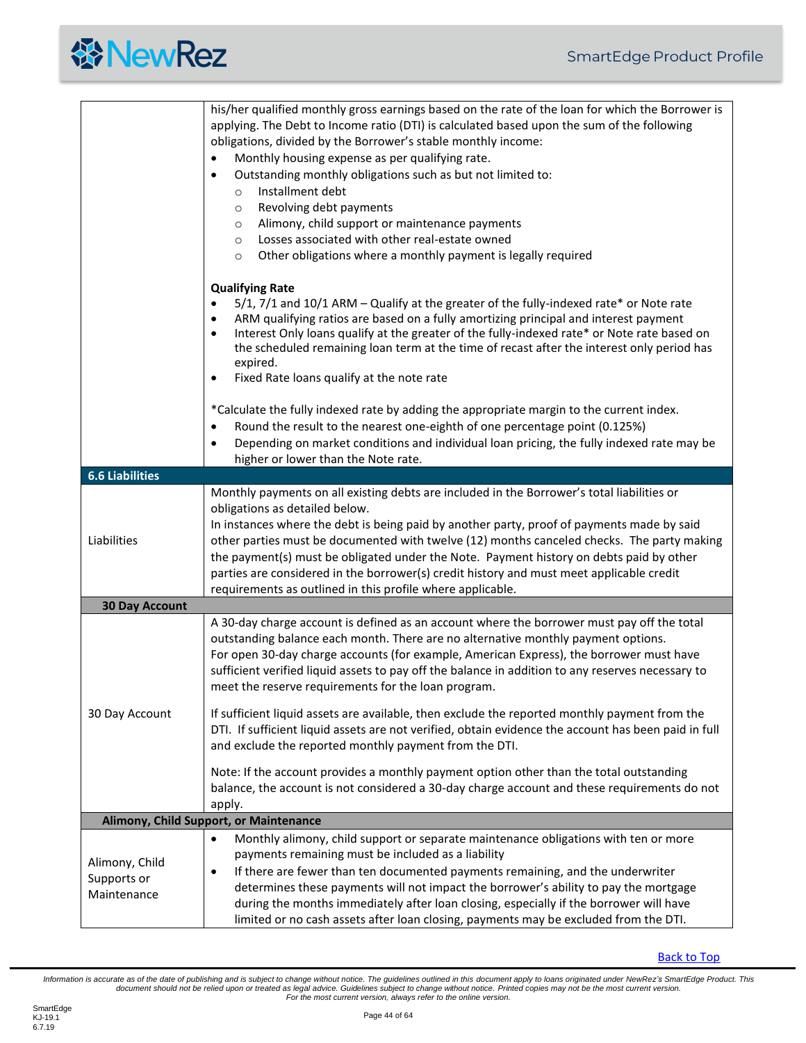<span id="page-43-1"></span><span id="page-43-0"></span>

|                                              | his/her qualified monthly gross earnings based on the rate of the loan for which the Borrower is<br>applying. The Debt to Income ratio (DTI) is calculated based upon the sum of the following<br>obligations, divided by the Borrower's stable monthly income:<br>Monthly housing expense as per qualifying rate.<br>Outstanding monthly obligations such as but not limited to:<br>$\bullet$<br>Installment debt<br>$\circ$<br>Revolving debt payments<br>$\circ$<br>Alimony, child support or maintenance payments<br>$\circ$<br>Losses associated with other real-estate owned<br>$\circ$<br>Other obligations where a monthly payment is legally required<br>$\circ$ |
|----------------------------------------------|---------------------------------------------------------------------------------------------------------------------------------------------------------------------------------------------------------------------------------------------------------------------------------------------------------------------------------------------------------------------------------------------------------------------------------------------------------------------------------------------------------------------------------------------------------------------------------------------------------------------------------------------------------------------------|
|                                              | <b>Qualifying Rate</b><br>5/1, 7/1 and 10/1 ARM - Qualify at the greater of the fully-indexed rate* or Note rate<br>$\bullet$<br>ARM qualifying ratios are based on a fully amortizing principal and interest payment<br>٠<br>Interest Only loans qualify at the greater of the fully-indexed rate* or Note rate based on<br>$\bullet$<br>the scheduled remaining loan term at the time of recast after the interest only period has<br>expired.<br>Fixed Rate loans qualify at the note rate<br>٠                                                                                                                                                                        |
|                                              | *Calculate the fully indexed rate by adding the appropriate margin to the current index.<br>Round the result to the nearest one-eighth of one percentage point (0.125%)<br>Depending on market conditions and individual loan pricing, the fully indexed rate may be<br>$\bullet$<br>higher or lower than the Note rate.                                                                                                                                                                                                                                                                                                                                                  |
| <b>6.6 Liabilities</b>                       |                                                                                                                                                                                                                                                                                                                                                                                                                                                                                                                                                                                                                                                                           |
| Liabilities                                  | Monthly payments on all existing debts are included in the Borrower's total liabilities or<br>obligations as detailed below.<br>In instances where the debt is being paid by another party, proof of payments made by said<br>other parties must be documented with twelve (12) months canceled checks. The party making<br>the payment(s) must be obligated under the Note. Payment history on debts paid by other<br>parties are considered in the borrower(s) credit history and must meet applicable credit<br>requirements as outlined in this profile where applicable.                                                                                             |
| <b>30 Day Account</b>                        |                                                                                                                                                                                                                                                                                                                                                                                                                                                                                                                                                                                                                                                                           |
|                                              | A 30-day charge account is defined as an account where the borrower must pay off the total<br>outstanding balance each month. There are no alternative monthly payment options.<br>For open 30-day charge accounts (for example, American Express), the borrower must have<br>sufficient verified liquid assets to pay off the balance in addition to any reserves necessary to<br>meet the reserve requirements for the loan program.                                                                                                                                                                                                                                    |
| 30 Day Account                               | If sufficient liquid assets are available, then exclude the reported monthly payment from the<br>DTI. If sufficient liquid assets are not verified, obtain evidence the account has been paid in full<br>and exclude the reported monthly payment from the DTI.                                                                                                                                                                                                                                                                                                                                                                                                           |
|                                              | Note: If the account provides a monthly payment option other than the total outstanding<br>balance, the account is not considered a 30-day charge account and these requirements do not<br>apply.                                                                                                                                                                                                                                                                                                                                                                                                                                                                         |
|                                              | Alimony, Child Support, or Maintenance                                                                                                                                                                                                                                                                                                                                                                                                                                                                                                                                                                                                                                    |
| Alimony, Child<br>Supports or<br>Maintenance | Monthly alimony, child support or separate maintenance obligations with ten or more<br>$\bullet$<br>payments remaining must be included as a liability<br>If there are fewer than ten documented payments remaining, and the underwriter<br>$\bullet$<br>determines these payments will not impact the borrower's ability to pay the mortgage<br>during the months immediately after loan closing, especially if the borrower will have<br>limited or no cash assets after loan closing, payments may be excluded from the DTI.                                                                                                                                           |

<span id="page-43-2"></span>[Back to Top](#page-2-0)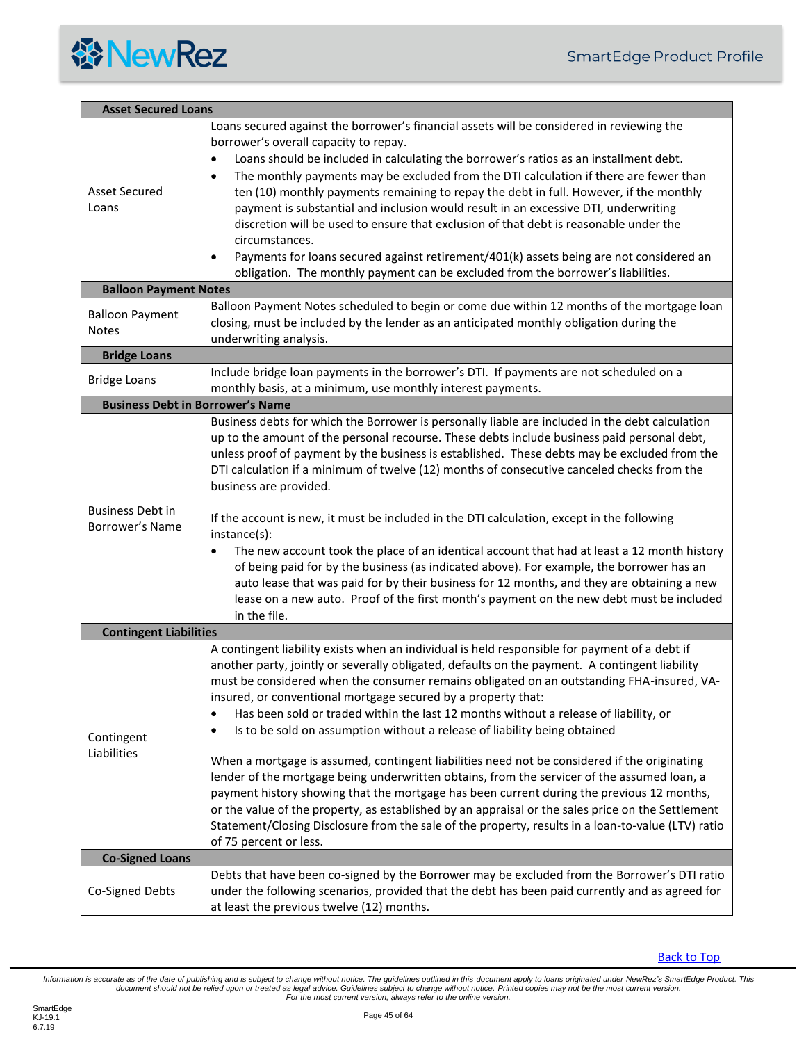

<span id="page-44-5"></span><span id="page-44-4"></span><span id="page-44-3"></span><span id="page-44-2"></span><span id="page-44-1"></span><span id="page-44-0"></span>

| <b>Asset Secured Loans</b>                 |                                                                                                                                                                                                                                                                                                                                                                                                                                                                                                                                                                                                                                                                                                                                                                                                                                                                                                                                                                                                                                                                               |
|--------------------------------------------|-------------------------------------------------------------------------------------------------------------------------------------------------------------------------------------------------------------------------------------------------------------------------------------------------------------------------------------------------------------------------------------------------------------------------------------------------------------------------------------------------------------------------------------------------------------------------------------------------------------------------------------------------------------------------------------------------------------------------------------------------------------------------------------------------------------------------------------------------------------------------------------------------------------------------------------------------------------------------------------------------------------------------------------------------------------------------------|
| <b>Asset Secured</b><br>Loans              | Loans secured against the borrower's financial assets will be considered in reviewing the<br>borrower's overall capacity to repay.<br>Loans should be included in calculating the borrower's ratios as an installment debt.<br>$\bullet$<br>The monthly payments may be excluded from the DTI calculation if there are fewer than<br>$\bullet$<br>ten (10) monthly payments remaining to repay the debt in full. However, if the monthly<br>payment is substantial and inclusion would result in an excessive DTI, underwriting<br>discretion will be used to ensure that exclusion of that debt is reasonable under the<br>circumstances.<br>Payments for loans secured against retirement/401(k) assets being are not considered an<br>٠<br>obligation. The monthly payment can be excluded from the borrower's liabilities.                                                                                                                                                                                                                                                |
| <b>Balloon Payment Notes</b>               |                                                                                                                                                                                                                                                                                                                                                                                                                                                                                                                                                                                                                                                                                                                                                                                                                                                                                                                                                                                                                                                                               |
| <b>Balloon Payment</b><br><b>Notes</b>     | Balloon Payment Notes scheduled to begin or come due within 12 months of the mortgage loan<br>closing, must be included by the lender as an anticipated monthly obligation during the<br>underwriting analysis.                                                                                                                                                                                                                                                                                                                                                                                                                                                                                                                                                                                                                                                                                                                                                                                                                                                               |
| <b>Bridge Loans</b>                        |                                                                                                                                                                                                                                                                                                                                                                                                                                                                                                                                                                                                                                                                                                                                                                                                                                                                                                                                                                                                                                                                               |
| <b>Bridge Loans</b>                        | Include bridge loan payments in the borrower's DTI. If payments are not scheduled on a<br>monthly basis, at a minimum, use monthly interest payments.                                                                                                                                                                                                                                                                                                                                                                                                                                                                                                                                                                                                                                                                                                                                                                                                                                                                                                                         |
| <b>Business Debt in Borrower's Name</b>    |                                                                                                                                                                                                                                                                                                                                                                                                                                                                                                                                                                                                                                                                                                                                                                                                                                                                                                                                                                                                                                                                               |
| <b>Business Debt in</b><br>Borrower's Name | Business debts for which the Borrower is personally liable are included in the debt calculation<br>up to the amount of the personal recourse. These debts include business paid personal debt,<br>unless proof of payment by the business is established. These debts may be excluded from the<br>DTI calculation if a minimum of twelve (12) months of consecutive canceled checks from the<br>business are provided.<br>If the account is new, it must be included in the DTI calculation, except in the following<br>instance(s):<br>The new account took the place of an identical account that had at least a 12 month history<br>$\bullet$<br>of being paid for by the business (as indicated above). For example, the borrower has an<br>auto lease that was paid for by their business for 12 months, and they are obtaining a new<br>lease on a new auto. Proof of the first month's payment on the new debt must be included<br>in the file.                                                                                                                        |
| <b>Contingent Liabilities</b>              |                                                                                                                                                                                                                                                                                                                                                                                                                                                                                                                                                                                                                                                                                                                                                                                                                                                                                                                                                                                                                                                                               |
| Contingent<br>Liabilities                  | A contingent liability exists when an individual is held responsible for payment of a debt if<br>another party, jointly or severally obligated, defaults on the payment. A contingent liability<br>must be considered when the consumer remains obligated on an outstanding FHA-insured, VA-<br>insured, or conventional mortgage secured by a property that:<br>Has been sold or traded within the last 12 months without a release of liability, or<br>٠<br>Is to be sold on assumption without a release of liability being obtained<br>6<br>When a mortgage is assumed, contingent liabilities need not be considered if the originating<br>lender of the mortgage being underwritten obtains, from the servicer of the assumed loan, a<br>payment history showing that the mortgage has been current during the previous 12 months,<br>or the value of the property, as established by an appraisal or the sales price on the Settlement<br>Statement/Closing Disclosure from the sale of the property, results in a loan-to-value (LTV) ratio<br>of 75 percent or less. |
| <b>Co-Signed Loans</b>                     |                                                                                                                                                                                                                                                                                                                                                                                                                                                                                                                                                                                                                                                                                                                                                                                                                                                                                                                                                                                                                                                                               |
| Co-Signed Debts                            | Debts that have been co-signed by the Borrower may be excluded from the Borrower's DTI ratio<br>under the following scenarios, provided that the debt has been paid currently and as agreed for<br>at least the previous twelve (12) months.                                                                                                                                                                                                                                                                                                                                                                                                                                                                                                                                                                                                                                                                                                                                                                                                                                  |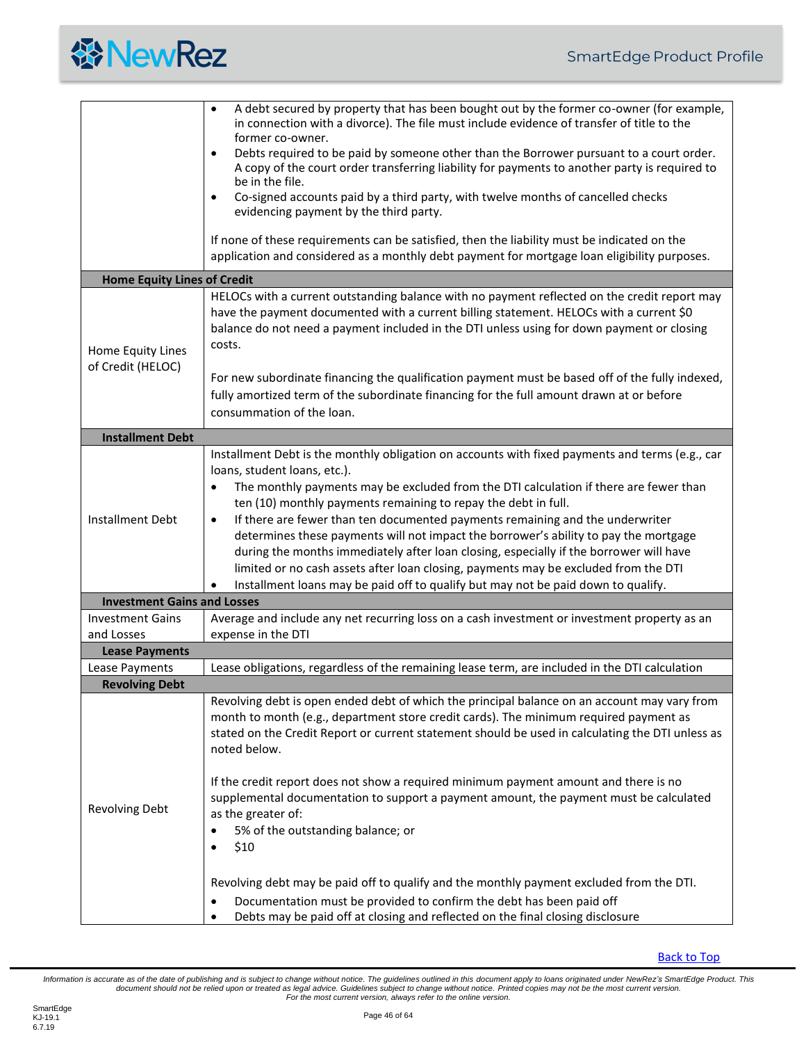

<span id="page-45-4"></span><span id="page-45-3"></span><span id="page-45-2"></span><span id="page-45-1"></span><span id="page-45-0"></span>

|                                         | A debt secured by property that has been bought out by the former co-owner (for example,<br>$\bullet$<br>in connection with a divorce). The file must include evidence of transfer of title to the<br>former co-owner.<br>Debts required to be paid by someone other than the Borrower pursuant to a court order.<br>$\bullet$<br>A copy of the court order transferring liability for payments to another party is required to<br>be in the file.<br>Co-signed accounts paid by a third party, with twelve months of cancelled checks<br>$\bullet$<br>evidencing payment by the third party.<br>If none of these requirements can be satisfied, then the liability must be indicated on the<br>application and considered as a monthly debt payment for mortgage loan eligibility purposes.                                      |
|-----------------------------------------|-----------------------------------------------------------------------------------------------------------------------------------------------------------------------------------------------------------------------------------------------------------------------------------------------------------------------------------------------------------------------------------------------------------------------------------------------------------------------------------------------------------------------------------------------------------------------------------------------------------------------------------------------------------------------------------------------------------------------------------------------------------------------------------------------------------------------------------|
| <b>Home Equity Lines of Credit</b>      |                                                                                                                                                                                                                                                                                                                                                                                                                                                                                                                                                                                                                                                                                                                                                                                                                                   |
| Home Equity Lines<br>of Credit (HELOC)  | HELOCs with a current outstanding balance with no payment reflected on the credit report may<br>have the payment documented with a current billing statement. HELOCs with a current \$0<br>balance do not need a payment included in the DTI unless using for down payment or closing<br>costs.<br>For new subordinate financing the qualification payment must be based off of the fully indexed,<br>fully amortized term of the subordinate financing for the full amount drawn at or before<br>consummation of the loan.                                                                                                                                                                                                                                                                                                       |
| <b>Installment Debt</b>                 |                                                                                                                                                                                                                                                                                                                                                                                                                                                                                                                                                                                                                                                                                                                                                                                                                                   |
| Installment Debt                        | Installment Debt is the monthly obligation on accounts with fixed payments and terms (e.g., car<br>loans, student loans, etc.).<br>The monthly payments may be excluded from the DTI calculation if there are fewer than<br>٠<br>ten (10) monthly payments remaining to repay the debt in full.<br>If there are fewer than ten documented payments remaining and the underwriter<br>$\bullet$<br>determines these payments will not impact the borrower's ability to pay the mortgage<br>during the months immediately after loan closing, especially if the borrower will have<br>limited or no cash assets after loan closing, payments may be excluded from the DTI<br>Installment loans may be paid off to qualify but may not be paid down to qualify.                                                                       |
| <b>Investment Gains and Losses</b>      |                                                                                                                                                                                                                                                                                                                                                                                                                                                                                                                                                                                                                                                                                                                                                                                                                                   |
| <b>Investment Gains</b>                 | Average and include any net recurring loss on a cash investment or investment property as an                                                                                                                                                                                                                                                                                                                                                                                                                                                                                                                                                                                                                                                                                                                                      |
| and Losses                              | expense in the DTI                                                                                                                                                                                                                                                                                                                                                                                                                                                                                                                                                                                                                                                                                                                                                                                                                |
| <b>Lease Payments</b><br>Lease Payments | Lease obligations, regardless of the remaining lease term, are included in the DTI calculation                                                                                                                                                                                                                                                                                                                                                                                                                                                                                                                                                                                                                                                                                                                                    |
| <b>Revolving Debt</b>                   |                                                                                                                                                                                                                                                                                                                                                                                                                                                                                                                                                                                                                                                                                                                                                                                                                                   |
| <b>Revolving Debt</b>                   | Revolving debt is open ended debt of which the principal balance on an account may vary from<br>month to month (e.g., department store credit cards). The minimum required payment as<br>stated on the Credit Report or current statement should be used in calculating the DTI unless as<br>noted below.<br>If the credit report does not show a required minimum payment amount and there is no<br>supplemental documentation to support a payment amount, the payment must be calculated<br>as the greater of:<br>5% of the outstanding balance; or<br>\$10<br>Revolving debt may be paid off to qualify and the monthly payment excluded from the DTI.<br>Documentation must be provided to confirm the debt has been paid off<br>$\bullet$<br>Debts may be paid off at closing and reflected on the final closing disclosure |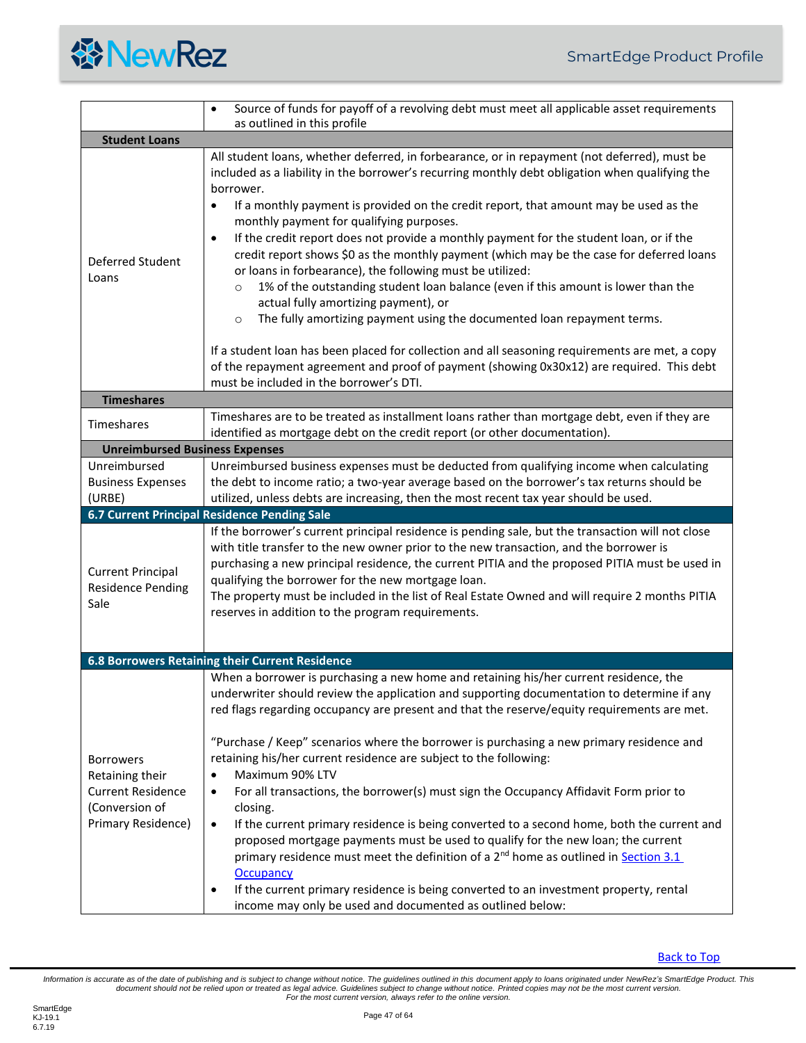<span id="page-46-4"></span><span id="page-46-3"></span><span id="page-46-2"></span><span id="page-46-1"></span><span id="page-46-0"></span>

|                                                                                                         | Source of funds for payoff of a revolving debt must meet all applicable asset requirements<br>$\bullet$<br>as outlined in this profile                                                                                                                                                                                                                                                                                                                                                                                                                                                                                                                                                                                                                                                                                                                                                                                                                                                                                                                        |
|---------------------------------------------------------------------------------------------------------|---------------------------------------------------------------------------------------------------------------------------------------------------------------------------------------------------------------------------------------------------------------------------------------------------------------------------------------------------------------------------------------------------------------------------------------------------------------------------------------------------------------------------------------------------------------------------------------------------------------------------------------------------------------------------------------------------------------------------------------------------------------------------------------------------------------------------------------------------------------------------------------------------------------------------------------------------------------------------------------------------------------------------------------------------------------|
| <b>Student Loans</b>                                                                                    |                                                                                                                                                                                                                                                                                                                                                                                                                                                                                                                                                                                                                                                                                                                                                                                                                                                                                                                                                                                                                                                               |
| Deferred Student<br>Loans                                                                               | All student loans, whether deferred, in forbearance, or in repayment (not deferred), must be<br>included as a liability in the borrower's recurring monthly debt obligation when qualifying the<br>borrower.<br>If a monthly payment is provided on the credit report, that amount may be used as the<br>$\bullet$<br>monthly payment for qualifying purposes.<br>If the credit report does not provide a monthly payment for the student loan, or if the<br>$\bullet$<br>credit report shows \$0 as the monthly payment (which may be the case for deferred loans<br>or loans in forbearance), the following must be utilized:<br>1% of the outstanding student loan balance (even if this amount is lower than the<br>$\circ$<br>actual fully amortizing payment), or<br>The fully amortizing payment using the documented loan repayment terms.<br>$\circ$<br>If a student loan has been placed for collection and all seasoning requirements are met, a copy<br>of the repayment agreement and proof of payment (showing 0x30x12) are required. This debt |
| <b>Timeshares</b>                                                                                       | must be included in the borrower's DTI.                                                                                                                                                                                                                                                                                                                                                                                                                                                                                                                                                                                                                                                                                                                                                                                                                                                                                                                                                                                                                       |
| Timeshares                                                                                              | Timeshares are to be treated as installment loans rather than mortgage debt, even if they are<br>identified as mortgage debt on the credit report (or other documentation).                                                                                                                                                                                                                                                                                                                                                                                                                                                                                                                                                                                                                                                                                                                                                                                                                                                                                   |
| <b>Unreimbursed Business Expenses</b>                                                                   |                                                                                                                                                                                                                                                                                                                                                                                                                                                                                                                                                                                                                                                                                                                                                                                                                                                                                                                                                                                                                                                               |
| Unreimbursed<br><b>Business Expenses</b><br>(URBE)                                                      | Unreimbursed business expenses must be deducted from qualifying income when calculating<br>the debt to income ratio; a two-year average based on the borrower's tax returns should be<br>utilized, unless debts are increasing, then the most recent tax year should be used.                                                                                                                                                                                                                                                                                                                                                                                                                                                                                                                                                                                                                                                                                                                                                                                 |
|                                                                                                         | 6.7 Current Principal Residence Pending Sale                                                                                                                                                                                                                                                                                                                                                                                                                                                                                                                                                                                                                                                                                                                                                                                                                                                                                                                                                                                                                  |
| <b>Current Principal</b><br><b>Residence Pending</b><br>Sale                                            | If the borrower's current principal residence is pending sale, but the transaction will not close<br>with title transfer to the new owner prior to the new transaction, and the borrower is<br>purchasing a new principal residence, the current PITIA and the proposed PITIA must be used in<br>qualifying the borrower for the new mortgage loan.<br>The property must be included in the list of Real Estate Owned and will require 2 months PITIA<br>reserves in addition to the program requirements.                                                                                                                                                                                                                                                                                                                                                                                                                                                                                                                                                    |
|                                                                                                         | 6.8 Borrowers Retaining their Current Residence                                                                                                                                                                                                                                                                                                                                                                                                                                                                                                                                                                                                                                                                                                                                                                                                                                                                                                                                                                                                               |
| <b>Borrowers</b><br>Retaining their<br><b>Current Residence</b><br>(Conversion of<br>Primary Residence) | When a borrower is purchasing a new home and retaining his/her current residence, the<br>underwriter should review the application and supporting documentation to determine if any<br>red flags regarding occupancy are present and that the reserve/equity requirements are met.<br>"Purchase / Keep" scenarios where the borrower is purchasing a new primary residence and<br>retaining his/her current residence are subject to the following:<br>Maximum 90% LTV<br>$\bullet$<br>For all transactions, the borrower(s) must sign the Occupancy Affidavit Form prior to<br>$\bullet$<br>closing.<br>If the current primary residence is being converted to a second home, both the current and<br>$\bullet$<br>proposed mortgage payments must be used to qualify for the new loan; the current<br>primary residence must meet the definition of a 2 <sup>nd</sup> home as outlined in <b>Section 3.1</b><br><b>Occupancy</b><br>If the current primary residence is being converted to an investment property, rental<br>٠                              |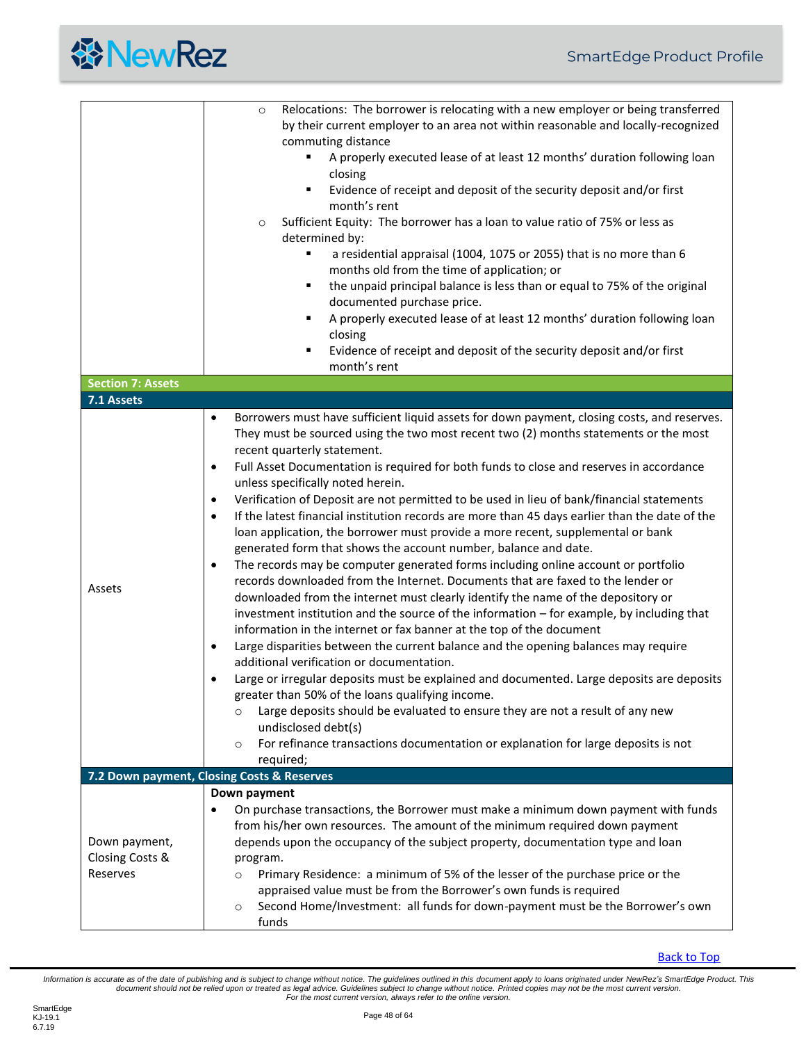

<span id="page-47-2"></span><span id="page-47-1"></span><span id="page-47-0"></span>

|                          | Relocations: The borrower is relocating with a new employer or being transferred<br>$\circ$                                                  |
|--------------------------|----------------------------------------------------------------------------------------------------------------------------------------------|
|                          | by their current employer to an area not within reasonable and locally-recognized                                                            |
|                          | commuting distance                                                                                                                           |
|                          | A properly executed lease of at least 12 months' duration following loan                                                                     |
|                          | closing                                                                                                                                      |
|                          | Evidence of receipt and deposit of the security deposit and/or first<br>٠                                                                    |
|                          | month's rent                                                                                                                                 |
|                          | Sufficient Equity: The borrower has a loan to value ratio of 75% or less as<br>$\circ$                                                       |
|                          | determined by:                                                                                                                               |
|                          | ٠<br>a residential appraisal (1004, 1075 or 2055) that is no more than 6                                                                     |
|                          | months old from the time of application; or<br>٠                                                                                             |
|                          | the unpaid principal balance is less than or equal to 75% of the original                                                                    |
|                          | documented purchase price.<br>A properly executed lease of at least 12 months' duration following loan                                       |
|                          | closing                                                                                                                                      |
|                          | Evidence of receipt and deposit of the security deposit and/or first<br>٠                                                                    |
|                          | month's rent                                                                                                                                 |
| <b>Section 7: Assets</b> |                                                                                                                                              |
| 7.1 Assets               |                                                                                                                                              |
|                          | Borrowers must have sufficient liquid assets for down payment, closing costs, and reserves.<br>$\bullet$                                     |
|                          | They must be sourced using the two most recent two (2) months statements or the most                                                         |
|                          | recent quarterly statement.                                                                                                                  |
|                          | Full Asset Documentation is required for both funds to close and reserves in accordance<br>$\bullet$                                         |
|                          | unless specifically noted herein.                                                                                                            |
|                          | Verification of Deposit are not permitted to be used in lieu of bank/financial statements<br>$\bullet$                                       |
|                          | If the latest financial institution records are more than 45 days earlier than the date of the<br>$\bullet$                                  |
|                          | loan application, the borrower must provide a more recent, supplemental or bank                                                              |
|                          | generated form that shows the account number, balance and date.                                                                              |
|                          | The records may be computer generated forms including online account or portfolio<br>٠                                                       |
| Assets                   | records downloaded from the Internet. Documents that are faxed to the lender or                                                              |
|                          | downloaded from the internet must clearly identify the name of the depository or                                                             |
|                          | investment institution and the source of the information - for example, by including that                                                    |
|                          | information in the internet or fax banner at the top of the document                                                                         |
|                          | Large disparities between the current balance and the opening balances may require<br>$\bullet$<br>additional verification or documentation. |
|                          | Large or irregular deposits must be explained and documented. Large deposits are deposits<br>$\bullet$                                       |
|                          | greater than 50% of the loans qualifying income.                                                                                             |
|                          | Large deposits should be evaluated to ensure they are not a result of any new<br>$\circ$                                                     |
|                          | undisclosed debt(s)                                                                                                                          |
|                          | For refinance transactions documentation or explanation for large deposits is not<br>$\circ$                                                 |
|                          | required;                                                                                                                                    |
|                          | 7.2 Down payment, Closing Costs & Reserves                                                                                                   |
|                          | Down payment                                                                                                                                 |
|                          | On purchase transactions, the Borrower must make a minimum down payment with funds<br>$\bullet$                                              |
|                          | from his/her own resources. The amount of the minimum required down payment                                                                  |
| Down payment,            | depends upon the occupancy of the subject property, documentation type and loan                                                              |
| Closing Costs &          | program.                                                                                                                                     |
| Reserves                 | Primary Residence: a minimum of 5% of the lesser of the purchase price or the<br>$\circ$                                                     |
|                          | appraised value must be from the Borrower's own funds is required                                                                            |
|                          | Second Home/Investment: all funds for down-payment must be the Borrower's own<br>$\circ$                                                     |
|                          | funds                                                                                                                                        |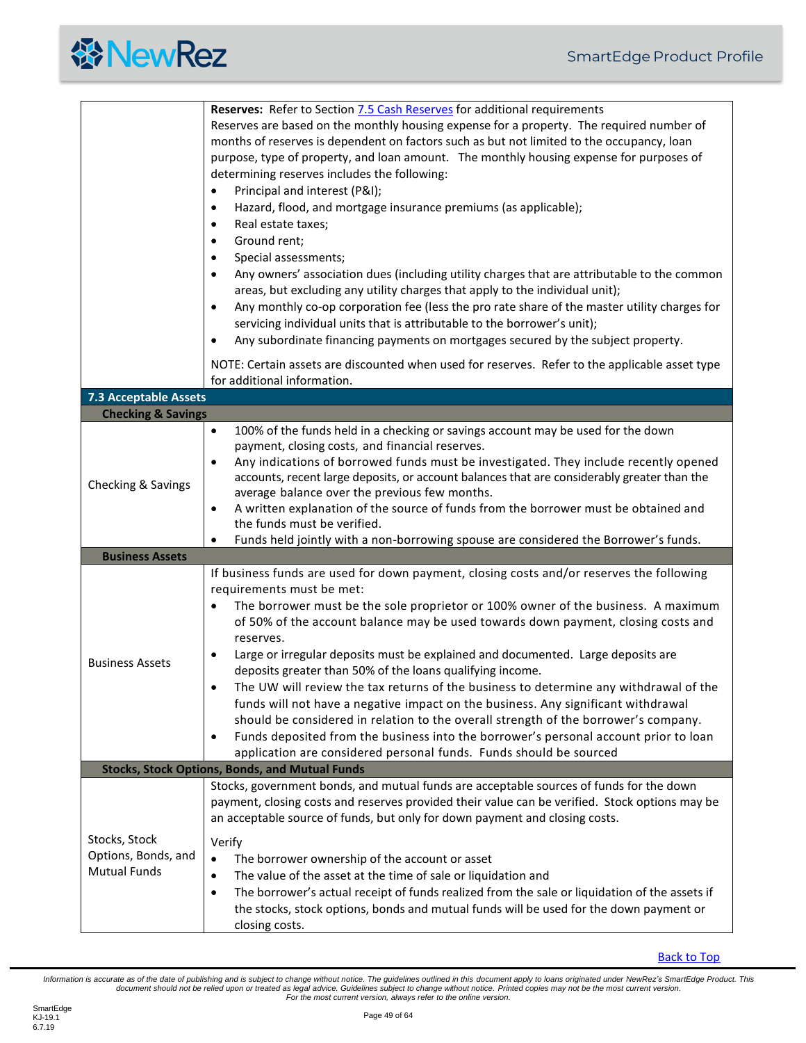<span id="page-48-3"></span><span id="page-48-2"></span><span id="page-48-1"></span><span id="page-48-0"></span>

|                               | Reserves: Refer to Section 7.5 Cash Reserves for additional requirements                                                                             |
|-------------------------------|------------------------------------------------------------------------------------------------------------------------------------------------------|
|                               | Reserves are based on the monthly housing expense for a property. The required number of                                                             |
|                               | months of reserves is dependent on factors such as but not limited to the occupancy, loan                                                            |
|                               | purpose, type of property, and loan amount. The monthly housing expense for purposes of                                                              |
|                               | determining reserves includes the following:                                                                                                         |
|                               | Principal and interest (P&I);<br>$\bullet$                                                                                                           |
|                               | Hazard, flood, and mortgage insurance premiums (as applicable);<br>$\bullet$                                                                         |
|                               | Real estate taxes;<br>$\bullet$                                                                                                                      |
|                               | Ground rent;<br>$\bullet$                                                                                                                            |
|                               | Special assessments;<br>٠                                                                                                                            |
|                               | Any owners' association dues (including utility charges that are attributable to the common<br>$\bullet$                                             |
|                               | areas, but excluding any utility charges that apply to the individual unit);                                                                         |
|                               | Any monthly co-op corporation fee (less the pro rate share of the master utility charges for<br>$\bullet$                                            |
|                               | servicing individual units that is attributable to the borrower's unit);                                                                             |
|                               | Any subordinate financing payments on mortgages secured by the subject property.<br>$\bullet$                                                        |
|                               |                                                                                                                                                      |
|                               | NOTE: Certain assets are discounted when used for reserves. Refer to the applicable asset type                                                       |
|                               | for additional information.                                                                                                                          |
| <b>7.3 Acceptable Assets</b>  |                                                                                                                                                      |
| <b>Checking &amp; Savings</b> |                                                                                                                                                      |
|                               | 100% of the funds held in a checking or savings account may be used for the down<br>$\bullet$                                                        |
|                               | payment, closing costs, and financial reserves.<br>Any indications of borrowed funds must be investigated. They include recently opened<br>$\bullet$ |
|                               | accounts, recent large deposits, or account balances that are considerably greater than the                                                          |
| Checking & Savings            | average balance over the previous few months.                                                                                                        |
|                               | A written explanation of the source of funds from the borrower must be obtained and<br>$\bullet$                                                     |
|                               | the funds must be verified.                                                                                                                          |
|                               | Funds held jointly with a non-borrowing spouse are considered the Borrower's funds.                                                                  |
| <b>Business Assets</b>        |                                                                                                                                                      |
|                               | If business funds are used for down payment, closing costs and/or reserves the following                                                             |
|                               | requirements must be met:                                                                                                                            |
|                               | The borrower must be the sole proprietor or 100% owner of the business. A maximum                                                                    |
|                               | of 50% of the account balance may be used towards down payment, closing costs and                                                                    |
|                               | reserves.                                                                                                                                            |
|                               | Large or irregular deposits must be explained and documented. Large deposits are<br>$\bullet$                                                        |
| <b>Business Assets</b>        | deposits greater than 50% of the loans qualifying income.                                                                                            |
|                               | The UW will review the tax returns of the business to determine any withdrawal of the<br>$\bullet$                                                   |
|                               | funds will not have a negative impact on the business. Any significant withdrawal                                                                    |
|                               | should be considered in relation to the overall strength of the borrower's company.                                                                  |
|                               | Funds deposited from the business into the borrower's personal account prior to loan<br>$\bullet$                                                    |
|                               | application are considered personal funds. Funds should be sourced                                                                                   |
|                               | <b>Stocks, Stock Options, Bonds, and Mutual Funds</b>                                                                                                |
|                               | Stocks, government bonds, and mutual funds are acceptable sources of funds for the down                                                              |
|                               | payment, closing costs and reserves provided their value can be verified. Stock options may be                                                       |
|                               | an acceptable source of funds, but only for down payment and closing costs.                                                                          |
| Stocks, Stock                 |                                                                                                                                                      |
| Options, Bonds, and           | Verify                                                                                                                                               |
| <b>Mutual Funds</b>           | The borrower ownership of the account or asset<br>$\bullet$                                                                                          |
|                               | The value of the asset at the time of sale or liquidation and<br>٠                                                                                   |
|                               |                                                                                                                                                      |
|                               | The borrower's actual receipt of funds realized from the sale or liquidation of the assets if<br>٠                                                   |
|                               | the stocks, stock options, bonds and mutual funds will be used for the down payment or<br>closing costs.                                             |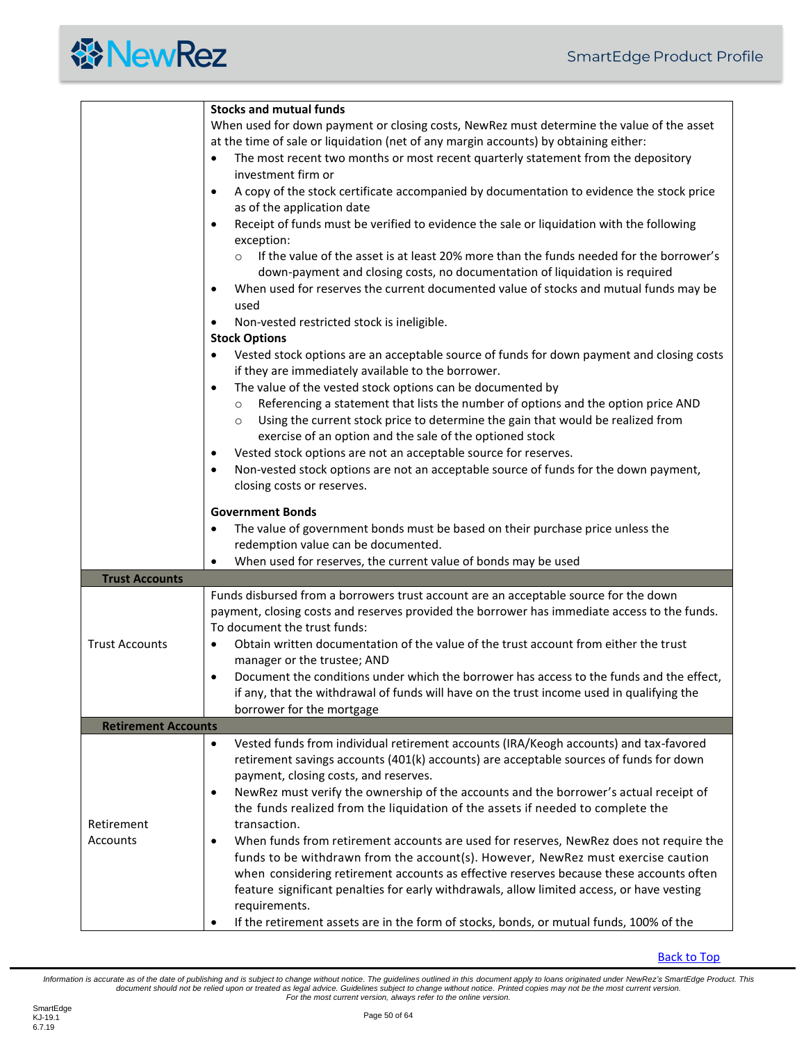<span id="page-49-0"></span>

|                                                                                      | <b>Stocks and mutual funds</b>                                                                         |  |  |  |
|--------------------------------------------------------------------------------------|--------------------------------------------------------------------------------------------------------|--|--|--|
|                                                                                      | When used for down payment or closing costs, NewRez must determine the value of the asset              |  |  |  |
| at the time of sale or liquidation (net of any margin accounts) by obtaining either: |                                                                                                        |  |  |  |
|                                                                                      | The most recent two months or most recent quarterly statement from the depository<br>$\bullet$         |  |  |  |
|                                                                                      | investment firm or                                                                                     |  |  |  |
|                                                                                      |                                                                                                        |  |  |  |
|                                                                                      | A copy of the stock certificate accompanied by documentation to evidence the stock price<br>$\bullet$  |  |  |  |
|                                                                                      | as of the application date                                                                             |  |  |  |
|                                                                                      | Receipt of funds must be verified to evidence the sale or liquidation with the following<br>$\bullet$  |  |  |  |
|                                                                                      | exception:                                                                                             |  |  |  |
|                                                                                      | If the value of the asset is at least 20% more than the funds needed for the borrower's<br>$\circ$     |  |  |  |
|                                                                                      |                                                                                                        |  |  |  |
|                                                                                      | down-payment and closing costs, no documentation of liquidation is required                            |  |  |  |
|                                                                                      | When used for reserves the current documented value of stocks and mutual funds may be<br>$\bullet$     |  |  |  |
| used                                                                                 |                                                                                                        |  |  |  |
|                                                                                      | Non-vested restricted stock is ineligible.<br>$\bullet$                                                |  |  |  |
|                                                                                      | <b>Stock Options</b>                                                                                   |  |  |  |
|                                                                                      | Vested stock options are an acceptable source of funds for down payment and closing costs<br>$\bullet$ |  |  |  |
|                                                                                      | if they are immediately available to the borrower.                                                     |  |  |  |
|                                                                                      | The value of the vested stock options can be documented by<br>$\bullet$                                |  |  |  |
|                                                                                      |                                                                                                        |  |  |  |
|                                                                                      | Referencing a statement that lists the number of options and the option price AND<br>$\circ$           |  |  |  |
|                                                                                      | Using the current stock price to determine the gain that would be realized from<br>$\circ$             |  |  |  |
|                                                                                      | exercise of an option and the sale of the optioned stock                                               |  |  |  |
|                                                                                      | Vested stock options are not an acceptable source for reserves.<br>$\bullet$                           |  |  |  |
|                                                                                      | Non-vested stock options are not an acceptable source of funds for the down payment,<br>$\bullet$      |  |  |  |
|                                                                                      | closing costs or reserves.                                                                             |  |  |  |
|                                                                                      |                                                                                                        |  |  |  |
|                                                                                      | <b>Government Bonds</b>                                                                                |  |  |  |
|                                                                                      | The value of government bonds must be based on their purchase price unless the<br>$\bullet$            |  |  |  |
|                                                                                      | redemption value can be documented.                                                                    |  |  |  |
|                                                                                      |                                                                                                        |  |  |  |
|                                                                                      | When used for reserves, the current value of bonds may be used<br>$\bullet$                            |  |  |  |
| <b>Trust Accounts</b>                                                                |                                                                                                        |  |  |  |
|                                                                                      | Funds disbursed from a borrowers trust account are an acceptable source for the down                   |  |  |  |
|                                                                                      | payment, closing costs and reserves provided the borrower has immediate access to the funds.           |  |  |  |
|                                                                                      | To document the trust funds:                                                                           |  |  |  |
| <b>Trust Accounts</b>                                                                | Obtain written documentation of the value of the trust account from either the trust<br>$\bullet$      |  |  |  |
|                                                                                      | manager or the trustee; AND                                                                            |  |  |  |
|                                                                                      | Document the conditions under which the borrower has access to the funds and the effect,<br>$\bullet$  |  |  |  |
|                                                                                      | if any, that the withdrawal of funds will have on the trust income used in qualifying the              |  |  |  |
|                                                                                      | borrower for the mortgage                                                                              |  |  |  |
|                                                                                      |                                                                                                        |  |  |  |
| <b>Retirement Accounts</b>                                                           |                                                                                                        |  |  |  |
|                                                                                      | Vested funds from individual retirement accounts (IRA/Keogh accounts) and tax-favored<br>$\bullet$     |  |  |  |
|                                                                                      | retirement savings accounts (401(k) accounts) are acceptable sources of funds for down                 |  |  |  |
|                                                                                      | payment, closing costs, and reserves.                                                                  |  |  |  |
|                                                                                      | NewRez must verify the ownership of the accounts and the borrower's actual receipt of<br>$\bullet$     |  |  |  |
|                                                                                      | the funds realized from the liquidation of the assets if needed to complete the                        |  |  |  |
| Retirement                                                                           | transaction.                                                                                           |  |  |  |
| Accounts                                                                             | When funds from retirement accounts are used for reserves, NewRez does not require the<br>$\bullet$    |  |  |  |
|                                                                                      |                                                                                                        |  |  |  |
|                                                                                      | funds to be withdrawn from the account(s). However, NewRez must exercise caution                       |  |  |  |
|                                                                                      | when considering retirement accounts as effective reserves because these accounts often                |  |  |  |
|                                                                                      | feature significant penalties for early withdrawals, allow limited access, or have vesting             |  |  |  |
|                                                                                      | requirements.                                                                                          |  |  |  |
|                                                                                      | If the retirement assets are in the form of stocks, bonds, or mutual funds, 100% of the                |  |  |  |

<span id="page-49-1"></span>[Back to Top](#page-2-0)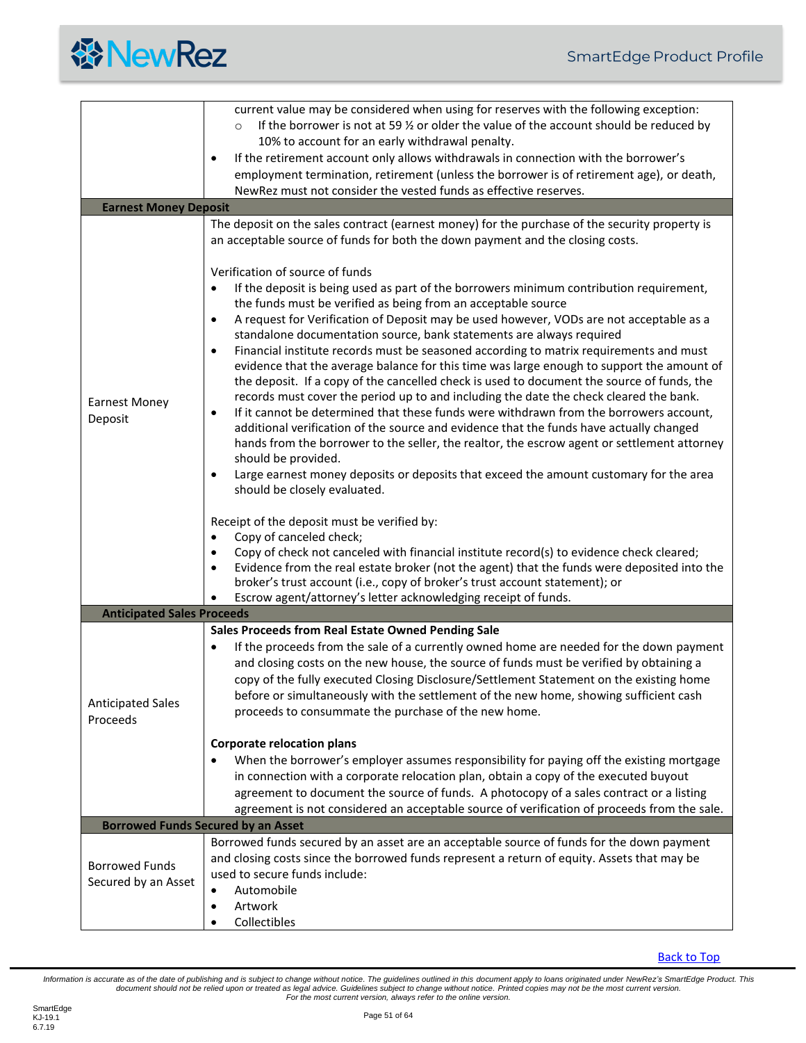

<span id="page-50-2"></span><span id="page-50-1"></span><span id="page-50-0"></span>

|                                   | current value may be considered when using for reserves with the following exception:                                                         |  |  |  |  |
|-----------------------------------|-----------------------------------------------------------------------------------------------------------------------------------------------|--|--|--|--|
|                                   | If the borrower is not at 59 $\frac{1}{2}$ or older the value of the account should be reduced by<br>$\circ$                                  |  |  |  |  |
|                                   | 10% to account for an early withdrawal penalty.                                                                                               |  |  |  |  |
|                                   | If the retirement account only allows withdrawals in connection with the borrower's<br>$\bullet$                                              |  |  |  |  |
|                                   | employment termination, retirement (unless the borrower is of retirement age), or death,                                                      |  |  |  |  |
|                                   | NewRez must not consider the vested funds as effective reserves.                                                                              |  |  |  |  |
| <b>Earnest Money Deposit</b>      |                                                                                                                                               |  |  |  |  |
|                                   | The deposit on the sales contract (earnest money) for the purchase of the security property is                                                |  |  |  |  |
|                                   | an acceptable source of funds for both the down payment and the closing costs.                                                                |  |  |  |  |
|                                   |                                                                                                                                               |  |  |  |  |
|                                   | Verification of source of funds                                                                                                               |  |  |  |  |
|                                   | If the deposit is being used as part of the borrowers minimum contribution requirement,<br>$\bullet$                                          |  |  |  |  |
|                                   | the funds must be verified as being from an acceptable source                                                                                 |  |  |  |  |
|                                   | A request for Verification of Deposit may be used however, VODs are not acceptable as a<br>$\bullet$                                          |  |  |  |  |
|                                   | standalone documentation source, bank statements are always required                                                                          |  |  |  |  |
|                                   | Financial institute records must be seasoned according to matrix requirements and must<br>$\bullet$                                           |  |  |  |  |
|                                   | evidence that the average balance for this time was large enough to support the amount of                                                     |  |  |  |  |
|                                   | the deposit. If a copy of the cancelled check is used to document the source of funds, the                                                    |  |  |  |  |
| <b>Earnest Money</b>              | records must cover the period up to and including the date the check cleared the bank.                                                        |  |  |  |  |
| Deposit                           | If it cannot be determined that these funds were withdrawn from the borrowers account,<br>$\bullet$                                           |  |  |  |  |
|                                   | additional verification of the source and evidence that the funds have actually changed                                                       |  |  |  |  |
|                                   | hands from the borrower to the seller, the realtor, the escrow agent or settlement attorney                                                   |  |  |  |  |
|                                   | should be provided.                                                                                                                           |  |  |  |  |
|                                   | Large earnest money deposits or deposits that exceed the amount customary for the area<br>$\bullet$                                           |  |  |  |  |
|                                   | should be closely evaluated.                                                                                                                  |  |  |  |  |
|                                   |                                                                                                                                               |  |  |  |  |
|                                   | Receipt of the deposit must be verified by:                                                                                                   |  |  |  |  |
|                                   | Copy of canceled check;<br>$\bullet$                                                                                                          |  |  |  |  |
|                                   | Copy of check not canceled with financial institute record(s) to evidence check cleared;<br>$\bullet$                                         |  |  |  |  |
|                                   | Evidence from the real estate broker (not the agent) that the funds were deposited into the                                                   |  |  |  |  |
|                                   | broker's trust account (i.e., copy of broker's trust account statement); or<br>Escrow agent/attorney's letter acknowledging receipt of funds. |  |  |  |  |
| <b>Anticipated Sales Proceeds</b> |                                                                                                                                               |  |  |  |  |
|                                   | Sales Proceeds from Real Estate Owned Pending Sale                                                                                            |  |  |  |  |
|                                   |                                                                                                                                               |  |  |  |  |
|                                   | If the proceeds from the sale of a currently owned home are needed for the down payment<br>$\bullet$                                          |  |  |  |  |
|                                   | and closing costs on the new house, the source of funds must be verified by obtaining a                                                       |  |  |  |  |
|                                   | copy of the fully executed Closing Disclosure/Settlement Statement on the existing home                                                       |  |  |  |  |
| <b>Anticipated Sales</b>          | before or simultaneously with the settlement of the new home, showing sufficient cash                                                         |  |  |  |  |
| Proceeds                          | proceeds to consummate the purchase of the new home.                                                                                          |  |  |  |  |
|                                   | <b>Corporate relocation plans</b>                                                                                                             |  |  |  |  |
|                                   | When the borrower's employer assumes responsibility for paying off the existing mortgage                                                      |  |  |  |  |
|                                   | in connection with a corporate relocation plan, obtain a copy of the executed buyout                                                          |  |  |  |  |
|                                   | agreement to document the source of funds. A photocopy of a sales contract or a listing                                                       |  |  |  |  |
|                                   | agreement is not considered an acceptable source of verification of proceeds from the sale.                                                   |  |  |  |  |
|                                   | <b>Borrowed Funds Secured by an Asset</b>                                                                                                     |  |  |  |  |
|                                   | Borrowed funds secured by an asset are an acceptable source of funds for the down payment                                                     |  |  |  |  |
|                                   | and closing costs since the borrowed funds represent a return of equity. Assets that may be                                                   |  |  |  |  |
| <b>Borrowed Funds</b>             | used to secure funds include:                                                                                                                 |  |  |  |  |
| Secured by an Asset               | Automobile                                                                                                                                    |  |  |  |  |
|                                   | Artwork<br>٠                                                                                                                                  |  |  |  |  |
|                                   | Collectibles                                                                                                                                  |  |  |  |  |
|                                   |                                                                                                                                               |  |  |  |  |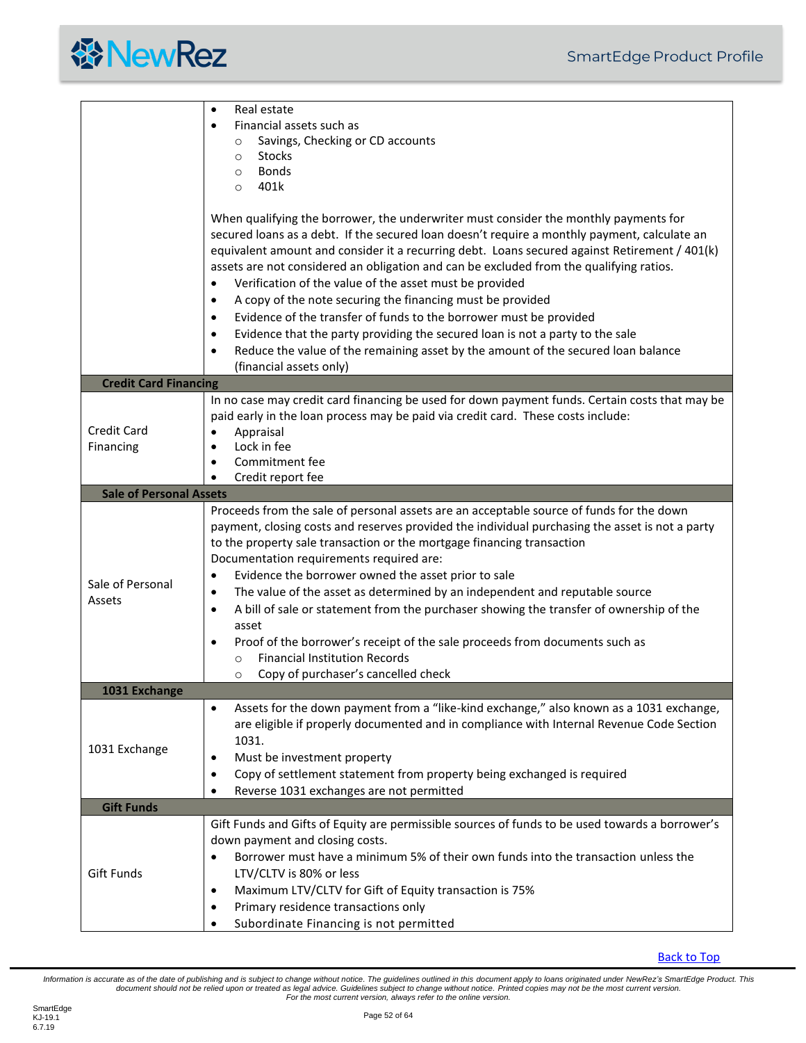

<span id="page-51-3"></span><span id="page-51-2"></span><span id="page-51-1"></span><span id="page-51-0"></span>

|                                 | Real estate<br>$\bullet$<br>Financial assets such as<br>$\bullet$<br>Savings, Checking or CD accounts<br>$\circ$<br><b>Stocks</b><br>$\circ$<br><b>Bonds</b><br>$\circ$<br>401k<br>$\circ$<br>When qualifying the borrower, the underwriter must consider the monthly payments for<br>secured loans as a debt. If the secured loan doesn't require a monthly payment, calculate an<br>equivalent amount and consider it a recurring debt. Loans secured against Retirement / 401(k)<br>assets are not considered an obligation and can be excluded from the qualifying ratios.<br>Verification of the value of the asset must be provided<br>$\bullet$<br>A copy of the note securing the financing must be provided<br>$\bullet$<br>Evidence of the transfer of funds to the borrower must be provided<br>$\bullet$<br>Evidence that the party providing the secured loan is not a party to the sale<br>$\bullet$<br>Reduce the value of the remaining asset by the amount of the secured loan balance<br>٠<br>(financial assets only) |  |
|---------------------------------|-----------------------------------------------------------------------------------------------------------------------------------------------------------------------------------------------------------------------------------------------------------------------------------------------------------------------------------------------------------------------------------------------------------------------------------------------------------------------------------------------------------------------------------------------------------------------------------------------------------------------------------------------------------------------------------------------------------------------------------------------------------------------------------------------------------------------------------------------------------------------------------------------------------------------------------------------------------------------------------------------------------------------------------------|--|
| <b>Credit Card Financing</b>    |                                                                                                                                                                                                                                                                                                                                                                                                                                                                                                                                                                                                                                                                                                                                                                                                                                                                                                                                                                                                                                         |  |
| <b>Credit Card</b><br>Financing | In no case may credit card financing be used for down payment funds. Certain costs that may be<br>paid early in the loan process may be paid via credit card. These costs include:<br>Appraisal<br>$\bullet$<br>Lock in fee<br>٠<br>Commitment fee<br>$\bullet$<br>Credit report fee                                                                                                                                                                                                                                                                                                                                                                                                                                                                                                                                                                                                                                                                                                                                                    |  |
| <b>Sale of Personal Assets</b>  |                                                                                                                                                                                                                                                                                                                                                                                                                                                                                                                                                                                                                                                                                                                                                                                                                                                                                                                                                                                                                                         |  |
| Sale of Personal<br>Assets      | Proceeds from the sale of personal assets are an acceptable source of funds for the down<br>payment, closing costs and reserves provided the individual purchasing the asset is not a party<br>to the property sale transaction or the mortgage financing transaction<br>Documentation requirements required are:<br>Evidence the borrower owned the asset prior to sale<br>٠<br>The value of the asset as determined by an independent and reputable source<br>$\bullet$<br>A bill of sale or statement from the purchaser showing the transfer of ownership of the<br>٠<br>asset<br>Proof of the borrower's receipt of the sale proceeds from documents such as<br>$\bullet$<br><b>Financial Institution Records</b><br>$\circ$<br>Copy of purchaser's cancelled check<br>$\circ$                                                                                                                                                                                                                                                     |  |
| 1031 Exchange                   |                                                                                                                                                                                                                                                                                                                                                                                                                                                                                                                                                                                                                                                                                                                                                                                                                                                                                                                                                                                                                                         |  |
| 1031 Exchange                   | Assets for the down payment from a "like-kind exchange," also known as a 1031 exchange,<br>$\bullet$<br>are eligible if properly documented and in compliance with Internal Revenue Code Section<br>1031.<br>Must be investment property<br>٠<br>Copy of settlement statement from property being exchanged is required<br>$\bullet$<br>Reverse 1031 exchanges are not permitted<br>٠                                                                                                                                                                                                                                                                                                                                                                                                                                                                                                                                                                                                                                                   |  |
| <b>Gift Funds</b>               |                                                                                                                                                                                                                                                                                                                                                                                                                                                                                                                                                                                                                                                                                                                                                                                                                                                                                                                                                                                                                                         |  |
| Gift Funds                      | Gift Funds and Gifts of Equity are permissible sources of funds to be used towards a borrower's<br>down payment and closing costs.<br>Borrower must have a minimum 5% of their own funds into the transaction unless the<br>LTV/CLTV is 80% or less<br>Maximum LTV/CLTV for Gift of Equity transaction is 75%<br>$\bullet$<br>Primary residence transactions only<br>$\bullet$<br>Subordinate Financing is not permitted                                                                                                                                                                                                                                                                                                                                                                                                                                                                                                                                                                                                                |  |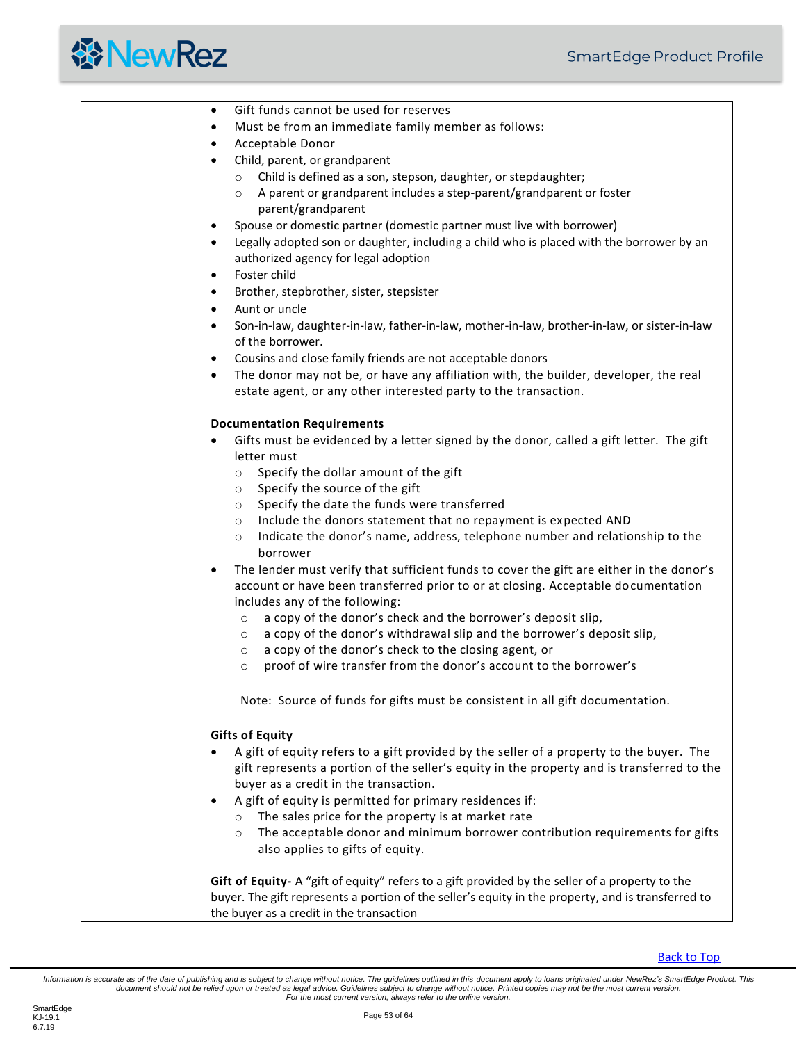| Gift funds cannot be used for reserves<br>$\bullet$                                                                                                                  |
|----------------------------------------------------------------------------------------------------------------------------------------------------------------------|
| Must be from an immediate family member as follows:<br>$\bullet$                                                                                                     |
| Acceptable Donor<br>$\bullet$                                                                                                                                        |
| Child, parent, or grandparent<br>$\bullet$                                                                                                                           |
| Child is defined as a son, stepson, daughter, or stepdaughter;<br>$\circ$                                                                                            |
| o A parent or grandparent includes a step-parent/grandparent or foster                                                                                               |
| parent/grandparent                                                                                                                                                   |
| Spouse or domestic partner (domestic partner must live with borrower)<br>$\bullet$                                                                                   |
| Legally adopted son or daughter, including a child who is placed with the borrower by an<br>$\bullet$                                                                |
| authorized agency for legal adoption                                                                                                                                 |
| Foster child<br>$\bullet$                                                                                                                                            |
| Brother, stepbrother, sister, stepsister<br>$\bullet$                                                                                                                |
| Aunt or uncle<br>$\bullet$                                                                                                                                           |
| Son-in-law, daughter-in-law, father-in-law, mother-in-law, brother-in-law, or sister-in-law<br>$\bullet$<br>of the borrower.                                         |
|                                                                                                                                                                      |
| Cousins and close family friends are not acceptable donors<br>$\bullet$                                                                                              |
| The donor may not be, or have any affiliation with, the builder, developer, the real<br>$\bullet$<br>estate agent, or any other interested party to the transaction. |
| <b>Documentation Requirements</b>                                                                                                                                    |
| Gifts must be evidenced by a letter signed by the donor, called a gift letter. The gift<br>$\bullet$                                                                 |
| letter must                                                                                                                                                          |
| o Specify the dollar amount of the gift                                                                                                                              |
| $\circ$ Specify the source of the gift                                                                                                                               |
| ○ Specify the date the funds were transferred                                                                                                                        |
| Include the donors statement that no repayment is expected AND<br>$\circ$                                                                                            |
| Indicate the donor's name, address, telephone number and relationship to the<br>$\circ$<br>borrower                                                                  |
| The lender must verify that sufficient funds to cover the gift are either in the donor's<br>$\bullet$                                                                |
| account or have been transferred prior to or at closing. Acceptable documentation                                                                                    |
| includes any of the following:                                                                                                                                       |
| a copy of the donor's check and the borrower's deposit slip,<br>$\circ$                                                                                              |
| a copy of the donor's withdrawal slip and the borrower's deposit slip,<br>$\circ$                                                                                    |
| a copy of the donor's check to the closing agent, or<br>$\circ$                                                                                                      |
| proof of wire transfer from the donor's account to the borrower's<br>$\circ$                                                                                         |
| Note: Source of funds for gifts must be consistent in all gift documentation.                                                                                        |
| <b>Gifts of Equity</b>                                                                                                                                               |
| A gift of equity refers to a gift provided by the seller of a property to the buyer. The                                                                             |
| gift represents a portion of the seller's equity in the property and is transferred to the                                                                           |
| buyer as a credit in the transaction.                                                                                                                                |
| A gift of equity is permitted for primary residences if:                                                                                                             |
| o The sales price for the property is at market rate                                                                                                                 |
| o The acceptable donor and minimum borrower contribution requirements for gifts                                                                                      |
| also applies to gifts of equity.                                                                                                                                     |
| Gift of Equity- A "gift of equity" refers to a gift provided by the seller of a property to the                                                                      |
| buyer. The gift represents a portion of the seller's equity in the property, and is transferred to                                                                   |
| the buyer as a credit in the transaction                                                                                                                             |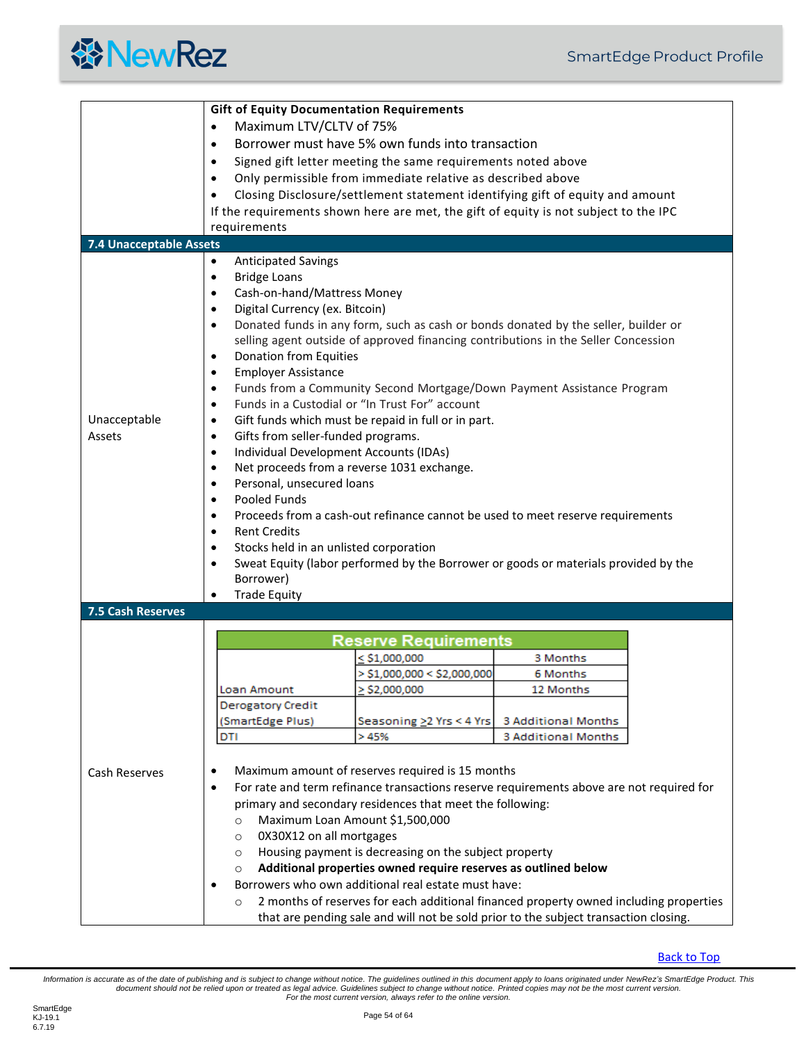<span id="page-53-1"></span><span id="page-53-0"></span>

|                                | <b>Gift of Equity Documentation Requirements</b>                                            |                                                                                          |                            |  |
|--------------------------------|---------------------------------------------------------------------------------------------|------------------------------------------------------------------------------------------|----------------------------|--|
|                                | Maximum LTV/CLTV of 75%<br>$\bullet$                                                        |                                                                                          |                            |  |
|                                | Borrower must have 5% own funds into transaction<br>$\bullet$                               |                                                                                          |                            |  |
|                                | Signed gift letter meeting the same requirements noted above<br>$\bullet$                   |                                                                                          |                            |  |
|                                | Only permissible from immediate relative as described above<br>$\bullet$                    |                                                                                          |                            |  |
|                                | Closing Disclosure/settlement statement identifying gift of equity and amount<br>٠          |                                                                                          |                            |  |
|                                | If the requirements shown here are met, the gift of equity is not subject to the IPC        |                                                                                          |                            |  |
|                                | requirements                                                                                |                                                                                          |                            |  |
| <b>7.4 Unacceptable Assets</b> |                                                                                             |                                                                                          |                            |  |
|                                | <b>Anticipated Savings</b><br>$\bullet$<br><b>Bridge Loans</b><br>$\bullet$                 |                                                                                          |                            |  |
|                                | Cash-on-hand/Mattress Money<br>$\bullet$                                                    |                                                                                          |                            |  |
|                                | Digital Currency (ex. Bitcoin)<br>$\bullet$                                                 |                                                                                          |                            |  |
|                                | $\bullet$                                                                                   | Donated funds in any form, such as cash or bonds donated by the seller, builder or       |                            |  |
|                                |                                                                                             | selling agent outside of approved financing contributions in the Seller Concession       |                            |  |
|                                | Donation from Equities<br>$\bullet$                                                         |                                                                                          |                            |  |
|                                | <b>Employer Assistance</b><br>$\bullet$                                                     |                                                                                          |                            |  |
|                                | $\bullet$                                                                                   | Funds from a Community Second Mortgage/Down Payment Assistance Program                   |                            |  |
|                                | $\bullet$                                                                                   | Funds in a Custodial or "In Trust For" account                                           |                            |  |
| Unacceptable                   | $\bullet$                                                                                   | Gift funds which must be repaid in full or in part.                                      |                            |  |
| Assets                         | Gifts from seller-funded programs.<br>$\bullet$                                             |                                                                                          |                            |  |
|                                | $\bullet$                                                                                   | Individual Development Accounts (IDAs)                                                   |                            |  |
|                                | $\bullet$                                                                                   | Net proceeds from a reverse 1031 exchange.                                               |                            |  |
|                                | Personal, unsecured loans<br>$\bullet$                                                      |                                                                                          |                            |  |
|                                | Pooled Funds<br>$\bullet$                                                                   |                                                                                          |                            |  |
|                                | Proceeds from a cash-out refinance cannot be used to meet reserve requirements<br>$\bullet$ |                                                                                          |                            |  |
|                                | <b>Rent Credits</b><br>$\bullet$                                                            |                                                                                          |                            |  |
|                                | Stocks held in an unlisted corporation<br>$\bullet$                                         |                                                                                          |                            |  |
|                                | $\bullet$                                                                                   | Sweat Equity (labor performed by the Borrower or goods or materials provided by the      |                            |  |
|                                | Borrower)                                                                                   |                                                                                          |                            |  |
|                                | <b>Trade Equity</b>                                                                         |                                                                                          |                            |  |
| <b>7.5 Cash Reserves</b>       |                                                                                             |                                                                                          |                            |  |
|                                |                                                                                             | <b>Reserve Requirements</b>                                                              |                            |  |
|                                |                                                                                             | $\le$ \$1,000,000                                                                        | 3 Months                   |  |
|                                |                                                                                             | $>$ \$1,000,000 < \$2,000,000                                                            | 6 Months                   |  |
|                                | Loan Amount                                                                                 | $\ge$ \$2,000,000                                                                        | 12 Months                  |  |
|                                | <b>Derogatory Credit</b>                                                                    |                                                                                          |                            |  |
|                                | (SmartEdge Plus)                                                                            | Seasoning > 2 Yrs < 4 Yrs                                                                | 3 Additional Months        |  |
|                                | DTI                                                                                         | >45%                                                                                     | <b>3 Additional Months</b> |  |
|                                |                                                                                             |                                                                                          |                            |  |
| <b>Cash Reserves</b>           | ٠                                                                                           | Maximum amount of reserves required is 15 months                                         |                            |  |
|                                | $\bullet$                                                                                   | For rate and term refinance transactions reserve requirements above are not required for |                            |  |
|                                |                                                                                             | primary and secondary residences that meet the following:                                |                            |  |
|                                | $\circ$                                                                                     | Maximum Loan Amount \$1,500,000                                                          |                            |  |
|                                | 0X30X12 on all mortgages<br>$\circ$                                                         |                                                                                          |                            |  |
|                                | $\circ$                                                                                     | Housing payment is decreasing on the subject property                                    |                            |  |
|                                | $\circ$                                                                                     | Additional properties owned require reserves as outlined below                           |                            |  |
|                                | $\bullet$                                                                                   | Borrowers who own additional real estate must have:                                      |                            |  |
|                                | $\circ$                                                                                     | 2 months of reserves for each additional financed property owned including properties    |                            |  |
|                                |                                                                                             | that are pending sale and will not be sold prior to the subject transaction closing.     |                            |  |

#### [Back to Top](#page-2-0)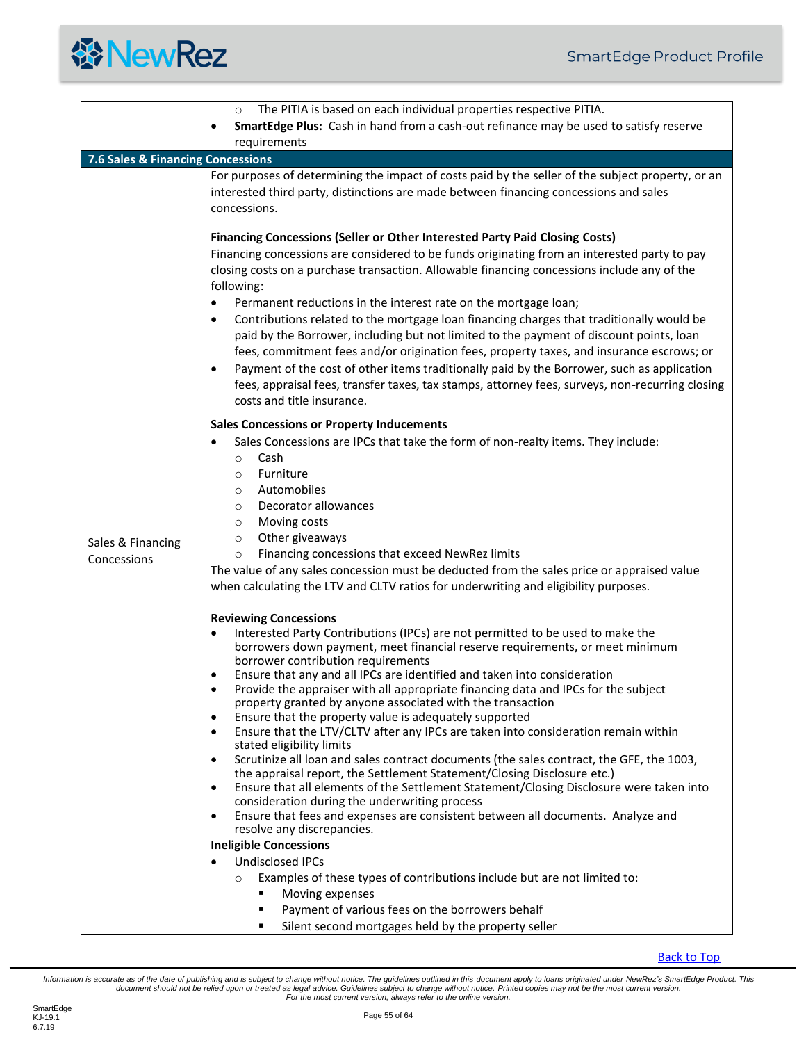<span id="page-54-0"></span>

|                                   | The PITIA is based on each individual properties respective PITIA.<br>$\circ$                                                                                                                                                                                                                                                                                                                                                                                                                                                                                                                                                                                                                                                                                                                                                                                                                                                                                                                                                                                                                                                                                                                                                                                                                                                                                                             |  |  |  |  |
|-----------------------------------|-------------------------------------------------------------------------------------------------------------------------------------------------------------------------------------------------------------------------------------------------------------------------------------------------------------------------------------------------------------------------------------------------------------------------------------------------------------------------------------------------------------------------------------------------------------------------------------------------------------------------------------------------------------------------------------------------------------------------------------------------------------------------------------------------------------------------------------------------------------------------------------------------------------------------------------------------------------------------------------------------------------------------------------------------------------------------------------------------------------------------------------------------------------------------------------------------------------------------------------------------------------------------------------------------------------------------------------------------------------------------------------------|--|--|--|--|
|                                   | SmartEdge Plus: Cash in hand from a cash-out refinance may be used to satisfy reserve<br>$\bullet$                                                                                                                                                                                                                                                                                                                                                                                                                                                                                                                                                                                                                                                                                                                                                                                                                                                                                                                                                                                                                                                                                                                                                                                                                                                                                        |  |  |  |  |
|                                   | requirements                                                                                                                                                                                                                                                                                                                                                                                                                                                                                                                                                                                                                                                                                                                                                                                                                                                                                                                                                                                                                                                                                                                                                                                                                                                                                                                                                                              |  |  |  |  |
| 7.6 Sales & Financing Concessions |                                                                                                                                                                                                                                                                                                                                                                                                                                                                                                                                                                                                                                                                                                                                                                                                                                                                                                                                                                                                                                                                                                                                                                                                                                                                                                                                                                                           |  |  |  |  |
| Sales & Financing<br>Concessions  | For purposes of determining the impact of costs paid by the seller of the subject property, or an<br>interested third party, distinctions are made between financing concessions and sales<br>concessions.                                                                                                                                                                                                                                                                                                                                                                                                                                                                                                                                                                                                                                                                                                                                                                                                                                                                                                                                                                                                                                                                                                                                                                                |  |  |  |  |
|                                   | <b>Financing Concessions (Seller or Other Interested Party Paid Closing Costs)</b><br>Financing concessions are considered to be funds originating from an interested party to pay<br>closing costs on a purchase transaction. Allowable financing concessions include any of the<br>following:<br>Permanent reductions in the interest rate on the mortgage loan;<br>$\bullet$<br>Contributions related to the mortgage loan financing charges that traditionally would be<br>$\bullet$<br>paid by the Borrower, including but not limited to the payment of discount points, loan<br>fees, commitment fees and/or origination fees, property taxes, and insurance escrows; or<br>Payment of the cost of other items traditionally paid by the Borrower, such as application<br>٠<br>fees, appraisal fees, transfer taxes, tax stamps, attorney fees, surveys, non-recurring closing<br>costs and title insurance.                                                                                                                                                                                                                                                                                                                                                                                                                                                                       |  |  |  |  |
|                                   | <b>Sales Concessions or Property Inducements</b><br>Sales Concessions are IPCs that take the form of non-realty items. They include:<br>٠<br>Cash<br>$\circ$<br>Furniture<br>$\circ$<br>Automobiles<br>$\circ$<br>Decorator allowances<br>$\circ$<br>Moving costs<br>$\circ$<br>Other giveaways<br>$\circ$<br>Financing concessions that exceed NewRez limits<br>$\circ$<br>The value of any sales concession must be deducted from the sales price or appraised value<br>when calculating the LTV and CLTV ratios for underwriting and eligibility purposes.                                                                                                                                                                                                                                                                                                                                                                                                                                                                                                                                                                                                                                                                                                                                                                                                                             |  |  |  |  |
|                                   | <b>Reviewing Concessions</b><br>Interested Party Contributions (IPCs) are not permitted to be used to make the<br>$\bullet$<br>borrowers down payment, meet financial reserve requirements, or meet minimum<br>borrower contribution requirements<br>Ensure that any and all IPCs are identified and taken into consideration<br>Provide the appraiser with all appropriate financing data and IPCs for the subject<br>property granted by anyone associated with the transaction<br>Ensure that the property value is adequately supported<br>٠<br>Ensure that the LTV/CLTV after any IPCs are taken into consideration remain within<br>٠<br>stated eligibility limits<br>Scrutinize all loan and sales contract documents (the sales contract, the GFE, the 1003,<br>$\bullet$<br>the appraisal report, the Settlement Statement/Closing Disclosure etc.)<br>Ensure that all elements of the Settlement Statement/Closing Disclosure were taken into<br>$\bullet$<br>consideration during the underwriting process<br>Ensure that fees and expenses are consistent between all documents. Analyze and<br>$\bullet$<br>resolve any discrepancies.<br><b>Ineligible Concessions</b><br><b>Undisclosed IPCs</b><br>$\bullet$<br>Examples of these types of contributions include but are not limited to:<br>$\circ$<br>Moving expenses<br>Payment of various fees on the borrowers behalf |  |  |  |  |
|                                   | Silent second mortgages held by the property seller                                                                                                                                                                                                                                                                                                                                                                                                                                                                                                                                                                                                                                                                                                                                                                                                                                                                                                                                                                                                                                                                                                                                                                                                                                                                                                                                       |  |  |  |  |

[Back to Top](#page-2-0)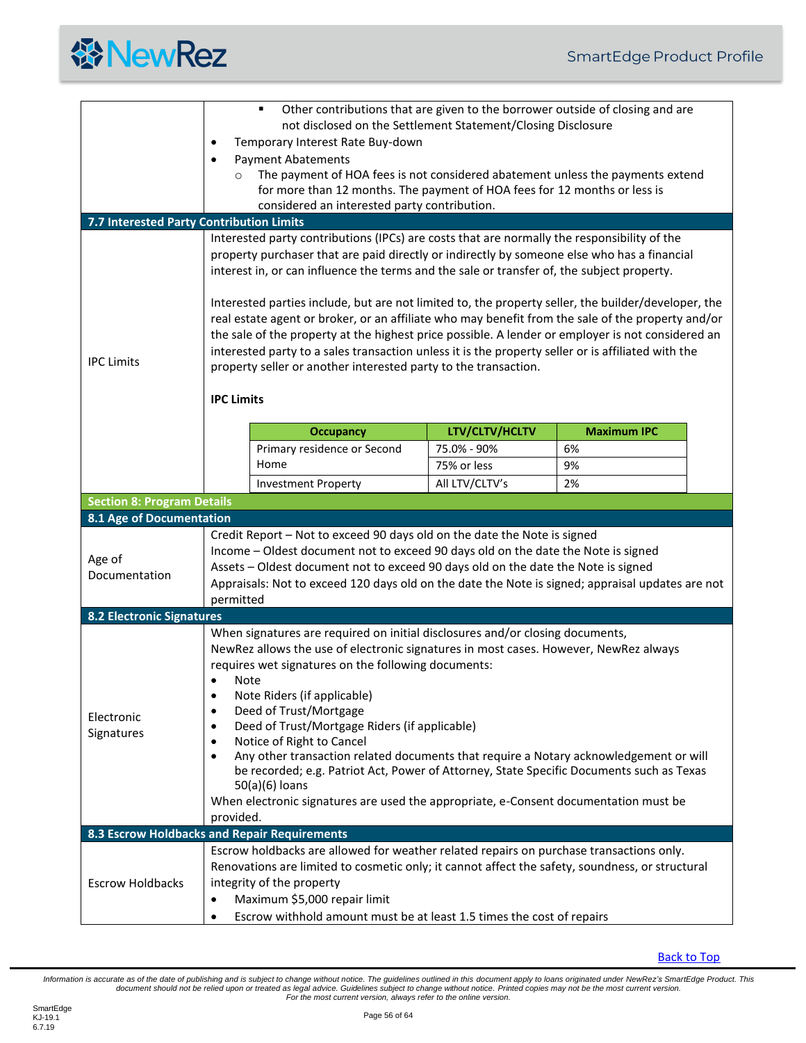<span id="page-55-4"></span><span id="page-55-3"></span><span id="page-55-2"></span><span id="page-55-1"></span><span id="page-55-0"></span>

|                                              | Other contributions that are given to the borrower outside of closing and are                          |                                                                                                                                                                                            |                |                    |  |  |
|----------------------------------------------|--------------------------------------------------------------------------------------------------------|--------------------------------------------------------------------------------------------------------------------------------------------------------------------------------------------|----------------|--------------------|--|--|
|                                              | not disclosed on the Settlement Statement/Closing Disclosure                                           |                                                                                                                                                                                            |                |                    |  |  |
|                                              | Temporary Interest Rate Buy-down                                                                       |                                                                                                                                                                                            |                |                    |  |  |
|                                              | <b>Payment Abatements</b>                                                                              |                                                                                                                                                                                            |                |                    |  |  |
|                                              | $\circ$                                                                                                | The payment of HOA fees is not considered abatement unless the payments extend                                                                                                             |                |                    |  |  |
|                                              | for more than 12 months. The payment of HOA fees for 12 months or less is                              |                                                                                                                                                                                            |                |                    |  |  |
|                                              |                                                                                                        | considered an interested party contribution.                                                                                                                                               |                |                    |  |  |
| 7.7 Interested Party Contribution Limits     |                                                                                                        |                                                                                                                                                                                            |                |                    |  |  |
|                                              |                                                                                                        | Interested party contributions (IPCs) are costs that are normally the responsibility of the<br>property purchaser that are paid directly or indirectly by someone else who has a financial |                |                    |  |  |
|                                              |                                                                                                        | interest in, or can influence the terms and the sale or transfer of, the subject property.                                                                                                 |                |                    |  |  |
|                                              |                                                                                                        |                                                                                                                                                                                            |                |                    |  |  |
|                                              |                                                                                                        | Interested parties include, but are not limited to, the property seller, the builder/developer, the                                                                                        |                |                    |  |  |
|                                              |                                                                                                        | real estate agent or broker, or an affiliate who may benefit from the sale of the property and/or                                                                                          |                |                    |  |  |
|                                              |                                                                                                        | the sale of the property at the highest price possible. A lender or employer is not considered an                                                                                          |                |                    |  |  |
| <b>IPC Limits</b>                            |                                                                                                        | interested party to a sales transaction unless it is the property seller or is affiliated with the                                                                                         |                |                    |  |  |
|                                              |                                                                                                        | property seller or another interested party to the transaction.                                                                                                                            |                |                    |  |  |
|                                              | <b>IPC Limits</b>                                                                                      |                                                                                                                                                                                            |                |                    |  |  |
|                                              |                                                                                                        |                                                                                                                                                                                            |                |                    |  |  |
|                                              |                                                                                                        | <b>Occupancy</b>                                                                                                                                                                           | LTV/CLTV/HCLTV | <b>Maximum IPC</b> |  |  |
|                                              |                                                                                                        | Primary residence or Second                                                                                                                                                                | 75.0% - 90%    | 6%                 |  |  |
|                                              |                                                                                                        | Home                                                                                                                                                                                       | 75% or less    | 9%                 |  |  |
|                                              |                                                                                                        | <b>Investment Property</b>                                                                                                                                                                 | All LTV/CLTV's | 2%                 |  |  |
| <b>Section 8: Program Details</b>            |                                                                                                        |                                                                                                                                                                                            |                |                    |  |  |
| 8.1 Age of Documentation                     |                                                                                                        |                                                                                                                                                                                            |                |                    |  |  |
|                                              |                                                                                                        | Credit Report - Not to exceed 90 days old on the date the Note is signed                                                                                                                   |                |                    |  |  |
|                                              |                                                                                                        | Income - Oldest document not to exceed 90 days old on the date the Note is signed                                                                                                          |                |                    |  |  |
| Age of                                       |                                                                                                        | Assets - Oldest document not to exceed 90 days old on the date the Note is signed                                                                                                          |                |                    |  |  |
| Documentation                                | Appraisals: Not to exceed 120 days old on the date the Note is signed; appraisal updates are not       |                                                                                                                                                                                            |                |                    |  |  |
|                                              | permitted                                                                                              |                                                                                                                                                                                            |                |                    |  |  |
| <b>8.2 Electronic Signatures</b>             |                                                                                                        |                                                                                                                                                                                            |                |                    |  |  |
|                                              | When signatures are required on initial disclosures and/or closing documents,                          |                                                                                                                                                                                            |                |                    |  |  |
|                                              | NewRez allows the use of electronic signatures in most cases. However, NewRez always                   |                                                                                                                                                                                            |                |                    |  |  |
|                                              | requires wet signatures on the following documents:                                                    |                                                                                                                                                                                            |                |                    |  |  |
|                                              | Note                                                                                                   |                                                                                                                                                                                            |                |                    |  |  |
|                                              | Note Riders (if applicable)<br>$\bullet$                                                               |                                                                                                                                                                                            |                |                    |  |  |
| Deed of Trust/Mortgage<br>٠<br>Electronic    |                                                                                                        |                                                                                                                                                                                            |                |                    |  |  |
| Signatures                                   | Deed of Trust/Mortgage Riders (if applicable)                                                          |                                                                                                                                                                                            |                |                    |  |  |
|                                              | Notice of Right to Cancel<br>٠                                                                         |                                                                                                                                                                                            |                |                    |  |  |
|                                              | Any other transaction related documents that require a Notary acknowledgement or will<br>$\bullet$     |                                                                                                                                                                                            |                |                    |  |  |
|                                              | be recorded; e.g. Patriot Act, Power of Attorney, State Specific Documents such as Texas               |                                                                                                                                                                                            |                |                    |  |  |
|                                              | 50(a)(6) loans<br>When electronic signatures are used the appropriate, e-Consent documentation must be |                                                                                                                                                                                            |                |                    |  |  |
|                                              |                                                                                                        |                                                                                                                                                                                            |                |                    |  |  |
|                                              |                                                                                                        |                                                                                                                                                                                            |                |                    |  |  |
|                                              | provided.                                                                                              |                                                                                                                                                                                            |                |                    |  |  |
| 8.3 Escrow Holdbacks and Repair Requirements |                                                                                                        |                                                                                                                                                                                            |                |                    |  |  |
|                                              |                                                                                                        | Escrow holdbacks are allowed for weather related repairs on purchase transactions only.                                                                                                    |                |                    |  |  |
|                                              |                                                                                                        | Renovations are limited to cosmetic only; it cannot affect the safety, soundness, or structural                                                                                            |                |                    |  |  |
| <b>Escrow Holdbacks</b>                      |                                                                                                        | integrity of the property                                                                                                                                                                  |                |                    |  |  |
|                                              | $\bullet$                                                                                              | Maximum \$5,000 repair limit<br>Escrow withhold amount must be at least 1.5 times the cost of repairs                                                                                      |                |                    |  |  |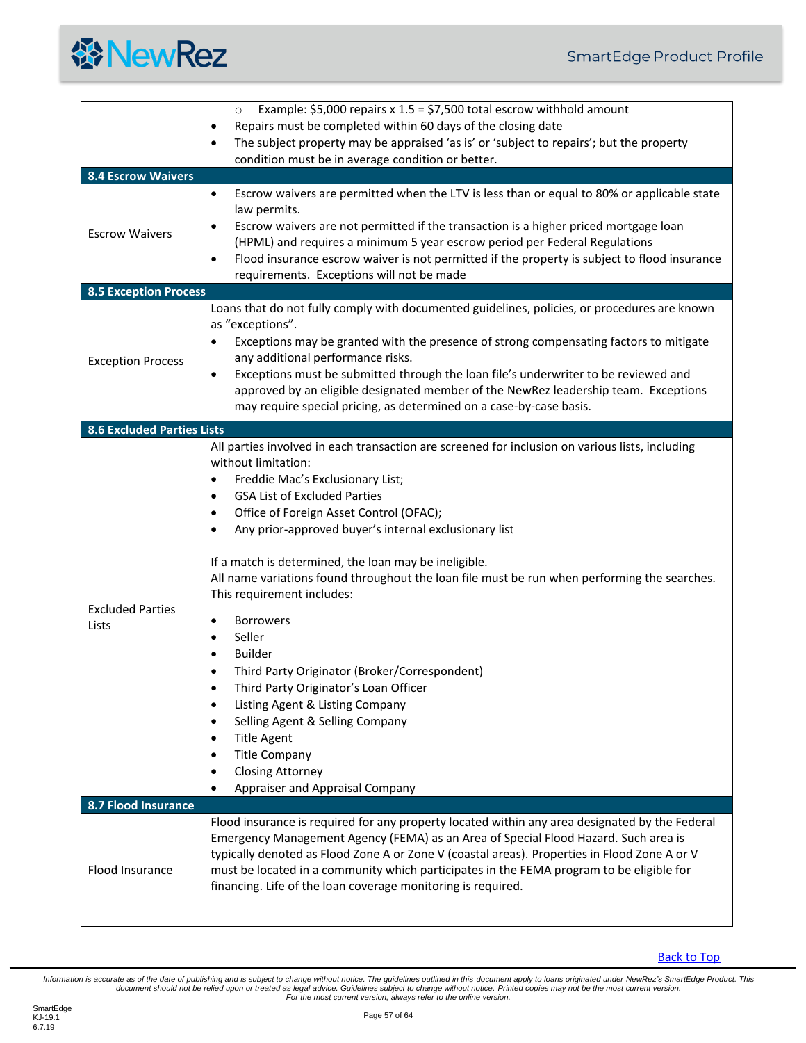

<span id="page-56-3"></span><span id="page-56-2"></span><span id="page-56-1"></span><span id="page-56-0"></span>

|                                   | Example: \$5,000 repairs x $1.5 = $7,500$ total escrow withhold amount<br>$\circ$                                                                                                                                                                                                                                                                                                                                                                                                                                                                                                                                                                                                                                                                                                                                                                                                                                                                    |  |  |  |  |
|-----------------------------------|------------------------------------------------------------------------------------------------------------------------------------------------------------------------------------------------------------------------------------------------------------------------------------------------------------------------------------------------------------------------------------------------------------------------------------------------------------------------------------------------------------------------------------------------------------------------------------------------------------------------------------------------------------------------------------------------------------------------------------------------------------------------------------------------------------------------------------------------------------------------------------------------------------------------------------------------------|--|--|--|--|
|                                   | Repairs must be completed within 60 days of the closing date<br>$\bullet$                                                                                                                                                                                                                                                                                                                                                                                                                                                                                                                                                                                                                                                                                                                                                                                                                                                                            |  |  |  |  |
|                                   | The subject property may be appraised 'as is' or 'subject to repairs'; but the property<br>$\bullet$                                                                                                                                                                                                                                                                                                                                                                                                                                                                                                                                                                                                                                                                                                                                                                                                                                                 |  |  |  |  |
|                                   | condition must be in average condition or better.                                                                                                                                                                                                                                                                                                                                                                                                                                                                                                                                                                                                                                                                                                                                                                                                                                                                                                    |  |  |  |  |
| <b>8.4 Escrow Waivers</b>         |                                                                                                                                                                                                                                                                                                                                                                                                                                                                                                                                                                                                                                                                                                                                                                                                                                                                                                                                                      |  |  |  |  |
| <b>Escrow Waivers</b>             | Escrow waivers are permitted when the LTV is less than or equal to 80% or applicable state<br>$\bullet$<br>law permits.<br>Escrow waivers are not permitted if the transaction is a higher priced mortgage loan<br>$\bullet$<br>(HPML) and requires a minimum 5 year escrow period per Federal Regulations<br>Flood insurance escrow waiver is not permitted if the property is subject to flood insurance<br>$\bullet$<br>requirements. Exceptions will not be made                                                                                                                                                                                                                                                                                                                                                                                                                                                                                 |  |  |  |  |
| <b>8.5 Exception Process</b>      |                                                                                                                                                                                                                                                                                                                                                                                                                                                                                                                                                                                                                                                                                                                                                                                                                                                                                                                                                      |  |  |  |  |
| <b>Exception Process</b>          | Loans that do not fully comply with documented guidelines, policies, or procedures are known<br>as "exceptions".<br>Exceptions may be granted with the presence of strong compensating factors to mitigate<br>$\bullet$<br>any additional performance risks.<br>Exceptions must be submitted through the loan file's underwriter to be reviewed and<br>٠<br>approved by an eligible designated member of the NewRez leadership team. Exceptions<br>may require special pricing, as determined on a case-by-case basis.                                                                                                                                                                                                                                                                                                                                                                                                                               |  |  |  |  |
| <b>8.6 Excluded Parties Lists</b> |                                                                                                                                                                                                                                                                                                                                                                                                                                                                                                                                                                                                                                                                                                                                                                                                                                                                                                                                                      |  |  |  |  |
| <b>Excluded Parties</b><br>Lists  | All parties involved in each transaction are screened for inclusion on various lists, including<br>without limitation:<br>Freddie Mac's Exclusionary List;<br>$\bullet$<br><b>GSA List of Excluded Parties</b><br>$\bullet$<br>Office of Foreign Asset Control (OFAC);<br>٠<br>Any prior-approved buyer's internal exclusionary list<br>$\bullet$<br>If a match is determined, the loan may be ineligible.<br>All name variations found throughout the loan file must be run when performing the searches.<br>This requirement includes:<br><b>Borrowers</b><br>$\bullet$<br>Seller<br>$\bullet$<br><b>Builder</b><br>$\bullet$<br>Third Party Originator (Broker/Correspondent)<br>Third Party Originator's Loan Officer<br>Listing Agent & Listing Company<br>٠<br>Selling Agent & Selling Company<br>$\bullet$<br><b>Title Agent</b><br>$\bullet$<br><b>Title Company</b><br>٠<br><b>Closing Attorney</b><br>٠<br>Appraiser and Appraisal Company |  |  |  |  |
| 8.7 Flood Insurance               |                                                                                                                                                                                                                                                                                                                                                                                                                                                                                                                                                                                                                                                                                                                                                                                                                                                                                                                                                      |  |  |  |  |
| Flood Insurance                   | Flood insurance is required for any property located within any area designated by the Federal<br>Emergency Management Agency (FEMA) as an Area of Special Flood Hazard. Such area is<br>typically denoted as Flood Zone A or Zone V (coastal areas). Properties in Flood Zone A or V<br>must be located in a community which participates in the FEMA program to be eligible for<br>financing. Life of the loan coverage monitoring is required.                                                                                                                                                                                                                                                                                                                                                                                                                                                                                                    |  |  |  |  |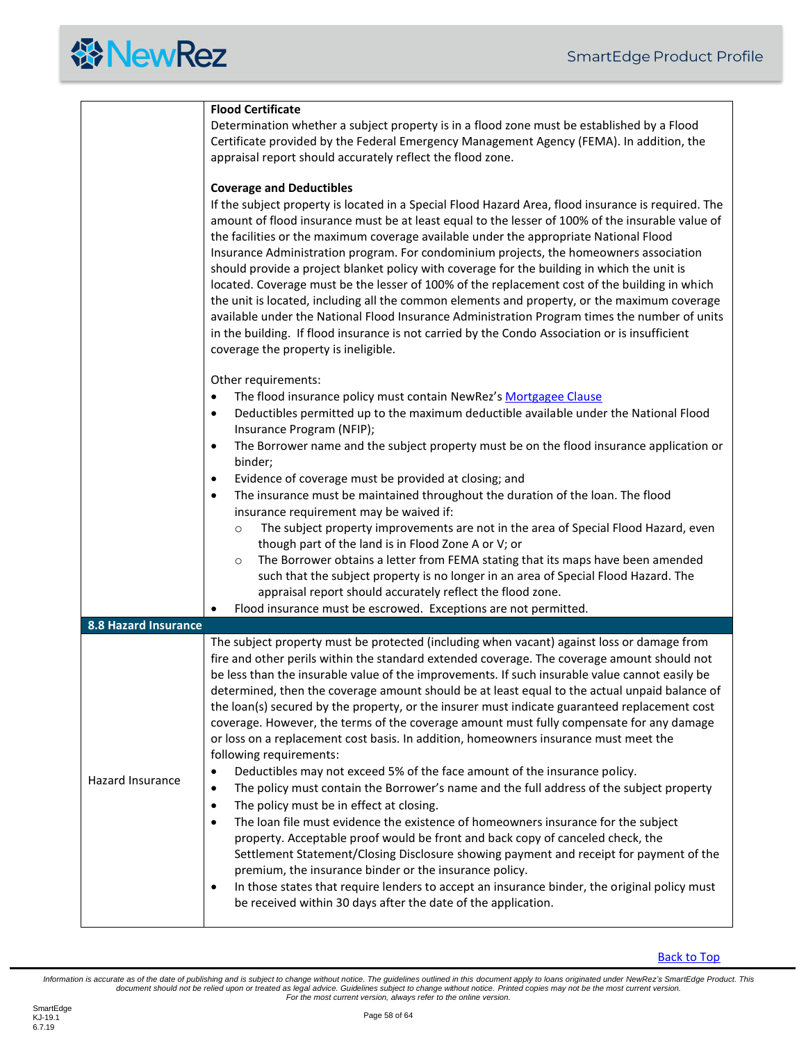#### *<u> WewRez</u>*

<span id="page-57-0"></span>

|                      | <b>Flood Certificate</b><br>Determination whether a subject property is in a flood zone must be established by a Flood<br>Certificate provided by the Federal Emergency Management Agency (FEMA). In addition, the<br>appraisal report should accurately reflect the flood zone.<br><b>Coverage and Deductibles</b><br>If the subject property is located in a Special Flood Hazard Area, flood insurance is required. The<br>amount of flood insurance must be at least equal to the lesser of 100% of the insurable value of<br>the facilities or the maximum coverage available under the appropriate National Flood<br>Insurance Administration program. For condominium projects, the homeowners association<br>should provide a project blanket policy with coverage for the building in which the unit is                                                                                                                                                                                                                                                                                                                                                                                                                                                                                                                                                                                                                                                                               |
|----------------------|------------------------------------------------------------------------------------------------------------------------------------------------------------------------------------------------------------------------------------------------------------------------------------------------------------------------------------------------------------------------------------------------------------------------------------------------------------------------------------------------------------------------------------------------------------------------------------------------------------------------------------------------------------------------------------------------------------------------------------------------------------------------------------------------------------------------------------------------------------------------------------------------------------------------------------------------------------------------------------------------------------------------------------------------------------------------------------------------------------------------------------------------------------------------------------------------------------------------------------------------------------------------------------------------------------------------------------------------------------------------------------------------------------------------------------------------------------------------------------------------|
|                      | located. Coverage must be the lesser of 100% of the replacement cost of the building in which<br>the unit is located, including all the common elements and property, or the maximum coverage<br>available under the National Flood Insurance Administration Program times the number of units<br>in the building. If flood insurance is not carried by the Condo Association or is insufficient<br>coverage the property is ineligible.                                                                                                                                                                                                                                                                                                                                                                                                                                                                                                                                                                                                                                                                                                                                                                                                                                                                                                                                                                                                                                                       |
|                      | Other requirements:<br>The flood insurance policy must contain NewRez's Mortgagee Clause<br>$\bullet$<br>Deductibles permitted up to the maximum deductible available under the National Flood<br>$\bullet$<br>Insurance Program (NFIP);<br>The Borrower name and the subject property must be on the flood insurance application or<br>$\bullet$<br>binder;<br>Evidence of coverage must be provided at closing; and<br>$\bullet$<br>The insurance must be maintained throughout the duration of the loan. The flood<br>$\bullet$<br>insurance requirement may be waived if:<br>The subject property improvements are not in the area of Special Flood Hazard, even<br>$\circ$<br>though part of the land is in Flood Zone A or V; or<br>The Borrower obtains a letter from FEMA stating that its maps have been amended<br>$\circ$<br>such that the subject property is no longer in an area of Special Flood Hazard. The<br>appraisal report should accurately reflect the flood zone.                                                                                                                                                                                                                                                                                                                                                                                                                                                                                                      |
|                      | Flood insurance must be escrowed. Exceptions are not permitted.                                                                                                                                                                                                                                                                                                                                                                                                                                                                                                                                                                                                                                                                                                                                                                                                                                                                                                                                                                                                                                                                                                                                                                                                                                                                                                                                                                                                                                |
| 8.8 Hazard Insurance |                                                                                                                                                                                                                                                                                                                                                                                                                                                                                                                                                                                                                                                                                                                                                                                                                                                                                                                                                                                                                                                                                                                                                                                                                                                                                                                                                                                                                                                                                                |
| Hazard Insurance     | The subject property must be protected (including when vacant) against loss or damage from<br>fire and other perils within the standard extended coverage. The coverage amount should not<br>be less than the insurable value of the improvements. If such insurable value cannot easily be<br>determined, then the coverage amount should be at least equal to the actual unpaid balance of<br>the loan(s) secured by the property, or the insurer must indicate guaranteed replacement cost<br>coverage. However, the terms of the coverage amount must fully compensate for any damage<br>or loss on a replacement cost basis. In addition, homeowners insurance must meet the<br>following requirements:<br>Deductibles may not exceed 5% of the face amount of the insurance policy.<br>$\bullet$<br>The policy must contain the Borrower's name and the full address of the subject property<br>$\bullet$<br>The policy must be in effect at closing.<br>$\bullet$<br>The loan file must evidence the existence of homeowners insurance for the subject<br>$\bullet$<br>property. Acceptable proof would be front and back copy of canceled check, the<br>Settlement Statement/Closing Disclosure showing payment and receipt for payment of the<br>premium, the insurance binder or the insurance policy.<br>In those states that require lenders to accept an insurance binder, the original policy must<br>$\bullet$<br>be received within 30 days after the date of the application. |
|                      |                                                                                                                                                                                                                                                                                                                                                                                                                                                                                                                                                                                                                                                                                                                                                                                                                                                                                                                                                                                                                                                                                                                                                                                                                                                                                                                                                                                                                                                                                                |

[Back to Top](#page-2-0)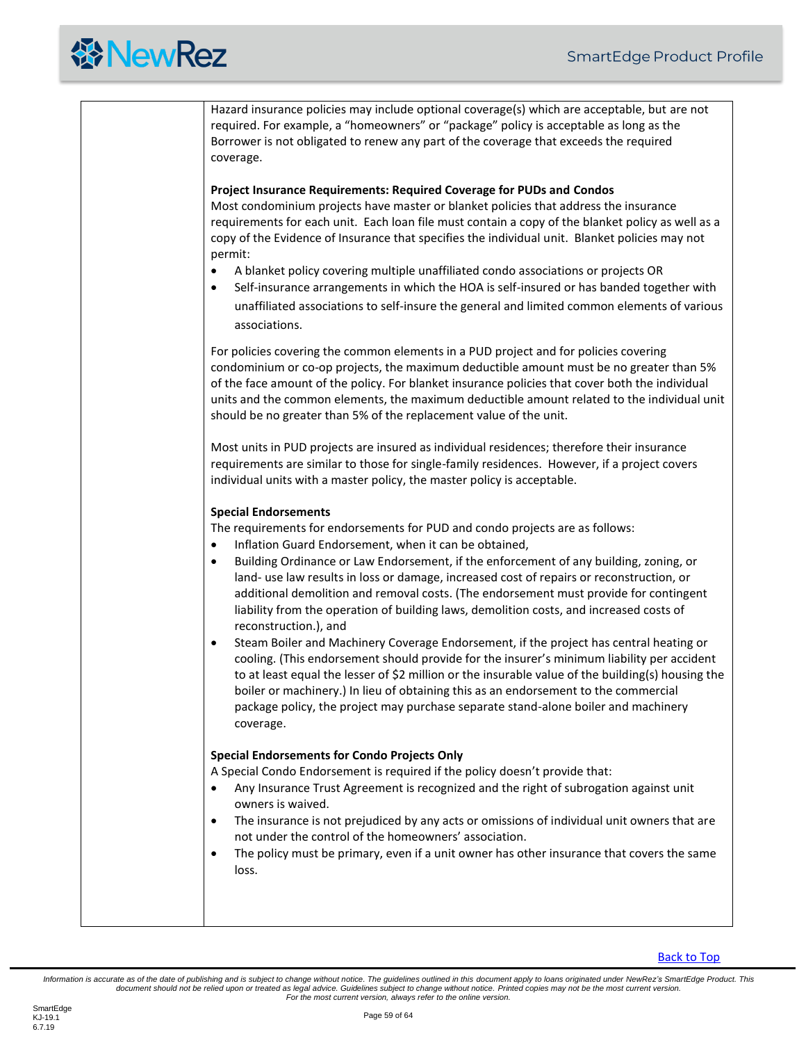

Hazard insurance policies may include optional coverage(s) which are acceptable, but are not required. For example, a "homeowners" or "package" policy is acceptable as long as the Borrower is not obligated to renew any part of the coverage that exceeds the required coverage. **Project Insurance Requirements: Required Coverage for PUDs and Condos** Most condominium projects have master or blanket policies that address the insurance requirements for each unit. Each loan file must contain a copy of the blanket policy as well as a copy of the Evidence of Insurance that specifies the individual unit. Blanket policies may not permit: • A blanket policy covering multiple unaffiliated condo associations or projects OR • Self-insurance arrangements in which the HOA is self-insured or has banded together with unaffiliated associations to self-insure the general and limited common elements of various associations. For policies covering the common elements in a PUD project and for policies covering condominium or co-op projects, the maximum deductible amount must be no greater than 5% of the face amount of the policy. For blanket insurance policies that cover both the individual units and the common elements, the maximum deductible amount related to the individual unit should be no greater than 5% of the replacement value of the unit. Most units in PUD projects are insured as individual residences; therefore their insurance requirements are similar to those for single-family residences. However, if a project covers individual units with a master policy, the master policy is acceptable. **Special Endorsements** The requirements for endorsements for PUD and condo projects are as follows: • Inflation Guard Endorsement, when it can be obtained, • Building Ordinance or Law Endorsement, if the enforcement of any building, zoning, or land- use law results in loss or damage, increased cost of repairs or reconstruction, or additional demolition and removal costs. (The endorsement must provide for contingent liability from the operation of building laws, demolition costs, and increased costs of reconstruction.), and • Steam Boiler and Machinery Coverage Endorsement, if the project has central heating or cooling. (This endorsement should provide for the insurer's minimum liability per accident to at least equal the lesser of \$2 million or the insurable value of the building(s) housing the boiler or machinery.) In lieu of obtaining this as an endorsement to the commercial package policy, the project may purchase separate stand-alone boiler and machinery coverage. **Special Endorsements for Condo Projects Only** A Special Condo Endorsement is required if the policy doesn't provide that: • Any Insurance Trust Agreement is recognized and the right of subrogation against unit owners is waived. • The insurance is not prejudiced by any acts or omissions of individual unit owners that are not under the control of the homeowners' association. • The policy must be primary, even if a unit owner has other insurance that covers the same loss.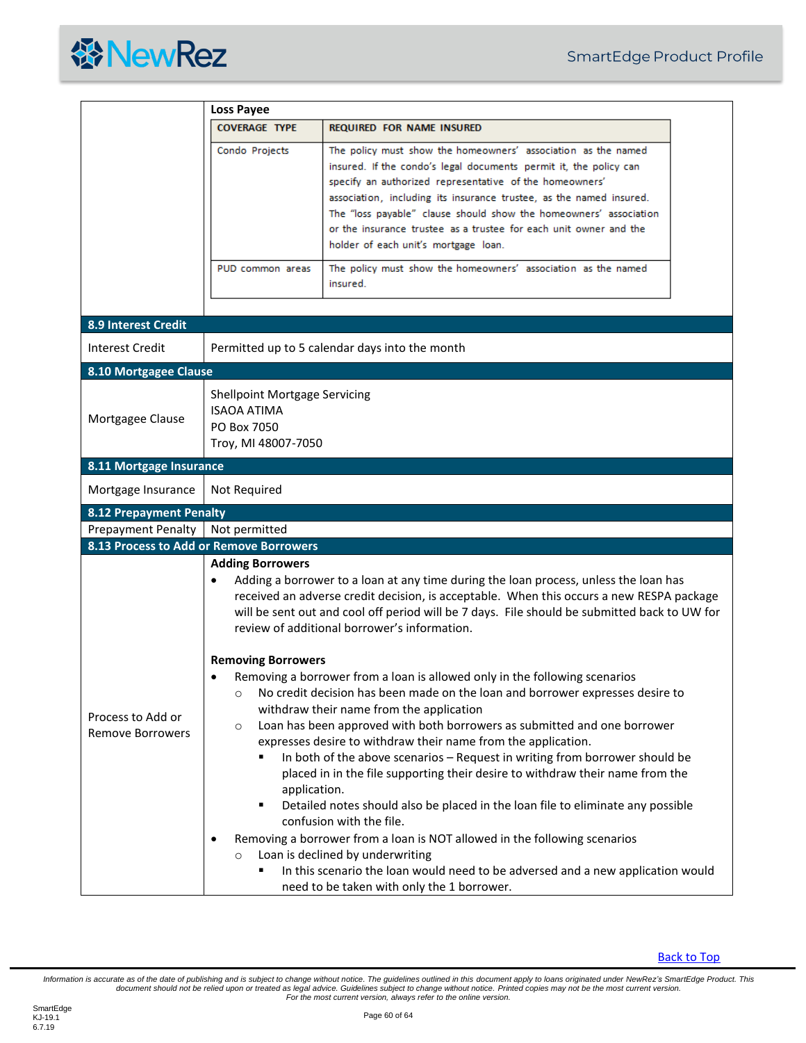

<span id="page-59-4"></span><span id="page-59-3"></span><span id="page-59-2"></span><span id="page-59-1"></span><span id="page-59-0"></span>

|                                              | <b>Loss Payee</b>                                                                                |                                                                                                                                                                                                                                                                                                                                                                                                                                                                                                                                                                                                                                                                                                                                                                                                                                                                                       |  |
|----------------------------------------------|--------------------------------------------------------------------------------------------------|---------------------------------------------------------------------------------------------------------------------------------------------------------------------------------------------------------------------------------------------------------------------------------------------------------------------------------------------------------------------------------------------------------------------------------------------------------------------------------------------------------------------------------------------------------------------------------------------------------------------------------------------------------------------------------------------------------------------------------------------------------------------------------------------------------------------------------------------------------------------------------------|--|
|                                              | <b>COVERAGE TYPE</b>                                                                             | <b>REQUIRED FOR NAME INSURED</b>                                                                                                                                                                                                                                                                                                                                                                                                                                                                                                                                                                                                                                                                                                                                                                                                                                                      |  |
|                                              | Condo Projects                                                                                   | The policy must show the homeowners' association as the named<br>insured. If the condo's legal documents permit it, the policy can<br>specify an authorized representative of the homeowners'<br>association, including its insurance trustee, as the named insured.<br>The "loss payable" clause should show the homeowners' association<br>or the insurance trustee as a trustee for each unit owner and the<br>holder of each unit's mortgage loan.                                                                                                                                                                                                                                                                                                                                                                                                                                |  |
|                                              | PUD common areas                                                                                 | The policy must show the homeowners' association as the named<br>insured.                                                                                                                                                                                                                                                                                                                                                                                                                                                                                                                                                                                                                                                                                                                                                                                                             |  |
| <b>8.9 Interest Credit</b>                   |                                                                                                  |                                                                                                                                                                                                                                                                                                                                                                                                                                                                                                                                                                                                                                                                                                                                                                                                                                                                                       |  |
| Interest Credit                              |                                                                                                  | Permitted up to 5 calendar days into the month                                                                                                                                                                                                                                                                                                                                                                                                                                                                                                                                                                                                                                                                                                                                                                                                                                        |  |
| 8.10 Mortgagee Clause                        |                                                                                                  |                                                                                                                                                                                                                                                                                                                                                                                                                                                                                                                                                                                                                                                                                                                                                                                                                                                                                       |  |
| Mortgagee Clause                             | <b>Shellpoint Mortgage Servicing</b><br><b>ISAOA ATIMA</b><br>PO Box 7050<br>Troy, MI 48007-7050 |                                                                                                                                                                                                                                                                                                                                                                                                                                                                                                                                                                                                                                                                                                                                                                                                                                                                                       |  |
| 8.11 Mortgage Insurance                      |                                                                                                  |                                                                                                                                                                                                                                                                                                                                                                                                                                                                                                                                                                                                                                                                                                                                                                                                                                                                                       |  |
| Mortgage Insurance                           | Not Required                                                                                     |                                                                                                                                                                                                                                                                                                                                                                                                                                                                                                                                                                                                                                                                                                                                                                                                                                                                                       |  |
| <b>8.12 Prepayment Penalty</b>               |                                                                                                  |                                                                                                                                                                                                                                                                                                                                                                                                                                                                                                                                                                                                                                                                                                                                                                                                                                                                                       |  |
| <b>Prepayment Penalty</b>                    | Not permitted                                                                                    |                                                                                                                                                                                                                                                                                                                                                                                                                                                                                                                                                                                                                                                                                                                                                                                                                                                                                       |  |
| 8.13 Process to Add or Remove Borrowers      |                                                                                                  |                                                                                                                                                                                                                                                                                                                                                                                                                                                                                                                                                                                                                                                                                                                                                                                                                                                                                       |  |
|                                              | <b>Adding Borrowers</b><br>$\bullet$                                                             | Adding a borrower to a loan at any time during the loan process, unless the loan has<br>received an adverse credit decision, is acceptable. When this occurs a new RESPA package<br>will be sent out and cool off period will be 7 days. File should be submitted back to UW for<br>review of additional borrower's information.                                                                                                                                                                                                                                                                                                                                                                                                                                                                                                                                                      |  |
| Process to Add or<br><b>Remove Borrowers</b> | <b>Removing Borrowers</b><br>$\circ$<br>$\circ$<br>application.<br>٠<br>$\circ$                  | Removing a borrower from a loan is allowed only in the following scenarios<br>No credit decision has been made on the loan and borrower expresses desire to<br>withdraw their name from the application<br>Loan has been approved with both borrowers as submitted and one borrower<br>expresses desire to withdraw their name from the application.<br>In both of the above scenarios - Request in writing from borrower should be<br>placed in in the file supporting their desire to withdraw their name from the<br>Detailed notes should also be placed in the loan file to eliminate any possible<br>confusion with the file.<br>Removing a borrower from a loan is NOT allowed in the following scenarios<br>Loan is declined by underwriting<br>In this scenario the loan would need to be adversed and a new application would<br>need to be taken with only the 1 borrower. |  |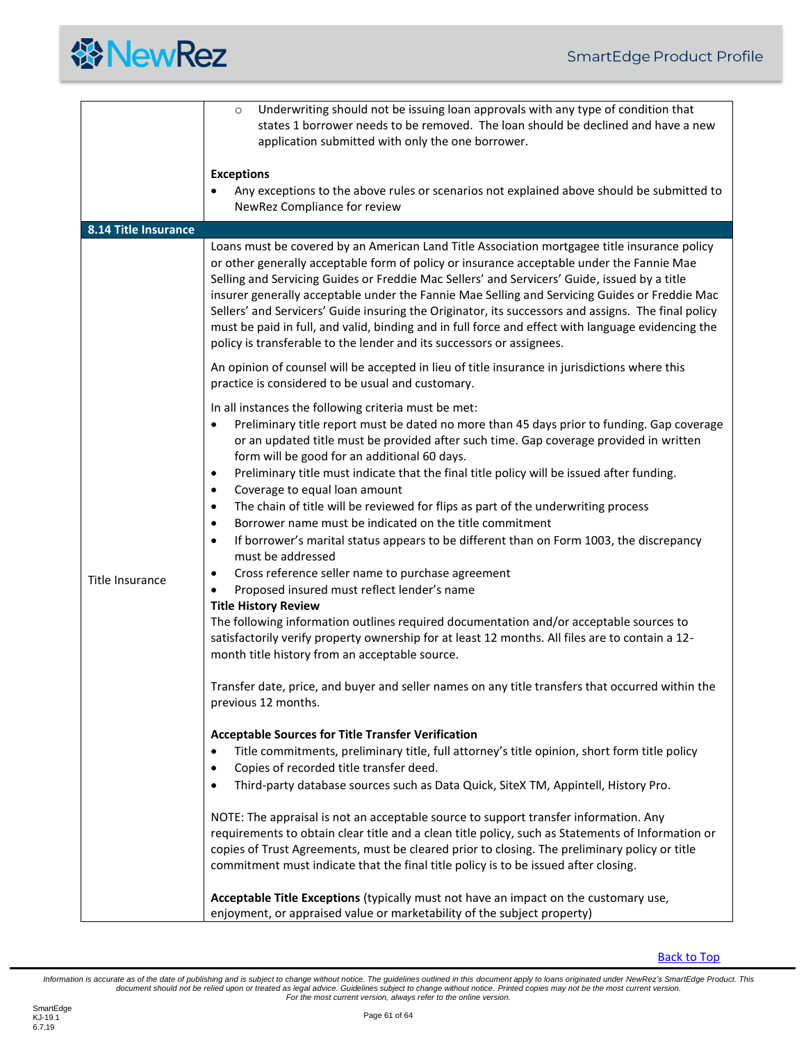<span id="page-60-0"></span>

|                      | Underwriting should not be issuing loan approvals with any type of condition that<br>$\circ$<br>states 1 borrower needs to be removed. The loan should be declined and have a new<br>application submitted with only the one borrower.                                                                                                                                                                                                                                                                                                                                                                                                                                           |
|----------------------|----------------------------------------------------------------------------------------------------------------------------------------------------------------------------------------------------------------------------------------------------------------------------------------------------------------------------------------------------------------------------------------------------------------------------------------------------------------------------------------------------------------------------------------------------------------------------------------------------------------------------------------------------------------------------------|
|                      | <b>Exceptions</b><br>Any exceptions to the above rules or scenarios not explained above should be submitted to<br>NewRez Compliance for review                                                                                                                                                                                                                                                                                                                                                                                                                                                                                                                                   |
| 8.14 Title Insurance |                                                                                                                                                                                                                                                                                                                                                                                                                                                                                                                                                                                                                                                                                  |
|                      | Loans must be covered by an American Land Title Association mortgagee title insurance policy<br>or other generally acceptable form of policy or insurance acceptable under the Fannie Mae<br>Selling and Servicing Guides or Freddie Mac Sellers' and Servicers' Guide, issued by a title<br>insurer generally acceptable under the Fannie Mae Selling and Servicing Guides or Freddie Mac<br>Sellers' and Servicers' Guide insuring the Originator, its successors and assigns. The final policy<br>must be paid in full, and valid, binding and in full force and effect with language evidencing the<br>policy is transferable to the lender and its successors or assignees. |
|                      | An opinion of counsel will be accepted in lieu of title insurance in jurisdictions where this<br>practice is considered to be usual and customary.                                                                                                                                                                                                                                                                                                                                                                                                                                                                                                                               |
|                      | In all instances the following criteria must be met:<br>Preliminary title report must be dated no more than 45 days prior to funding. Gap coverage<br>٠<br>or an updated title must be provided after such time. Gap coverage provided in written<br>form will be good for an additional 60 days.                                                                                                                                                                                                                                                                                                                                                                                |
|                      | Preliminary title must indicate that the final title policy will be issued after funding.<br>٠<br>Coverage to equal loan amount<br>$\bullet$                                                                                                                                                                                                                                                                                                                                                                                                                                                                                                                                     |
|                      | The chain of title will be reviewed for flips as part of the underwriting process<br>$\bullet$                                                                                                                                                                                                                                                                                                                                                                                                                                                                                                                                                                                   |
|                      | Borrower name must be indicated on the title commitment<br>$\bullet$<br>If borrower's marital status appears to be different than on Form 1003, the discrepancy<br>$\bullet$<br>must be addressed                                                                                                                                                                                                                                                                                                                                                                                                                                                                                |
| Title Insurance      | Cross reference seller name to purchase agreement<br>$\bullet$                                                                                                                                                                                                                                                                                                                                                                                                                                                                                                                                                                                                                   |
|                      | Proposed insured must reflect lender's name                                                                                                                                                                                                                                                                                                                                                                                                                                                                                                                                                                                                                                      |
|                      | <b>Title History Review</b><br>The following information outlines required documentation and/or acceptable sources to<br>satisfactorily verify property ownership for at least 12 months. All files are to contain a 12-<br>month title history from an acceptable source.                                                                                                                                                                                                                                                                                                                                                                                                       |
|                      | Transfer date, price, and buyer and seller names on any title transfers that occurred within the<br>previous 12 months.                                                                                                                                                                                                                                                                                                                                                                                                                                                                                                                                                          |
|                      | <b>Acceptable Sources for Title Transfer Verification</b>                                                                                                                                                                                                                                                                                                                                                                                                                                                                                                                                                                                                                        |
|                      | Title commitments, preliminary title, full attorney's title opinion, short form title policy<br>$\bullet$                                                                                                                                                                                                                                                                                                                                                                                                                                                                                                                                                                        |
|                      | Copies of recorded title transfer deed.<br>٠                                                                                                                                                                                                                                                                                                                                                                                                                                                                                                                                                                                                                                     |
|                      | Third-party database sources such as Data Quick, SiteX TM, Appintell, History Pro.<br>٠                                                                                                                                                                                                                                                                                                                                                                                                                                                                                                                                                                                          |
|                      | NOTE: The appraisal is not an acceptable source to support transfer information. Any                                                                                                                                                                                                                                                                                                                                                                                                                                                                                                                                                                                             |
|                      | requirements to obtain clear title and a clean title policy, such as Statements of Information or<br>copies of Trust Agreements, must be cleared prior to closing. The preliminary policy or title                                                                                                                                                                                                                                                                                                                                                                                                                                                                               |
|                      | commitment must indicate that the final title policy is to be issued after closing.                                                                                                                                                                                                                                                                                                                                                                                                                                                                                                                                                                                              |
|                      | Acceptable Title Exceptions (typically must not have an impact on the customary use,<br>enjoyment, or appraised value or marketability of the subject property)                                                                                                                                                                                                                                                                                                                                                                                                                                                                                                                  |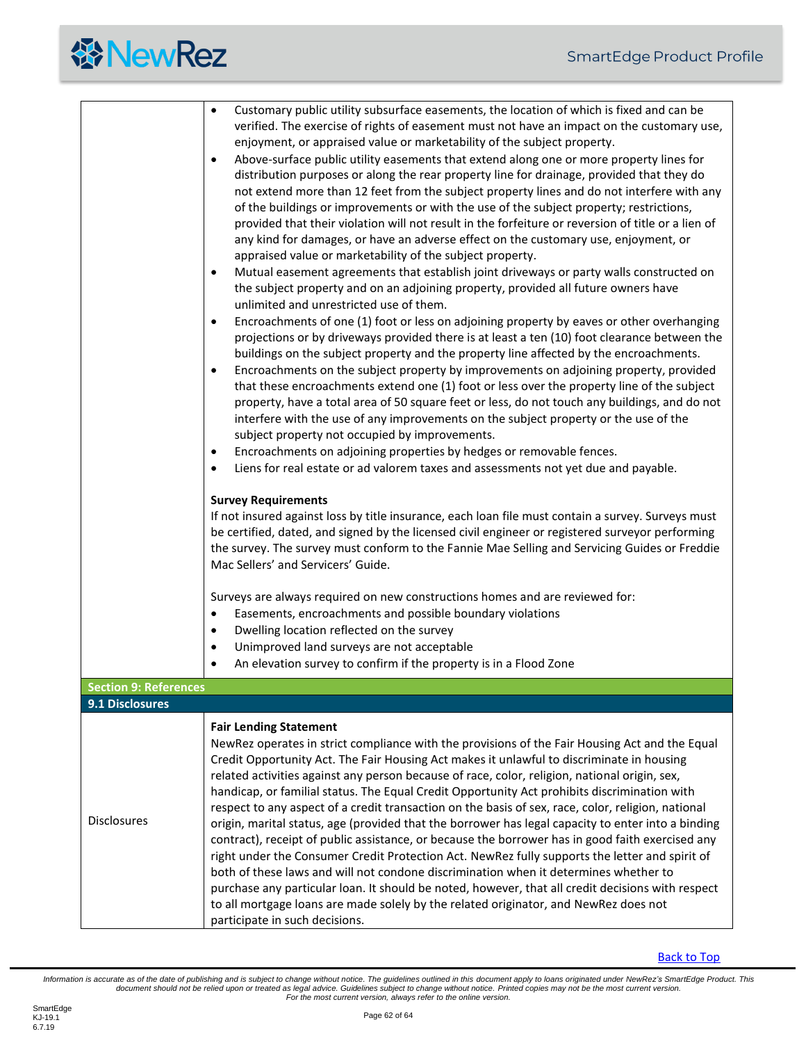<span id="page-61-1"></span><span id="page-61-0"></span>

|                              | Customary public utility subsurface easements, the location of which is fixed and can be<br>$\bullet$<br>verified. The exercise of rights of easement must not have an impact on the customary use,<br>enjoyment, or appraised value or marketability of the subject property.<br>Above-surface public utility easements that extend along one or more property lines for<br>$\bullet$<br>distribution purposes or along the rear property line for drainage, provided that they do<br>not extend more than 12 feet from the subject property lines and do not interfere with any<br>of the buildings or improvements or with the use of the subject property; restrictions,<br>provided that their violation will not result in the forfeiture or reversion of title or a lien of<br>any kind for damages, or have an adverse effect on the customary use, enjoyment, or<br>appraised value or marketability of the subject property.<br>Mutual easement agreements that establish joint driveways or party walls constructed on<br>$\bullet$<br>the subject property and on an adjoining property, provided all future owners have<br>unlimited and unrestricted use of them.<br>Encroachments of one (1) foot or less on adjoining property by eaves or other overhanging<br>$\bullet$<br>projections or by driveways provided there is at least a ten (10) foot clearance between the<br>buildings on the subject property and the property line affected by the encroachments.<br>Encroachments on the subject property by improvements on adjoining property, provided<br>$\bullet$<br>that these encroachments extend one (1) foot or less over the property line of the subject<br>property, have a total area of 50 square feet or less, do not touch any buildings, and do not<br>interfere with the use of any improvements on the subject property or the use of the<br>subject property not occupied by improvements.<br>Encroachments on adjoining properties by hedges or removable fences.<br>٠<br>Liens for real estate or ad valorem taxes and assessments not yet due and payable.<br>$\bullet$<br><b>Survey Requirements</b><br>If not insured against loss by title insurance, each loan file must contain a survey. Surveys must<br>be certified, dated, and signed by the licensed civil engineer or registered surveyor performing<br>the survey. The survey must conform to the Fannie Mae Selling and Servicing Guides or Freddie<br>Mac Sellers' and Servicers' Guide.<br>Surveys are always required on new constructions homes and are reviewed for:<br>Easements, encroachments and possible boundary violations<br>$\bullet$<br>Dwelling location reflected on the survey<br>$\bullet$<br>Unimproved land surveys are not acceptable<br>$\bullet$ |
|------------------------------|----------------------------------------------------------------------------------------------------------------------------------------------------------------------------------------------------------------------------------------------------------------------------------------------------------------------------------------------------------------------------------------------------------------------------------------------------------------------------------------------------------------------------------------------------------------------------------------------------------------------------------------------------------------------------------------------------------------------------------------------------------------------------------------------------------------------------------------------------------------------------------------------------------------------------------------------------------------------------------------------------------------------------------------------------------------------------------------------------------------------------------------------------------------------------------------------------------------------------------------------------------------------------------------------------------------------------------------------------------------------------------------------------------------------------------------------------------------------------------------------------------------------------------------------------------------------------------------------------------------------------------------------------------------------------------------------------------------------------------------------------------------------------------------------------------------------------------------------------------------------------------------------------------------------------------------------------------------------------------------------------------------------------------------------------------------------------------------------------------------------------------------------------------------------------------------------------------------------------------------------------------------------------------------------------------------------------------------------------------------------------------------------------------------------------------------------------------------------------------------------------------------------------------------------------------------------------------------------------------------------------------------------------------------------------------------------------------------------------------------------------------------------------------|
|                              | An elevation survey to confirm if the property is in a Flood Zone                                                                                                                                                                                                                                                                                                                                                                                                                                                                                                                                                                                                                                                                                                                                                                                                                                                                                                                                                                                                                                                                                                                                                                                                                                                                                                                                                                                                                                                                                                                                                                                                                                                                                                                                                                                                                                                                                                                                                                                                                                                                                                                                                                                                                                                                                                                                                                                                                                                                                                                                                                                                                                                                                                                |
| <b>Section 9: References</b> |                                                                                                                                                                                                                                                                                                                                                                                                                                                                                                                                                                                                                                                                                                                                                                                                                                                                                                                                                                                                                                                                                                                                                                                                                                                                                                                                                                                                                                                                                                                                                                                                                                                                                                                                                                                                                                                                                                                                                                                                                                                                                                                                                                                                                                                                                                                                                                                                                                                                                                                                                                                                                                                                                                                                                                                  |
| 9.1 Disclosures              |                                                                                                                                                                                                                                                                                                                                                                                                                                                                                                                                                                                                                                                                                                                                                                                                                                                                                                                                                                                                                                                                                                                                                                                                                                                                                                                                                                                                                                                                                                                                                                                                                                                                                                                                                                                                                                                                                                                                                                                                                                                                                                                                                                                                                                                                                                                                                                                                                                                                                                                                                                                                                                                                                                                                                                                  |
| <b>Disclosures</b>           | <b>Fair Lending Statement</b><br>NewRez operates in strict compliance with the provisions of the Fair Housing Act and the Equal<br>Credit Opportunity Act. The Fair Housing Act makes it unlawful to discriminate in housing<br>related activities against any person because of race, color, religion, national origin, sex,<br>handicap, or familial status. The Equal Credit Opportunity Act prohibits discrimination with<br>respect to any aspect of a credit transaction on the basis of sex, race, color, religion, national<br>origin, marital status, age (provided that the borrower has legal capacity to enter into a binding<br>contract), receipt of public assistance, or because the borrower has in good faith exercised any<br>right under the Consumer Credit Protection Act. NewRez fully supports the letter and spirit of<br>both of these laws and will not condone discrimination when it determines whether to<br>purchase any particular loan. It should be noted, however, that all credit decisions with respect<br>to all mortgage loans are made solely by the related originator, and NewRez does not<br>participate in such decisions.                                                                                                                                                                                                                                                                                                                                                                                                                                                                                                                                                                                                                                                                                                                                                                                                                                                                                                                                                                                                                                                                                                                                                                                                                                                                                                                                                                                                                                                                                                                                                                                                           |

[Back to Top](#page-2-0)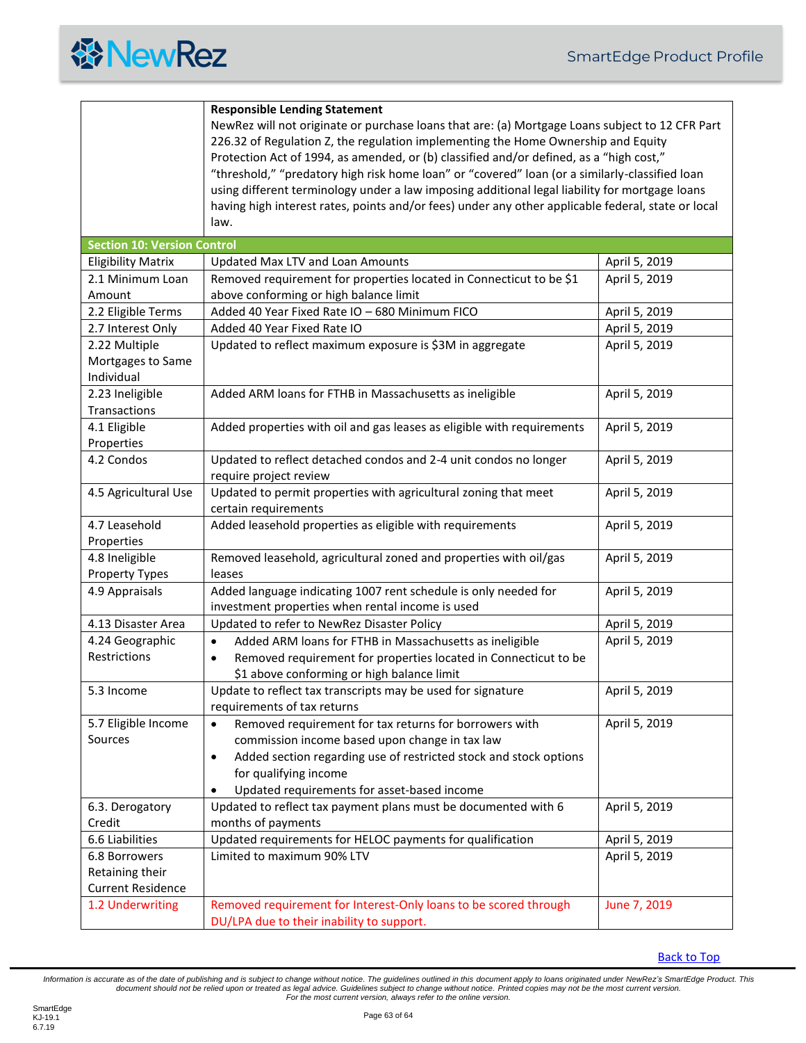

<span id="page-62-0"></span>

|                                    | <b>Responsible Lending Statement</b>                                                                                                                                                                                                                                                                                                                                              |               |  |
|------------------------------------|-----------------------------------------------------------------------------------------------------------------------------------------------------------------------------------------------------------------------------------------------------------------------------------------------------------------------------------------------------------------------------------|---------------|--|
|                                    | NewRez will not originate or purchase loans that are: (a) Mortgage Loans subject to 12 CFR Part<br>226.32 of Regulation Z, the regulation implementing the Home Ownership and Equity<br>Protection Act of 1994, as amended, or (b) classified and/or defined, as a "high cost,"<br>"threshold," "predatory high risk home loan" or "covered" loan (or a similarly-classified loan |               |  |
|                                    | using different terminology under a law imposing additional legal liability for mortgage loans                                                                                                                                                                                                                                                                                    |               |  |
|                                    | having high interest rates, points and/or fees) under any other applicable federal, state or local                                                                                                                                                                                                                                                                                |               |  |
|                                    | law.                                                                                                                                                                                                                                                                                                                                                                              |               |  |
| <b>Section 10: Version Control</b> |                                                                                                                                                                                                                                                                                                                                                                                   |               |  |
| <b>Eligibility Matrix</b>          | <b>Updated Max LTV and Loan Amounts</b>                                                                                                                                                                                                                                                                                                                                           | April 5, 2019 |  |
| 2.1 Minimum Loan                   | Removed requirement for properties located in Connecticut to be \$1                                                                                                                                                                                                                                                                                                               | April 5, 2019 |  |
| Amount                             | above conforming or high balance limit                                                                                                                                                                                                                                                                                                                                            |               |  |
| 2.2 Eligible Terms                 | Added 40 Year Fixed Rate IO - 680 Minimum FICO                                                                                                                                                                                                                                                                                                                                    | April 5, 2019 |  |
| 2.7 Interest Only                  | Added 40 Year Fixed Rate IO                                                                                                                                                                                                                                                                                                                                                       | April 5, 2019 |  |
| 2.22 Multiple                      | Updated to reflect maximum exposure is \$3M in aggregate                                                                                                                                                                                                                                                                                                                          | April 5, 2019 |  |
| Mortgages to Same                  |                                                                                                                                                                                                                                                                                                                                                                                   |               |  |
| Individual                         |                                                                                                                                                                                                                                                                                                                                                                                   |               |  |
| 2.23 Ineligible                    | Added ARM loans for FTHB in Massachusetts as ineligible                                                                                                                                                                                                                                                                                                                           | April 5, 2019 |  |
| Transactions                       |                                                                                                                                                                                                                                                                                                                                                                                   |               |  |
| 4.1 Eligible                       | Added properties with oil and gas leases as eligible with requirements                                                                                                                                                                                                                                                                                                            | April 5, 2019 |  |
| Properties                         |                                                                                                                                                                                                                                                                                                                                                                                   |               |  |
| 4.2 Condos                         | Updated to reflect detached condos and 2-4 unit condos no longer                                                                                                                                                                                                                                                                                                                  | April 5, 2019 |  |
|                                    | require project review                                                                                                                                                                                                                                                                                                                                                            |               |  |
| 4.5 Agricultural Use               | Updated to permit properties with agricultural zoning that meet                                                                                                                                                                                                                                                                                                                   | April 5, 2019 |  |
|                                    | certain requirements                                                                                                                                                                                                                                                                                                                                                              |               |  |
| 4.7 Leasehold                      | Added leasehold properties as eligible with requirements                                                                                                                                                                                                                                                                                                                          | April 5, 2019 |  |
| Properties                         |                                                                                                                                                                                                                                                                                                                                                                                   |               |  |
| 4.8 Ineligible                     | Removed leasehold, agricultural zoned and properties with oil/gas                                                                                                                                                                                                                                                                                                                 | April 5, 2019 |  |
| Property Types                     | leases                                                                                                                                                                                                                                                                                                                                                                            |               |  |
| 4.9 Appraisals                     | Added language indicating 1007 rent schedule is only needed for                                                                                                                                                                                                                                                                                                                   | April 5, 2019 |  |
|                                    | investment properties when rental income is used                                                                                                                                                                                                                                                                                                                                  |               |  |
| 4.13 Disaster Area                 | Updated to refer to NewRez Disaster Policy                                                                                                                                                                                                                                                                                                                                        | April 5, 2019 |  |
| 4.24 Geographic                    | Added ARM loans for FTHB in Massachusetts as ineligible<br>$\bullet$                                                                                                                                                                                                                                                                                                              | April 5, 2019 |  |
| Restrictions                       | Removed requirement for properties located in Connecticut to be<br>$\bullet$                                                                                                                                                                                                                                                                                                      |               |  |
|                                    | \$1 above conforming or high balance limit                                                                                                                                                                                                                                                                                                                                        |               |  |
| 5.3 Income                         | Update to reflect tax transcripts may be used for signature                                                                                                                                                                                                                                                                                                                       | April 5, 2019 |  |
|                                    | requirements of tax returns                                                                                                                                                                                                                                                                                                                                                       |               |  |
| 5.7 Eligible Income                | Removed requirement for tax returns for borrowers with<br>$\bullet$                                                                                                                                                                                                                                                                                                               | April 5, 2019 |  |
| Sources                            | commission income based upon change in tax law                                                                                                                                                                                                                                                                                                                                    |               |  |
|                                    | Added section regarding use of restricted stock and stock options<br>$\bullet$                                                                                                                                                                                                                                                                                                    |               |  |
|                                    | for qualifying income                                                                                                                                                                                                                                                                                                                                                             |               |  |
|                                    | Updated requirements for asset-based income<br>$\bullet$                                                                                                                                                                                                                                                                                                                          |               |  |
| 6.3. Derogatory                    | Updated to reflect tax payment plans must be documented with 6                                                                                                                                                                                                                                                                                                                    | April 5, 2019 |  |
| Credit                             | months of payments                                                                                                                                                                                                                                                                                                                                                                |               |  |
| 6.6 Liabilities                    | Updated requirements for HELOC payments for qualification                                                                                                                                                                                                                                                                                                                         | April 5, 2019 |  |
| 6.8 Borrowers                      | Limited to maximum 90% LTV                                                                                                                                                                                                                                                                                                                                                        | April 5, 2019 |  |
| Retaining their                    |                                                                                                                                                                                                                                                                                                                                                                                   |               |  |
| <b>Current Residence</b>           |                                                                                                                                                                                                                                                                                                                                                                                   |               |  |
| 1.2 Underwriting                   | Removed requirement for Interest-Only loans to be scored through                                                                                                                                                                                                                                                                                                                  | June 7, 2019  |  |
|                                    | DU/LPA due to their inability to support.                                                                                                                                                                                                                                                                                                                                         |               |  |